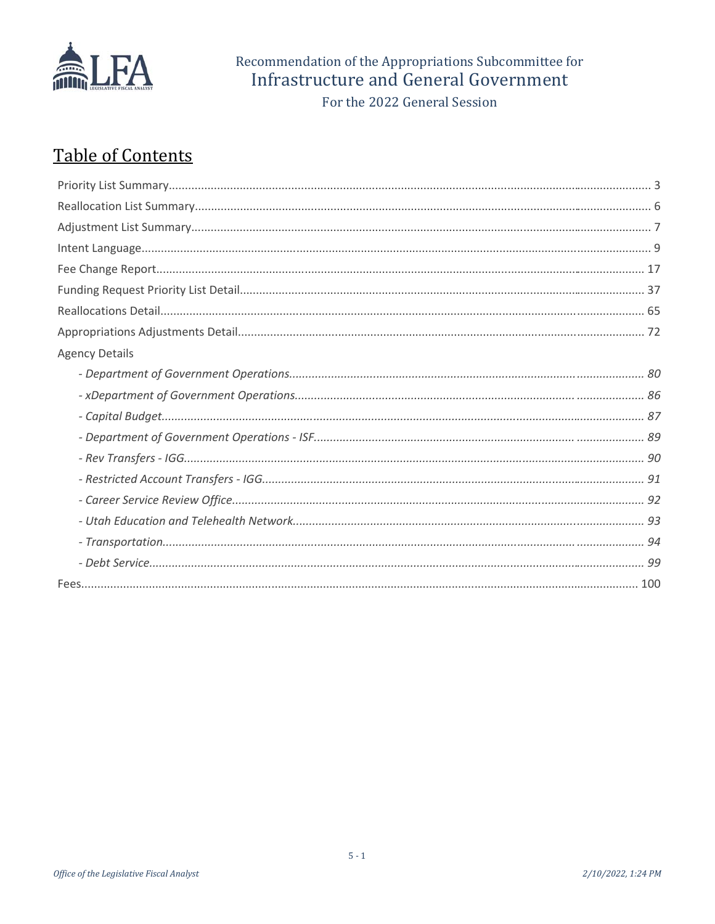

For the 2022 General Session

## **Table of Contents**

| <b>Agency Details</b> |  |
|-----------------------|--|
|                       |  |
|                       |  |
|                       |  |
|                       |  |
|                       |  |
|                       |  |
|                       |  |
|                       |  |
|                       |  |
|                       |  |
|                       |  |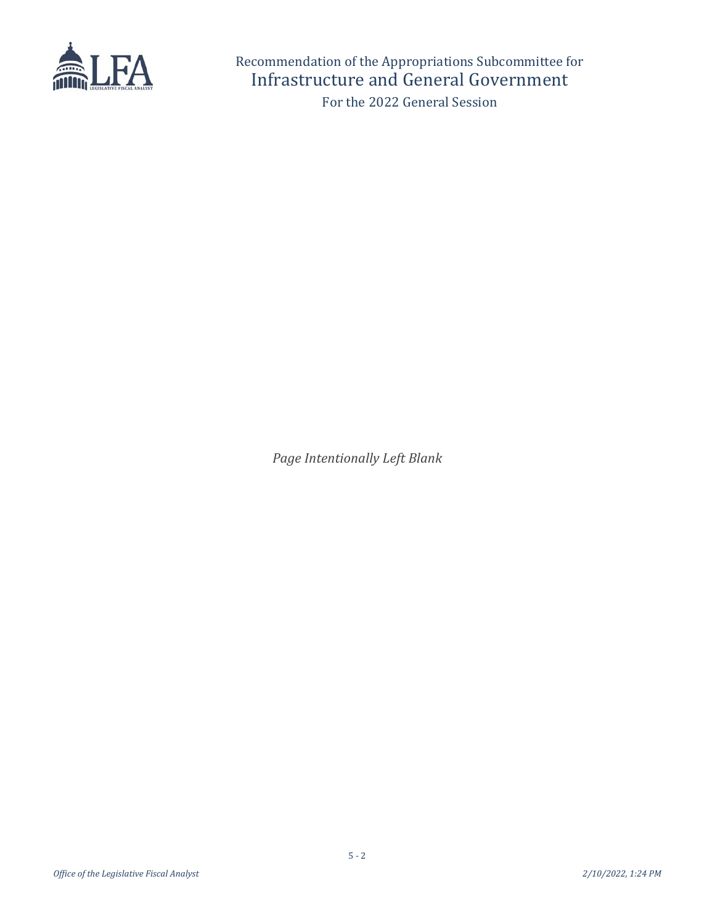

Recommendation of the Appropriations Subcommittee for Infrastructure and General Government For the 2022 General Session

*Page Intentionally Left Blank*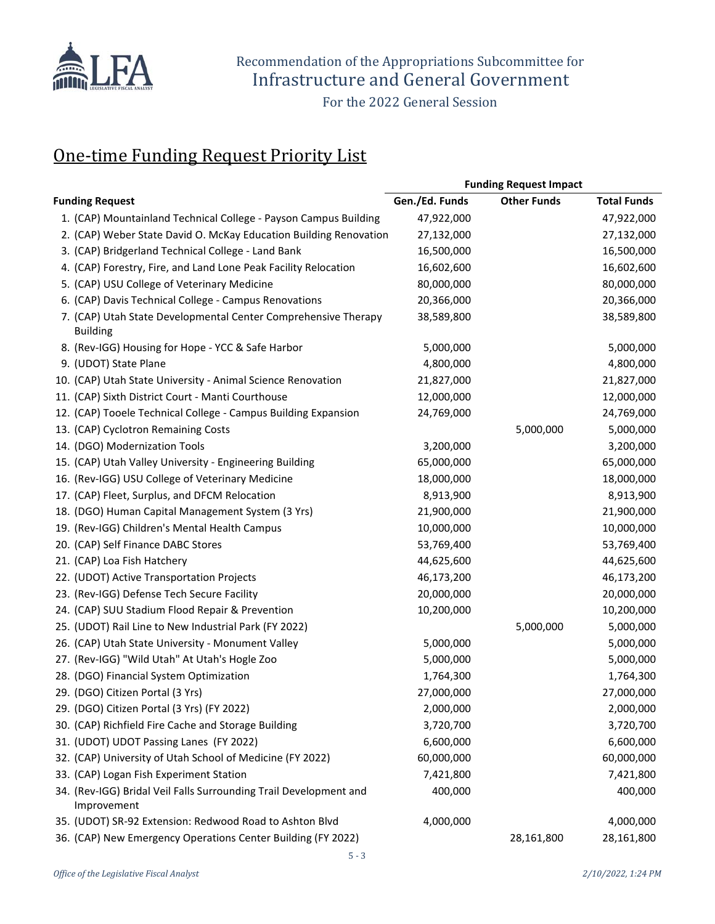

For the 2022 General Session

## One-time Funding Request Priority List

|                                                                                   |                | <b>Funding Request Impact</b> |                    |
|-----------------------------------------------------------------------------------|----------------|-------------------------------|--------------------|
| <b>Funding Request</b>                                                            | Gen./Ed. Funds | <b>Other Funds</b>            | <b>Total Funds</b> |
| 1. (CAP) Mountainland Technical College - Payson Campus Building                  | 47,922,000     |                               | 47,922,000         |
| 2. (CAP) Weber State David O. McKay Education Building Renovation                 | 27,132,000     |                               | 27,132,000         |
| 3. (CAP) Bridgerland Technical College - Land Bank                                | 16,500,000     |                               | 16,500,000         |
| 4. (CAP) Forestry, Fire, and Land Lone Peak Facility Relocation                   | 16,602,600     |                               | 16,602,600         |
| 5. (CAP) USU College of Veterinary Medicine                                       | 80,000,000     |                               | 80,000,000         |
| 6. (CAP) Davis Technical College - Campus Renovations                             | 20,366,000     |                               | 20,366,000         |
| 7. (CAP) Utah State Developmental Center Comprehensive Therapy<br><b>Building</b> | 38,589,800     |                               | 38,589,800         |
| 8. (Rev-IGG) Housing for Hope - YCC & Safe Harbor                                 | 5,000,000      |                               | 5,000,000          |
| 9. (UDOT) State Plane                                                             | 4,800,000      |                               | 4,800,000          |
| 10. (CAP) Utah State University - Animal Science Renovation                       | 21,827,000     |                               | 21,827,000         |
| 11. (CAP) Sixth District Court - Manti Courthouse                                 | 12,000,000     |                               | 12,000,000         |
| 12. (CAP) Tooele Technical College - Campus Building Expansion                    | 24,769,000     |                               | 24,769,000         |
| 13. (CAP) Cyclotron Remaining Costs                                               |                | 5,000,000                     | 5,000,000          |
| 14. (DGO) Modernization Tools                                                     | 3,200,000      |                               | 3,200,000          |
| 15. (CAP) Utah Valley University - Engineering Building                           | 65,000,000     |                               | 65,000,000         |
| 16. (Rev-IGG) USU College of Veterinary Medicine                                  | 18,000,000     |                               | 18,000,000         |
| 17. (CAP) Fleet, Surplus, and DFCM Relocation                                     | 8,913,900      |                               | 8,913,900          |
| 18. (DGO) Human Capital Management System (3 Yrs)                                 | 21,900,000     |                               | 21,900,000         |
| 19. (Rev-IGG) Children's Mental Health Campus                                     | 10,000,000     |                               | 10,000,000         |
| 20. (CAP) Self Finance DABC Stores                                                | 53,769,400     |                               | 53,769,400         |
| 21. (CAP) Loa Fish Hatchery                                                       | 44,625,600     |                               | 44,625,600         |
| 22. (UDOT) Active Transportation Projects                                         | 46,173,200     |                               | 46,173,200         |
| 23. (Rev-IGG) Defense Tech Secure Facility                                        | 20,000,000     |                               | 20,000,000         |
| 24. (CAP) SUU Stadium Flood Repair & Prevention                                   | 10,200,000     |                               | 10,200,000         |
| 25. (UDOT) Rail Line to New Industrial Park (FY 2022)                             |                | 5,000,000                     | 5,000,000          |
| 26. (CAP) Utah State University - Monument Valley                                 | 5,000,000      |                               | 5,000,000          |
| 27. (Rev-IGG) "Wild Utah" At Utah's Hogle Zoo                                     | 5,000,000      |                               | 5,000,000          |
| 28. (DGO) Financial System Optimization                                           | 1,764,300      |                               | 1,764,300          |
| 29. (DGO) Citizen Portal (3 Yrs)                                                  | 27,000,000     |                               | 27,000,000         |
| 29. (DGO) Citizen Portal (3 Yrs) (FY 2022)                                        | 2,000,000      |                               | 2,000,000          |
| 30. (CAP) Richfield Fire Cache and Storage Building                               | 3,720,700      |                               | 3,720,700          |
| 31. (UDOT) UDOT Passing Lanes (FY 2022)                                           | 6,600,000      |                               | 6,600,000          |
| 32. (CAP) University of Utah School of Medicine (FY 2022)                         | 60,000,000     |                               | 60,000,000         |
| 33. (CAP) Logan Fish Experiment Station                                           | 7,421,800      |                               | 7,421,800          |
| 34. (Rev-IGG) Bridal Veil Falls Surrounding Trail Development and<br>Improvement  | 400,000        |                               | 400,000            |
| 35. (UDOT) SR-92 Extension: Redwood Road to Ashton Blvd                           | 4,000,000      |                               | 4,000,000          |
| 36. (CAP) New Emergency Operations Center Building (FY 2022)                      |                | 28,161,800                    | 28,161,800         |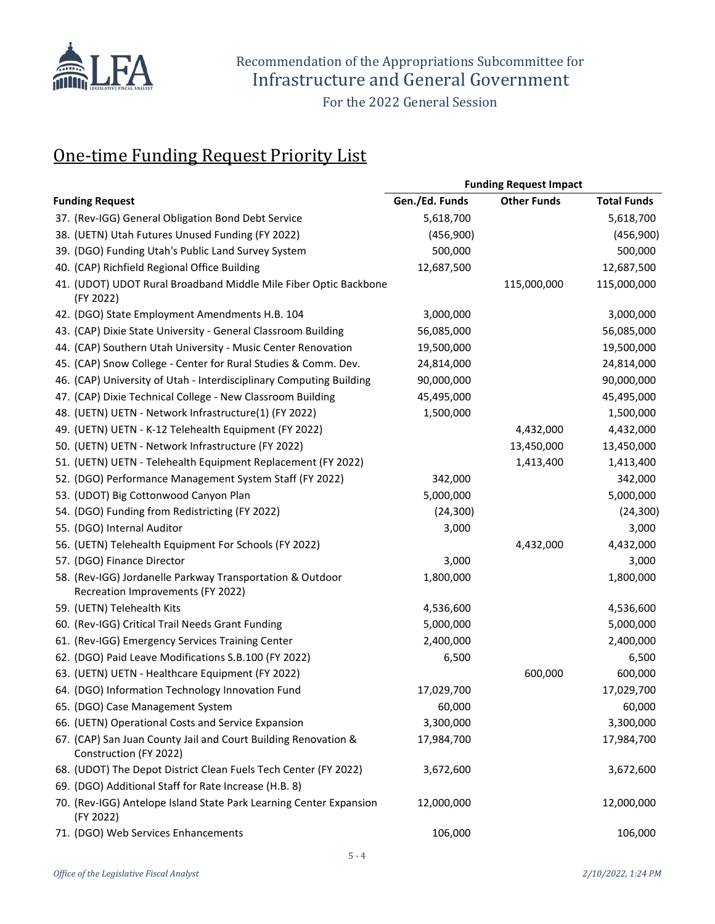

For the 2022 General Session

## One-time Funding Request Priority List

|                                                                                                |                | <b>Funding Request Impact</b> |                    |
|------------------------------------------------------------------------------------------------|----------------|-------------------------------|--------------------|
| <b>Funding Request</b>                                                                         | Gen./Ed. Funds | <b>Other Funds</b>            | <b>Total Funds</b> |
| 37. (Rev-IGG) General Obligation Bond Debt Service                                             | 5,618,700      |                               | 5,618,700          |
| 38. (UETN) Utah Futures Unused Funding (FY 2022)                                               | (456,900)      |                               | (456,900)          |
| 39. (DGO) Funding Utah's Public Land Survey System                                             | 500,000        |                               | 500,000            |
| 40. (CAP) Richfield Regional Office Building                                                   | 12,687,500     |                               | 12,687,500         |
| 41. (UDOT) UDOT Rural Broadband Middle Mile Fiber Optic Backbone<br>(FY 2022)                  |                | 115,000,000                   | 115,000,000        |
| 42. (DGO) State Employment Amendments H.B. 104                                                 | 3,000,000      |                               | 3,000,000          |
| 43. (CAP) Dixie State University - General Classroom Building                                  | 56,085,000     |                               | 56,085,000         |
| 44. (CAP) Southern Utah University - Music Center Renovation                                   | 19,500,000     |                               | 19,500,000         |
| 45. (CAP) Snow College - Center for Rural Studies & Comm. Dev.                                 | 24,814,000     |                               | 24,814,000         |
| 46. (CAP) University of Utah - Interdisciplinary Computing Building                            | 90,000,000     |                               | 90,000,000         |
| 47. (CAP) Dixie Technical College - New Classroom Building                                     | 45,495,000     |                               | 45,495,000         |
| 48. (UETN) UETN - Network Infrastructure(1) (FY 2022)                                          | 1,500,000      |                               | 1,500,000          |
| 49. (UETN) UETN - K-12 Telehealth Equipment (FY 2022)                                          |                | 4,432,000                     | 4,432,000          |
| 50. (UETN) UETN - Network Infrastructure (FY 2022)                                             |                | 13,450,000                    | 13,450,000         |
| 51. (UETN) UETN - Telehealth Equipment Replacement (FY 2022)                                   |                | 1,413,400                     | 1,413,400          |
| 52. (DGO) Performance Management System Staff (FY 2022)                                        | 342,000        |                               | 342,000            |
| 53. (UDOT) Big Cottonwood Canyon Plan                                                          | 5,000,000      |                               | 5,000,000          |
| 54. (DGO) Funding from Redistricting (FY 2022)                                                 | (24, 300)      |                               | (24, 300)          |
| 55. (DGO) Internal Auditor                                                                     | 3,000          |                               | 3,000              |
| 56. (UETN) Telehealth Equipment For Schools (FY 2022)                                          |                | 4,432,000                     | 4,432,000          |
| 57. (DGO) Finance Director                                                                     | 3,000          |                               | 3,000              |
| 58. (Rev-IGG) Jordanelle Parkway Transportation & Outdoor<br>Recreation Improvements (FY 2022) | 1,800,000      |                               | 1,800,000          |
| 59. (UETN) Telehealth Kits                                                                     | 4,536,600      |                               | 4,536,600          |
| 60. (Rev-IGG) Critical Trail Needs Grant Funding                                               | 5,000,000      |                               | 5,000,000          |
| 61. (Rev-IGG) Emergency Services Training Center                                               | 2,400,000      |                               | 2,400,000          |
| 62. (DGO) Paid Leave Modifications S.B.100 (FY 2022)                                           | 6,500          |                               | 6,500              |
| 63. (UETN) UETN - Healthcare Equipment (FY 2022)                                               |                | 600,000                       | 600,000            |
| 64. (DGO) Information Technology Innovation Fund                                               | 17,029,700     |                               | 17,029,700         |
| 65. (DGO) Case Management System                                                               | 60,000         |                               | 60,000             |
| 66. (UETN) Operational Costs and Service Expansion                                             | 3,300,000      |                               | 3,300,000          |
| 67. (CAP) San Juan County Jail and Court Building Renovation &<br>Construction (FY 2022)       | 17,984,700     |                               | 17,984,700         |
| 68. (UDOT) The Depot District Clean Fuels Tech Center (FY 2022)                                | 3,672,600      |                               | 3,672,600          |
| 69. (DGO) Additional Staff for Rate Increase (H.B. 8)                                          |                |                               |                    |
| 70. (Rev-IGG) Antelope Island State Park Learning Center Expansion<br>(FY 2022)                | 12,000,000     |                               | 12,000,000         |
| 71. (DGO) Web Services Enhancements                                                            | 106,000        |                               | 106,000            |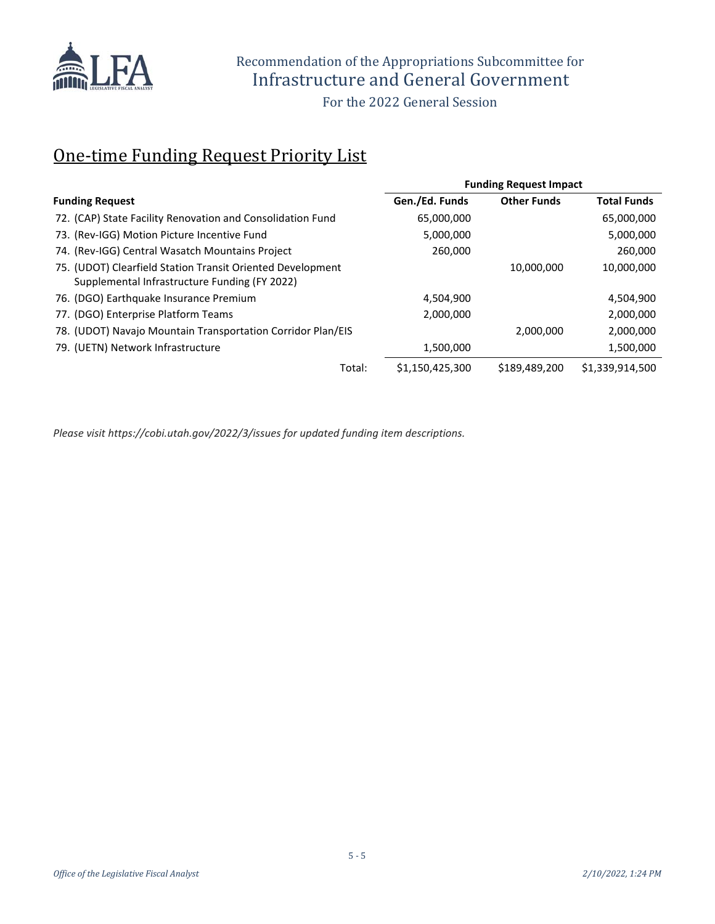

For the 2022 General Session

## One-time Funding Request Priority List

|                                                             |                 | <b>Funding Request Impact</b> |                    |
|-------------------------------------------------------------|-----------------|-------------------------------|--------------------|
| <b>Funding Request</b>                                      | Gen./Ed. Funds  | <b>Other Funds</b>            | <b>Total Funds</b> |
| 72. (CAP) State Facility Renovation and Consolidation Fund  | 65,000,000      |                               | 65,000,000         |
| 73. (Rev-IGG) Motion Picture Incentive Fund                 | 5,000,000       |                               | 5,000,000          |
| 74. (Rev-IGG) Central Wasatch Mountains Project             | 260,000         |                               | 260,000            |
| 75. (UDOT) Clearfield Station Transit Oriented Development  |                 | 10,000,000                    | 10,000,000         |
| Supplemental Infrastructure Funding (FY 2022)               |                 |                               |                    |
| 76. (DGO) Earthquake Insurance Premium                      | 4,504,900       |                               | 4,504,900          |
| 77. (DGO) Enterprise Platform Teams                         | 2,000,000       |                               | 2,000,000          |
| 78. (UDOT) Navajo Mountain Transportation Corridor Plan/EIS |                 | 2,000,000                     | 2,000,000          |
| 79. (UETN) Network Infrastructure                           | 1,500,000       |                               | 1,500,000          |
| Total:                                                      | \$1,150,425,300 | \$189,489,200                 | \$1.339.914.500    |

*Please visit https://cobi.utah.gov/2022/3/issues for updated funding item descriptions.*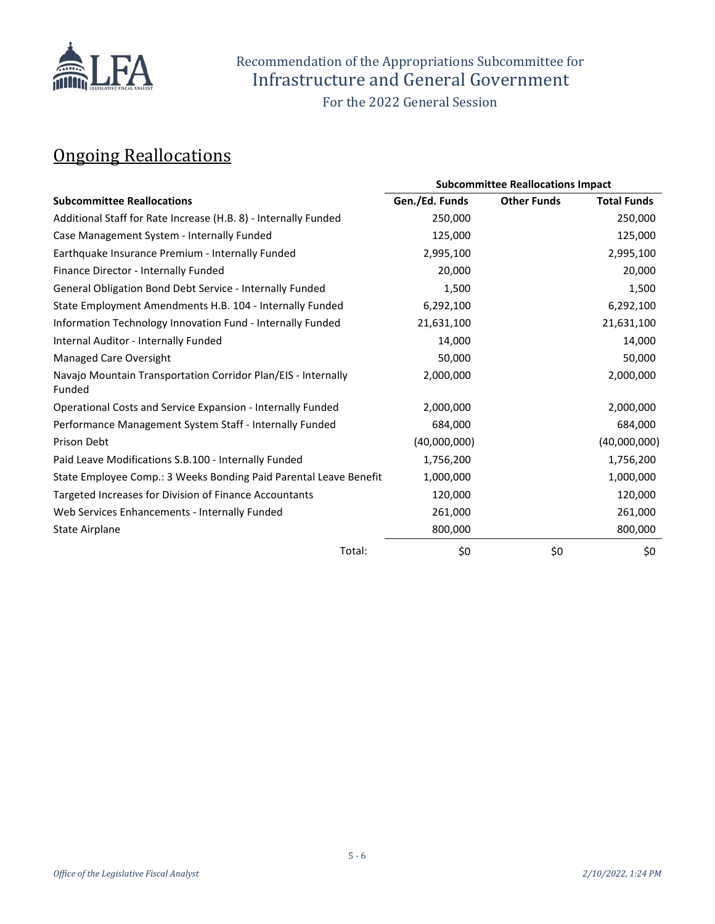

For the 2022 General Session

## Ongoing Reallocations

|                                                                         |                | <b>Subcommittee Reallocations Impact</b> |                    |
|-------------------------------------------------------------------------|----------------|------------------------------------------|--------------------|
| <b>Subcommittee Reallocations</b>                                       | Gen./Ed. Funds | <b>Other Funds</b>                       | <b>Total Funds</b> |
| Additional Staff for Rate Increase (H.B. 8) - Internally Funded         | 250,000        |                                          | 250,000            |
| Case Management System - Internally Funded                              | 125,000        |                                          | 125,000            |
| Earthquake Insurance Premium - Internally Funded                        | 2,995,100      |                                          | 2,995,100          |
| Finance Director - Internally Funded                                    | 20,000         |                                          | 20,000             |
| General Obligation Bond Debt Service - Internally Funded                | 1,500          |                                          | 1,500              |
| State Employment Amendments H.B. 104 - Internally Funded                | 6,292,100      |                                          | 6,292,100          |
| Information Technology Innovation Fund - Internally Funded              | 21,631,100     |                                          | 21,631,100         |
| Internal Auditor - Internally Funded                                    | 14,000         |                                          | 14,000             |
| Managed Care Oversight                                                  | 50,000         |                                          | 50,000             |
| Navajo Mountain Transportation Corridor Plan/EIS - Internally<br>Funded | 2,000,000      |                                          | 2,000,000          |
| Operational Costs and Service Expansion - Internally Funded             | 2,000,000      |                                          | 2,000,000          |
| Performance Management System Staff - Internally Funded                 | 684,000        |                                          | 684,000            |
| <b>Prison Debt</b>                                                      | (40,000,000)   |                                          | (40,000,000)       |
| Paid Leave Modifications S.B.100 - Internally Funded                    | 1,756,200      |                                          | 1,756,200          |
| State Employee Comp.: 3 Weeks Bonding Paid Parental Leave Benefit       | 1,000,000      |                                          | 1,000,000          |
| Targeted Increases for Division of Finance Accountants                  | 120,000        |                                          | 120,000            |
| Web Services Enhancements - Internally Funded                           | 261,000        |                                          | 261,000            |
| State Airplane                                                          | 800,000        |                                          | 800,000            |
| Total:                                                                  | \$0            | \$0                                      | \$0                |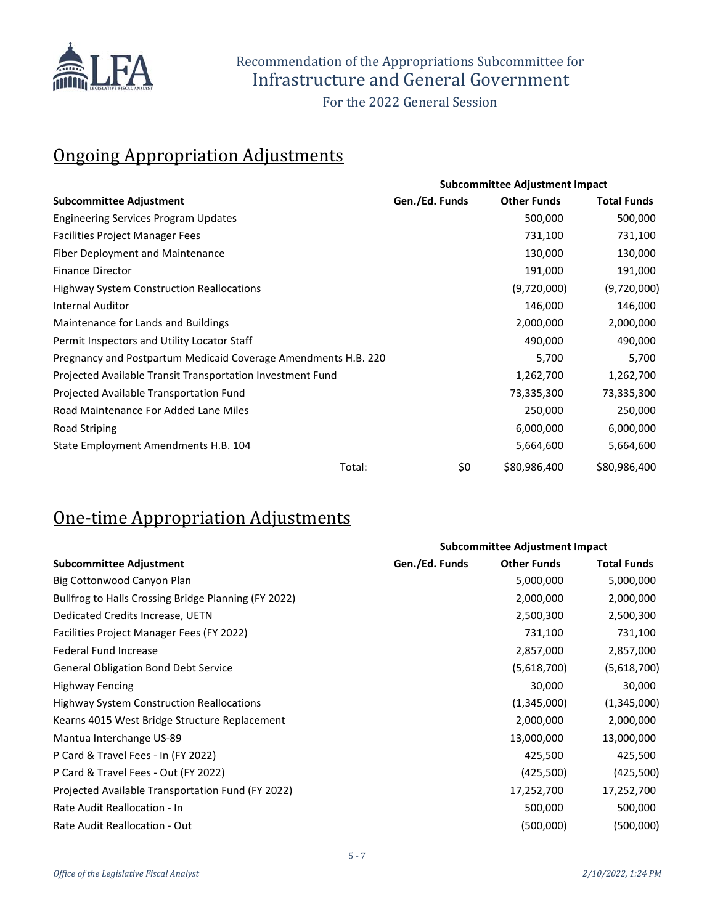

For the 2022 General Session

## Ongoing Appropriation Adjustments

|                                                                |                | <b>Subcommittee Adjustment Impact</b> |                    |
|----------------------------------------------------------------|----------------|---------------------------------------|--------------------|
| <b>Subcommittee Adjustment</b>                                 | Gen./Ed. Funds | <b>Other Funds</b>                    | <b>Total Funds</b> |
| <b>Engineering Services Program Updates</b>                    |                | 500,000                               | 500,000            |
| <b>Facilities Project Manager Fees</b>                         |                | 731,100                               | 731,100            |
| Fiber Deployment and Maintenance                               |                | 130,000                               | 130,000            |
| <b>Finance Director</b>                                        |                | 191,000                               | 191,000            |
| <b>Highway System Construction Reallocations</b>               |                | (9,720,000)                           | (9,720,000)        |
| <b>Internal Auditor</b>                                        |                | 146,000                               | 146,000            |
| Maintenance for Lands and Buildings                            |                | 2,000,000                             | 2,000,000          |
| Permit Inspectors and Utility Locator Staff                    |                | 490,000                               | 490,000            |
| Pregnancy and Postpartum Medicaid Coverage Amendments H.B. 220 |                | 5,700                                 | 5,700              |
| Projected Available Transit Transportation Investment Fund     |                | 1,262,700                             | 1,262,700          |
| Projected Available Transportation Fund                        |                | 73,335,300                            | 73,335,300         |
| Road Maintenance For Added Lane Miles                          |                | 250,000                               | 250,000            |
| Road Striping                                                  |                | 6,000,000                             | 6,000,000          |
| State Employment Amendments H.B. 104                           |                | 5,664,600                             | 5,664,600          |
| Total:                                                         | \$0            | \$80,986,400                          | \$80,986,400       |

## One-time Appropriation Adjustments

|                                                      |                | <b>Subcommittee Adjustment Impact</b> |                    |
|------------------------------------------------------|----------------|---------------------------------------|--------------------|
| <b>Subcommittee Adjustment</b>                       | Gen./Ed. Funds | <b>Other Funds</b>                    | <b>Total Funds</b> |
| Big Cottonwood Canyon Plan                           |                | 5,000,000                             | 5,000,000          |
| Bullfrog to Halls Crossing Bridge Planning (FY 2022) |                | 2,000,000                             | 2,000,000          |
| Dedicated Credits Increase, UETN                     |                | 2,500,300                             | 2,500,300          |
| Facilities Project Manager Fees (FY 2022)            |                | 731,100                               | 731,100            |
| Federal Fund Increase                                |                | 2,857,000                             | 2,857,000          |
| <b>General Obligation Bond Debt Service</b>          |                | (5,618,700)                           | (5,618,700)        |
| <b>Highway Fencing</b>                               |                | 30,000                                | 30,000             |
| <b>Highway System Construction Reallocations</b>     |                | (1,345,000)                           | (1,345,000)        |
| Kearns 4015 West Bridge Structure Replacement        |                | 2,000,000                             | 2,000,000          |
| Mantua Interchange US-89                             |                | 13,000,000                            | 13,000,000         |
| P Card & Travel Fees - In (FY 2022)                  |                | 425,500                               | 425,500            |
| P Card & Travel Fees - Out (FY 2022)                 |                | (425,500)                             | (425, 500)         |
| Projected Available Transportation Fund (FY 2022)    |                | 17,252,700                            | 17,252,700         |
| Rate Audit Reallocation - In                         |                | 500,000                               | 500,000            |
| Rate Audit Reallocation - Out                        |                | (500,000)                             | (500,000)          |
|                                                      |                |                                       |                    |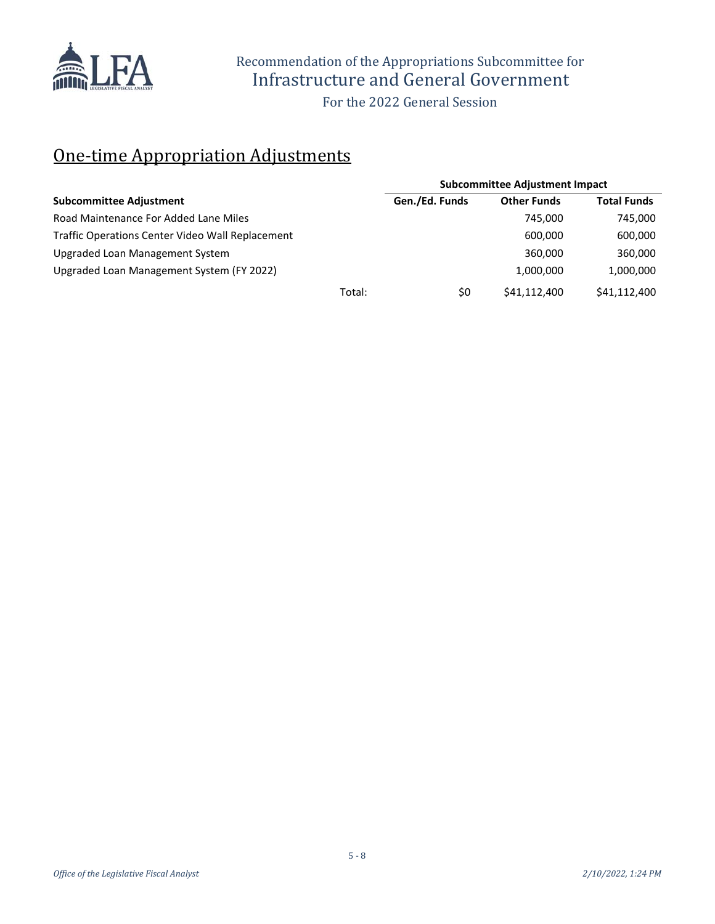

For the 2022 General Session

## One-time Appropriation Adjustments

|                                                  |        | <b>Subcommittee Adjustment Impact</b> |                    |                    |
|--------------------------------------------------|--------|---------------------------------------|--------------------|--------------------|
| <b>Subcommittee Adjustment</b>                   |        | Gen./Ed. Funds                        | <b>Other Funds</b> | <b>Total Funds</b> |
| Road Maintenance For Added Lane Miles            |        |                                       | 745.000            | 745,000            |
| Traffic Operations Center Video Wall Replacement |        |                                       | 600.000            | 600,000            |
| Upgraded Loan Management System                  |        |                                       | 360,000            | 360,000            |
| Upgraded Loan Management System (FY 2022)        |        |                                       | 1,000,000          | 1,000,000          |
|                                                  | Total: | \$0                                   | \$41,112,400       | \$41,112,400       |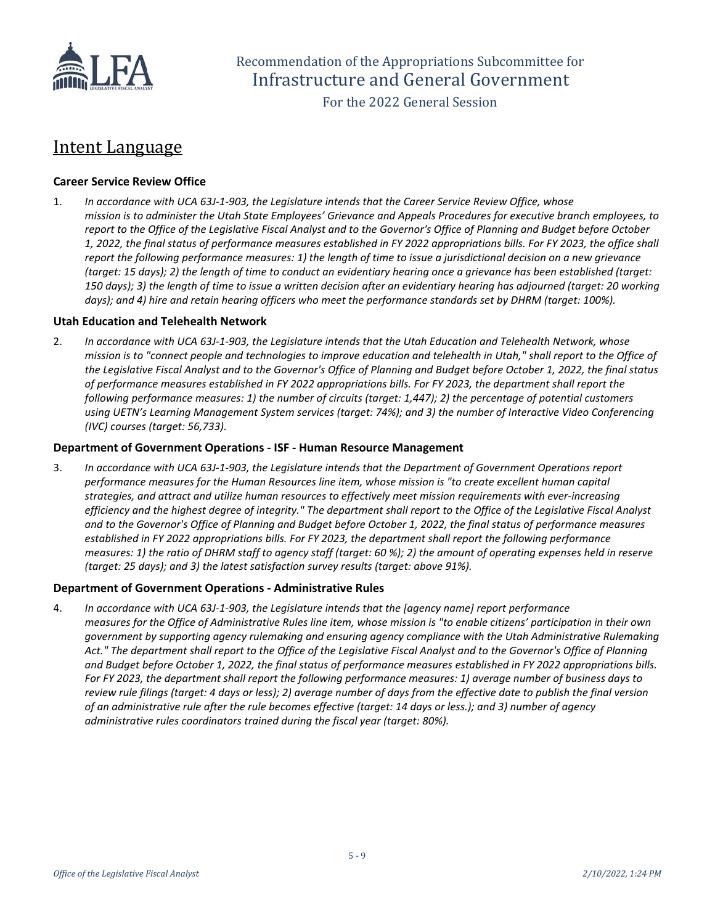

For the 2022 General Session

## Intent Language

#### **Career Service Review Office**

*In accordance with UCA 63J‐1‐903, the Legislature intends that the Career Service Review Office, whose mission is to administer the Utah State Employees' Grievance and Appeals Procedures for executive branch employees, to report to the Office of the Legislative Fiscal Analyst and to the Governor's Office of Planning and Budget before October 1, 2022, the final status of performance measures established in FY 2022 appropriations bills. For FY 2023, the office shall report the following performance measures: 1) the length of time to issue a jurisdictional decision on a new grievance (target: 15 days); 2) the length of time to conduct an evidentiary hearing once a grievance has been established (target: 150 days); 3) the length of time to issue a written decision after an evidentiary hearing has adjourned (target: 20 working days); and 4) hire and retain hearing officers who meet the performance standards set by DHRM (target: 100%).* 1.

#### **Utah Education and Telehealth Network**

*In accordance with UCA 63J‐1‐903, the Legislature intends that the Utah Education and Telehealth Network, whose mission is to "connect people and technologies to improve education and telehealth in Utah," shall report to the Office of the Legislative Fiscal Analyst and to the Governor's Office of Planning and Budget before October 1, 2022, the final status of performance measures established in FY 2022 appropriations bills. For FY 2023, the department shall report the following performance measures: 1) the number of circuits (target: 1,447); 2) the percentage of potential customers using UETN's Learning Management System services (target: 74%); and 3) the number of Interactive Video Conferencing (IVC) courses (target: 56,733).* 2.

#### **Department of Government Operations ‐ ISF ‐ Human Resource Management**

*In accordance with UCA 63J‐1‐903, the Legislature intends that the Department of Government Operations report performance measures for the Human Resources line item, whose mission is "to create excellent human capital strategies, and attract and utilize human resources to effectively meet mission requirements with ever‐increasing efficiency and the highest degree of integrity." The department shall report to the Office of the Legislative Fiscal Analyst and to the Governor's Office of Planning and Budget before October 1, 2022, the final status of performance measures established in FY 2022 appropriations bills. For FY 2023, the department shall report the following performance measures: 1) the ratio of DHRM staff to agency staff (target: 60 %); 2) the amount of operating expenses held in reserve (target: 25 days); and 3) the latest satisfaction survey results (target: above 91%).* 3.

#### **Department of Government Operations ‐ Administrative Rules**

*In accordance with UCA 63J‐1‐903, the Legislature intends that the [agency name] report performance measures for the Office of Administrative Rules line item, whose mission is "to enable citizens' participation in their own government by supporting agency rulemaking and ensuring agency compliance with the Utah Administrative Rulemaking Act." The department shall report to the Office of the Legislative Fiscal Analyst and to the Governor's Office of Planning and Budget before October 1, 2022, the final status of performance measures established in FY 2022 appropriations bills. For FY 2023, the department shall report the following performance measures: 1) average number of business days to review rule filings (target: 4 days or less); 2) average number of days from the effective date to publish the final version of an administrative rule after the rule becomes effective (target: 14 days or less.); and 3) number of agency administrative rules coordinators trained during the fiscal year (target: 80%).* 4.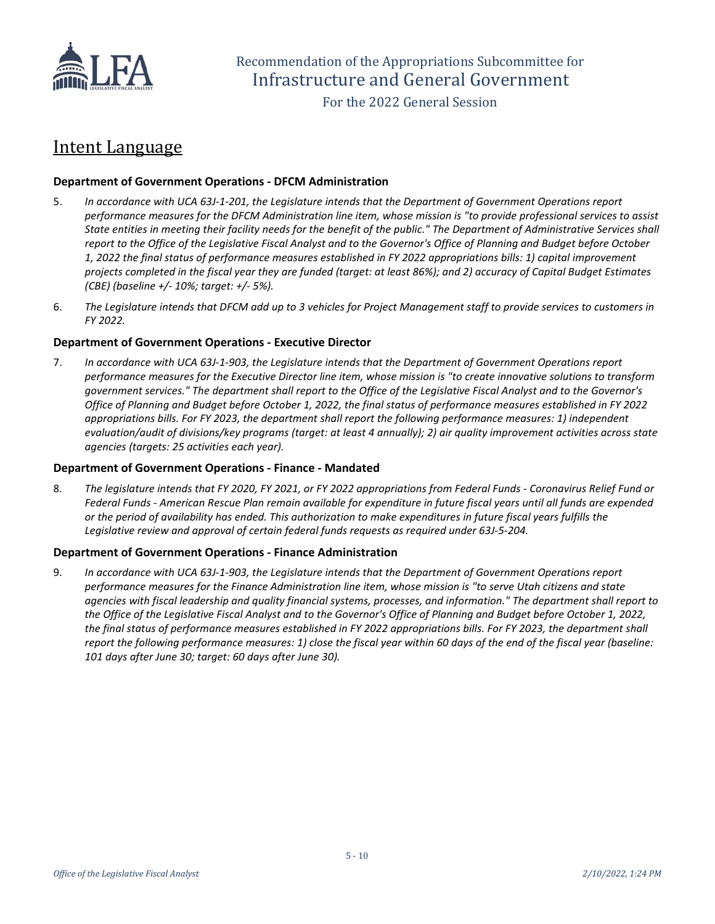

For the 2022 General Session

## Intent Language

#### **Department of Government Operations ‐ DFCM Administration**

- *In accordance with UCA 63J‐1‐201, the Legislature intends that the Department of Government Operations report performance measures for the DFCM Administration line item, whose mission is "to provide professional services to assist State entities in meeting their facility needs for the benefit of the public." The Department of Administrative Services shall report to the Office of the Legislative Fiscal Analyst and to the Governor's Office of Planning and Budget before October 1, 2022 the final status of performance measures established in FY 2022 appropriations bills: 1) capital improvement projects completed in the fiscal year they are funded (target: at least 86%); and 2) accuracy of Capital Budget Estimates (CBE) (baseline +/‐ 10%; target: +/‐ 5%).* 5.
- *The Legislature intends that DFCM add up to 3 vehicles for Project Management staff to provide services to customers in FY 2022.* 6.

#### **Department of Government Operations ‐ Executive Director**

*In accordance with UCA 63J‐1‐903, the Legislature intends that the Department of Government Operations report performance measures for the Executive Director line item, whose mission is "to create innovative solutions to transform government services." The department shall report to the Office of the Legislative Fiscal Analyst and to the Governor's Office of Planning and Budget before October 1, 2022, the final status of performance measures established in FY 2022 appropriations bills. For FY 2023, the department shall report the following performance measures: 1) independent evaluation/audit of divisions/key programs (target: at least 4 annually); 2) air quality improvement activities across state agencies (targets: 25 activities each year).* 7.

#### **Department of Government Operations ‐ Finance ‐ Mandated**

*The legislature intends that FY 2020, FY 2021, or FY 2022 appropriations from Federal Funds ‐ Coronavirus Relief Fund or Federal Funds ‐ American Rescue Plan remain available for expenditure in future fiscal years until all funds are expended or the period of availability has ended. This authorization to make expenditures in future fiscal years fulfills the Legislative review and approval of certain federal funds requests as required under 63J‐5‐204.* 8.

#### **Department of Government Operations ‐ Finance Administration**

*In accordance with UCA 63J‐1‐903, the Legislature intends that the Department of Government Operations report performance measures for the Finance Administration line item, whose mission is "to serve Utah citizens and state agencies with fiscal leadership and quality financial systems, processes, and information." The department shall report to the Office of the Legislative Fiscal Analyst and to the Governor's Office of Planning and Budget before October 1, 2022, the final status of performance measures established in FY 2022 appropriations bills. For FY 2023, the department shall report the following performance measures: 1) close the fiscal year within 60 days of the end of the fiscal year (baseline: 101 days after June 30; target: 60 days after June 30).* 9.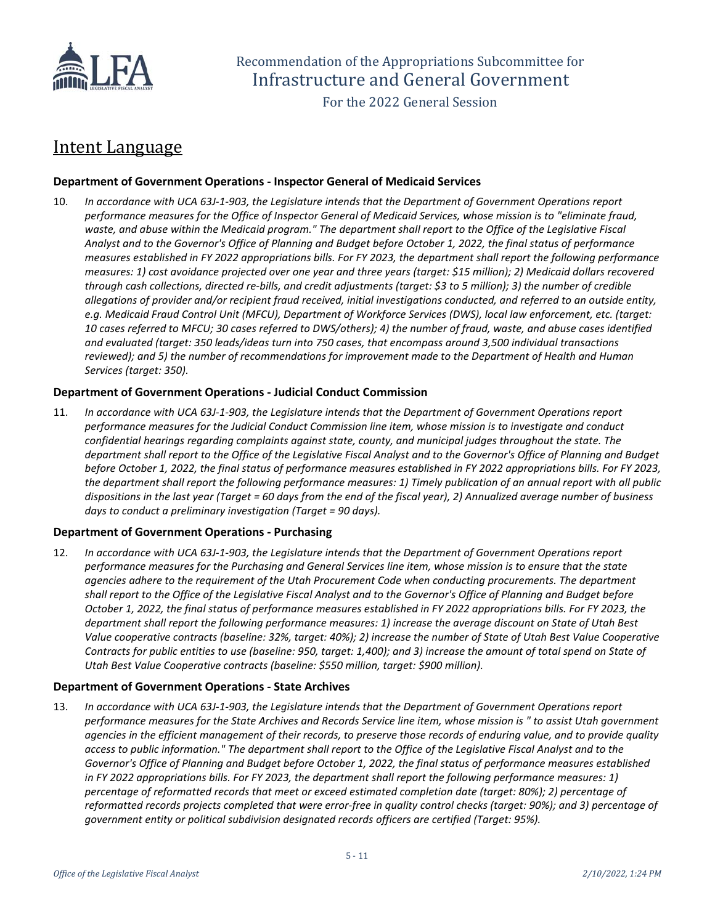

For the 2022 General Session

## Intent Language

#### **Department of Government Operations ‐ Inspector General of Medicaid Services**

*In accordance with UCA 63J‐1‐903, the Legislature intends that the Department of Government Operations report performance measures for the Office of Inspector General of Medicaid Services, whose mission is to "eliminate fraud, waste, and abuse within the Medicaid program." The department shall report to the Office of the Legislative Fiscal Analyst and to the Governor's Office of Planning and Budget before October 1, 2022, the final status of performance measures established in FY 2022 appropriations bills. For FY 2023, the department shall report the following performance measures: 1) cost avoidance projected over one year and three years (target: \$15 million); 2) Medicaid dollars recovered through cash collections, directed re‐bills, and credit adjustments (target: \$3 to 5 million); 3) the number of credible allegations of provider and/or recipient fraud received, initial investigations conducted, and referred to an outside entity, e.g. Medicaid Fraud Control Unit (MFCU), Department of Workforce Services (DWS), local law enforcement, etc. (target: 10 cases referred to MFCU; 30 cases referred to DWS/others); 4) the number of fraud, waste, and abuse cases identified and evaluated (target: 350 leads/ideas turn into 750 cases, that encompass around 3,500 individual transactions reviewed); and 5) the number of recommendations for improvement made to the Department of Health and Human Services (target: 350).* 10.

#### **Department of Government Operations ‐ Judicial Conduct Commission**

*In accordance with UCA 63J‐1‐903, the Legislature intends that the Department of Government Operations report performance measures for the Judicial Conduct Commission line item, whose mission is to investigate and conduct confidential hearings regarding complaints against state, county, and municipal judges throughout the state. The department shall report to the Office of the Legislative Fiscal Analyst and to the Governor's Office of Planning and Budget before October 1, 2022, the final status of performance measures established in FY 2022 appropriations bills. For FY 2023, the department shall report the following performance measures: 1) Timely publication of an annual report with all public dispositions in the last year (Target = 60 days from the end of the fiscal year), 2) Annualized average number of business days to conduct a preliminary investigation (Target = 90 days).* 11.

#### **Department of Government Operations ‐ Purchasing**

*In accordance with UCA 63J‐1‐903, the Legislature intends that the Department of Government Operations report performance measures for the Purchasing and General Services line item, whose mission is to ensure that the state agencies adhere to the requirement of the Utah Procurement Code when conducting procurements. The department shall report to the Office of the Legislative Fiscal Analyst and to the Governor's Office of Planning and Budget before October 1, 2022, the final status of performance measures established in FY 2022 appropriations bills. For FY 2023, the department shall report the following performance measures: 1) increase the average discount on State of Utah Best Value cooperative contracts (baseline: 32%, target: 40%); 2) increase the number of State of Utah Best Value Cooperative Contracts for public entities to use (baseline: 950, target: 1,400); and 3) increase the amount of total spend on State of Utah Best Value Cooperative contracts (baseline: \$550 million, target: \$900 million).* 12.

#### **Department of Government Operations ‐ State Archives**

*In accordance with UCA 63J‐1‐903, the Legislature intends that the Department of Government Operations report performance measures for the State Archives and Records Service line item, whose mission is " to assist Utah government agencies in the efficient management of their records, to preserve those records of enduring value, and to provide quality access to public information." The department shall report to the Office of the Legislative Fiscal Analyst and to the Governor's Office of Planning and Budget before October 1, 2022, the final status of performance measures established in FY 2022 appropriations bills. For FY 2023, the department shall report the following performance measures: 1) percentage of reformatted records that meet or exceed estimated completion date (target: 80%); 2) percentage of reformatted records projects completed that were error‐free in quality control checks (target: 90%); and 3) percentage of government entity or political subdivision designated records officers are certified (Target: 95%).* 13.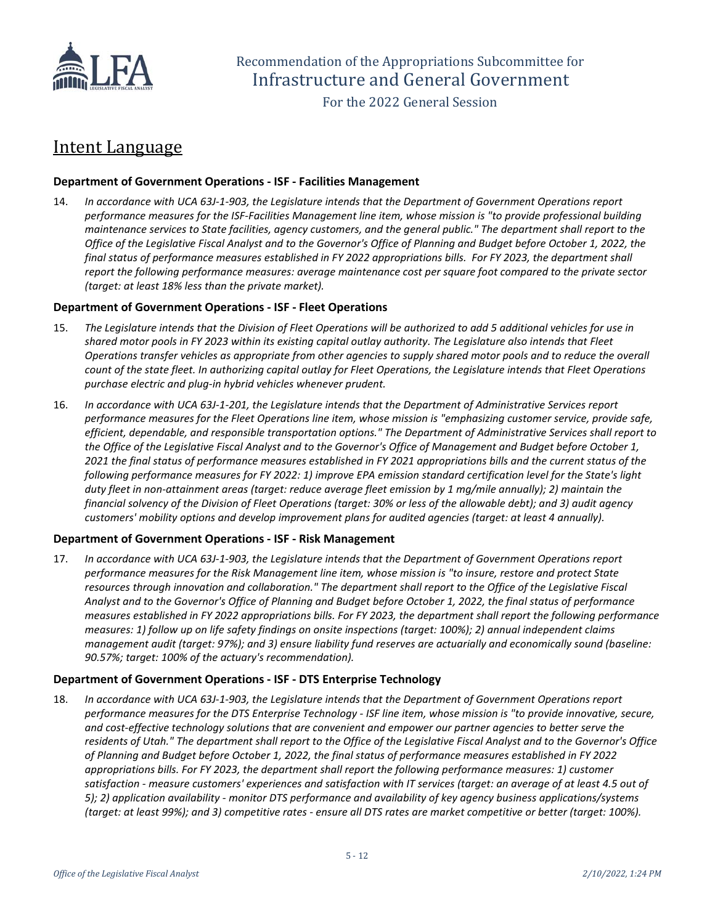

For the 2022 General Session

## Intent Language

#### **Department of Government Operations ‐ ISF ‐ Facilities Management**

*In accordance with UCA 63J‐1‐903, the Legislature intends that the Department of Government Operations report performance measures for the ISF‐Facilities Management line item, whose mission is "to provide professional building maintenance services to State facilities, agency customers, and the general public." The department shall report to the Office of the Legislative Fiscal Analyst and to the Governor's Office of Planning and Budget before October 1, 2022, the*  final status of performance measures established in FY 2022 appropriations bills. For FY 2023, the department shall *report the following performance measures: average maintenance cost per square foot compared to the private sector (target: at least 18% less than the private market).* 14.

#### **Department of Government Operations ‐ ISF ‐ Fleet Operations**

- *The Legislature intends that the Division of Fleet Operations will be authorized to add 5 additional vehicles for use in shared motor pools in FY 2023 within its existing capital outlay authority. The Legislature also intends that Fleet Operations transfer vehicles as appropriate from other agencies to supply shared motor pools and to reduce the overall count of the state fleet. In authorizing capital outlay for Fleet Operations, the Legislature intends that Fleet Operations purchase electric and plug‐in hybrid vehicles whenever prudent.* 15.
- *In accordance with UCA 63J‐1‐201, the Legislature intends that the Department of Administrative Services report performance measures for the Fleet Operations line item, whose mission is "emphasizing customer service, provide safe, efficient, dependable, and responsible transportation options." The Department of Administrative Services shall report to the Office of the Legislative Fiscal Analyst and to the Governor's Office of Management and Budget before October 1, 2021 the final status of performance measures established in FY 2021 appropriations bills and the current status of the following performance measures for FY 2022: 1) improve EPA emission standard certification level for the State's light duty fleet in non‐attainment areas (target: reduce average fleet emission by 1 mg/mile annually); 2) maintain the financial solvency of the Division of Fleet Operations (target: 30% or less of the allowable debt); and 3) audit agency customers' mobility options and develop improvement plans for audited agencies (target: at least 4 annually).* 16.

#### **Department of Government Operations ‐ ISF ‐ Risk Management**

*In accordance with UCA 63J‐1‐903, the Legislature intends that the Department of Government Operations report performance measures for the Risk Management line item, whose mission is "to insure, restore and protect State resources through innovation and collaboration." The department shall report to the Office of the Legislative Fiscal Analyst and to the Governor's Office of Planning and Budget before October 1, 2022, the final status of performance measures established in FY 2022 appropriations bills. For FY 2023, the department shall report the following performance measures: 1) follow up on life safety findings on onsite inspections (target: 100%); 2) annual independent claims management audit (target: 97%); and 3) ensure liability fund reserves are actuarially and economically sound (baseline: 90.57%; target: 100% of the actuary's recommendation).* 17.

#### **Department of Government Operations ‐ ISF ‐ DTS Enterprise Technology**

*In accordance with UCA 63J‐1‐903, the Legislature intends that the Department of Government Operations report performance measures for the DTS Enterprise Technology ‐ ISF line item, whose mission is "to provide innovative, secure, and cost‐effective technology solutions that are convenient and empower our partner agencies to better serve the residents of Utah." The department shall report to the Office of the Legislative Fiscal Analyst and to the Governor's Office of Planning and Budget before October 1, 2022, the final status of performance measures established in FY 2022 appropriations bills. For FY 2023, the department shall report the following performance measures: 1) customer satisfaction ‐ measure customers' experiences and satisfaction with IT services (target: an average of at least 4.5 out of 5); 2) application availability ‐ monitor DTS performance and availability of key agency business applications/systems (target: at least 99%); and 3) competitive rates ‐ ensure all DTS rates are market competitive or better (target: 100%).* 18.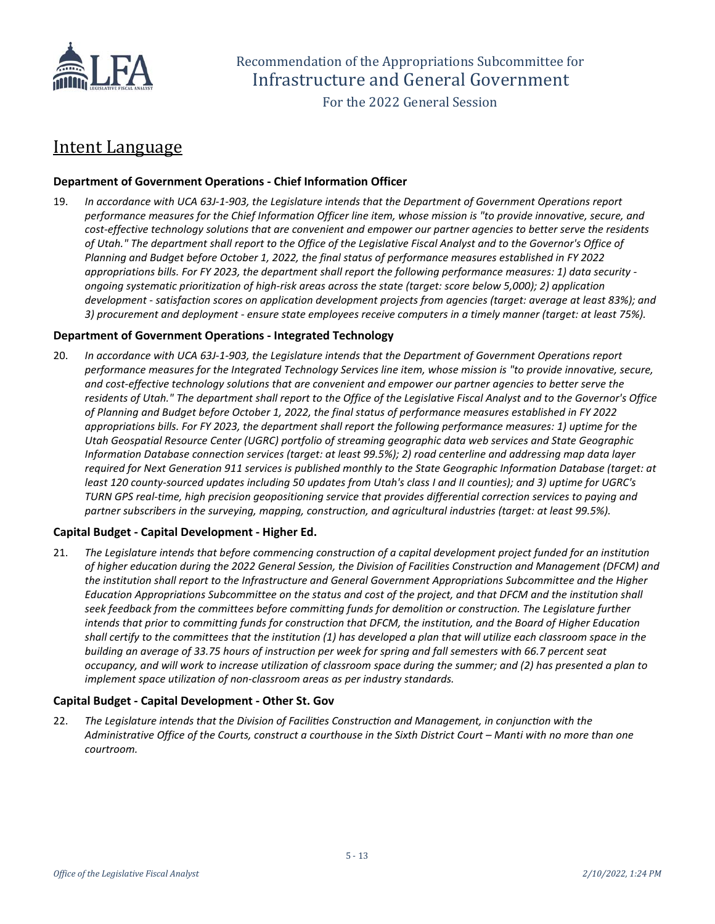

For the 2022 General Session

## Intent Language

#### **Department of Government Operations ‐ Chief Information Officer**

*In accordance with UCA 63J‐1‐903, the Legislature intends that the Department of Government Operations report performance measures for the Chief Information Officer line item, whose mission is "to provide innovative, secure, and cost‐effective technology solutions that are convenient and empower our partner agencies to better serve the residents of Utah." The department shall report to the Office of the Legislative Fiscal Analyst and to the Governor's Office of Planning and Budget before October 1, 2022, the final status of performance measures established in FY 2022 appropriations bills. For FY 2023, the department shall report the following performance measures: 1) data security ‐ ongoing systematic prioritization of high‐risk areas across the state (target: score below 5,000); 2) application development ‐ satisfaction scores on application development projects from agencies (target: average at least 83%); and 3) procurement and deployment ‐ ensure state employees receive computers in a timely manner (target: at least 75%).* 19.

#### **Department of Government Operations ‐ Integrated Technology**

*In accordance with UCA 63J‐1‐903, the Legislature intends that the Department of Government Operations report performance measures for the Integrated Technology Services line item, whose mission is "to provide innovative, secure, and cost‐effective technology solutions that are convenient and empower our partner agencies to better serve the residents of Utah." The department shall report to the Office of the Legislative Fiscal Analyst and to the Governor's Office of Planning and Budget before October 1, 2022, the final status of performance measures established in FY 2022 appropriations bills. For FY 2023, the department shall report the following performance measures: 1) uptime for the Utah Geospatial Resource Center (UGRC) portfolio of streaming geographic data web services and State Geographic Information Database connection services (target: at least 99.5%); 2) road centerline and addressing map data layer required for Next Generation 911 services is published monthly to the State Geographic Information Database (target: at least 120 county‐sourced updates including 50 updates from Utah's class I and II counties); and 3) uptime for UGRC's TURN GPS real‐time, high precision geopositioning service that provides differential correction services to paying and partner subscribers in the surveying, mapping, construction, and agricultural industries (target: at least 99.5%).* 20.

#### **Capital Budget ‐ Capital Development ‐ Higher Ed.**

*The Legislature intends that before commencing construction of a capital development project funded for an institution of higher education during the 2022 General Session, the Division of Facilities Construction and Management (DFCM) and the institution shall report to the Infrastructure and General Government Appropriations Subcommittee and the Higher Education Appropriations Subcommittee on the status and cost of the project, and that DFCM and the institution shall*  seek feedback from the committees before committing funds for demolition or construction. The Legislature further *intends that prior to committing funds for construction that DFCM, the institution, and the Board of Higher Education shall certify to the committees that the institution (1) has developed a plan that will utilize each classroom space in the building an average of 33.75 hours of instruction per week for spring and fall semesters with 66.7 percent seat occupancy, and will work to increase utilization of classroom space during the summer; and (2) has presented a plan to implement space utilization of non‐classroom areas as per industry standards.* 21.

#### **Capital Budget ‐ Capital Development ‐ Other St. Gov**

The Legislature intends that the Division of Facilities Construction and Management, in conjunction with the *Administrative Office of the Courts, construct a courthouse in the Sixth District Court – Manti with no more than one courtroom.* 22.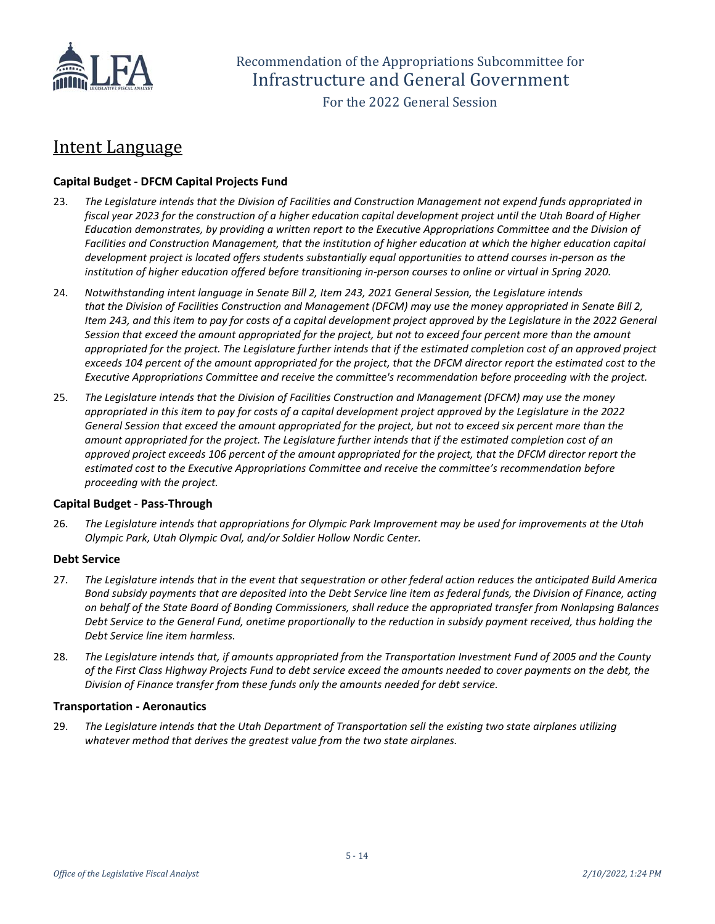

For the 2022 General Session

## Intent Language

#### **Capital Budget ‐ DFCM Capital Projects Fund**

- *The Legislature intends that the Division of Facilities and Construction Management not expend funds appropriated in fiscal year 2023 for the construction of a higher education capital development project until the Utah Board of Higher Education demonstrates, by providing a written report to the Executive Appropriations Committee and the Division of Facilities and Construction Management, that the institution of higher education at which the higher education capital development project is located offers students substantially equal opportunities to attend courses in‐person as the institution of higher education offered before transitioning in‐person courses to online or virtual in Spring 2020.* 23.
- *Notwithstanding intent language in Senate Bill 2, Item 243, 2021 General Session, the Legislature intends that the Division of Facilities Construction and Management (DFCM) may use the money appropriated in Senate Bill 2, Item 243, and this item to pay for costs of a capital development project approved by the Legislature in the 2022 General Session that exceed the amount appropriated for the project, but not to exceed four percent more than the amount appropriated for the project. The Legislature further intends that if the estimated completion cost of an approved project exceeds 104 percent of the amount appropriated for the project, that the DFCM director report the estimated cost to the Executive Appropriations Committee and receive the committee's recommendation before proceeding with the project.* 24.
- *The Legislature intends that the Division of Facilities Construction and Management (DFCM) may use the money appropriated in this item to pay for costs of a capital development project approved by the Legislature in the 2022 General Session that exceed the amount appropriated for the project, but not to exceed six percent more than the amount appropriated for the project. The Legislature further intends that if the estimated completion cost of an approved project exceeds 106 percent of the amount appropriated for the project, that the DFCM director report the estimated cost to the Executive Appropriations Committee and receive the committee's recommendation before proceeding with the project.* 25.

#### **Capital Budget ‐ Pass‐Through**

*The Legislature intends that appropriations for Olympic Park Improvement may be used for improvements at the Utah Olympic Park, Utah Olympic Oval, and/or Soldier Hollow Nordic Center.* 26.

#### **Debt Service**

- *The Legislature intends that in the event that sequestration or other federal action reduces the anticipated Build America Bond subsidy payments that are deposited into the Debt Service line item as federal funds, the Division of Finance, acting on behalf of the State Board of Bonding Commissioners, shall reduce the appropriated transfer from Nonlapsing Balances Debt Service to the General Fund, onetime proportionally to the reduction in subsidy payment received, thus holding the Debt Service line item harmless.* 27.
- *The Legislature intends that, if amounts appropriated from the Transportation Investment Fund of 2005 and the County of the First Class Highway Projects Fund to debt service exceed the amounts needed to cover payments on the debt, the Division of Finance transfer from these funds only the amounts needed for debt service.* 28.

#### **Transportation ‐ Aeronautics**

*The Legislature intends that the Utah Department of Transportation sell the existing two state airplanes utilizing whatever method that derives the greatest value from the two state airplanes.* 29.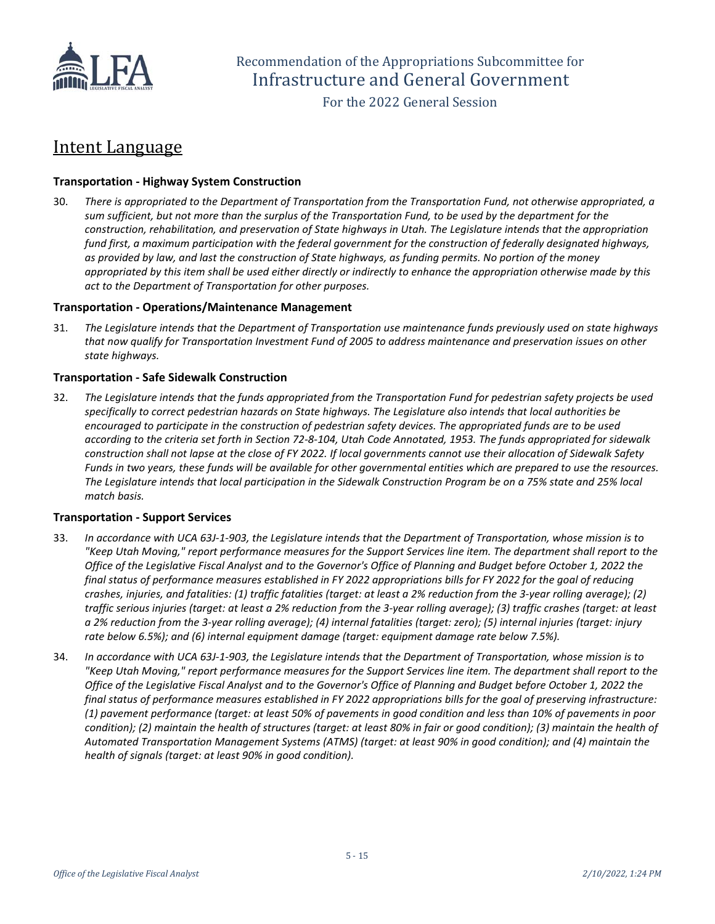

For the 2022 General Session

## Intent Language

#### **Transportation ‐ Highway System Construction**

*There is appropriated to the Department of Transportation from the Transportation Fund, not otherwise appropriated, a sum sufficient, but not more than the surplus of the Transportation Fund, to be used by the department for the construction, rehabilitation, and preservation of State highways in Utah. The Legislature intends that the appropriation fund first, a maximum participation with the federal government for the construction of federally designated highways, as provided by law, and last the construction of State highways, as funding permits. No portion of the money appropriated by this item shall be used either directly or indirectly to enhance the appropriation otherwise made by this act to the Department of Transportation for other purposes.* 30.

#### **Transportation ‐ Operations/Maintenance Management**

*The Legislature intends that the Department of Transportation use maintenance funds previously used on state highways that now qualify for Transportation Investment Fund of 2005 to address maintenance and preservation issues on other state highways.* 31.

#### **Transportation ‐ Safe Sidewalk Construction**

*The Legislature intends that the funds appropriated from the Transportation Fund for pedestrian safety projects be used specifically to correct pedestrian hazards on State highways. The Legislature also intends that local authorities be encouraged to participate in the construction of pedestrian safety devices. The appropriated funds are to be used according to the criteria set forth in Section 72‐8‐104, Utah Code Annotated, 1953. The funds appropriated for sidewalk construction shall not lapse at the close of FY 2022. If local governments cannot use their allocation of Sidewalk Safety Funds in two years, these funds will be available for other governmental entities which are prepared to use the resources. The Legislature intends that local participation in the Sidewalk Construction Program be on a 75% state and 25% local match basis.* 32.

#### **Transportation ‐ Support Services**

- *In accordance with UCA 63J‐1‐903, the Legislature intends that the Department of Transportation, whose mission is to "Keep Utah Moving," report performance measures for the Support Services line item. The department shall report to the Office of the Legislative Fiscal Analyst and to the Governor's Office of Planning and Budget before October 1, 2022 the final status of performance measures established in FY 2022 appropriations bills for FY 2022 for the goal of reducing crashes, injuries, and fatalities: (1) traffic fatalities (target: at least a 2% reduction from the 3‐year rolling average); (2) traffic serious injuries (target: at least a 2% reduction from the 3‐year rolling average); (3) traffic crashes (target: at least a 2% reduction from the 3‐year rolling average); (4) internal fatalities (target: zero); (5) internal injuries (target: injury rate below 6.5%); and (6) internal equipment damage (target: equipment damage rate below 7.5%).* 33.
- *In accordance with UCA 63J‐1‐903, the Legislature intends that the Department of Transportation, whose mission is to "Keep Utah Moving," report performance measures for the Support Services line item. The department shall report to the Office of the Legislative Fiscal Analyst and to the Governor's Office of Planning and Budget before October 1, 2022 the final status of performance measures established in FY 2022 appropriations bills for the goal of preserving infrastructure: (1) pavement performance (target: at least 50% of pavements in good condition and less than 10% of pavements in poor condition); (2) maintain the health of structures (target: at least 80% in fair or good condition); (3) maintain the health of Automated Transportation Management Systems (ATMS) (target: at least 90% in good condition); and (4) maintain the health of signals (target: at least 90% in good condition).* 34.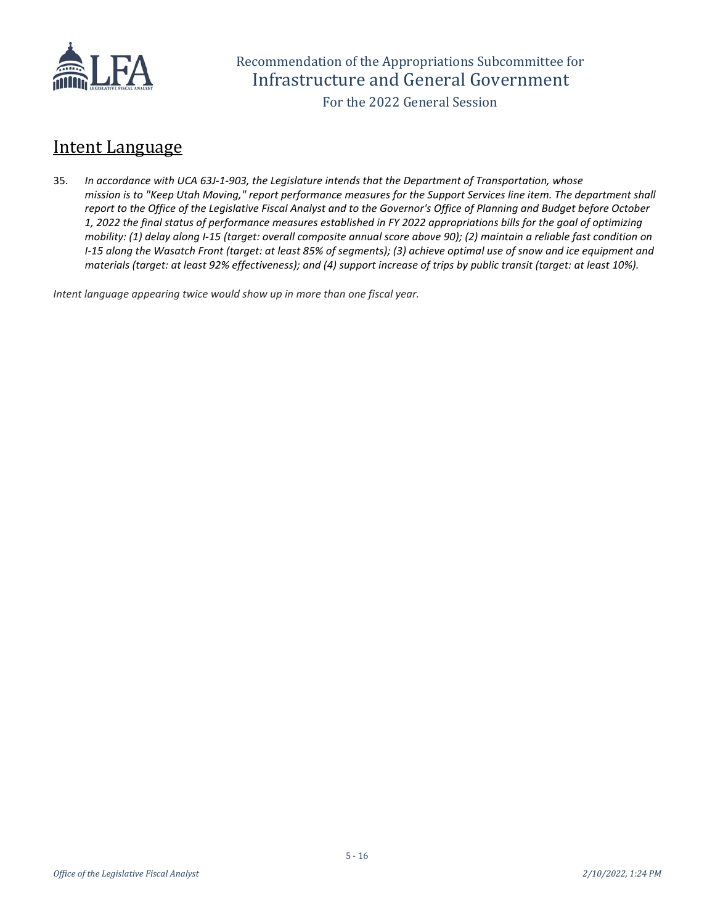

For the 2022 General Session

## Intent Language

*In accordance with UCA 63J‐1‐903, the Legislature intends that the Department of Transportation, whose mission is to "Keep Utah Moving," report performance measures for the Support Services line item. The department shall report to the Office of the Legislative Fiscal Analyst and to the Governor's Office of Planning and Budget before October 1, 2022 the final status of performance measures established in FY 2022 appropriations bills for the goal of optimizing mobility: (1) delay along I‐15 (target: overall composite annual score above 90); (2) maintain a reliable fast condition on I‐15 along the Wasatch Front (target: at least 85% of segments); (3) achieve optimal use of snow and ice equipment and materials (target: at least 92% effectiveness); and (4) support increase of trips by public transit (target: at least 10%).* 35.

*Intent language appearing twice would show up in more than one fiscal year.*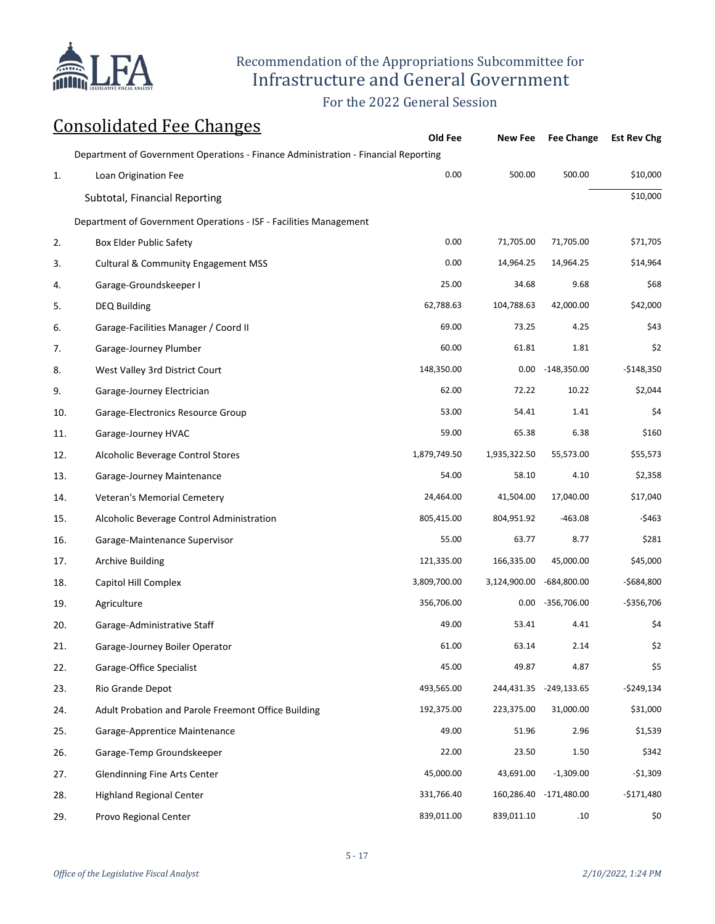

For the 2022 General Session

|     |                                                                                    | Old Fee      | New Fee      | <b>Fee Change</b> | <b>Est Rev Chg</b> |
|-----|------------------------------------------------------------------------------------|--------------|--------------|-------------------|--------------------|
|     | Department of Government Operations - Finance Administration - Financial Reporting |              |              |                   |                    |
| 1.  | Loan Origination Fee                                                               | 0.00         | 500.00       | 500.00            | \$10,000           |
|     | Subtotal, Financial Reporting                                                      |              |              |                   | \$10,000           |
|     | Department of Government Operations - ISF - Facilities Management                  |              |              |                   |                    |
| 2.  | <b>Box Elder Public Safety</b>                                                     | 0.00         | 71,705.00    | 71,705.00         | \$71,705           |
| 3.  | <b>Cultural &amp; Community Engagement MSS</b>                                     | 0.00         | 14,964.25    | 14,964.25         | \$14,964           |
| 4.  | Garage-Groundskeeper I                                                             | 25.00        | 34.68        | 9.68              | \$68               |
| 5.  | <b>DEQ Building</b>                                                                | 62,788.63    | 104,788.63   | 42,000.00         | \$42,000           |
| 6.  | Garage-Facilities Manager / Coord II                                               | 69.00        | 73.25        | 4.25              | \$43               |
| 7.  | Garage-Journey Plumber                                                             | 60.00        | 61.81        | 1.81              | \$2                |
| 8.  | West Valley 3rd District Court                                                     | 148,350.00   | 0.00         | $-148,350.00$     | $-$148,350$        |
| 9.  | Garage-Journey Electrician                                                         | 62.00        | 72.22        | 10.22             | \$2,044            |
| 10. | Garage-Electronics Resource Group                                                  | 53.00        | 54.41        | 1.41              | \$4                |
| 11. | Garage-Journey HVAC                                                                | 59.00        | 65.38        | 6.38              | \$160              |
| 12. | Alcoholic Beverage Control Stores                                                  | 1,879,749.50 | 1,935,322.50 | 55,573.00         | \$55,573           |
| 13. | Garage-Journey Maintenance                                                         | 54.00        | 58.10        | 4.10              | \$2,358            |
| 14. | Veteran's Memorial Cemetery                                                        | 24,464.00    | 41,504.00    | 17,040.00         | \$17,040           |
| 15. | Alcoholic Beverage Control Administration                                          | 805,415.00   | 804,951.92   | $-463.08$         | $-$463$            |
| 16. | Garage-Maintenance Supervisor                                                      | 55.00        | 63.77        | 8.77              | \$281              |
| 17. | <b>Archive Building</b>                                                            | 121,335.00   | 166,335.00   | 45,000.00         | \$45,000           |
| 18. | Capitol Hill Complex                                                               | 3,809,700.00 | 3,124,900.00 | $-684,800.00$     | $-$684,800$        |
| 19. | Agriculture                                                                        | 356,706.00   | 0.00         | $-356,706.00$     | $-$356,706$        |
| 20. | Garage-Administrative Staff                                                        | 49.00        | 53.41        | 4.41              | \$4                |
| 21. | Garage-Journey Boiler Operator                                                     | 61.00        | 63.14        | 2.14              | \$2                |
| 22. | Garage-Office Specialist                                                           | 45.00        | 49.87        | 4.87              | \$5                |
| 23. | Rio Grande Depot                                                                   | 493,565.00   | 244,431.35   | -249,133.65       | $-$249,134$        |
| 24. | Adult Probation and Parole Freemont Office Building                                | 192,375.00   | 223,375.00   | 31,000.00         | \$31,000           |
| 25. | Garage-Apprentice Maintenance                                                      | 49.00        | 51.96        | 2.96              | \$1,539            |
| 26. | Garage-Temp Groundskeeper                                                          | 22.00        | 23.50        | 1.50              | \$342              |
| 27. | Glendinning Fine Arts Center                                                       | 45,000.00    | 43,691.00    | $-1,309.00$       | $-$1,309$          |
| 28. | <b>Highland Regional Center</b>                                                    | 331,766.40   | 160,286.40   | $-171,480.00$     | $-$171,480$        |
| 29. | Provo Regional Center                                                              | 839,011.00   | 839,011.10   | .10               | \$0                |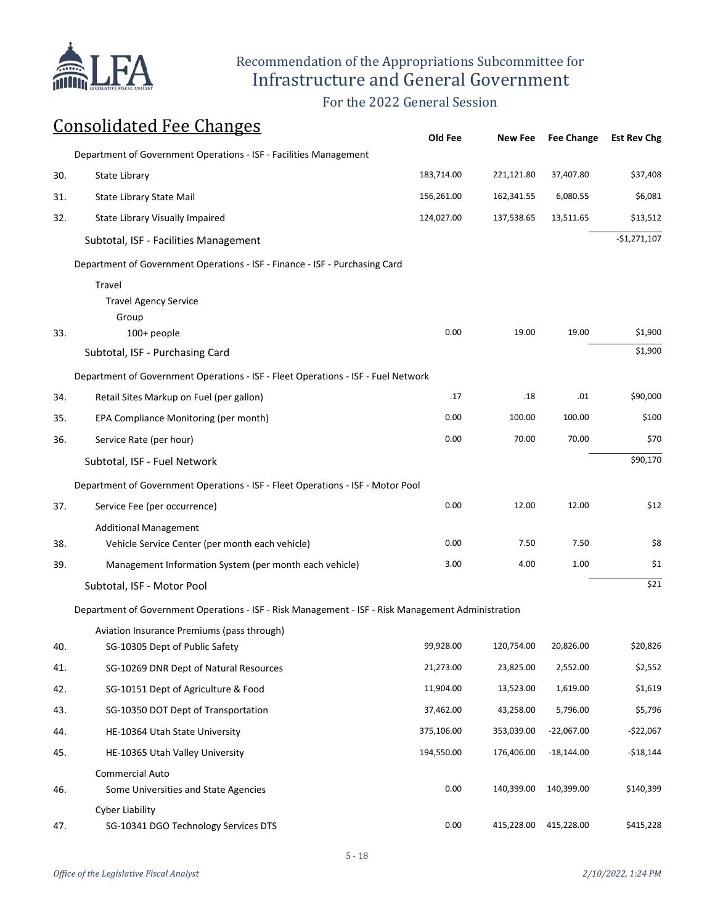

For the 2022 General Session

# **Consolidated Fee Changes** Consolidated Fee Changes

|     |                                                                                                    | Old Fee    | New Fee    | <b>Fee Change</b> | <b>Est Rev Chg</b> |
|-----|----------------------------------------------------------------------------------------------------|------------|------------|-------------------|--------------------|
|     | Department of Government Operations - ISF - Facilities Management                                  |            |            |                   |                    |
| 30. | <b>State Library</b>                                                                               | 183,714.00 | 221,121.80 | 37,407.80         | \$37,408           |
| 31. | State Library State Mail                                                                           | 156,261.00 | 162,341.55 | 6,080.55          | \$6,081            |
| 32. | State Library Visually Impaired                                                                    | 124,027.00 | 137,538.65 | 13,511.65         | \$13,512           |
|     | Subtotal, ISF - Facilities Management                                                              |            |            |                   | $-$1,271,107$      |
|     | Department of Government Operations - ISF - Finance - ISF - Purchasing Card                        |            |            |                   |                    |
|     | Travel                                                                                             |            |            |                   |                    |
|     | <b>Travel Agency Service</b>                                                                       |            |            |                   |                    |
|     | Group                                                                                              |            |            |                   |                    |
| 33. | 100+ people                                                                                        | 0.00       | 19.00      | 19.00             | \$1,900            |
|     | Subtotal, ISF - Purchasing Card                                                                    |            |            |                   | \$1,900            |
|     | Department of Government Operations - ISF - Fleet Operations - ISF - Fuel Network                  |            |            |                   |                    |
| 34. | Retail Sites Markup on Fuel (per gallon)                                                           | .17        | .18        | .01               | \$90,000           |
| 35. | EPA Compliance Monitoring (per month)                                                              | 0.00       | 100.00     | 100.00            | \$100              |
| 36. | Service Rate (per hour)                                                                            | 0.00       | 70.00      | 70.00             | \$70               |
|     | Subtotal, ISF - Fuel Network                                                                       |            |            |                   | \$90,170           |
|     | Department of Government Operations - ISF - Fleet Operations - ISF - Motor Pool                    |            |            |                   |                    |
| 37. | Service Fee (per occurrence)                                                                       | 0.00       | 12.00      | 12.00             | \$12               |
|     | <b>Additional Management</b>                                                                       |            |            |                   |                    |
| 38. | Vehicle Service Center (per month each vehicle)                                                    | 0.00       | 7.50       | 7.50              | \$8                |
| 39. | Management Information System (per month each vehicle)                                             | 3.00       | 4.00       | 1.00              | \$1                |
|     | Subtotal, ISF - Motor Pool                                                                         |            |            |                   | \$21               |
|     | Department of Government Operations - ISF - Risk Management - ISF - Risk Management Administration |            |            |                   |                    |
|     | Aviation Insurance Premiums (pass through)                                                         |            |            |                   |                    |
| 40. | SG-10305 Dept of Public Safety                                                                     | 99,928.00  | 120,754.00 | 20,826.00         | \$20,826           |
| 41. | SG-10269 DNR Dept of Natural Resources                                                             | 21,273.00  | 23,825.00  | 2,552.00          | \$2,552            |
| 42. | SG-10151 Dept of Agriculture & Food                                                                | 11,904.00  | 13,523.00  | 1,619.00          | \$1,619            |
| 43. | SG-10350 DOT Dept of Transportation                                                                | 37,462.00  | 43,258.00  | 5,796.00          | \$5,796            |
| 44. | HE-10364 Utah State University                                                                     | 375,106.00 | 353,039.00 | $-22,067.00$      | $-$22,067$         |
| 45. | HE-10365 Utah Valley University                                                                    | 194,550.00 | 176,406.00 | $-18,144.00$      | $-518,144$         |
|     | Commercial Auto                                                                                    |            |            |                   |                    |
| 46. | Some Universities and State Agencies                                                               | 0.00       | 140,399.00 | 140,399.00        | \$140,399          |
|     | <b>Cyber Liability</b>                                                                             |            |            |                   |                    |
| 47. | SG-10341 DGO Technology Services DTS                                                               | 0.00       | 415,228.00 | 415,228.00        | \$415,228          |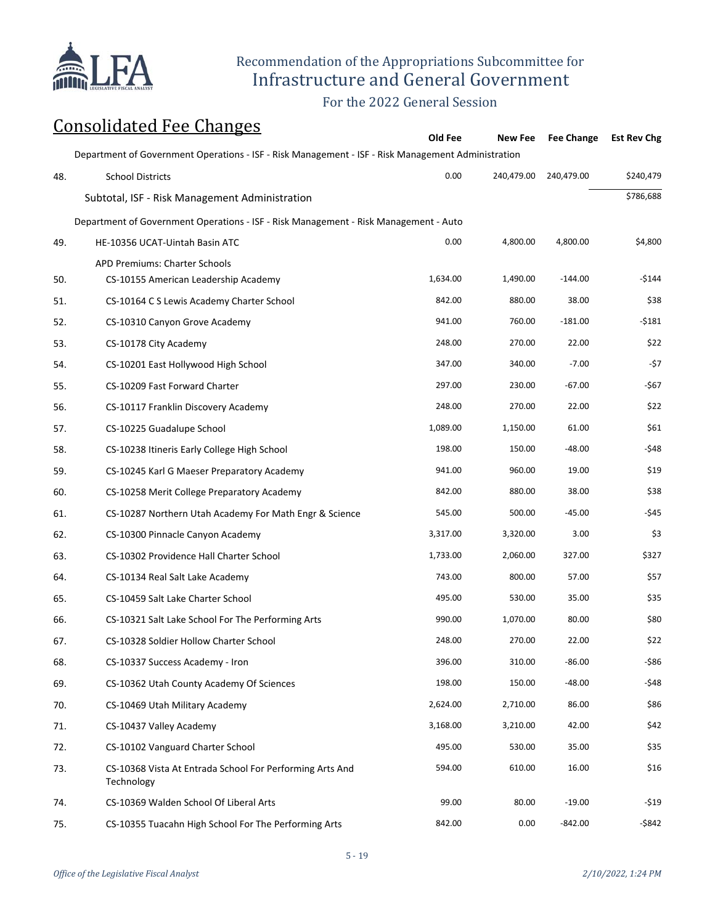

For the 2022 General Session

| <b>Est Rev Chg</b> | <b>Fee Change</b> | New Fee    | Old Fee  |                                                                                                    |     |
|--------------------|-------------------|------------|----------|----------------------------------------------------------------------------------------------------|-----|
|                    |                   |            |          | Department of Government Operations - ISF - Risk Management - ISF - Risk Management Administration |     |
| \$240,479          | 240,479.00        | 240,479.00 | 0.00     | <b>School Districts</b>                                                                            | 48. |
| \$786,688          |                   |            |          | Subtotal, ISF - Risk Management Administration                                                     |     |
|                    |                   |            |          | Department of Government Operations - ISF - Risk Management - Risk Management - Auto               |     |
| \$4,800            | 4,800.00          | 4,800.00   | 0.00     | HE-10356 UCAT-Uintah Basin ATC                                                                     | 49. |
|                    |                   |            |          | <b>APD Premiums: Charter Schools</b>                                                               |     |
| $-5144$            | $-144.00$         | 1,490.00   | 1,634.00 | CS-10155 American Leadership Academy                                                               | 50. |
| \$38               | 38.00             | 880.00     | 842.00   | CS-10164 C S Lewis Academy Charter School                                                          | 51. |
| $-5181$            | $-181.00$         | 760.00     | 941.00   | CS-10310 Canyon Grove Academy                                                                      | 52. |
| \$22               | 22.00             | 270.00     | 248.00   | CS-10178 City Academy                                                                              | 53. |
| $-57$              | $-7.00$           | 340.00     | 347.00   | CS-10201 East Hollywood High School                                                                | 54. |
| -\$67              | $-67.00$          | 230.00     | 297.00   | CS-10209 Fast Forward Charter                                                                      | 55. |
| \$22               | 22.00             | 270.00     | 248.00   | CS-10117 Franklin Discovery Academy                                                                | 56. |
| \$61               | 61.00             | 1,150.00   | 1,089.00 | CS-10225 Guadalupe School                                                                          | 57. |
| -\$48              | $-48.00$          | 150.00     | 198.00   | CS-10238 Itineris Early College High School                                                        | 58. |
| \$19               | 19.00             | 960.00     | 941.00   | CS-10245 Karl G Maeser Preparatory Academy                                                         | 59. |
| \$38               | 38.00             | 880.00     | 842.00   | CS-10258 Merit College Preparatory Academy                                                         | 60. |
| -\$45              | $-45.00$          | 500.00     | 545.00   | CS-10287 Northern Utah Academy For Math Engr & Science                                             | 61. |
| \$3                | 3.00              | 3,320.00   | 3,317.00 | CS-10300 Pinnacle Canyon Academy                                                                   | 62. |
| \$327              | 327.00            | 2,060.00   | 1,733.00 | CS-10302 Providence Hall Charter School                                                            | 63. |
| \$57               | 57.00             | 800.00     | 743.00   | CS-10134 Real Salt Lake Academy                                                                    | 64. |
| \$35               | 35.00             | 530.00     | 495.00   | CS-10459 Salt Lake Charter School                                                                  | 65. |
| \$80               | 80.00             | 1,070.00   | 990.00   | CS-10321 Salt Lake School For The Performing Arts                                                  | 66. |
| \$22               | 22.00             | 270.00     | 248.00   | CS-10328 Soldier Hollow Charter School                                                             | 67. |
| -\$86              | -86.00            | 310.00     | 396.00   | CS-10337 Success Academy - Iron                                                                    | 68. |
| -\$48              | $-48.00$          | 150.00     | 198.00   | CS-10362 Utah County Academy Of Sciences                                                           | 69. |
| \$86               | 86.00             | 2,710.00   | 2,624.00 | CS-10469 Utah Military Academy                                                                     | 70. |
| \$42               | 42.00             | 3,210.00   | 3,168.00 | CS-10437 Valley Academy                                                                            | 71. |
| \$35               | 35.00             | 530.00     | 495.00   | CS-10102 Vanguard Charter School                                                                   | 72. |
| \$16               | 16.00             | 610.00     | 594.00   | CS-10368 Vista At Entrada School For Performing Arts And<br>Technology                             | 73. |
| $-519$             | $-19.00$          | 80.00      | 99.00    | CS-10369 Walden School Of Liberal Arts                                                             | 74. |
| $-$ \$842          | $-842.00$         | 0.00       | 842.00   | CS-10355 Tuacahn High School For The Performing Arts                                               | 75. |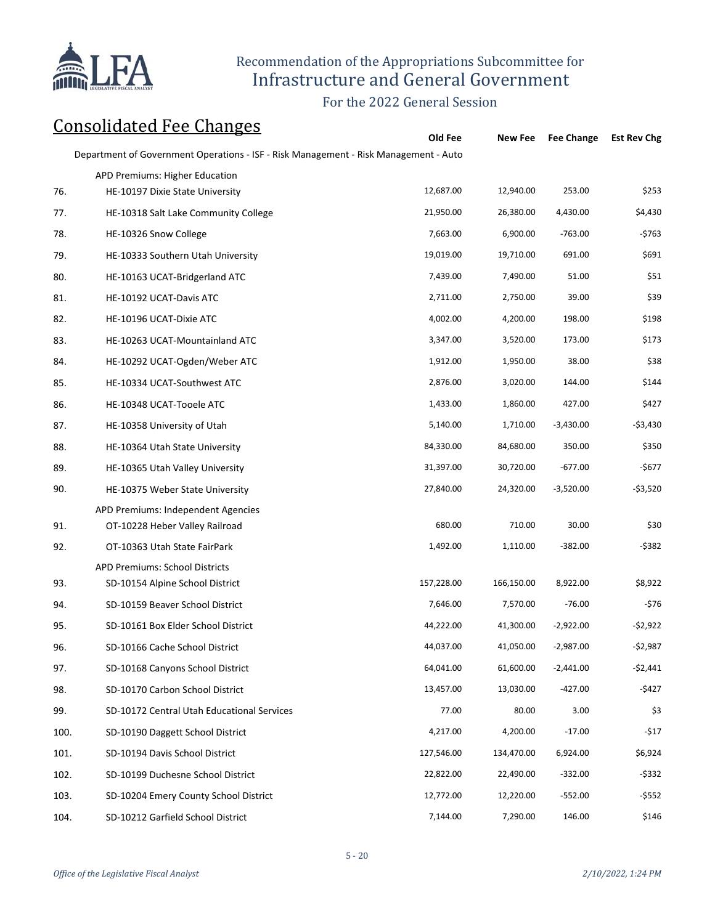

For the 2022 General Session

|      |                                                                                      | Old Fee    | New Fee    | <b>Fee Change</b> | <b>Est Rev Chg</b> |
|------|--------------------------------------------------------------------------------------|------------|------------|-------------------|--------------------|
|      | Department of Government Operations - ISF - Risk Management - Risk Management - Auto |            |            |                   |                    |
|      | APD Premiums: Higher Education                                                       |            |            |                   |                    |
| 76.  | HE-10197 Dixie State University                                                      | 12,687.00  | 12,940.00  | 253.00            | \$253              |
| 77.  | HE-10318 Salt Lake Community College                                                 | 21,950.00  | 26,380.00  | 4,430.00          | \$4,430            |
| 78.  | HE-10326 Snow College                                                                | 7,663.00   | 6,900.00   | $-763.00$         | $-5763$            |
| 79.  | HE-10333 Southern Utah University                                                    | 19,019.00  | 19,710.00  | 691.00            | \$691              |
| 80.  | HE-10163 UCAT-Bridgerland ATC                                                        | 7,439.00   | 7,490.00   | 51.00             | \$51               |
| 81.  | HE-10192 UCAT-Davis ATC                                                              | 2,711.00   | 2,750.00   | 39.00             | \$39               |
| 82.  | HE-10196 UCAT-Dixie ATC                                                              | 4,002.00   | 4,200.00   | 198.00            | \$198              |
| 83.  | HE-10263 UCAT-Mountainland ATC                                                       | 3,347.00   | 3,520.00   | 173.00            | \$173              |
| 84.  | HE-10292 UCAT-Ogden/Weber ATC                                                        | 1,912.00   | 1,950.00   | 38.00             | \$38               |
| 85.  | HE-10334 UCAT-Southwest ATC                                                          | 2,876.00   | 3,020.00   | 144.00            | \$144              |
| 86.  | HE-10348 UCAT-Tooele ATC                                                             | 1,433.00   | 1,860.00   | 427.00            | \$427              |
| 87.  | HE-10358 University of Utah                                                          | 5,140.00   | 1,710.00   | $-3,430.00$       | $-$3,430$          |
| 88.  | HE-10364 Utah State University                                                       | 84,330.00  | 84,680.00  | 350.00            | \$350              |
| 89.  | HE-10365 Utah Valley University                                                      | 31,397.00  | 30,720.00  | $-677.00$         | -\$677             |
| 90.  | HE-10375 Weber State University                                                      | 27,840.00  | 24,320.00  | $-3,520.00$       | $- $3,520$         |
|      | APD Premiums: Independent Agencies                                                   |            |            |                   |                    |
| 91.  | OT-10228 Heber Valley Railroad                                                       | 680.00     | 710.00     | 30.00             | \$30               |
| 92.  | OT-10363 Utah State FairPark                                                         | 1,492.00   | 1,110.00   | $-382.00$         | $-$ \$382          |
|      | <b>APD Premiums: School Districts</b>                                                |            |            |                   |                    |
| 93.  | SD-10154 Alpine School District                                                      | 157,228.00 | 166,150.00 | 8,922.00          | \$8,922            |
| 94.  | SD-10159 Beaver School District                                                      | 7,646.00   | 7,570.00   | $-76.00$          | -\$76              |
| 95.  | SD-10161 Box Elder School District                                                   | 44,222.00  | 41,300.00  | $-2,922.00$       | $-52,922$          |
| 96.  | SD-10166 Cache School District                                                       | 44,037.00  | 41,050.00  | $-2,987.00$       | $-52,987$          |
| 97.  | SD-10168 Canyons School District                                                     | 64,041.00  | 61,600.00  | $-2,441.00$       | -\$2,441           |
| 98.  | SD-10170 Carbon School District                                                      | 13,457.00  | 13,030.00  | $-427.00$         | -\$427             |
| 99.  | SD-10172 Central Utah Educational Services                                           | 77.00      | 80.00      | 3.00              | \$3                |
| 100. | SD-10190 Daggett School District                                                     | 4,217.00   | 4,200.00   | $-17.00$          | -\$17              |
| 101. | SD-10194 Davis School District                                                       | 127,546.00 | 134,470.00 | 6,924.00          | \$6,924            |
| 102. | SD-10199 Duchesne School District                                                    | 22,822.00  | 22,490.00  | $-332.00$         | $-$ \$332          |
| 103. | SD-10204 Emery County School District                                                | 12,772.00  | 12,220.00  | $-552.00$         | $-$ \$552          |
| 104. | SD-10212 Garfield School District                                                    | 7,144.00   | 7,290.00   | 146.00            | \$146              |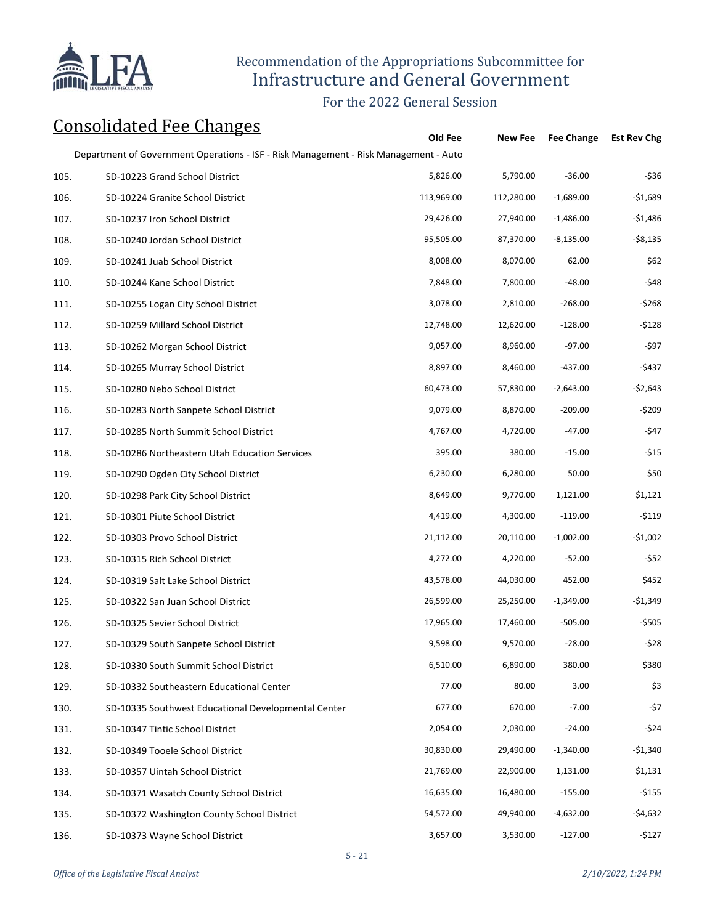

For the 2022 General Session

|      |                                                                                      | Old Fee    | New Fee    | <b>Fee Change</b> | <b>Est Rev Chg</b> |
|------|--------------------------------------------------------------------------------------|------------|------------|-------------------|--------------------|
|      | Department of Government Operations - ISF - Risk Management - Risk Management - Auto |            |            |                   |                    |
| 105. | SD-10223 Grand School District                                                       | 5,826.00   | 5,790.00   | $-36.00$          | -\$36              |
| 106. | SD-10224 Granite School District                                                     | 113,969.00 | 112,280.00 | $-1,689.00$       | $-$1,689$          |
| 107. | SD-10237 Iron School District                                                        | 29,426.00  | 27,940.00  | $-1,486.00$       | -\$1,486           |
| 108. | SD-10240 Jordan School District                                                      | 95,505.00  | 87,370.00  | $-8,135.00$       | $-58,135$          |
| 109. | SD-10241 Juab School District                                                        | 8,008.00   | 8,070.00   | 62.00             | \$62               |
| 110. | SD-10244 Kane School District                                                        | 7,848.00   | 7,800.00   | $-48.00$          | -\$48              |
| 111. | SD-10255 Logan City School District                                                  | 3,078.00   | 2,810.00   | $-268.00$         | $-5268$            |
| 112. | SD-10259 Millard School District                                                     | 12,748.00  | 12,620.00  | $-128.00$         | $-$128$            |
| 113. | SD-10262 Morgan School District                                                      | 9,057.00   | 8,960.00   | $-97.00$          | -\$97              |
| 114. | SD-10265 Murray School District                                                      | 8,897.00   | 8,460.00   | $-437.00$         | -\$437             |
| 115. | SD-10280 Nebo School District                                                        | 60,473.00  | 57,830.00  | -2,643.00         | $-52,643$          |
| 116. | SD-10283 North Sanpete School District                                               | 9,079.00   | 8,870.00   | $-209.00$         | $-5209$            |
| 117. | SD-10285 North Summit School District                                                | 4,767.00   | 4,720.00   | $-47.00$          | $-547$             |
| 118. | SD-10286 Northeastern Utah Education Services                                        | 395.00     | 380.00     | $-15.00$          | $- $15$            |
| 119. | SD-10290 Ogden City School District                                                  | 6,230.00   | 6,280.00   | 50.00             | \$50               |
| 120. | SD-10298 Park City School District                                                   | 8,649.00   | 9,770.00   | 1,121.00          | \$1,121            |
| 121. | SD-10301 Piute School District                                                       | 4,419.00   | 4,300.00   | $-119.00$         | $-$119$            |
| 122. | SD-10303 Provo School District                                                       | 21,112.00  | 20,110.00  | $-1,002.00$       | $-$1,002$          |
| 123. | SD-10315 Rich School District                                                        | 4,272.00   | 4,220.00   | $-52.00$          | -\$52              |
| 124. | SD-10319 Salt Lake School District                                                   | 43,578.00  | 44,030.00  | 452.00            | \$452              |
| 125. | SD-10322 San Juan School District                                                    | 26,599.00  | 25,250.00  | $-1,349.00$       | $-51,349$          |
| 126. | SD-10325 Sevier School District                                                      | 17,965.00  | 17,460.00  | $-505.00$         | $-$ \$505          |
| 127. | SD-10329 South Sanpete School District                                               | 9,598.00   | 9,570.00   | $-28.00$          | $-528$             |
| 128. | SD-10330 South Summit School District                                                | 6,510.00   | 6,890.00   | 380.00            | \$380              |
| 129. | SD-10332 Southeastern Educational Center                                             | 77.00      | 80.00      | 3.00              | \$3                |
| 130. | SD-10335 Southwest Educational Developmental Center                                  | 677.00     | 670.00     | $-7.00$           | -\$7               |
| 131. | SD-10347 Tintic School District                                                      | 2,054.00   | 2,030.00   | $-24.00$          | -\$24              |
| 132. | SD-10349 Tooele School District                                                      | 30,830.00  | 29,490.00  | $-1,340.00$       | $-$1,340$          |
| 133. | SD-10357 Uintah School District                                                      | 21,769.00  | 22,900.00  | 1,131.00          | \$1,131            |
| 134. | SD-10371 Wasatch County School District                                              | 16,635.00  | 16,480.00  | $-155.00$         | $-$155$            |
| 135. | SD-10372 Washington County School District                                           | 54,572.00  | 49,940.00  | $-4,632.00$       | -\$4,632           |
| 136. | SD-10373 Wayne School District                                                       | 3,657.00   | 3,530.00   | $-127.00$         | -\$127             |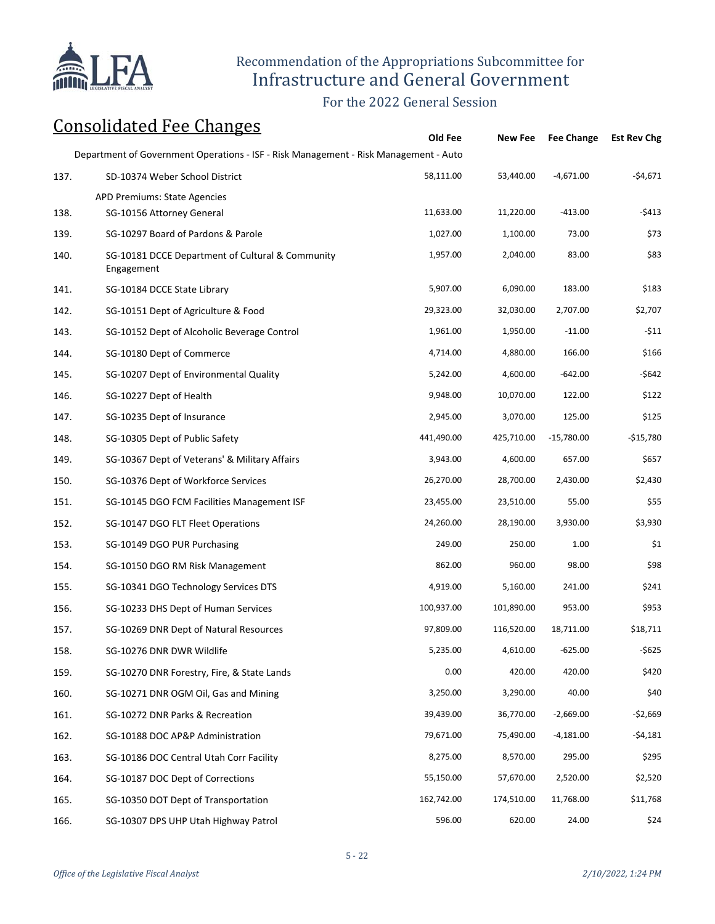

For the 2022 General Session

|      |                                                                                      | Old Fee    | New Fee    | <b>Fee Change</b> | <b>Est Rev Chg</b> |
|------|--------------------------------------------------------------------------------------|------------|------------|-------------------|--------------------|
|      | Department of Government Operations - ISF - Risk Management - Risk Management - Auto |            |            |                   |                    |
| 137. | SD-10374 Weber School District                                                       | 58,111.00  | 53,440.00  | $-4,671.00$       | -\$4,671           |
|      | APD Premiums: State Agencies                                                         |            |            |                   |                    |
| 138. | SG-10156 Attorney General                                                            | 11,633.00  | 11,220.00  | $-413.00$         | -\$413             |
| 139. | SG-10297 Board of Pardons & Parole                                                   | 1,027.00   | 1,100.00   | 73.00             | \$73               |
| 140. | SG-10181 DCCE Department of Cultural & Community<br>Engagement                       | 1,957.00   | 2,040.00   | 83.00             | \$83               |
| 141. | SG-10184 DCCE State Library                                                          | 5,907.00   | 6,090.00   | 183.00            | \$183              |
| 142. | SG-10151 Dept of Agriculture & Food                                                  | 29,323.00  | 32,030.00  | 2,707.00          | \$2,707            |
| 143. | SG-10152 Dept of Alcoholic Beverage Control                                          | 1,961.00   | 1,950.00   | $-11.00$          | $-511$             |
| 144. | SG-10180 Dept of Commerce                                                            | 4,714.00   | 4,880.00   | 166.00            | \$166              |
| 145. | SG-10207 Dept of Environmental Quality                                               | 5,242.00   | 4,600.00   | $-642.00$         | -\$642             |
| 146. | SG-10227 Dept of Health                                                              | 9,948.00   | 10,070.00  | 122.00            | \$122              |
| 147. | SG-10235 Dept of Insurance                                                           | 2,945.00   | 3,070.00   | 125.00            | \$125              |
| 148. | SG-10305 Dept of Public Safety                                                       | 441,490.00 | 425,710.00 | $-15,780.00$      | $-$15,780$         |
| 149. | SG-10367 Dept of Veterans' & Military Affairs                                        | 3,943.00   | 4,600.00   | 657.00            | \$657              |
| 150. | SG-10376 Dept of Workforce Services                                                  | 26,270.00  | 28,700.00  | 2,430.00          | \$2,430            |
| 151. | SG-10145 DGO FCM Facilities Management ISF                                           | 23,455.00  | 23,510.00  | 55.00             | \$55               |
| 152. | SG-10147 DGO FLT Fleet Operations                                                    | 24,260.00  | 28,190.00  | 3,930.00          | \$3,930            |
| 153. | SG-10149 DGO PUR Purchasing                                                          | 249.00     | 250.00     | 1.00              | \$1                |
| 154. | SG-10150 DGO RM Risk Management                                                      | 862.00     | 960.00     | 98.00             | \$98               |
| 155. | SG-10341 DGO Technology Services DTS                                                 | 4,919.00   | 5,160.00   | 241.00            | \$241              |
| 156. | SG-10233 DHS Dept of Human Services                                                  | 100,937.00 | 101,890.00 | 953.00            | \$953              |
| 157. | SG-10269 DNR Dept of Natural Resources                                               | 97,809.00  | 116,520.00 | 18,711.00         | \$18,711           |
| 158. | SG-10276 DNR DWR Wildlife                                                            | 5,235.00   | 4,610.00   | $-625.00$         | -\$625             |
| 159. | SG-10270 DNR Forestry, Fire, & State Lands                                           | 0.00       | 420.00     | 420.00            | \$420              |
| 160. | SG-10271 DNR OGM Oil, Gas and Mining                                                 | 3,250.00   | 3,290.00   | 40.00             | \$40               |
| 161. | SG-10272 DNR Parks & Recreation                                                      | 39,439.00  | 36,770.00  | $-2,669.00$       | $-52,669$          |
| 162. | SG-10188 DOC AP&P Administration                                                     | 79,671.00  | 75,490.00  | $-4,181.00$       | $-54,181$          |
| 163. | SG-10186 DOC Central Utah Corr Facility                                              | 8,275.00   | 8,570.00   | 295.00            | \$295              |
| 164. | SG-10187 DOC Dept of Corrections                                                     | 55,150.00  | 57,670.00  | 2,520.00          | \$2,520            |
| 165. | SG-10350 DOT Dept of Transportation                                                  | 162,742.00 | 174,510.00 | 11,768.00         | \$11,768           |
| 166. | SG-10307 DPS UHP Utah Highway Patrol                                                 | 596.00     | 620.00     | 24.00             | \$24               |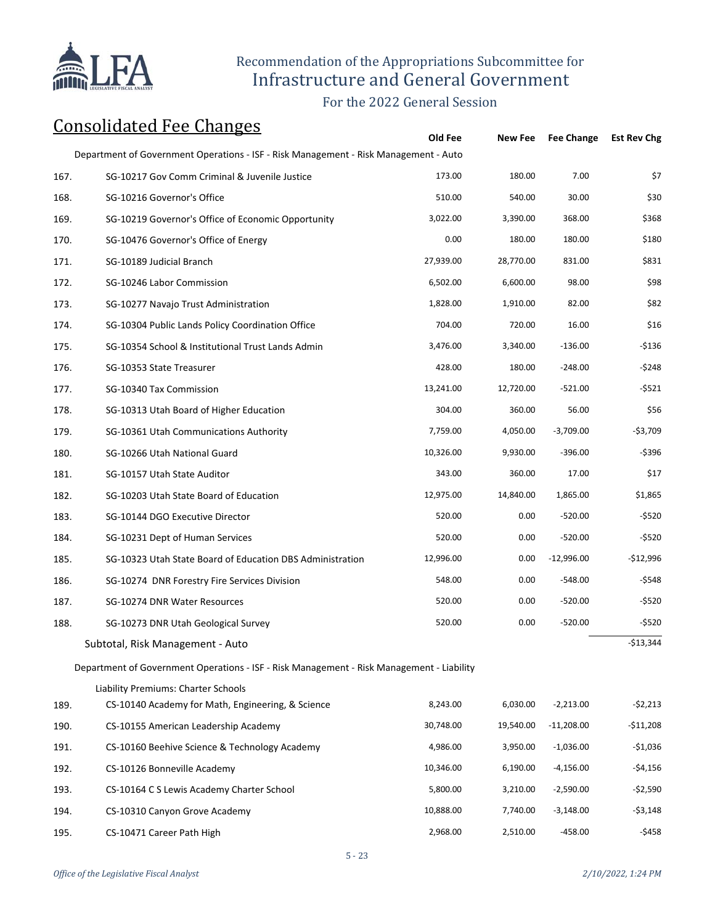

For the 2022 General Session

|      |                                                                                           | Old Fee   | <b>New Fee</b> | <b>Fee Change</b> | <b>Est Rev Chg</b> |
|------|-------------------------------------------------------------------------------------------|-----------|----------------|-------------------|--------------------|
|      | Department of Government Operations - ISF - Risk Management - Risk Management - Auto      |           |                |                   |                    |
| 167. | SG-10217 Gov Comm Criminal & Juvenile Justice                                             | 173.00    | 180.00         | 7.00              | \$7                |
| 168. | SG-10216 Governor's Office                                                                | 510.00    | 540.00         | 30.00             | \$30               |
| 169. | SG-10219 Governor's Office of Economic Opportunity                                        | 3,022.00  | 3,390.00       | 368.00            | \$368              |
| 170. | SG-10476 Governor's Office of Energy                                                      | 0.00      | 180.00         | 180.00            | \$180              |
| 171. | SG-10189 Judicial Branch                                                                  | 27,939.00 | 28,770.00      | 831.00            | \$831              |
| 172. | SG-10246 Labor Commission                                                                 | 6,502.00  | 6,600.00       | 98.00             | \$98               |
| 173. | SG-10277 Navajo Trust Administration                                                      | 1,828.00  | 1,910.00       | 82.00             | \$82               |
| 174. | SG-10304 Public Lands Policy Coordination Office                                          | 704.00    | 720.00         | 16.00             | \$16               |
| 175. | SG-10354 School & Institutional Trust Lands Admin                                         | 3,476.00  | 3,340.00       | $-136.00$         | $-$136$            |
| 176. | SG-10353 State Treasurer                                                                  | 428.00    | 180.00         | $-248.00$         | $-5248$            |
| 177. | SG-10340 Tax Commission                                                                   | 13,241.00 | 12,720.00      | $-521.00$         | -\$521             |
| 178. | SG-10313 Utah Board of Higher Education                                                   | 304.00    | 360.00         | 56.00             | \$56               |
| 179. | SG-10361 Utah Communications Authority                                                    | 7,759.00  | 4,050.00       | $-3,709.00$       | $-53,709$          |
| 180. | SG-10266 Utah National Guard                                                              | 10,326.00 | 9,930.00       | $-396.00$         | $-$ \$396          |
| 181. | SG-10157 Utah State Auditor                                                               | 343.00    | 360.00         | 17.00             | \$17               |
| 182. | SG-10203 Utah State Board of Education                                                    | 12,975.00 | 14,840.00      | 1,865.00          | \$1,865            |
| 183. | SG-10144 DGO Executive Director                                                           | 520.00    | 0.00           | $-520.00$         | $-$ \$520          |
| 184. | SG-10231 Dept of Human Services                                                           | 520.00    | 0.00           | $-520.00$         | -\$520             |
| 185. | SG-10323 Utah State Board of Education DBS Administration                                 | 12,996.00 | 0.00           | $-12,996.00$      | $-512,996$         |
| 186. | SG-10274 DNR Forestry Fire Services Division                                              | 548.00    | 0.00           | $-548.00$         | $- $548$           |
| 187. | SG-10274 DNR Water Resources                                                              | 520.00    | 0.00           | $-520.00$         | $-$ \$520          |
| 188. | SG-10273 DNR Utah Geological Survey                                                       | 520.00    | 0.00           | $-520.00$         | $-$ \$520          |
|      | Subtotal, Risk Management - Auto                                                          |           |                |                   | $-$13,344$         |
|      | Department of Government Operations - ISF - Risk Management - Risk Management - Liability |           |                |                   |                    |
|      | Liability Premiums: Charter Schools                                                       |           |                |                   |                    |
| 189. | CS-10140 Academy for Math, Engineering, & Science                                         | 8,243.00  | 6,030.00       | $-2,213.00$       | $-52,213$          |
| 190. | CS-10155 American Leadership Academy                                                      | 30,748.00 | 19,540.00      | $-11,208.00$      | $-511,208$         |
| 191. | CS-10160 Beehive Science & Technology Academy                                             | 4,986.00  | 3,950.00       | $-1,036.00$       | $-$1,036$          |
| 192. | CS-10126 Bonneville Academy                                                               | 10,346.00 | 6,190.00       | $-4,156.00$       | $-54,156$          |
| 193. | CS-10164 C S Lewis Academy Charter School                                                 | 5,800.00  | 3,210.00       | $-2,590.00$       | $-52,590$          |
| 194. | CS-10310 Canyon Grove Academy                                                             | 10,888.00 | 7,740.00       | $-3,148.00$       | $-53,148$          |
| 195. | CS-10471 Career Path High                                                                 | 2,968.00  | 2,510.00       | $-458.00$         | $-$ \$458          |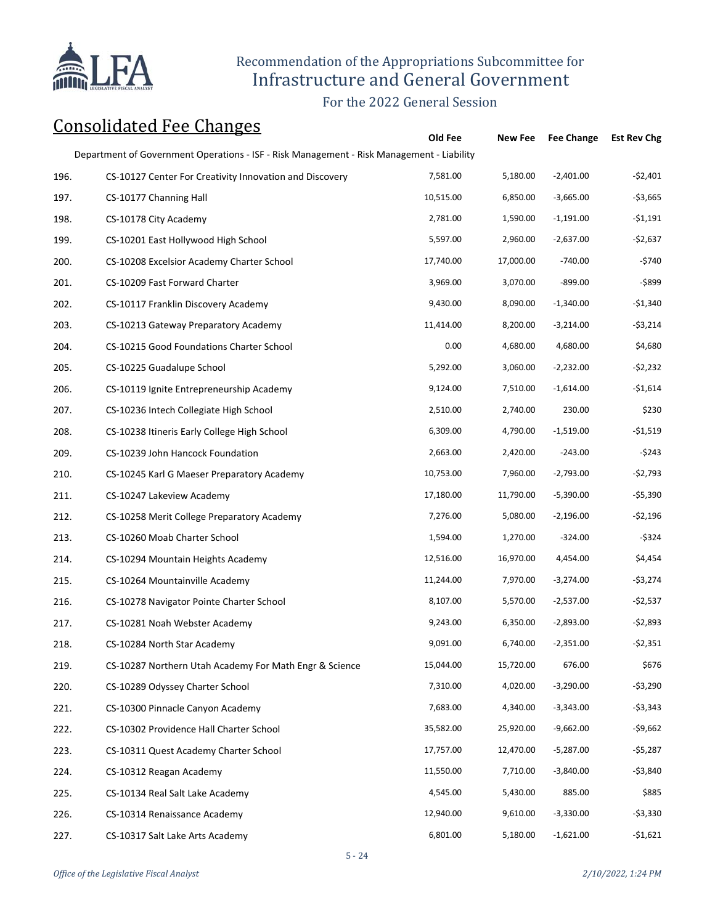

For the 2022 General Session

|      |                                                                                           | Old Fee   | <b>New Fee</b> | <b>Fee Change</b> | <b>Est Rev Chg</b> |
|------|-------------------------------------------------------------------------------------------|-----------|----------------|-------------------|--------------------|
|      | Department of Government Operations - ISF - Risk Management - Risk Management - Liability |           |                |                   |                    |
| 196. | CS-10127 Center For Creativity Innovation and Discovery                                   | 7,581.00  | 5,180.00       | $-2,401.00$       | $-52,401$          |
| 197. | CS-10177 Channing Hall                                                                    | 10,515.00 | 6,850.00       | $-3,665.00$       | -\$3,665           |
| 198. | CS-10178 City Academy                                                                     | 2,781.00  | 1,590.00       | $-1,191.00$       | $-51,191$          |
| 199. | CS-10201 East Hollywood High School                                                       | 5,597.00  | 2,960.00       | $-2,637.00$       | $-$2,637$          |
| 200. | CS-10208 Excelsior Academy Charter School                                                 | 17,740.00 | 17,000.00      | $-740.00$         | -\$740             |
| 201. | CS-10209 Fast Forward Charter                                                             | 3,969.00  | 3,070.00       | $-899.00$         | -\$899             |
| 202. | CS-10117 Franklin Discovery Academy                                                       | 9,430.00  | 8,090.00       | $-1,340.00$       | $-$1,340$          |
| 203. | CS-10213 Gateway Preparatory Academy                                                      | 11,414.00 | 8,200.00       | $-3,214.00$       | $-53,214$          |
| 204. | CS-10215 Good Foundations Charter School                                                  | 0.00      | 4,680.00       | 4,680.00          | \$4,680            |
| 205. | CS-10225 Guadalupe School                                                                 | 5,292.00  | 3,060.00       | -2,232.00         | $-52,232$          |
| 206. | CS-10119 Ignite Entrepreneurship Academy                                                  | 9,124.00  | 7,510.00       | $-1,614.00$       | $-$1,614$          |
| 207. | CS-10236 Intech Collegiate High School                                                    | 2,510.00  | 2,740.00       | 230.00            | \$230              |
| 208. | CS-10238 Itineris Early College High School                                               | 6,309.00  | 4,790.00       | $-1,519.00$       | $-51,519$          |
| 209. | CS-10239 John Hancock Foundation                                                          | 2,663.00  | 2,420.00       | $-243.00$         | $-5243$            |
| 210. | CS-10245 Karl G Maeser Preparatory Academy                                                | 10,753.00 | 7,960.00       | $-2,793.00$       | $-52,793$          |
| 211. | CS-10247 Lakeview Academy                                                                 | 17,180.00 | 11,790.00      | $-5,390.00$       | $-55,390$          |
| 212. | CS-10258 Merit College Preparatory Academy                                                | 7,276.00  | 5,080.00       | $-2,196.00$       | $-52,196$          |
| 213. | CS-10260 Moab Charter School                                                              | 1,594.00  | 1,270.00       | $-324.00$         | $-$ \$324          |
| 214. | CS-10294 Mountain Heights Academy                                                         | 12,516.00 | 16,970.00      | 4,454.00          | \$4,454            |
| 215. | CS-10264 Mountainville Academy                                                            | 11,244.00 | 7,970.00       | $-3,274.00$       | $-53,274$          |
| 216. | CS-10278 Navigator Pointe Charter School                                                  | 8,107.00  | 5,570.00       | $-2,537.00$       | $-$2,537$          |
| 217. | CS-10281 Noah Webster Academy                                                             | 9,243.00  | 6,350.00       | $-2,893.00$       | $-52,893$          |
| 218. | CS-10284 North Star Academy                                                               | 9,091.00  | 6,740.00       | $-2,351.00$       | $-52,351$          |
| 219. | CS-10287 Northern Utah Academy For Math Engr & Science                                    | 15,044.00 | 15,720.00      | 676.00            | \$676              |
| 220. | CS-10289 Odyssey Charter School                                                           | 7,310.00  | 4,020.00       | $-3,290.00$       | $-$ \$3,290        |
| 221. | CS-10300 Pinnacle Canyon Academy                                                          | 7,683.00  | 4,340.00       | $-3,343.00$       | $-53,343$          |
| 222. | CS-10302 Providence Hall Charter School                                                   | 35,582.00 | 25,920.00      | -9,662.00         | $-59,662$          |
| 223. | CS-10311 Quest Academy Charter School                                                     | 17,757.00 | 12,470.00      | $-5,287.00$       | $-55,287$          |
| 224. | CS-10312 Reagan Academy                                                                   | 11,550.00 | 7,710.00       | -3,840.00         | $-53,840$          |
| 225. | CS-10134 Real Salt Lake Academy                                                           | 4,545.00  | 5,430.00       | 885.00            | \$885              |
| 226. | CS-10314 Renaissance Academy                                                              | 12,940.00 | 9,610.00       | -3,330.00         | $-53,330$          |
| 227. | CS-10317 Salt Lake Arts Academy                                                           | 6,801.00  | 5,180.00       | $-1,621.00$       | $-$1,621$          |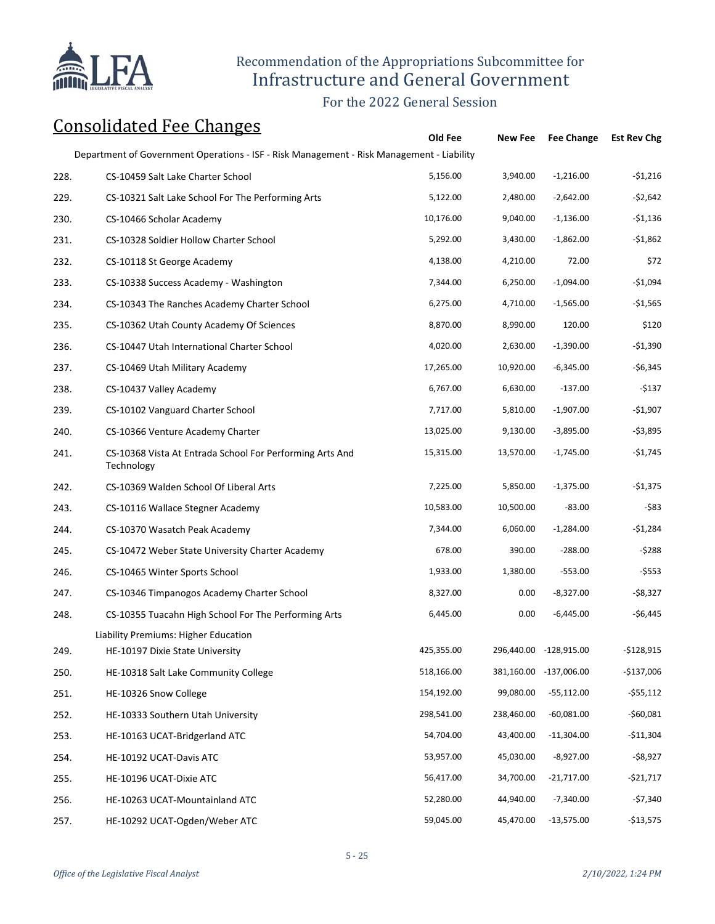

For the 2022 General Session

|      |                                                                                           | Old Fee    | <b>New Fee</b> | <b>Fee Change</b>      | <b>Est Rev Chg</b> |
|------|-------------------------------------------------------------------------------------------|------------|----------------|------------------------|--------------------|
|      | Department of Government Operations - ISF - Risk Management - Risk Management - Liability |            |                |                        |                    |
| 228. | CS-10459 Salt Lake Charter School                                                         | 5,156.00   | 3,940.00       | $-1,216.00$            | $-51,216$          |
| 229. | CS-10321 Salt Lake School For The Performing Arts                                         | 5,122.00   | 2,480.00       | $-2,642.00$            | -\$2,642           |
| 230. | CS-10466 Scholar Academy                                                                  | 10,176.00  | 9,040.00       | $-1,136.00$            | $-$1,136$          |
| 231. | CS-10328 Soldier Hollow Charter School                                                    | 5,292.00   | 3,430.00       | $-1,862.00$            | -\$1,862           |
| 232. | CS-10118 St George Academy                                                                | 4,138.00   | 4,210.00       | 72.00                  | \$72               |
| 233. | CS-10338 Success Academy - Washington                                                     | 7,344.00   | 6,250.00       | $-1,094.00$            | $-51,094$          |
| 234. | CS-10343 The Ranches Academy Charter School                                               | 6,275.00   | 4,710.00       | $-1,565.00$            | $-$1,565$          |
| 235. | CS-10362 Utah County Academy Of Sciences                                                  | 8,870.00   | 8,990.00       | 120.00                 | \$120              |
| 236. | CS-10447 Utah International Charter School                                                | 4,020.00   | 2,630.00       | $-1,390.00$            | $-$1,390$          |
| 237. | CS-10469 Utah Military Academy                                                            | 17,265.00  | 10,920.00      | $-6,345.00$            | $-56,345$          |
| 238. | CS-10437 Valley Academy                                                                   | 6,767.00   | 6,630.00       | $-137.00$              | $-$137$            |
| 239. | CS-10102 Vanguard Charter School                                                          | 7,717.00   | 5,810.00       | $-1,907.00$            | $-$1,907$          |
| 240. | CS-10366 Venture Academy Charter                                                          | 13,025.00  | 9,130.00       | $-3,895.00$            | $-53,895$          |
| 241. | CS-10368 Vista At Entrada School For Performing Arts And<br>Technology                    | 15,315.00  | 13,570.00      | $-1,745.00$            | -\$1,745           |
| 242. | CS-10369 Walden School Of Liberal Arts                                                    | 7,225.00   | 5,850.00       | $-1,375.00$            | $-$1,375$          |
| 243. | CS-10116 Wallace Stegner Academy                                                          | 10,583.00  | 10,500.00      | $-83.00$               | -\$83              |
| 244. | CS-10370 Wasatch Peak Academy                                                             | 7,344.00   | 6,060.00       | $-1,284.00$            | $-51,284$          |
| 245. | CS-10472 Weber State University Charter Academy                                           | 678.00     | 390.00         | $-288.00$              | $-5288$            |
| 246. | CS-10465 Winter Sports School                                                             | 1,933.00   | 1,380.00       | $-553.00$              | $-$ \$553          |
| 247. | CS-10346 Timpanogos Academy Charter School                                                | 8,327.00   | 0.00           | $-8,327.00$            | $-$ \$8,327        |
| 248. | CS-10355 Tuacahn High School For The Performing Arts                                      | 6,445.00   | 0.00           | $-6,445.00$            | $-$6,445$          |
|      | Liability Premiums: Higher Education                                                      |            |                |                        |                    |
| 249. | HE-10197 Dixie State University                                                           | 425,355.00 |                | 296,440.00 -128,915.00 | -\$128,915         |
| 250. | HE-10318 Salt Lake Community College                                                      | 518,166.00 |                | 381,160.00 -137,006.00 | $-$137,006$        |
| 251. | HE-10326 Snow College                                                                     | 154,192.00 | 99,080.00      | $-55,112.00$           | $-$ \$55,112       |
| 252. | HE-10333 Southern Utah University                                                         | 298,541.00 | 238,460.00     | $-60,081.00$           | $-$60,081$         |
| 253. | HE-10163 UCAT-Bridgerland ATC                                                             | 54,704.00  | 43,400.00      | $-11,304.00$           | $-$11,304$         |
| 254. | HE-10192 UCAT-Davis ATC                                                                   | 53,957.00  | 45,030.00      | $-8,927.00$            | -\$8,927           |
| 255. | HE-10196 UCAT-Dixie ATC                                                                   | 56,417.00  | 34,700.00      | $-21,717.00$           | $-521,717$         |
| 256. | HE-10263 UCAT-Mountainland ATC                                                            | 52,280.00  | 44,940.00      | $-7,340.00$            | $-57,340$          |
| 257. | HE-10292 UCAT-Ogden/Weber ATC                                                             | 59,045.00  | 45,470.00      | $-13,575.00$           | $-$13,575$         |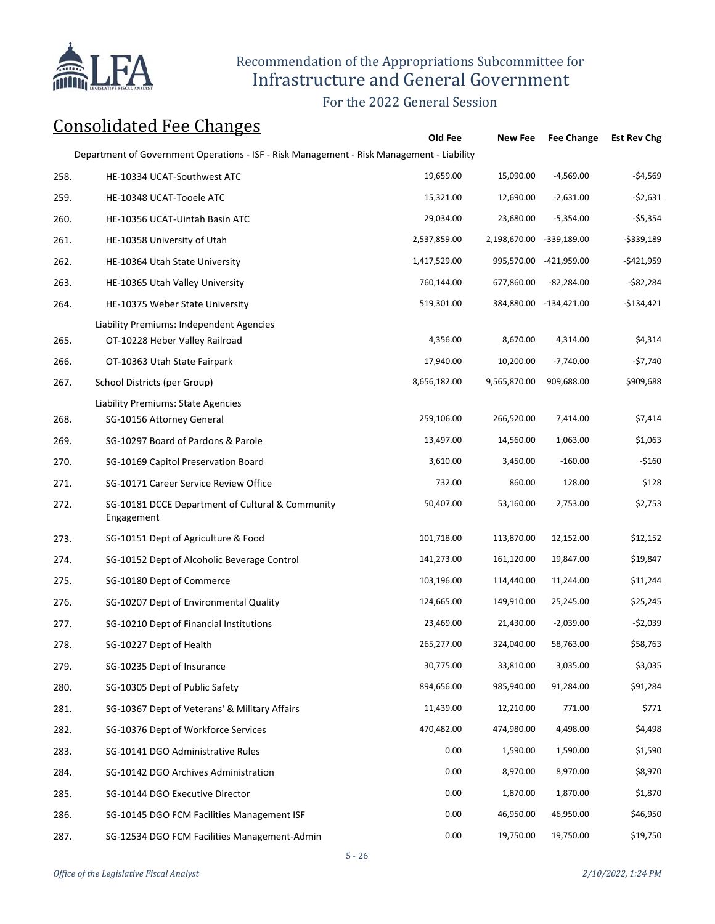

For the 2022 General Session

## **Consolidated Fee Changes**

|      |                                                                                           | Old Fee      | <b>New Fee</b> | <b>Fee Change</b>      | <b>Est Rev Chg</b> |
|------|-------------------------------------------------------------------------------------------|--------------|----------------|------------------------|--------------------|
|      | Department of Government Operations - ISF - Risk Management - Risk Management - Liability |              |                |                        |                    |
| 258. | HE-10334 UCAT-Southwest ATC                                                               | 19,659.00    | 15,090.00      | $-4,569.00$            | $-$4,569$          |
| 259. | HE-10348 UCAT-Tooele ATC                                                                  | 15,321.00    | 12,690.00      | $-2,631.00$            | $-52,631$          |
| 260. | HE-10356 UCAT-Uintah Basin ATC                                                            | 29,034.00    | 23,680.00      | $-5,354.00$            | $-55,354$          |
| 261. | HE-10358 University of Utah                                                               | 2,537,859.00 | 2,198,670.00   | -339,189.00            | $-5339,189$        |
| 262. | HE-10364 Utah State University                                                            | 1,417,529.00 | 995,570.00     | $-421,959.00$          | -\$421,959         |
| 263. | HE-10365 Utah Valley University                                                           | 760,144.00   | 677,860.00     | $-82,284.00$           | $-582,284$         |
| 264. | HE-10375 Weber State University                                                           | 519,301.00   |                | 384,880.00 -134,421.00 | $-$134,421$        |
|      | Liability Premiums: Independent Agencies                                                  |              |                |                        |                    |
| 265. | OT-10228 Heber Valley Railroad                                                            | 4,356.00     | 8,670.00       | 4,314.00               | \$4,314            |
| 266. | OT-10363 Utah State Fairpark                                                              | 17,940.00    | 10,200.00      | $-7,740.00$            | $-57,740$          |
| 267. | School Districts (per Group)                                                              | 8,656,182.00 | 9,565,870.00   | 909,688.00             | \$909,688          |
|      | Liability Premiums: State Agencies                                                        |              |                |                        |                    |
| 268. | SG-10156 Attorney General                                                                 | 259,106.00   | 266,520.00     | 7,414.00               | \$7,414            |
| 269. | SG-10297 Board of Pardons & Parole                                                        | 13,497.00    | 14,560.00      | 1,063.00               | \$1,063            |
| 270. | SG-10169 Capitol Preservation Board                                                       | 3,610.00     | 3,450.00       | $-160.00$              | $-$160$            |
| 271. | SG-10171 Career Service Review Office                                                     | 732.00       | 860.00         | 128.00                 | \$128              |
| 272. | SG-10181 DCCE Department of Cultural & Community<br>Engagement                            | 50,407.00    | 53,160.00      | 2,753.00               | \$2,753            |
| 273. | SG-10151 Dept of Agriculture & Food                                                       | 101,718.00   | 113,870.00     | 12,152.00              | \$12,152           |
| 274. | SG-10152 Dept of Alcoholic Beverage Control                                               | 141,273.00   | 161,120.00     | 19,847.00              | \$19,847           |
| 275. | SG-10180 Dept of Commerce                                                                 | 103,196.00   | 114,440.00     | 11,244.00              | \$11,244           |
| 276. | SG-10207 Dept of Environmental Quality                                                    | 124,665.00   | 149,910.00     | 25,245.00              | \$25,245           |
| 277. | SG-10210 Dept of Financial Institutions                                                   | 23,469.00    | 21,430.00      | $-2,039.00$            | $-52,039$          |
| 278. | SG-10227 Dept of Health                                                                   | 265,277.00   | 324,040.00     | 58,763.00              | \$58,763           |
| 279. | SG-10235 Dept of Insurance                                                                | 30,775.00    | 33,810.00      | 3,035.00               | \$3,035            |
| 280. | SG-10305 Dept of Public Safety                                                            | 894,656.00   | 985,940.00     | 91,284.00              | \$91,284           |
| 281. | SG-10367 Dept of Veterans' & Military Affairs                                             | 11,439.00    | 12,210.00      | 771.00                 | \$771              |
| 282. | SG-10376 Dept of Workforce Services                                                       | 470,482.00   | 474,980.00     | 4,498.00               | \$4,498            |
| 283. | SG-10141 DGO Administrative Rules                                                         | 0.00         | 1,590.00       | 1,590.00               | \$1,590            |
| 284. | SG-10142 DGO Archives Administration                                                      | 0.00         | 8,970.00       | 8,970.00               | \$8,970            |
| 285. | SG-10144 DGO Executive Director                                                           | 0.00         | 1,870.00       | 1,870.00               | \$1,870            |
| 286. | SG-10145 DGO FCM Facilities Management ISF                                                | 0.00         | 46,950.00      | 46,950.00              | \$46,950           |
| 287. | SG-12534 DGO FCM Facilities Management-Admin                                              | 0.00         | 19,750.00      | 19,750.00              | \$19,750           |

5 - 26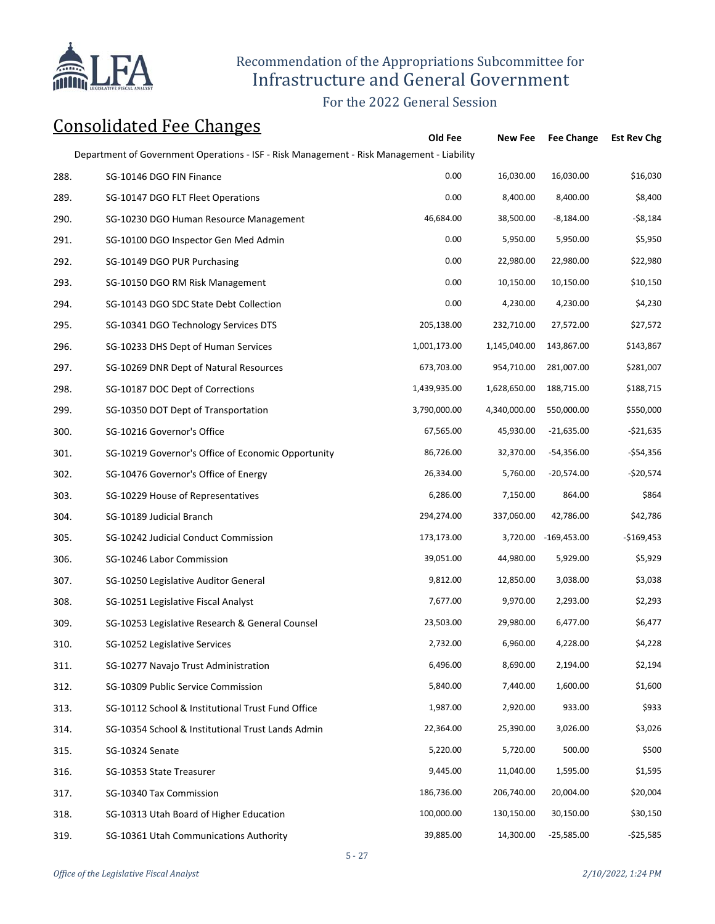

For the 2022 General Session

|      |                                                                                           | Old Fee      | <b>New Fee</b> | <b>Fee Change</b>    | <b>Est Rev Chg</b> |
|------|-------------------------------------------------------------------------------------------|--------------|----------------|----------------------|--------------------|
|      | Department of Government Operations - ISF - Risk Management - Risk Management - Liability |              |                |                      |                    |
| 288. | SG-10146 DGO FIN Finance                                                                  | 0.00         | 16,030.00      | 16,030.00            | \$16,030           |
| 289. | SG-10147 DGO FLT Fleet Operations                                                         | 0.00         | 8,400.00       | 8,400.00             | \$8,400            |
| 290. | SG-10230 DGO Human Resource Management                                                    | 46,684.00    | 38,500.00      | -8,184.00            | $-58,184$          |
| 291. | SG-10100 DGO Inspector Gen Med Admin                                                      | 0.00         | 5,950.00       | 5,950.00             | \$5,950            |
| 292. | SG-10149 DGO PUR Purchasing                                                               | 0.00         | 22,980.00      | 22,980.00            | \$22,980           |
| 293. | SG-10150 DGO RM Risk Management                                                           | 0.00         | 10,150.00      | 10,150.00            | \$10,150           |
| 294. | SG-10143 DGO SDC State Debt Collection                                                    | 0.00         | 4,230.00       | 4,230.00             | \$4,230            |
| 295. | SG-10341 DGO Technology Services DTS                                                      | 205,138.00   | 232,710.00     | 27,572.00            | \$27,572           |
| 296. | SG-10233 DHS Dept of Human Services                                                       | 1,001,173.00 | 1,145,040.00   | 143,867.00           | \$143,867          |
| 297. | SG-10269 DNR Dept of Natural Resources                                                    | 673,703.00   | 954,710.00     | 281,007.00           | \$281,007          |
| 298. | SG-10187 DOC Dept of Corrections                                                          | 1,439,935.00 | 1,628,650.00   | 188,715.00           | \$188,715          |
| 299. | SG-10350 DOT Dept of Transportation                                                       | 3,790,000.00 | 4,340,000.00   | 550,000.00           | \$550,000          |
| 300. | SG-10216 Governor's Office                                                                | 67,565.00    | 45,930.00      | $-21,635.00$         | -\$21,635          |
| 301. | SG-10219 Governor's Office of Economic Opportunity                                        | 86,726.00    | 32,370.00      | $-54,356.00$         | $-$54,356$         |
| 302. | SG-10476 Governor's Office of Energy                                                      | 26,334.00    | 5,760.00       | $-20,574.00$         | $-$20,574$         |
| 303. | SG-10229 House of Representatives                                                         | 6,286.00     | 7,150.00       | 864.00               | \$864              |
| 304. | SG-10189 Judicial Branch                                                                  | 294,274.00   | 337,060.00     | 42,786.00            | \$42,786           |
| 305. | SG-10242 Judicial Conduct Commission                                                      | 173,173.00   |                | 3,720.00 -169,453.00 | $-$169,453$        |
| 306. | SG-10246 Labor Commission                                                                 | 39,051.00    | 44,980.00      | 5,929.00             | \$5,929            |
| 307. | SG-10250 Legislative Auditor General                                                      | 9,812.00     | 12,850.00      | 3,038.00             | \$3,038            |
| 308. | SG-10251 Legislative Fiscal Analyst                                                       | 7,677.00     | 9,970.00       | 2,293.00             | \$2,293            |
| 309. | SG-10253 Legislative Research & General Counsel                                           | 23,503.00    | 29,980.00      | 6,477.00             | \$6,477            |
| 310. | SG-10252 Legislative Services                                                             | 2,732.00     | 6,960.00       | 4,228.00             | \$4,228            |
| 311. | SG-10277 Navajo Trust Administration                                                      | 6,496.00     | 8,690.00       | 2,194.00             | \$2,194            |
| 312. | SG-10309 Public Service Commission                                                        | 5,840.00     | 7,440.00       | 1,600.00             | \$1,600            |
| 313. | SG-10112 School & Institutional Trust Fund Office                                         | 1,987.00     | 2,920.00       | 933.00               | \$933              |
| 314. | SG-10354 School & Institutional Trust Lands Admin                                         | 22,364.00    | 25,390.00      | 3,026.00             | \$3,026            |
| 315. | SG-10324 Senate                                                                           | 5,220.00     | 5,720.00       | 500.00               | \$500              |
| 316. | SG-10353 State Treasurer                                                                  | 9,445.00     | 11,040.00      | 1,595.00             | \$1,595            |
| 317. | SG-10340 Tax Commission                                                                   | 186,736.00   | 206,740.00     | 20,004.00            | \$20,004           |
| 318. | SG-10313 Utah Board of Higher Education                                                   | 100,000.00   | 130,150.00     | 30,150.00            | \$30,150           |
| 319. | SG-10361 Utah Communications Authority                                                    | 39,885.00    | 14,300.00      | $-25,585.00$         | $-525,585$         |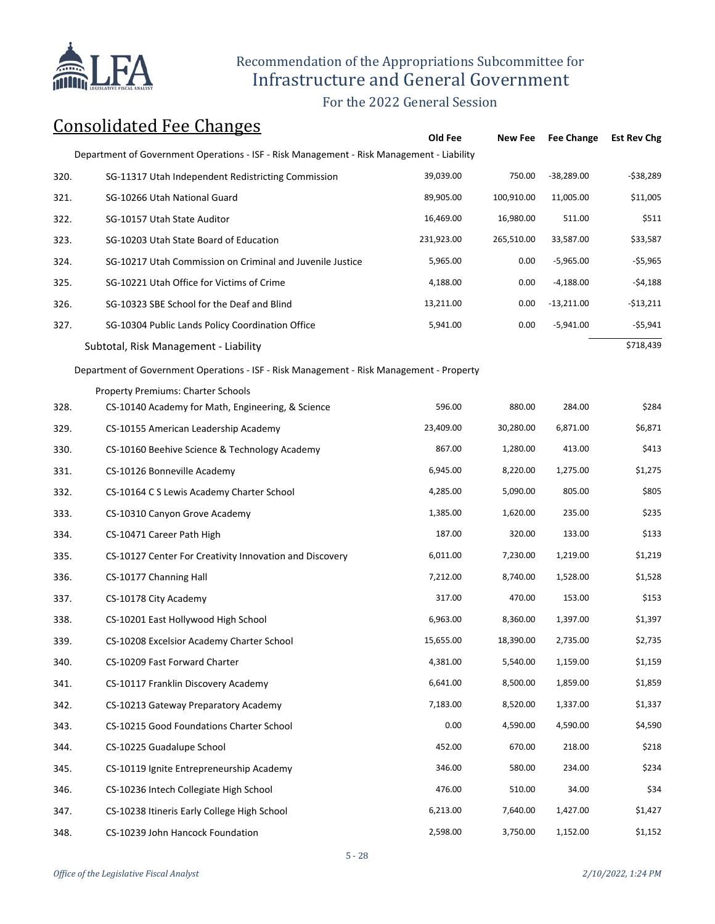

For the 2022 General Session

|      |                                                                                           | Old Fee    | New Fee    | <b>Fee Change</b> | <b>Est Rev Chg</b> |
|------|-------------------------------------------------------------------------------------------|------------|------------|-------------------|--------------------|
|      | Department of Government Operations - ISF - Risk Management - Risk Management - Liability |            |            |                   |                    |
| 320. | SG-11317 Utah Independent Redistricting Commission                                        | 39,039.00  | 750.00     | $-38,289.00$      | $-538,289$         |
| 321. | SG-10266 Utah National Guard                                                              | 89,905.00  | 100,910.00 | 11,005.00         | \$11,005           |
| 322. | SG-10157 Utah State Auditor                                                               | 16,469.00  | 16,980.00  | 511.00            | \$511              |
| 323. | SG-10203 Utah State Board of Education                                                    | 231,923.00 | 265,510.00 | 33,587.00         | \$33,587           |
| 324. | SG-10217 Utah Commission on Criminal and Juvenile Justice                                 | 5,965.00   | 0.00       | $-5,965.00$       | $-55,965$          |
| 325. | SG-10221 Utah Office for Victims of Crime                                                 | 4,188.00   | 0.00       | $-4,188.00$       | -\$4,188           |
| 326. | SG-10323 SBE School for the Deaf and Blind                                                | 13,211.00  | 0.00       | $-13,211.00$      | $-513,211$         |
| 327. | SG-10304 Public Lands Policy Coordination Office                                          | 5,941.00   | 0.00       | $-5,941.00$       | $-55,941$          |
|      | Subtotal, Risk Management - Liability                                                     |            |            |                   | \$718,439          |
|      | Department of Government Operations - ISF - Risk Management - Risk Management - Property  |            |            |                   |                    |
|      | <b>Property Premiums: Charter Schools</b>                                                 |            |            |                   |                    |
| 328. | CS-10140 Academy for Math, Engineering, & Science                                         | 596.00     | 880.00     | 284.00            | \$284              |
| 329. | CS-10155 American Leadership Academy                                                      | 23,409.00  | 30,280.00  | 6,871.00          | \$6,871            |
| 330. | CS-10160 Beehive Science & Technology Academy                                             | 867.00     | 1,280.00   | 413.00            | \$413              |
| 331. | CS-10126 Bonneville Academy                                                               | 6,945.00   | 8,220.00   | 1,275.00          | \$1,275            |
| 332. | CS-10164 C S Lewis Academy Charter School                                                 | 4,285.00   | 5,090.00   | 805.00            | \$805              |
| 333. | CS-10310 Canyon Grove Academy                                                             | 1,385.00   | 1,620.00   | 235.00            | \$235              |
| 334. | CS-10471 Career Path High                                                                 | 187.00     | 320.00     | 133.00            | \$133              |
| 335. | CS-10127 Center For Creativity Innovation and Discovery                                   | 6,011.00   | 7,230.00   | 1,219.00          | \$1,219            |
| 336. | CS-10177 Channing Hall                                                                    | 7,212.00   | 8,740.00   | 1,528.00          | \$1,528            |
| 337. | CS-10178 City Academy                                                                     | 317.00     | 470.00     | 153.00            | \$153              |
| 338. | CS-10201 East Hollywood High School                                                       | 6,963.00   | 8,360.00   | 1,397.00          | \$1,397            |
| 339. | CS-10208 Excelsior Academy Charter School                                                 | 15,655.00  | 18,390.00  | 2,735.00          | \$2,735            |
| 340. | CS-10209 Fast Forward Charter                                                             | 4,381.00   | 5,540.00   | 1,159.00          | \$1,159            |
| 341. | CS-10117 Franklin Discovery Academy                                                       | 6,641.00   | 8,500.00   | 1,859.00          | \$1,859            |
| 342. | CS-10213 Gateway Preparatory Academy                                                      | 7,183.00   | 8,520.00   | 1,337.00          | \$1,337            |
| 343. | CS-10215 Good Foundations Charter School                                                  | 0.00       | 4,590.00   | 4,590.00          | \$4,590            |
| 344. | CS-10225 Guadalupe School                                                                 | 452.00     | 670.00     | 218.00            | \$218              |
| 345. | CS-10119 Ignite Entrepreneurship Academy                                                  | 346.00     | 580.00     | 234.00            | \$234              |
| 346. | CS-10236 Intech Collegiate High School                                                    | 476.00     | 510.00     | 34.00             | \$34               |
| 347. | CS-10238 Itineris Early College High School                                               | 6,213.00   | 7,640.00   | 1,427.00          | \$1,427            |
| 348. | CS-10239 John Hancock Foundation                                                          | 2,598.00   | 3,750.00   | 1,152.00          | \$1,152            |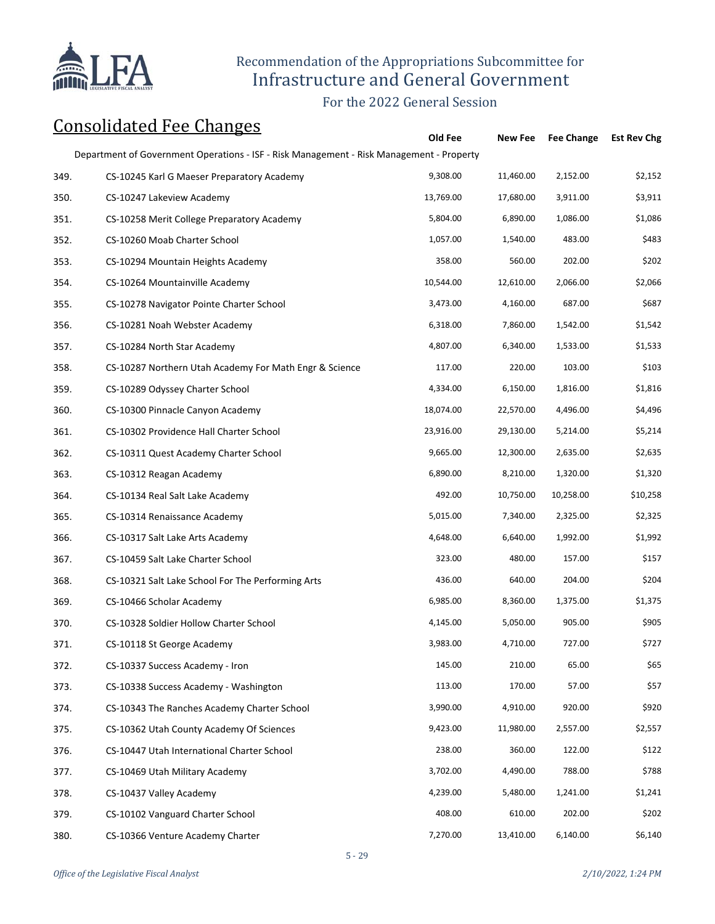

For the 2022 General Session

|      |                                                                                          | Old Fee   | <b>New Fee</b> | <b>Fee Change</b> | <b>Est Rev Chg</b> |
|------|------------------------------------------------------------------------------------------|-----------|----------------|-------------------|--------------------|
|      | Department of Government Operations - ISF - Risk Management - Risk Management - Property |           |                |                   |                    |
| 349. | CS-10245 Karl G Maeser Preparatory Academy                                               | 9,308.00  | 11,460.00      | 2,152.00          | \$2,152            |
| 350. | CS-10247 Lakeview Academy                                                                | 13,769.00 | 17,680.00      | 3,911.00          | \$3,911            |
| 351. | CS-10258 Merit College Preparatory Academy                                               | 5,804.00  | 6,890.00       | 1,086.00          | \$1,086            |
| 352. | CS-10260 Moab Charter School                                                             | 1,057.00  | 1,540.00       | 483.00            | \$483              |
| 353. | CS-10294 Mountain Heights Academy                                                        | 358.00    | 560.00         | 202.00            | \$202              |
| 354. | CS-10264 Mountainville Academy                                                           | 10,544.00 | 12,610.00      | 2,066.00          | \$2,066            |
| 355. | CS-10278 Navigator Pointe Charter School                                                 | 3,473.00  | 4,160.00       | 687.00            | \$687              |
| 356. | CS-10281 Noah Webster Academy                                                            | 6,318.00  | 7,860.00       | 1,542.00          | \$1,542            |
| 357. | CS-10284 North Star Academy                                                              | 4,807.00  | 6,340.00       | 1,533.00          | \$1,533            |
| 358. | CS-10287 Northern Utah Academy For Math Engr & Science                                   | 117.00    | 220.00         | 103.00            | \$103              |
| 359. | CS-10289 Odyssey Charter School                                                          | 4,334.00  | 6,150.00       | 1,816.00          | \$1,816            |
| 360. | CS-10300 Pinnacle Canyon Academy                                                         | 18,074.00 | 22,570.00      | 4,496.00          | \$4,496            |
| 361. | CS-10302 Providence Hall Charter School                                                  | 23,916.00 | 29,130.00      | 5,214.00          | \$5,214            |
| 362. | CS-10311 Quest Academy Charter School                                                    | 9,665.00  | 12,300.00      | 2,635.00          | \$2,635            |
| 363. | CS-10312 Reagan Academy                                                                  | 6,890.00  | 8,210.00       | 1,320.00          | \$1,320            |
| 364. | CS-10134 Real Salt Lake Academy                                                          | 492.00    | 10,750.00      | 10,258.00         | \$10,258           |
| 365. | CS-10314 Renaissance Academy                                                             | 5,015.00  | 7,340.00       | 2,325.00          | \$2,325            |
| 366. | CS-10317 Salt Lake Arts Academy                                                          | 4,648.00  | 6,640.00       | 1,992.00          | \$1,992            |
| 367. | CS-10459 Salt Lake Charter School                                                        | 323.00    | 480.00         | 157.00            | \$157              |
| 368. | CS-10321 Salt Lake School For The Performing Arts                                        | 436.00    | 640.00         | 204.00            | \$204              |
| 369. | CS-10466 Scholar Academy                                                                 | 6,985.00  | 8,360.00       | 1,375.00          | \$1,375            |
| 370. | CS-10328 Soldier Hollow Charter School                                                   | 4,145.00  | 5,050.00       | 905.00            | \$905              |
| 371. | CS-10118 St George Academy                                                               | 3,983.00  | 4,710.00       | 727.00            | \$727              |
| 372. | CS-10337 Success Academy - Iron                                                          | 145.00    | 210.00         | 65.00             | \$65               |
| 373. | CS-10338 Success Academy - Washington                                                    | 113.00    | 170.00         | 57.00             | \$57               |
| 374. | CS-10343 The Ranches Academy Charter School                                              | 3,990.00  | 4,910.00       | 920.00            | \$920              |
| 375. | CS-10362 Utah County Academy Of Sciences                                                 | 9,423.00  | 11,980.00      | 2,557.00          | \$2,557            |
| 376. | CS-10447 Utah International Charter School                                               | 238.00    | 360.00         | 122.00            | \$122              |
| 377. | CS-10469 Utah Military Academy                                                           | 3,702.00  | 4,490.00       | 788.00            | \$788              |
| 378. | CS-10437 Valley Academy                                                                  | 4,239.00  | 5,480.00       | 1,241.00          | \$1,241            |
| 379. | CS-10102 Vanguard Charter School                                                         | 408.00    | 610.00         | 202.00            | \$202              |
| 380. | CS-10366 Venture Academy Charter                                                         | 7,270.00  | 13,410.00      | 6,140.00          | \$6,140            |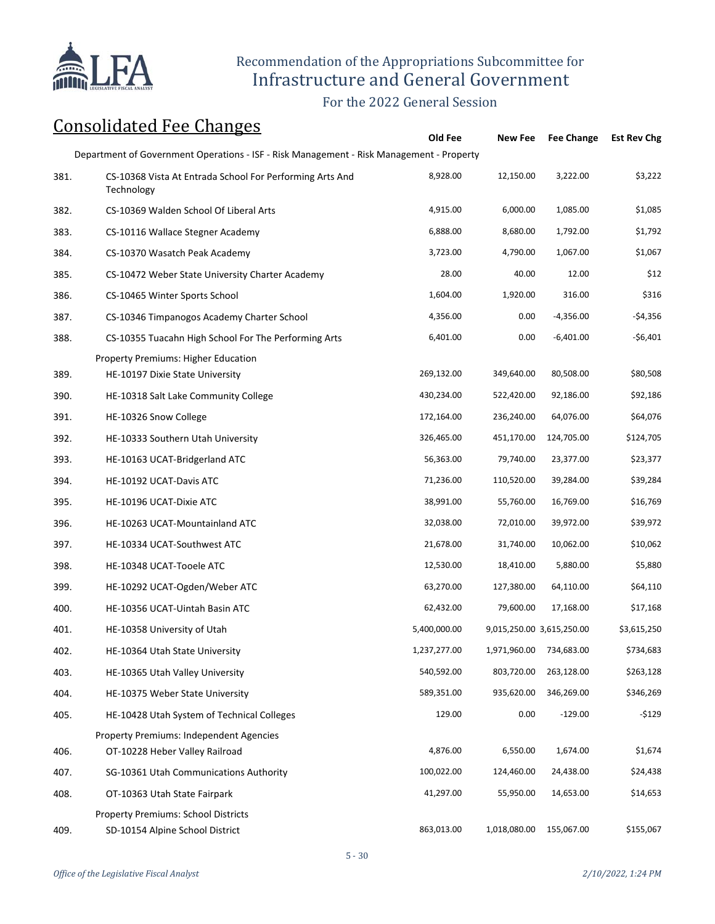

For the 2022 General Session

|      |                                                                                          | Old Fee      | New Fee                   | <b>Fee Change</b> | <b>Est Rev Chg</b> |
|------|------------------------------------------------------------------------------------------|--------------|---------------------------|-------------------|--------------------|
|      | Department of Government Operations - ISF - Risk Management - Risk Management - Property |              |                           |                   |                    |
| 381. | CS-10368 Vista At Entrada School For Performing Arts And<br>Technology                   | 8,928.00     | 12,150.00                 | 3,222.00          | \$3,222            |
| 382. | CS-10369 Walden School Of Liberal Arts                                                   | 4,915.00     | 6,000.00                  | 1,085.00          | \$1,085            |
| 383. | CS-10116 Wallace Stegner Academy                                                         | 6,888.00     | 8,680.00                  | 1,792.00          | \$1,792            |
| 384. | CS-10370 Wasatch Peak Academy                                                            | 3,723.00     | 4,790.00                  | 1,067.00          | \$1,067            |
| 385. | CS-10472 Weber State University Charter Academy                                          | 28.00        | 40.00                     | 12.00             | \$12               |
| 386. | CS-10465 Winter Sports School                                                            | 1,604.00     | 1,920.00                  | 316.00            | \$316              |
| 387. | CS-10346 Timpanogos Academy Charter School                                               | 4,356.00     | 0.00                      | -4,356.00         | $-54,356$          |
| 388. | CS-10355 Tuacahn High School For The Performing Arts                                     | 6,401.00     | 0.00                      | $-6,401.00$       | -\$6,401           |
|      | Property Premiums: Higher Education                                                      |              |                           |                   |                    |
| 389. | HE-10197 Dixie State University                                                          | 269,132.00   | 349,640.00                | 80,508.00         | \$80,508           |
| 390. | HE-10318 Salt Lake Community College                                                     | 430,234.00   | 522,420.00                | 92,186.00         | \$92,186           |
| 391. | HE-10326 Snow College                                                                    | 172,164.00   | 236,240.00                | 64,076.00         | \$64,076           |
| 392. | HE-10333 Southern Utah University                                                        | 326,465.00   | 451,170.00                | 124,705.00        | \$124,705          |
| 393. | HE-10163 UCAT-Bridgerland ATC                                                            | 56,363.00    | 79,740.00                 | 23,377.00         | \$23,377           |
| 394. | HE-10192 UCAT-Davis ATC                                                                  | 71,236.00    | 110,520.00                | 39,284.00         | \$39,284           |
| 395. | HE-10196 UCAT-Dixie ATC                                                                  | 38,991.00    | 55,760.00                 | 16,769.00         | \$16,769           |
| 396. | HE-10263 UCAT-Mountainland ATC                                                           | 32,038.00    | 72,010.00                 | 39,972.00         | \$39,972           |
| 397. | HE-10334 UCAT-Southwest ATC                                                              | 21,678.00    | 31,740.00                 | 10,062.00         | \$10,062           |
| 398. | HE-10348 UCAT-Tooele ATC                                                                 | 12,530.00    | 18,410.00                 | 5,880.00          | \$5,880            |
| 399. | HE-10292 UCAT-Ogden/Weber ATC                                                            | 63,270.00    | 127,380.00                | 64,110.00         | \$64,110           |
| 400. | HE-10356 UCAT-Uintah Basin ATC                                                           | 62,432.00    | 79,600.00                 | 17,168.00         | \$17,168           |
| 401. | HE-10358 University of Utah                                                              | 5,400,000.00 | 9,015,250.00 3,615,250.00 |                   | \$3,615,250        |
| 402. | HE-10364 Utah State University                                                           | 1,237,277.00 | 1,971,960.00              | 734,683.00        | \$734,683          |
| 403. | HE-10365 Utah Valley University                                                          | 540,592.00   | 803,720.00                | 263,128.00        | \$263,128          |
| 404. | HE-10375 Weber State University                                                          | 589,351.00   | 935,620.00                | 346,269.00        | \$346,269          |
| 405. | HE-10428 Utah System of Technical Colleges                                               | 129.00       | 0.00                      | $-129.00$         | $-$129$            |
|      | Property Premiums: Independent Agencies                                                  |              |                           |                   |                    |
| 406. | OT-10228 Heber Valley Railroad                                                           | 4,876.00     | 6,550.00                  | 1,674.00          | \$1,674            |
| 407. | SG-10361 Utah Communications Authority                                                   | 100,022.00   | 124,460.00                | 24,438.00         | \$24,438           |
| 408. | OT-10363 Utah State Fairpark                                                             | 41,297.00    | 55,950.00                 | 14,653.00         | \$14,653           |
|      | <b>Property Premiums: School Districts</b>                                               |              |                           |                   |                    |
| 409. | SD-10154 Alpine School District                                                          | 863,013.00   | 1,018,080.00              | 155,067.00        | \$155,067          |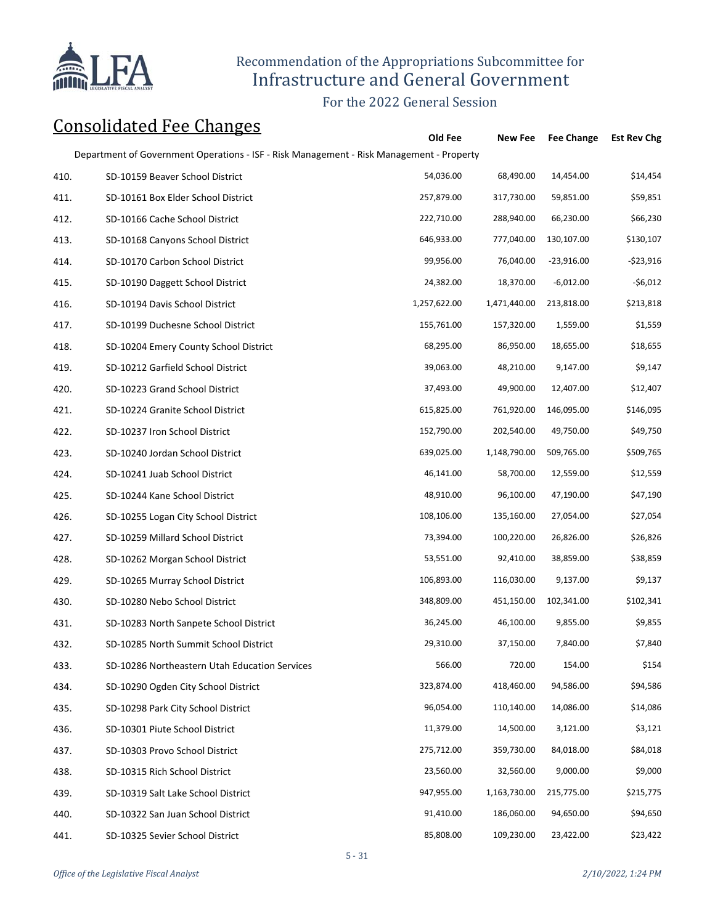

For the 2022 General Session

|      |                                                                                          | Old Fee      | <b>New Fee</b> | <b>Fee Change</b> | <b>Est Rev Chg</b> |
|------|------------------------------------------------------------------------------------------|--------------|----------------|-------------------|--------------------|
|      | Department of Government Operations - ISF - Risk Management - Risk Management - Property |              |                |                   |                    |
| 410. | SD-10159 Beaver School District                                                          | 54,036.00    | 68,490.00      | 14,454.00         | \$14,454           |
| 411. | SD-10161 Box Elder School District                                                       | 257,879.00   | 317,730.00     | 59,851.00         | \$59,851           |
| 412. | SD-10166 Cache School District                                                           | 222,710.00   | 288,940.00     | 66,230.00         | \$66,230           |
| 413. | SD-10168 Canyons School District                                                         | 646,933.00   | 777,040.00     | 130,107.00        | \$130,107          |
| 414. | SD-10170 Carbon School District                                                          | 99,956.00    | 76,040.00      | $-23,916.00$      | $-523,916$         |
| 415. | SD-10190 Daggett School District                                                         | 24,382.00    | 18,370.00      | $-6,012.00$       | $-56,012$          |
| 416. | SD-10194 Davis School District                                                           | 1,257,622.00 | 1,471,440.00   | 213,818.00        | \$213,818          |
| 417. | SD-10199 Duchesne School District                                                        | 155,761.00   | 157,320.00     | 1,559.00          | \$1,559            |
| 418. | SD-10204 Emery County School District                                                    | 68,295.00    | 86,950.00      | 18,655.00         | \$18,655           |
| 419. | SD-10212 Garfield School District                                                        | 39,063.00    | 48,210.00      | 9,147.00          | \$9,147            |
| 420. | SD-10223 Grand School District                                                           | 37,493.00    | 49,900.00      | 12,407.00         | \$12,407           |
| 421. | SD-10224 Granite School District                                                         | 615,825.00   | 761,920.00     | 146,095.00        | \$146,095          |
| 422. | SD-10237 Iron School District                                                            | 152,790.00   | 202,540.00     | 49,750.00         | \$49,750           |
| 423. | SD-10240 Jordan School District                                                          | 639,025.00   | 1,148,790.00   | 509,765.00        | \$509,765          |
| 424. | SD-10241 Juab School District                                                            | 46,141.00    | 58,700.00      | 12,559.00         | \$12,559           |
| 425. | SD-10244 Kane School District                                                            | 48,910.00    | 96,100.00      | 47,190.00         | \$47,190           |
| 426. | SD-10255 Logan City School District                                                      | 108,106.00   | 135,160.00     | 27,054.00         | \$27,054           |
| 427. | SD-10259 Millard School District                                                         | 73,394.00    | 100,220.00     | 26,826.00         | \$26,826           |
| 428. | SD-10262 Morgan School District                                                          | 53,551.00    | 92,410.00      | 38,859.00         | \$38,859           |
| 429. | SD-10265 Murray School District                                                          | 106,893.00   | 116,030.00     | 9,137.00          | \$9,137            |
| 430. | SD-10280 Nebo School District                                                            | 348,809.00   | 451,150.00     | 102,341.00        | \$102,341          |
| 431. | SD-10283 North Sanpete School District                                                   | 36,245.00    | 46,100.00      | 9,855.00          | \$9,855            |
| 432. | SD-10285 North Summit School District                                                    | 29,310.00    | 37,150.00      | 7,840.00          | \$7,840            |
| 433. | SD-10286 Northeastern Utah Education Services                                            | 566.00       | 720.00         | 154.00            | \$154              |
| 434. | SD-10290 Ogden City School District                                                      | 323,874.00   | 418,460.00     | 94,586.00         | \$94,586           |
| 435. | SD-10298 Park City School District                                                       | 96,054.00    | 110,140.00     | 14,086.00         | \$14,086           |
| 436. | SD-10301 Piute School District                                                           | 11,379.00    | 14,500.00      | 3,121.00          | \$3,121            |
| 437. | SD-10303 Provo School District                                                           | 275,712.00   | 359,730.00     | 84,018.00         | \$84,018           |
| 438. | SD-10315 Rich School District                                                            | 23,560.00    | 32,560.00      | 9,000.00          | \$9,000            |
| 439. | SD-10319 Salt Lake School District                                                       | 947,955.00   | 1,163,730.00   | 215,775.00        | \$215,775          |
| 440. | SD-10322 San Juan School District                                                        | 91,410.00    | 186,060.00     | 94,650.00         | \$94,650           |
| 441. | SD-10325 Sevier School District                                                          | 85,808.00    | 109,230.00     | 23,422.00         | \$23,422           |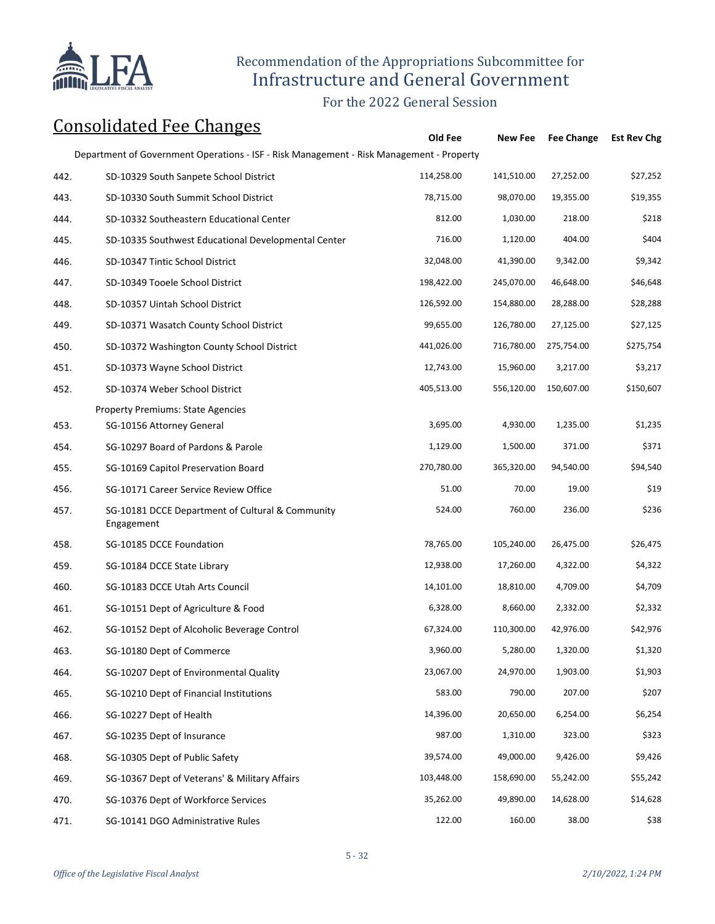

For the 2022 General Session

|      |                                                                                          | Old Fee    | <b>New Fee</b> | <b>Fee Change</b> | <b>Est Rev Chg</b> |
|------|------------------------------------------------------------------------------------------|------------|----------------|-------------------|--------------------|
|      | Department of Government Operations - ISF - Risk Management - Risk Management - Property |            |                |                   |                    |
| 442. | SD-10329 South Sanpete School District                                                   | 114,258.00 | 141,510.00     | 27,252.00         | \$27,252           |
| 443. | SD-10330 South Summit School District                                                    | 78,715.00  | 98,070.00      | 19,355.00         | \$19,355           |
| 444. | SD-10332 Southeastern Educational Center                                                 | 812.00     | 1,030.00       | 218.00            | \$218              |
| 445. | SD-10335 Southwest Educational Developmental Center                                      | 716.00     | 1,120.00       | 404.00            | \$404              |
| 446. | SD-10347 Tintic School District                                                          | 32,048.00  | 41,390.00      | 9,342.00          | \$9,342            |
| 447. | SD-10349 Tooele School District                                                          | 198,422.00 | 245,070.00     | 46,648.00         | \$46,648           |
| 448. | SD-10357 Uintah School District                                                          | 126,592.00 | 154,880.00     | 28,288.00         | \$28,288           |
| 449. | SD-10371 Wasatch County School District                                                  | 99,655.00  | 126,780.00     | 27,125.00         | \$27,125           |
| 450. | SD-10372 Washington County School District                                               | 441,026.00 | 716,780.00     | 275,754.00        | \$275,754          |
| 451. | SD-10373 Wayne School District                                                           | 12,743.00  | 15,960.00      | 3,217.00          | \$3,217            |
| 452. | SD-10374 Weber School District                                                           | 405,513.00 | 556,120.00     | 150,607.00        | \$150,607          |
|      | <b>Property Premiums: State Agencies</b>                                                 |            |                |                   |                    |
| 453. | SG-10156 Attorney General                                                                | 3,695.00   | 4,930.00       | 1,235.00          | \$1,235            |
| 454. | SG-10297 Board of Pardons & Parole                                                       | 1,129.00   | 1,500.00       | 371.00            | \$371              |
| 455. | SG-10169 Capitol Preservation Board                                                      | 270,780.00 | 365,320.00     | 94,540.00         | \$94,540           |
| 456. | SG-10171 Career Service Review Office                                                    | 51.00      | 70.00          | 19.00             | \$19               |
| 457. | SG-10181 DCCE Department of Cultural & Community<br>Engagement                           | 524.00     | 760.00         | 236.00            | \$236              |
| 458. | SG-10185 DCCE Foundation                                                                 | 78,765.00  | 105,240.00     | 26,475.00         | \$26,475           |
| 459. | SG-10184 DCCE State Library                                                              | 12,938.00  | 17,260.00      | 4,322.00          | \$4,322            |
| 460. | SG-10183 DCCE Utah Arts Council                                                          | 14,101.00  | 18,810.00      | 4,709.00          | \$4,709            |
| 461. | SG-10151 Dept of Agriculture & Food                                                      | 6,328.00   | 8,660.00       | 2,332.00          | \$2,332            |
| 462. | SG-10152 Dept of Alcoholic Beverage Control                                              | 67,324.00  | 110,300.00     | 42,976.00         | \$42,976           |
| 463. | SG-10180 Dept of Commerce                                                                | 3,960.00   | 5,280.00       | 1,320.00          | \$1,320            |
| 464. | SG-10207 Dept of Environmental Quality                                                   | 23,067.00  | 24,970.00      | 1,903.00          | \$1,903            |
| 465. | SG-10210 Dept of Financial Institutions                                                  | 583.00     | 790.00         | 207.00            | \$207              |
| 466. | SG-10227 Dept of Health                                                                  | 14,396.00  | 20,650.00      | 6,254.00          | \$6,254            |
| 467. | SG-10235 Dept of Insurance                                                               | 987.00     | 1,310.00       | 323.00            | \$323              |
| 468. | SG-10305 Dept of Public Safety                                                           | 39,574.00  | 49,000.00      | 9,426.00          | \$9,426            |
| 469. | SG-10367 Dept of Veterans' & Military Affairs                                            | 103,448.00 | 158,690.00     | 55,242.00         | \$55,242           |
| 470. | SG-10376 Dept of Workforce Services                                                      | 35,262.00  | 49,890.00      | 14,628.00         | \$14,628           |
| 471. | SG-10141 DGO Administrative Rules                                                        | 122.00     | 160.00         | 38.00             | \$38               |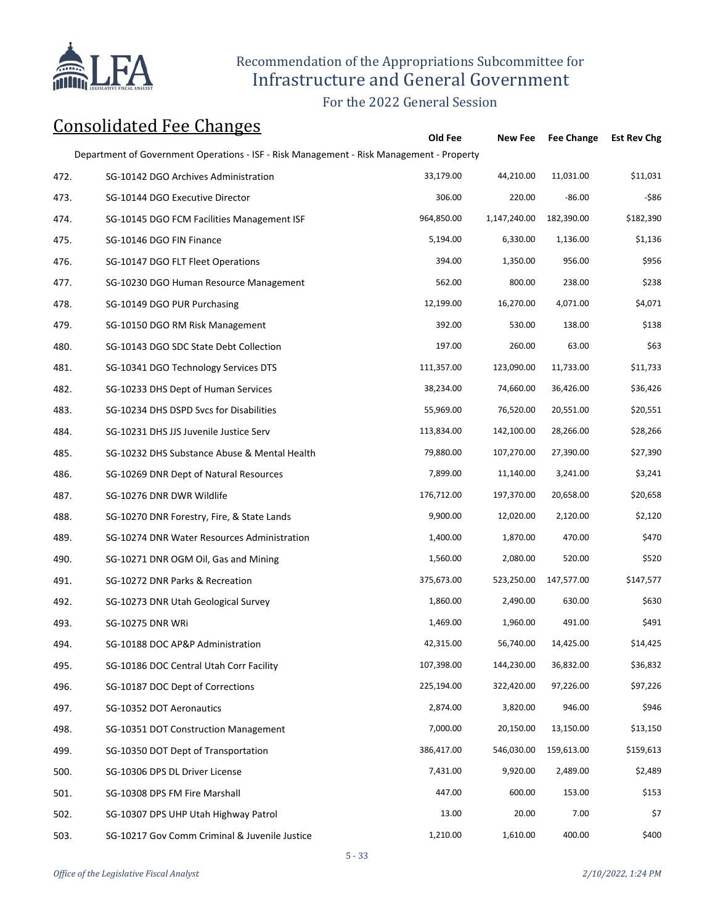

For the 2022 General Session

|      |                                                                                          | Old Fee    | New Fee      | <b>Fee Change</b> | <b>Est Rev Chg</b> |
|------|------------------------------------------------------------------------------------------|------------|--------------|-------------------|--------------------|
|      | Department of Government Operations - ISF - Risk Management - Risk Management - Property |            |              |                   |                    |
| 472. | SG-10142 DGO Archives Administration                                                     | 33,179.00  | 44,210.00    | 11,031.00         | \$11,031           |
| 473. | SG-10144 DGO Executive Director                                                          | 306.00     | 220.00       | $-86.00$          | -\$86              |
| 474. | SG-10145 DGO FCM Facilities Management ISF                                               | 964,850.00 | 1,147,240.00 | 182,390.00        | \$182,390          |
| 475. | SG-10146 DGO FIN Finance                                                                 | 5,194.00   | 6,330.00     | 1,136.00          | \$1,136            |
| 476. | SG-10147 DGO FLT Fleet Operations                                                        | 394.00     | 1,350.00     | 956.00            | \$956              |
| 477. | SG-10230 DGO Human Resource Management                                                   | 562.00     | 800.00       | 238.00            | \$238              |
| 478. | SG-10149 DGO PUR Purchasing                                                              | 12,199.00  | 16,270.00    | 4,071.00          | \$4,071            |
| 479. | SG-10150 DGO RM Risk Management                                                          | 392.00     | 530.00       | 138.00            | \$138              |
| 480. | SG-10143 DGO SDC State Debt Collection                                                   | 197.00     | 260.00       | 63.00             | \$63               |
| 481. | SG-10341 DGO Technology Services DTS                                                     | 111,357.00 | 123,090.00   | 11,733.00         | \$11,733           |
| 482. | SG-10233 DHS Dept of Human Services                                                      | 38,234.00  | 74,660.00    | 36,426.00         | \$36,426           |
| 483. | SG-10234 DHS DSPD Svcs for Disabilities                                                  | 55,969.00  | 76,520.00    | 20,551.00         | \$20,551           |
| 484. | SG-10231 DHS JJS Juvenile Justice Serv                                                   | 113,834.00 | 142,100.00   | 28,266.00         | \$28,266           |
| 485. | SG-10232 DHS Substance Abuse & Mental Health                                             | 79,880.00  | 107,270.00   | 27,390.00         | \$27,390           |
| 486. | SG-10269 DNR Dept of Natural Resources                                                   | 7,899.00   | 11,140.00    | 3,241.00          | \$3,241            |
| 487. | SG-10276 DNR DWR Wildlife                                                                | 176,712.00 | 197,370.00   | 20,658.00         | \$20,658           |
| 488. | SG-10270 DNR Forestry, Fire, & State Lands                                               | 9,900.00   | 12,020.00    | 2,120.00          | \$2,120            |
| 489. | SG-10274 DNR Water Resources Administration                                              | 1,400.00   | 1,870.00     | 470.00            | \$470              |
| 490. | SG-10271 DNR OGM Oil, Gas and Mining                                                     | 1,560.00   | 2,080.00     | 520.00            | \$520              |
| 491. | SG-10272 DNR Parks & Recreation                                                          | 375,673.00 | 523,250.00   | 147,577.00        | \$147,577          |
| 492. | SG-10273 DNR Utah Geological Survey                                                      | 1,860.00   | 2,490.00     | 630.00            | \$630              |
| 493. | SG-10275 DNR WRi                                                                         | 1,469.00   | 1,960.00     | 491.00            | \$491              |
| 494. | SG-10188 DOC AP&P Administration                                                         | 42,315.00  | 56,740.00    | 14,425.00         | \$14,425           |
| 495. | SG-10186 DOC Central Utah Corr Facility                                                  | 107,398.00 | 144,230.00   | 36,832.00         | \$36,832           |
| 496. | SG-10187 DOC Dept of Corrections                                                         | 225,194.00 | 322,420.00   | 97,226.00         | \$97,226           |
| 497. | SG-10352 DOT Aeronautics                                                                 | 2,874.00   | 3,820.00     | 946.00            | \$946              |
| 498. | SG-10351 DOT Construction Management                                                     | 7,000.00   | 20,150.00    | 13,150.00         | \$13,150           |
| 499. | SG-10350 DOT Dept of Transportation                                                      | 386,417.00 | 546,030.00   | 159,613.00        | \$159,613          |
| 500. | SG-10306 DPS DL Driver License                                                           | 7,431.00   | 9,920.00     | 2,489.00          | \$2,489            |
| 501. | SG-10308 DPS FM Fire Marshall                                                            | 447.00     | 600.00       | 153.00            | \$153              |
| 502. | SG-10307 DPS UHP Utah Highway Patrol                                                     | 13.00      | 20.00        | 7.00              | \$7                |
| 503. | SG-10217 Gov Comm Criminal & Juvenile Justice                                            | 1,210.00   | 1,610.00     | 400.00            | \$400              |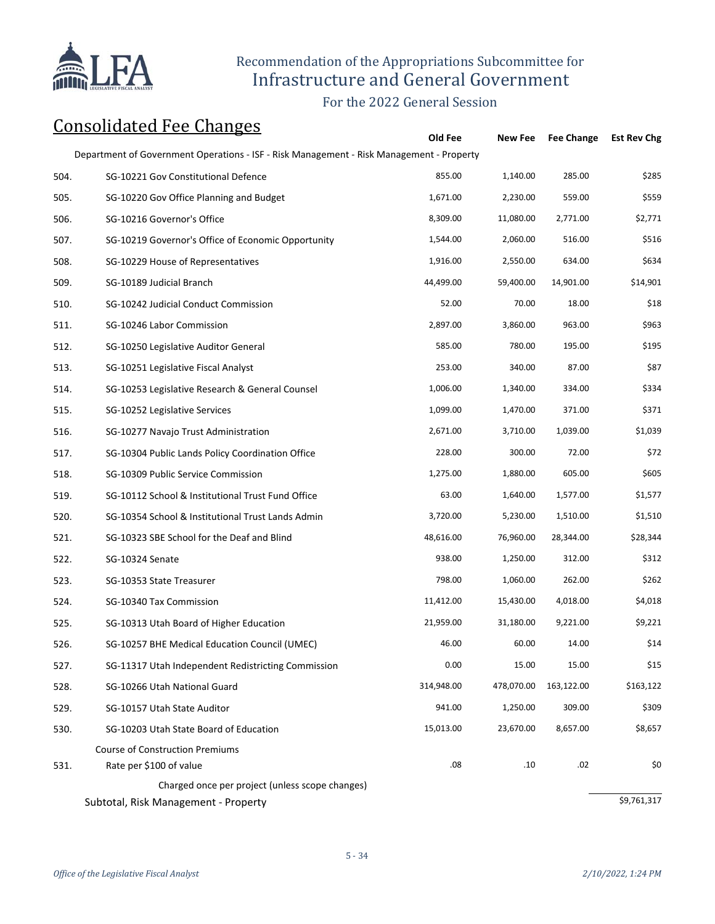

For the 2022 General Session

|      |                                                                                          | Old Fee    | <b>New Fee</b> | <b>Fee Change</b> | <b>Est Rev Chg</b> |
|------|------------------------------------------------------------------------------------------|------------|----------------|-------------------|--------------------|
|      | Department of Government Operations - ISF - Risk Management - Risk Management - Property |            |                |                   |                    |
| 504. | SG-10221 Gov Constitutional Defence                                                      | 855.00     | 1,140.00       | 285.00            | \$285              |
| 505. | SG-10220 Gov Office Planning and Budget                                                  | 1,671.00   | 2,230.00       | 559.00            | \$559              |
| 506. | SG-10216 Governor's Office                                                               | 8,309.00   | 11,080.00      | 2,771.00          | \$2,771            |
| 507. | SG-10219 Governor's Office of Economic Opportunity                                       | 1,544.00   | 2,060.00       | 516.00            | \$516              |
| 508. | SG-10229 House of Representatives                                                        | 1,916.00   | 2,550.00       | 634.00            | \$634              |
| 509. | SG-10189 Judicial Branch                                                                 | 44,499.00  | 59,400.00      | 14,901.00         | \$14,901           |
| 510. | SG-10242 Judicial Conduct Commission                                                     | 52.00      | 70.00          | 18.00             | \$18               |
| 511. | SG-10246 Labor Commission                                                                | 2,897.00   | 3,860.00       | 963.00            | \$963              |
| 512. | SG-10250 Legislative Auditor General                                                     | 585.00     | 780.00         | 195.00            | \$195              |
| 513. | SG-10251 Legislative Fiscal Analyst                                                      | 253.00     | 340.00         | 87.00             | \$87               |
| 514. | SG-10253 Legislative Research & General Counsel                                          | 1,006.00   | 1,340.00       | 334.00            | \$334              |
| 515. | SG-10252 Legislative Services                                                            | 1,099.00   | 1,470.00       | 371.00            | \$371              |
| 516. | SG-10277 Navajo Trust Administration                                                     | 2,671.00   | 3,710.00       | 1,039.00          | \$1,039            |
| 517. | SG-10304 Public Lands Policy Coordination Office                                         | 228.00     | 300.00         | 72.00             | \$72               |
| 518. | SG-10309 Public Service Commission                                                       | 1,275.00   | 1,880.00       | 605.00            | \$605              |
| 519. | SG-10112 School & Institutional Trust Fund Office                                        | 63.00      | 1,640.00       | 1,577.00          | \$1,577            |
| 520. | SG-10354 School & Institutional Trust Lands Admin                                        | 3,720.00   | 5,230.00       | 1,510.00          | \$1,510            |
| 521. | SG-10323 SBE School for the Deaf and Blind                                               | 48,616.00  | 76,960.00      | 28,344.00         | \$28,344           |
| 522. | SG-10324 Senate                                                                          | 938.00     | 1,250.00       | 312.00            | \$312              |
| 523. | SG-10353 State Treasurer                                                                 | 798.00     | 1,060.00       | 262.00            | \$262              |
| 524. | SG-10340 Tax Commission                                                                  | 11,412.00  | 15,430.00      | 4,018.00          | \$4,018            |
| 525. | SG-10313 Utah Board of Higher Education                                                  | 21,959.00  | 31,180.00      | 9,221.00          | \$9,221            |
| 526. | SG-10257 BHE Medical Education Council (UMEC)                                            | 46.00      | 60.00          | 14.00             | \$14               |
| 527. | SG-11317 Utah Independent Redistricting Commission                                       | 0.00       | 15.00          | 15.00             | \$15               |
| 528. | SG-10266 Utah National Guard                                                             | 314,948.00 | 478,070.00     | 163,122.00        | \$163,122          |
| 529. | SG-10157 Utah State Auditor                                                              | 941.00     | 1,250.00       | 309.00            | \$309              |
| 530. | SG-10203 Utah State Board of Education                                                   | 15,013.00  | 23,670.00      | 8,657.00          | \$8,657            |
|      | <b>Course of Construction Premiums</b>                                                   |            |                |                   |                    |
| 531. | Rate per \$100 of value                                                                  | .08        | .10            | .02               | \$0                |
|      | Charged once per project (unless scope changes)<br>Subtotal, Risk Management - Property  |            |                |                   | \$9,761,317        |
|      |                                                                                          |            |                |                   |                    |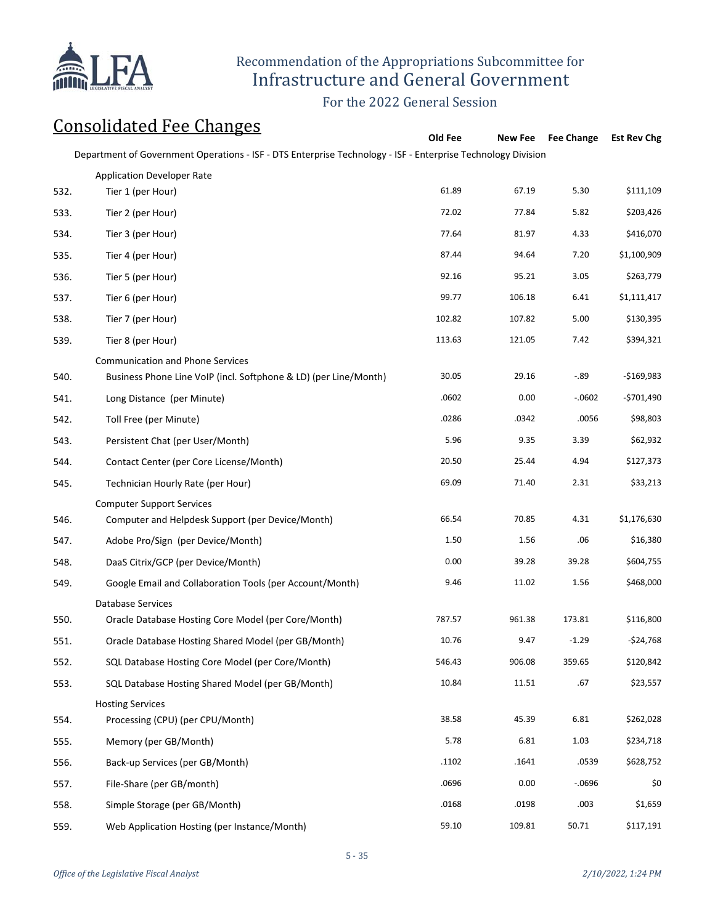

For the 2022 General Session

# **Consolidated Fee Changes** Consolidated Fee Changes

|      |                                                                                                              | via ree | <b>New ree</b> | ree change | <b>EST REACHE</b> |
|------|--------------------------------------------------------------------------------------------------------------|---------|----------------|------------|-------------------|
|      | Department of Government Operations - ISF - DTS Enterprise Technology - ISF - Enterprise Technology Division |         |                |            |                   |
|      | <b>Application Developer Rate</b>                                                                            |         |                |            |                   |
| 532. | Tier 1 (per Hour)                                                                                            | 61.89   | 67.19          | 5.30       | \$111,109         |
| 533. | Tier 2 (per Hour)                                                                                            | 72.02   | 77.84          | 5.82       | \$203,426         |
| 534. | Tier 3 (per Hour)                                                                                            | 77.64   | 81.97          | 4.33       | \$416,070         |
| 535. | Tier 4 (per Hour)                                                                                            | 87.44   | 94.64          | 7.20       | \$1,100,909       |
| 536. | Tier 5 (per Hour)                                                                                            | 92.16   | 95.21          | 3.05       | \$263,779         |
| 537. | Tier 6 (per Hour)                                                                                            | 99.77   | 106.18         | 6.41       | \$1,111,417       |
| 538. | Tier 7 (per Hour)                                                                                            | 102.82  | 107.82         | 5.00       | \$130,395         |
| 539. | Tier 8 (per Hour)                                                                                            | 113.63  | 121.05         | 7.42       | \$394,321         |
|      | <b>Communication and Phone Services</b>                                                                      |         |                |            |                   |
| 540. | Business Phone Line VoIP (incl. Softphone & LD) (per Line/Month)                                             | 30.05   | 29.16          | $-.89$     | $-$169,983$       |
| 541. | Long Distance (per Minute)                                                                                   | .0602   | 0.00           | $-0602$    | $-5701,490$       |
| 542. | Toll Free (per Minute)                                                                                       | .0286   | .0342          | .0056      | \$98,803          |
| 543. | Persistent Chat (per User/Month)                                                                             | 5.96    | 9.35           | 3.39       | \$62,932          |
| 544. | Contact Center (per Core License/Month)                                                                      | 20.50   | 25.44          | 4.94       | \$127,373         |
| 545. | Technician Hourly Rate (per Hour)                                                                            | 69.09   | 71.40          | 2.31       | \$33,213          |
|      | <b>Computer Support Services</b>                                                                             |         |                |            |                   |
| 546. | Computer and Helpdesk Support (per Device/Month)                                                             | 66.54   | 70.85          | 4.31       | \$1,176,630       |
| 547. | Adobe Pro/Sign (per Device/Month)                                                                            | 1.50    | 1.56           | .06        | \$16,380          |
| 548. | DaaS Citrix/GCP (per Device/Month)                                                                           | 0.00    | 39.28          | 39.28      | \$604,755         |
| 549. | Google Email and Collaboration Tools (per Account/Month)                                                     | 9.46    | 11.02          | 1.56       | \$468,000         |
|      | <b>Database Services</b>                                                                                     |         |                |            |                   |
| 550. | Oracle Database Hosting Core Model (per Core/Month)                                                          | 787.57  | 961.38         | 173.81     | \$116,800         |
| 551. | Oracle Database Hosting Shared Model (per GB/Month)                                                          | 10.76   | 9.47           | $-1.29$    | $-524,768$        |
| 552. | SQL Database Hosting Core Model (per Core/Month)                                                             | 546.43  | 906.08         | 359.65     | \$120,842         |
| 553. | SQL Database Hosting Shared Model (per GB/Month)                                                             | 10.84   | 11.51          | .67        | \$23,557          |
|      | <b>Hosting Services</b>                                                                                      |         |                |            |                   |
| 554. | Processing (CPU) (per CPU/Month)                                                                             | 38.58   | 45.39          | 6.81       | \$262,028         |
| 555. | Memory (per GB/Month)                                                                                        | 5.78    | 6.81           | 1.03       | \$234,718         |
| 556. | Back-up Services (per GB/Month)                                                                              | .1102   | .1641          | .0539      | \$628,752         |
| 557. | File-Share (per GB/month)                                                                                    | .0696   | 0.00           | $-0696$    | \$0               |
| 558. | Simple Storage (per GB/Month)                                                                                | .0168   | .0198          | .003       | \$1,659           |
| 559. | Web Application Hosting (per Instance/Month)                                                                 | 59.10   | 109.81         | 50.71      | \$117,191         |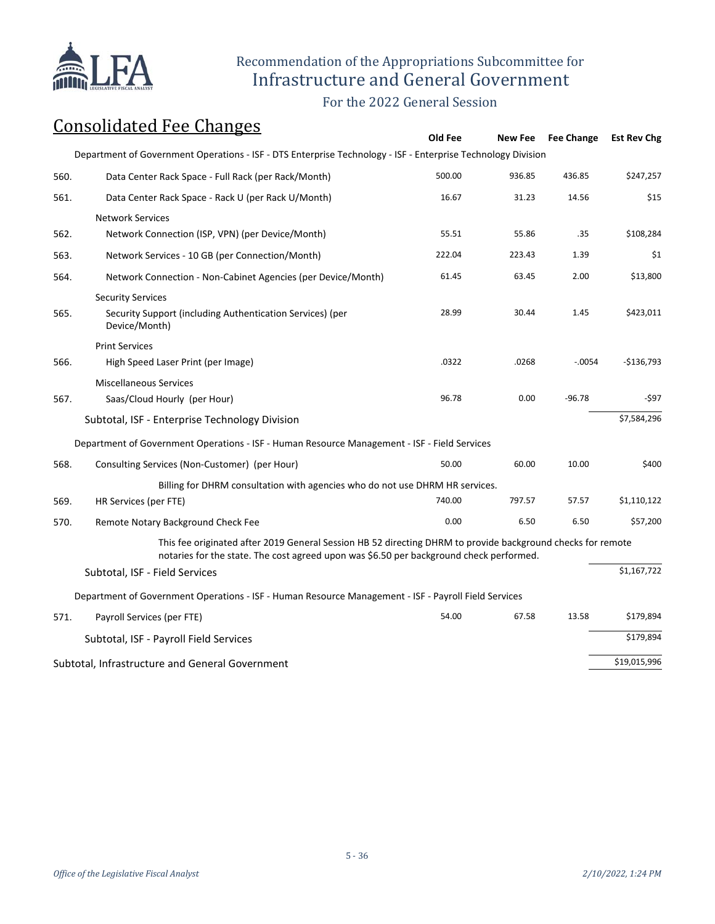

For the 2022 General Session

# **Consolidated Fee Changes** Consolidated Fee Changes

|      |                                                                                                                                                                                                        | Old Fee | <b>New Fee</b> | <b>Fee Change</b> | <b>Est Rev Chg</b> |
|------|--------------------------------------------------------------------------------------------------------------------------------------------------------------------------------------------------------|---------|----------------|-------------------|--------------------|
|      | Department of Government Operations - ISF - DTS Enterprise Technology - ISF - Enterprise Technology Division                                                                                           |         |                |                   |                    |
| 560. | Data Center Rack Space - Full Rack (per Rack/Month)                                                                                                                                                    | 500.00  | 936.85         | 436.85            | \$247,257          |
| 561. | Data Center Rack Space - Rack U (per Rack U/Month)                                                                                                                                                     | 16.67   | 31.23          | 14.56             | \$15               |
|      | <b>Network Services</b>                                                                                                                                                                                |         |                |                   |                    |
| 562. | Network Connection (ISP, VPN) (per Device/Month)                                                                                                                                                       | 55.51   | 55.86          | .35               | \$108,284          |
| 563. | Network Services - 10 GB (per Connection/Month)                                                                                                                                                        | 222.04  | 223.43         | 1.39              | \$1                |
| 564. | Network Connection - Non-Cabinet Agencies (per Device/Month)                                                                                                                                           | 61.45   | 63.45          | 2.00              | \$13,800           |
|      | <b>Security Services</b>                                                                                                                                                                               |         |                |                   |                    |
| 565. | Security Support (including Authentication Services) (per<br>Device/Month)                                                                                                                             | 28.99   | 30.44          | 1.45              | \$423,011          |
|      | <b>Print Services</b>                                                                                                                                                                                  |         |                |                   |                    |
| 566. | High Speed Laser Print (per Image)                                                                                                                                                                     | .0322   | .0268          | $-0.0054$         | $-$136,793$        |
|      | <b>Miscellaneous Services</b>                                                                                                                                                                          |         |                |                   |                    |
| 567. | Saas/Cloud Hourly (per Hour)                                                                                                                                                                           | 96.78   | 0.00           | $-96.78$          | -\$97              |
|      | Subtotal, ISF - Enterprise Technology Division                                                                                                                                                         |         |                |                   | \$7,584,296        |
|      | Department of Government Operations - ISF - Human Resource Management - ISF - Field Services                                                                                                           |         |                |                   |                    |
| 568. | Consulting Services (Non-Customer) (per Hour)                                                                                                                                                          | 50.00   | 60.00          | 10.00             | \$400              |
|      | Billing for DHRM consultation with agencies who do not use DHRM HR services.                                                                                                                           |         |                |                   |                    |
| 569. | HR Services (per FTE)                                                                                                                                                                                  | 740.00  | 797.57         | 57.57             | \$1,110,122        |
| 570. | Remote Notary Background Check Fee                                                                                                                                                                     | 0.00    | 6.50           | 6.50              | \$57,200           |
|      | This fee originated after 2019 General Session HB 52 directing DHRM to provide background checks for remote<br>notaries for the state. The cost agreed upon was \$6.50 per background check performed. |         |                |                   |                    |
|      | Subtotal, ISF - Field Services                                                                                                                                                                         |         |                |                   | \$1,167,722        |
|      | Department of Government Operations - ISF - Human Resource Management - ISF - Payroll Field Services                                                                                                   |         |                |                   |                    |
| 571. | Payroll Services (per FTE)                                                                                                                                                                             | 54.00   | 67.58          | 13.58             | \$179,894          |
|      | Subtotal, ISF - Payroll Field Services                                                                                                                                                                 |         |                |                   | \$179,894          |
|      | Subtotal, Infrastructure and General Government                                                                                                                                                        |         |                |                   | \$19,015,996       |
|      |                                                                                                                                                                                                        |         |                |                   |                    |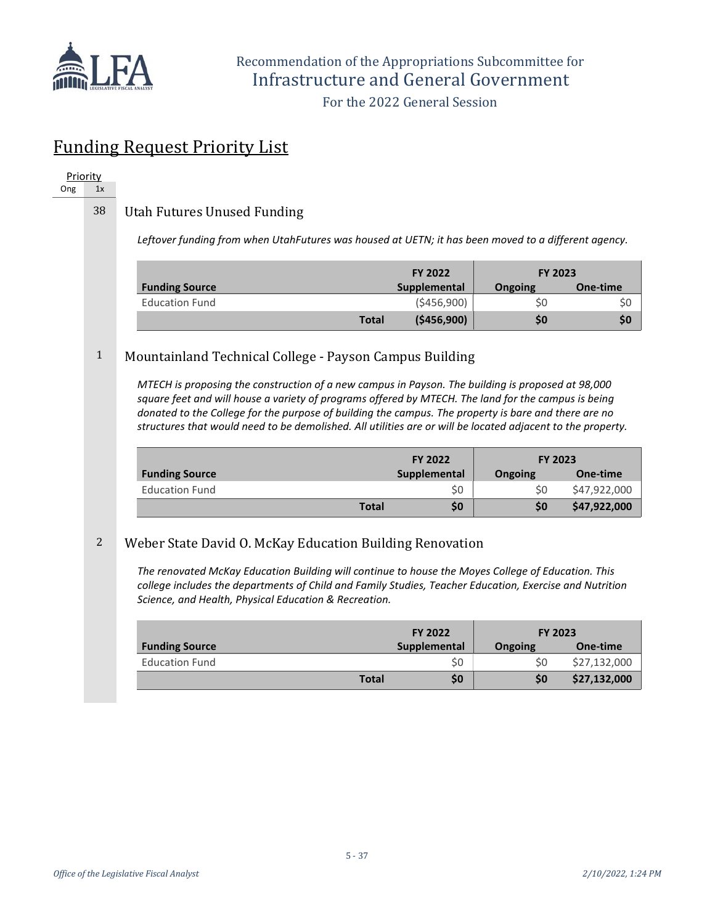

For the 2022 General Session

## Funding Request Priority List

#### Ong 1x **Priority**

## 38 Utah Futures Unused Funding

*Leftover funding from when UtahFutures was housed at UETN; it has been moved to a different agency.*

|                       |              | <b>FY 2022</b> | <b>FY 2023</b> |          |
|-----------------------|--------------|----------------|----------------|----------|
| <b>Funding Source</b> |              | Supplemental   | Ongoing        | One-time |
| <b>Education Fund</b> |              | ( \$456, 900)  | S0             | \$0      |
|                       | <b>Total</b> | ( \$456, 900)  | \$0            | \$0      |

### 1 Mountainland Technical College - Payson Campus Building

*MTECH is proposing the construction of a new campus in Payson. The building is proposed at 98,000 square feet and will house a variety of programs offered by MTECH. The land for the campus is being donated to the College for the purpose of building the campus. The property is bare and there are no structures that would need to be demolished. All utilities are or will be located adjacent to the property.*

|                       | <b>FY 2022</b>      |         | <b>FY 2023</b> |
|-----------------------|---------------------|---------|----------------|
| <b>Funding Source</b> | Supplemental        | Ongoing | One-time       |
| <b>Education Fund</b> | \$0                 | S0      | \$47,922,000   |
|                       | \$0<br><b>Total</b> | \$0     | \$47,922,000   |

### 2 Weber State David O. McKay Education Building Renovation

*The renovated McKay Education Building will continue to house the Moyes College of Education. This college includes the departments of Child and Family Studies, Teacher Education, Exercise and Nutrition Science, and Health, Physical Education & Recreation.*

|                       |              | <b>FY 2022</b> | <b>FY 2023</b> |              |
|-----------------------|--------------|----------------|----------------|--------------|
| <b>Funding Source</b> |              | Supplemental   | Ongoing        | One-time     |
| <b>Education Fund</b> |              | \$0            | Ś0             | \$27,132,000 |
|                       | <b>Total</b> | \$0            | \$0            | \$27,132,000 |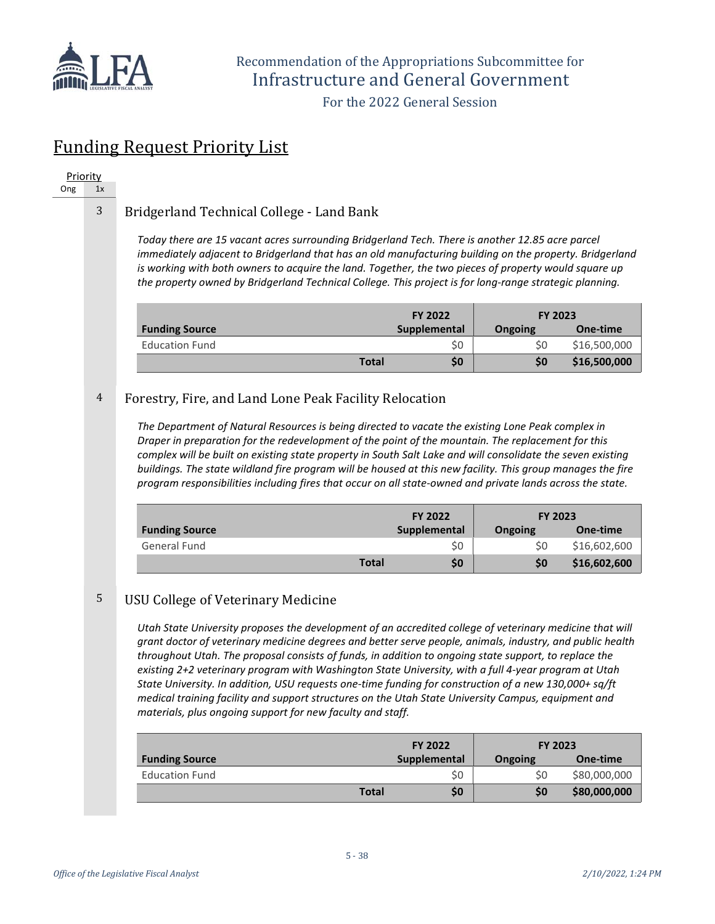

For the 2022 General Session

# Funding Request Priority List

| Ong | Priority<br>1x |                                                                                                                                                                                                                                                                                                                                                                                                                                                                                                                                                                                                                                                                                                                                                            |              |                         |                           |                              |
|-----|----------------|------------------------------------------------------------------------------------------------------------------------------------------------------------------------------------------------------------------------------------------------------------------------------------------------------------------------------------------------------------------------------------------------------------------------------------------------------------------------------------------------------------------------------------------------------------------------------------------------------------------------------------------------------------------------------------------------------------------------------------------------------------|--------------|-------------------------|---------------------------|------------------------------|
|     | 3              | Bridgerland Technical College - Land Bank                                                                                                                                                                                                                                                                                                                                                                                                                                                                                                                                                                                                                                                                                                                  |              |                         |                           |                              |
|     |                | Today there are 15 vacant acres surrounding Bridgerland Tech. There is another 12.85 acre parcel<br>immediately adjacent to Bridgerland that has an old manufacturing building on the property. Bridgerland<br>is working with both owners to acquire the land. Together, the two pieces of property would square up<br>the property owned by Bridgerland Technical College. This project is for long-range strategic planning.                                                                                                                                                                                                                                                                                                                            |              |                         |                           |                              |
|     |                | <b>Funding Source</b>                                                                                                                                                                                                                                                                                                                                                                                                                                                                                                                                                                                                                                                                                                                                      |              | FY 2022<br>Supplemental | FY 2023<br><b>Ongoing</b> | One-time                     |
|     |                | <b>Education Fund</b>                                                                                                                                                                                                                                                                                                                                                                                                                                                                                                                                                                                                                                                                                                                                      |              | \$0                     | \$0                       | \$16,500,000                 |
|     |                |                                                                                                                                                                                                                                                                                                                                                                                                                                                                                                                                                                                                                                                                                                                                                            | <b>Total</b> | \$0                     | \$0                       | \$16,500,000                 |
|     |                | complex will be built on existing state property in South Salt Lake and will consolidate the seven existing<br>buildings. The state wildland fire program will be housed at this new facility. This group manages the fire                                                                                                                                                                                                                                                                                                                                                                                                                                                                                                                                 |              |                         |                           |                              |
|     |                | program responsibilities including fires that occur on all state-owned and private lands across the state.                                                                                                                                                                                                                                                                                                                                                                                                                                                                                                                                                                                                                                                 |              |                         |                           |                              |
|     |                |                                                                                                                                                                                                                                                                                                                                                                                                                                                                                                                                                                                                                                                                                                                                                            |              | <b>FY 2022</b>          | FY 2023                   |                              |
|     |                | <b>Funding Source</b><br>General Fund                                                                                                                                                                                                                                                                                                                                                                                                                                                                                                                                                                                                                                                                                                                      |              | Supplemental            | <b>Ongoing</b>            | One-time                     |
|     |                |                                                                                                                                                                                                                                                                                                                                                                                                                                                                                                                                                                                                                                                                                                                                                            | <b>Total</b> | \$0<br>\$0              | \$0<br>\$0                | \$16,602,600<br>\$16,602,600 |
|     | 5              | USU College of Veterinary Medicine<br>Utah State University proposes the development of an accredited college of veterinary medicine that will<br>grant doctor of veterinary medicine degrees and better serve people, animals, industry, and public health<br>throughout Utah. The proposal consists of funds, in addition to ongoing state support, to replace the<br>existing 2+2 veterinary program with Washington State University, with a full 4-year program at Utah<br>State University. In addition, USU requests one-time funding for construction of a new 130,000+ sq/ft<br>medical training facility and support structures on the Utah State University Campus, equipment and<br>materials, plus ongoing support for new faculty and staff. |              |                         |                           |                              |
|     |                |                                                                                                                                                                                                                                                                                                                                                                                                                                                                                                                                                                                                                                                                                                                                                            |              | FY 2022                 | FY 2023                   |                              |
|     |                | <b>Funding Source</b>                                                                                                                                                                                                                                                                                                                                                                                                                                                                                                                                                                                                                                                                                                                                      |              | Supplemental            | Ongoing                   | One-time                     |
|     |                | <b>Education Fund</b>                                                                                                                                                                                                                                                                                                                                                                                                                                                                                                                                                                                                                                                                                                                                      | <b>Total</b> | \$0<br>\$0              | \$0<br>\$0                | \$80,000,000<br>\$80,000,000 |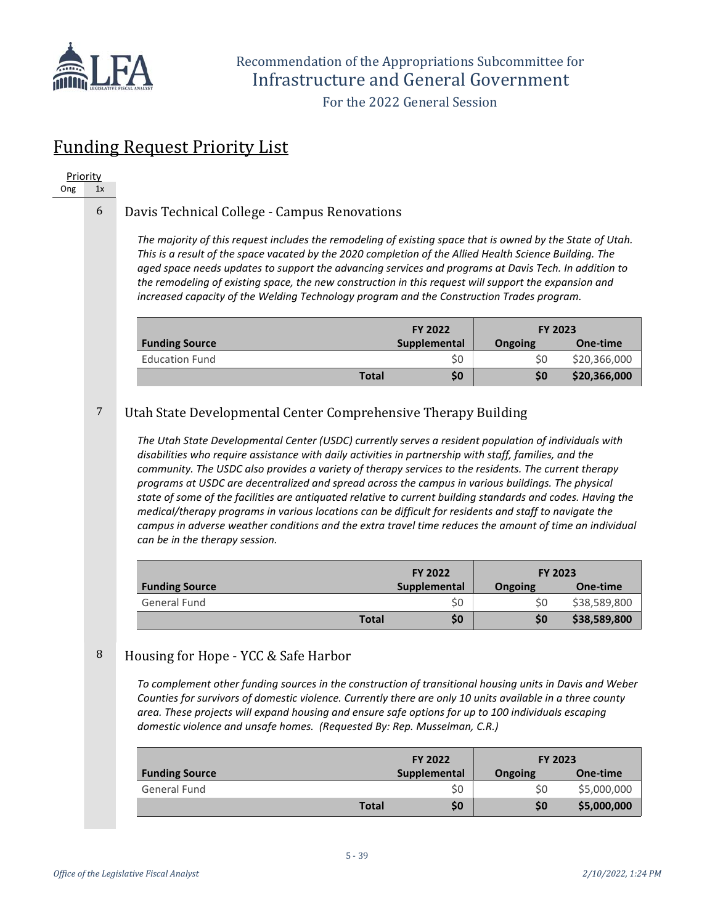

For the 2022 General Session

# Funding Request Priority List

## 6 Davis Technical College - Campus Renovations

*The majority of this request includes the remodeling of existing space that is owned by the State of Utah. This is a result of the space vacated by the 2020 completion of the Allied Health Science Building. The aged space needs updates to support the advancing services and programs at Davis Tech. In addition to the remodeling of existing space, the new construction in this request will support the expansion and increased capacity of the Welding Technology program and the Construction Trades program.*

|                       |              | <b>FY 2022</b> | <b>FY 2023</b> |              |
|-----------------------|--------------|----------------|----------------|--------------|
| <b>Funding Source</b> |              | Supplemental   | Ongoing        | One-time     |
| <b>Education Fund</b> |              | \$0            | S0             | \$20,366,000 |
|                       | <b>Total</b> | \$0            | \$0            | \$20,366,000 |

## 7 Utah State Developmental Center Comprehensive Therapy Building

*The Utah State Developmental Center (USDC) currently serves a resident population of individuals with disabilities who require assistance with daily activities in partnership with staff, families, and the community. The USDC also provides a variety of therapy services to the residents. The current therapy programs at USDC are decentralized and spread across the campus in various buildings. The physical state of some of the facilities are antiquated relative to current building standards and codes. Having the medical/therapy programs in various locations can be difficult for residents and staff to navigate the campus in adverse weather conditions and the extra travel time reduces the amount of time an individual can be in the therapy session.*

|                       | <b>FY 2022</b> |         | <b>FY 2023</b> |
|-----------------------|----------------|---------|----------------|
| <b>Funding Source</b> | Supplemental   | Ongoing | One-time       |
| General Fund          | \$0            | S0      | \$38,589,800   |
|                       | \$0<br>Total   | \$0     | \$38,589,800   |

### 8 Housing for Hope - YCC & Safe Harbor

*To complement other funding sources in the construction of transitional housing units in Davis and Weber Counties for survivors of domestic violence. Currently there are only 10 units available in a three county area. These projects will expand housing and ensure safe options for up to 100 individuals escaping domestic violence and unsafe homes. (Requested By: Rep. Musselman, C.R.)*

|                       | <b>FY 2022</b>      | <b>FY 2023</b> |             |
|-----------------------|---------------------|----------------|-------------|
| <b>Funding Source</b> | Supplemental        | Ongoing        | One-time    |
| General Fund          | \$0                 | \$0            | \$5,000,000 |
|                       | \$0<br><b>Total</b> | \$0            | \$5,000,000 |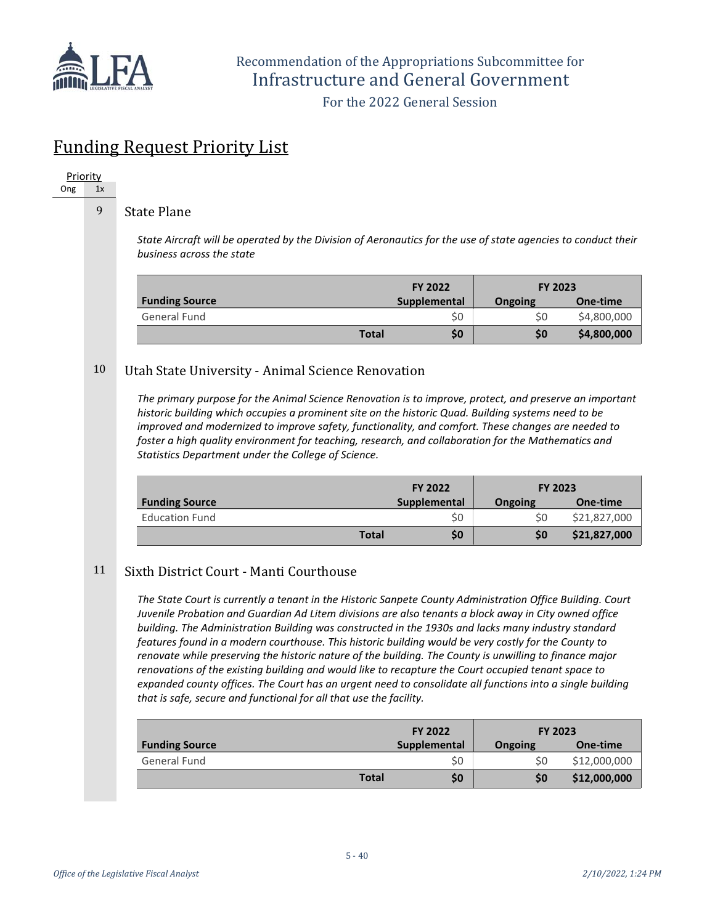

For the 2022 General Session

# Funding Request Priority List

#### Ong 1x **Priority**

### 9 State Plane

*State Aircraft will be operated by the Division of Aeronautics for the use of state agencies to conduct their business across the state*

|                       |              | FY 2022             | <b>FY 2023</b> |             |
|-----------------------|--------------|---------------------|----------------|-------------|
| <b>Funding Source</b> |              | <b>Supplemental</b> | Ongoing        | One-time    |
| General Fund          |              | \$0                 | S0             | \$4,800,000 |
|                       | <b>Total</b> | \$0                 | \$0            | \$4,800,000 |

### 10 Utah State University - Animal Science Renovation

*The primary purpose for the Animal Science Renovation is to improve, protect, and preserve an important historic building which occupies a prominent site on the historic Quad. Building systems need to be improved and modernized to improve safety, functionality, and comfort. These changes are needed to foster a high quality environment for teaching, research, and collaboration for the Mathematics and Statistics Department under the College of Science.*

|                       |       | <b>FY 2022</b> | <b>FY 2023</b> |              |
|-----------------------|-------|----------------|----------------|--------------|
| <b>Funding Source</b> |       | Supplemental   | Ongoing        | One-time     |
| <b>Education Fund</b> |       | \$0            |                | \$21,827,000 |
|                       | Total | \$0            | SO             | \$21,827,000 |

## 11 Sixth District Court - Manti Courthouse

*The State Court is currently a tenant in the Historic Sanpete County Administration Office Building. Court Juvenile Probation and Guardian Ad Litem divisions are also tenants a block away in City owned office building. The Administration Building was constructed in the 1930s and lacks many industry standard features found in a modern courthouse. This historic building would be very costly for the County to renovate while preserving the historic nature of the building. The County is unwilling to finance major renovations of the existing building and would like to recapture the Court occupied tenant space to expanded county offices. The Court has an urgent need to consolidate all functions into a single building that is safe, secure and functional for all that use the facility.*

|                       |              | <b>FY 2022</b> | <b>FY 2023</b> |              |
|-----------------------|--------------|----------------|----------------|--------------|
| <b>Funding Source</b> |              | Supplemental   | Ongoing        | One-time     |
| General Fund          |              | \$0            | S0             | \$12,000,000 |
|                       | <b>Total</b> | \$0            | \$O            | \$12,000,000 |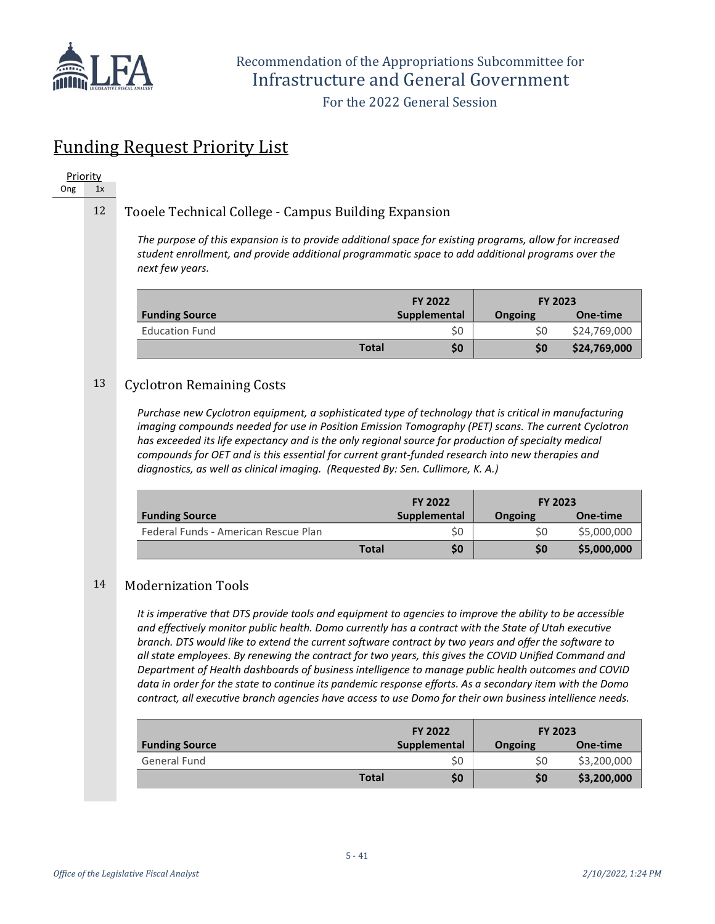

For the 2022 General Session

# Funding Request Priority List

#### Ong 1x **Priority**

## 12 Tooele Technical College - Campus Building Expansion

*The purpose of this expansion is to provide additional space for existing programs, allow for increased student enrollment, and provide additional programmatic space to add additional programs over the next few years.*

|                       |       | <b>FY 2022</b> | <b>FY 2023</b> |              |
|-----------------------|-------|----------------|----------------|--------------|
| <b>Funding Source</b> |       | Supplemental   | Ongoing        | One-time     |
| <b>Education Fund</b> |       | \$0            | S0             | \$24,769,000 |
|                       | Total | \$0            | \$0            | \$24,769,000 |

## 13 Cyclotron Remaining Costs

*Purchase new Cyclotron equipment, a sophisticated type of technology that is critical in manufacturing imaging compounds needed for use in Position Emission Tomography (PET) scans. The current Cyclotron has exceeded its life expectancy and is the only regional source for production of specialty medical compounds for OET and is this essential for current grant‐funded research into new therapies and diagnostics, as well as clinical imaging. (Requested By: Sen. Cullimore, K. A.)*

|                                      |              | <b>FY 2022</b> | <b>FY 2023</b> |             |
|--------------------------------------|--------------|----------------|----------------|-------------|
| <b>Funding Source</b>                |              | Supplemental   | Ongoing        | One-time    |
| Federal Funds - American Rescue Plan |              | SO.            | S0             | \$5,000,000 |
|                                      | <b>Total</b> | \$0            | \$0            | \$5,000,000 |

### 14 Modernization Tools

*It is imperative that DTS provide tools and equipment to agencies to improve the ability to be accessible* and effectively monitor public health. Domo currently has a contract with the State of Utah executive *branch. DTS would like to extend the current software contract by two years and offer the software to all state employees. By renewing the contract for two years, this gives the COVID Unified Command and Department of Health dashboards of business intelligence to manage public health outcomes and COVID*  data in order for the state to continue its pandemic response efforts. As a secondary item with the Domo *contract, all execuƟve branch agencies have access to use Domo for their own business intellience needs.*

|                       |       | <b>FY 2022</b> | <b>FY 2023</b> |             |
|-----------------------|-------|----------------|----------------|-------------|
| <b>Funding Source</b> |       | Supplemental   | Ongoing        | One-time    |
| General Fund          |       | \$0            | S0             | \$3,200,000 |
|                       | Total | \$0            | \$0            | \$3,200,000 |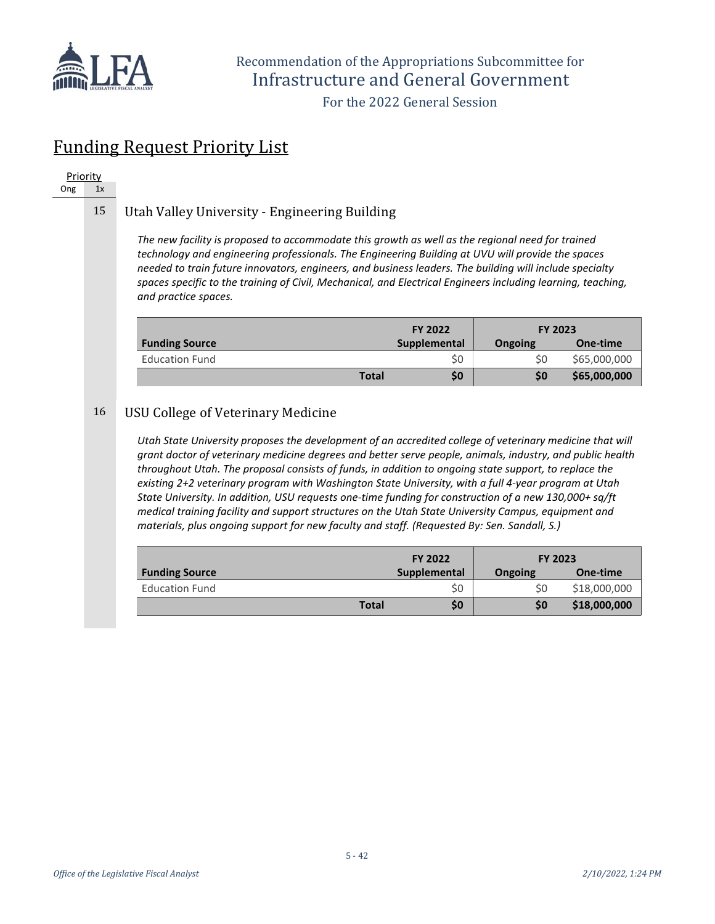

For the 2022 General Session

# Funding Request Priority List

## 15 Utah Valley University - Engineering Building

The new facility is proposed to accommodate this growth as well as the regional need for trained *technology and engineering professionals. The Engineering Building at UVU will provide the spaces needed to train future innovators, engineers, and business leaders. The building will include specialty*  spaces specific to the training of Civil, Mechanical, and Electrical Engineers including learning, teaching, *and practice spaces.*

|                       |       | <b>FY 2022</b>      | <b>FY 2023</b> |              |
|-----------------------|-------|---------------------|----------------|--------------|
| <b>Funding Source</b> |       | <b>Supplemental</b> | Ongoing        | One-time     |
| <b>Education Fund</b> |       | \$0                 | S0             | \$65,000,000 |
|                       | Total | \$0                 | \$0            | \$65,000,000 |

## 16 USU College of Veterinary Medicine

*Utah State University proposes the development of an accredited college of veterinary medicine that will grant doctor of veterinary medicine degrees and better serve people, animals, industry, and public health throughout Utah. The proposal consists of funds, in addition to ongoing state support, to replace the existing 2+2 veterinary program with Washington State University, with a full 4‐year program at Utah State University. In addition, USU requests one‐time funding for construction of a new 130,000+ sq/ft medical training facility and support structures on the Utah State University Campus, equipment and materials, plus ongoing support for new faculty and staff. (Requested By: Sen. Sandall, S.)*

|                       |              | <b>FY 2022</b> | <b>FY 2023</b> |              |
|-----------------------|--------------|----------------|----------------|--------------|
| <b>Funding Source</b> |              | Supplemental   | Ongoing        | One-time     |
| <b>Education Fund</b> |              | \$0            | S0             | \$18,000,000 |
|                       | <b>Total</b> | \$0            | \$0            | \$18,000,000 |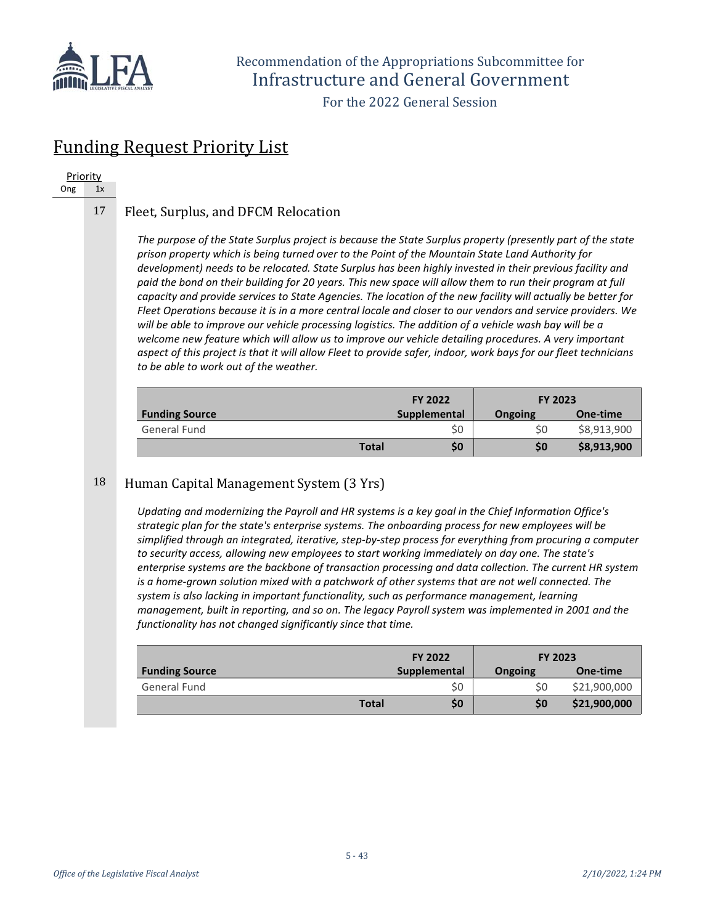

For the 2022 General Session

# Funding Request Priority List

#### Ong 1x Priority

## 17 Fleet, Surplus, and DFCM Relocation

*The purpose of the State Surplus project is because the State Surplus property (presently part of the state prison property which is being turned over to the Point of the Mountain State Land Authority for development) needs to be relocated. State Surplus has been highly invested in their previous facility and paid the bond on their building for 20 years. This new space will allow them to run their program at full capacity and provide services to State Agencies. The location of the new facility will actually be better for Fleet Operations because it is in a more central locale and closer to our vendors and service providers. We will be able to improve our vehicle processing logistics. The addition of a vehicle wash bay will be a*  welcome new feature which will allow us to improve our vehicle detailing procedures. A very important *aspect of this project is that it will allow Fleet to provide safer, indoor, work bays for our fleet technicians to be able to work out of the weather.*

|                       |              | <b>FY 2022</b> | <b>FY 2023</b> |             |
|-----------------------|--------------|----------------|----------------|-------------|
| <b>Funding Source</b> |              | Supplemental   | Ongoing        | One-time    |
| General Fund          |              | \$0            |                | \$8,913,900 |
|                       | <b>Total</b> | \$0            | \$0            | \$8,913,900 |

## 18 Human Capital Management System (3 Yrs)

*Updating and modernizing the Payroll and HR systems is a key goal in the Chief Information Office's strategic plan for the state's enterprise systems. The onboarding process for new employees will be simplified through an integrated, iterative, step‐by‐step process for everything from procuring a computer to security access, allowing new employees to start working immediately on day one. The state's enterprise systems are the backbone of transaction processing and data collection. The current HR system is a home‐grown solution mixed with a patchwork of other systems that are not well connected. The system is also lacking in important functionality, such as performance management, learning management, built in reporting, and so on. The legacy Payroll system was implemented in 2001 and the functionality has not changed significantly since that time.*

|                       |              | <b>FY 2022</b> | <b>FY 2023</b> |              |
|-----------------------|--------------|----------------|----------------|--------------|
| <b>Funding Source</b> |              | Supplemental   | <b>Ongoing</b> | One-time     |
| General Fund          |              | \$0            | S0             | \$21,900,000 |
|                       | <b>Total</b> | \$0            | \$0            | \$21,900,000 |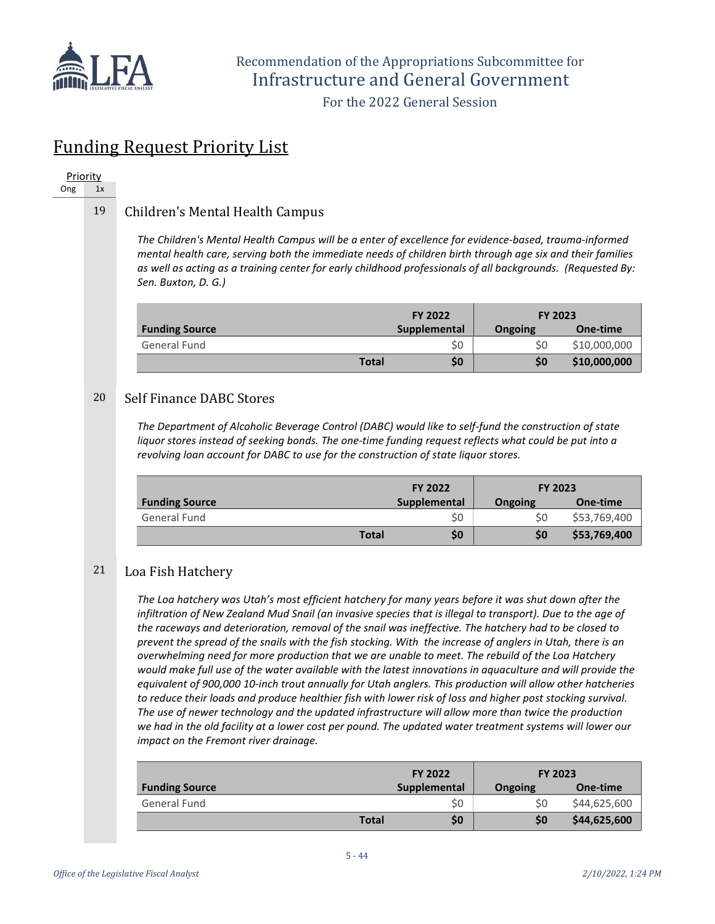

For the 2022 General Session

# Funding Request Priority List

#### Ong 1x Priority

## 19 Children's Mental Health Campus

*The Children's Mental Health Campus will be a enter of excellence for evidence‐based, trauma‐informed mental health care, serving both the immediate needs of children birth through age six and their families as well as acting as a training center for early childhood professionals of all backgrounds. (Requested By: Sen. Buxton, D. G.)*

|                       |              | <b>FY 2022</b> | <b>FY 2023</b> |              |
|-----------------------|--------------|----------------|----------------|--------------|
| <b>Funding Source</b> |              | Supplemental   | Ongoing        | One-time     |
| General Fund          |              | \$0            | \$0            | \$10,000,000 |
|                       | <b>Total</b> | \$0            | \$0            | \$10,000,000 |

### 20 Self Finance DABC Stores

*The Department of Alcoholic Beverage Control (DABC) would like to self‐fund the construction of state liquor stores instead of seeking bonds. The one‐time funding request reflects what could be put into a revolving loan account for DABC to use for the construction of state liquor stores.*

|                       | <b>FY 2022</b>      |         | <b>FY 2023</b> |
|-----------------------|---------------------|---------|----------------|
| <b>Funding Source</b> | Supplemental        | Ongoing | One-time       |
| General Fund          | \$0                 | \$0     | \$53,769,400   |
|                       | \$0<br><b>Total</b> | \$0     | \$53,769,400   |

## 21 Loa Fish Hatchery

*The Loa hatchery was Utah's most efficient hatchery for many years before it was shut down after the infiltration of New Zealand Mud Snail (an invasive species that is illegal to transport). Due to the age of the raceways and deterioration, removal of the snail was ineffective. The hatchery had to be closed to prevent the spread of the snails with the fish stocking. With the increase of anglers in Utah, there is an overwhelming need for more production that we are unable to meet. The rebuild of the Loa Hatchery would make full use of the water available with the latest innovations in aquaculture and will provide the equivalent of 900,000 10‐inch trout annually for Utah anglers. This production will allow other hatcheries to reduce their loads and produce healthier fish with lower risk of loss and higher post stocking survival. The use of newer technology and the updated infrastructure will allow more than twice the production we had in the old facility at a lower cost per pound. The updated water treatment systems will lower our impact on the Fremont river drainage.*

|                       |       | <b>FY 2022</b> | <b>FY 2023</b> |              |
|-----------------------|-------|----------------|----------------|--------------|
| <b>Funding Source</b> |       | Supplemental   | Ongoing        | One-time     |
| General Fund          |       | \$0            | Ś0             | \$44,625,600 |
|                       | Total | \$0            | \$0            | \$44,625,600 |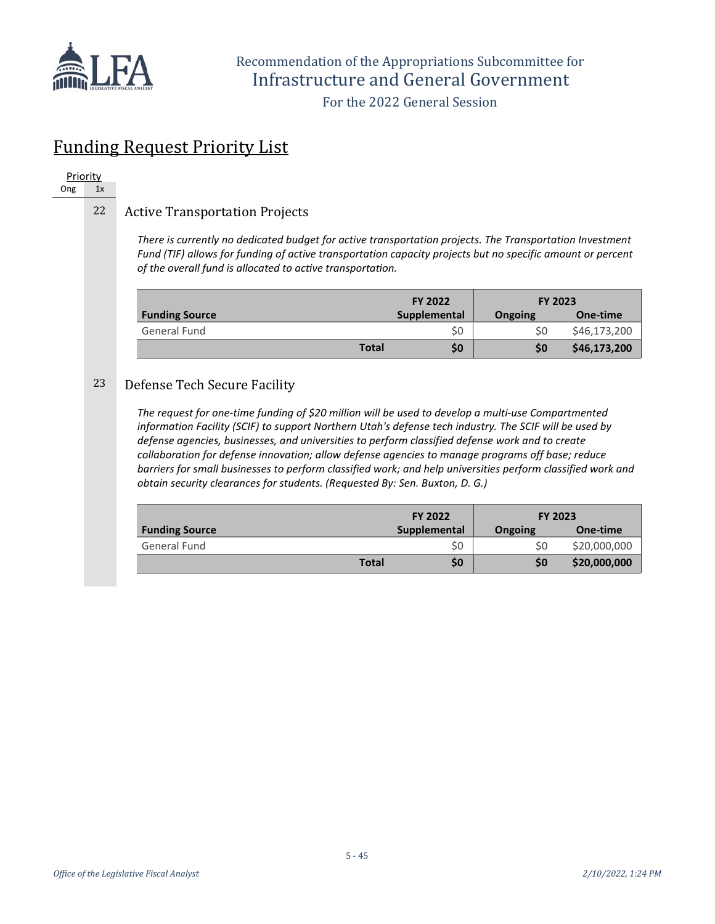

For the 2022 General Session

# Funding Request Priority List

#### Ong 1x **Priority**

## 22 Active Transportation Projects

*There is currently no dedicated budget for active transportation projects. The Transportation Investment Fund (TIF) allows for funding of active transportation capacity projects but no specific amount or percent*  of the overall fund is allocated to active transportation.

|                       | <b>FY 2022</b>      |         | <b>FY 2023</b> |
|-----------------------|---------------------|---------|----------------|
| <b>Funding Source</b> | Supplemental        | Ongoing | One-time       |
| General Fund          | \$0                 | S0      | \$46,173,200   |
|                       | \$0<br><b>Total</b> | \$0     | \$46,173,200   |

### 23 Defense Tech Secure Facility

*The request for one‐time funding of \$20 million will be used to develop a multi‐use Compartmented information Facility (SCIF) to support Northern Utah's defense tech industry. The SCIF will be used by defense agencies, businesses, and universities to perform classified defense work and to create collaboration for defense innovation; allow defense agencies to manage programs off base; reduce barriers for small businesses to perform classified work; and help universities perform classified work and obtain security clearances for students. (Requested By: Sen. Buxton, D. G.)*

|                       |              | <b>FY 2022</b> | <b>FY 2023</b> |              |
|-----------------------|--------------|----------------|----------------|--------------|
| <b>Funding Source</b> |              | Supplemental   | Ongoing        | One-time     |
| General Fund          |              | \$0            | \$0            | \$20,000,000 |
|                       | <b>Total</b> | \$0            | \$0            | \$20,000,000 |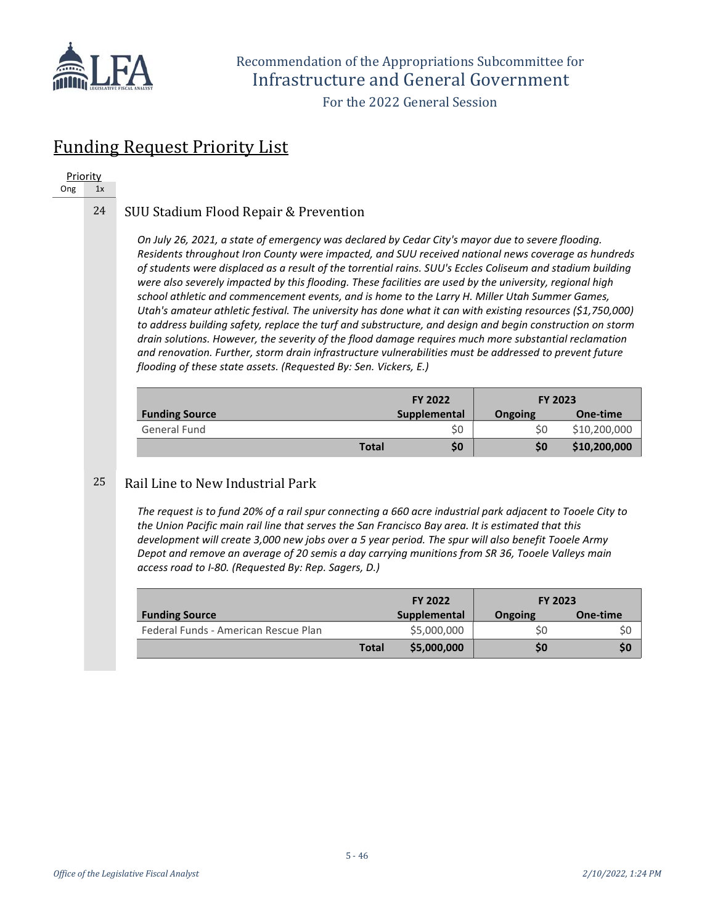

For the 2022 General Session

# Funding Request Priority List

Ong 1x Priority

## 24 SUU Stadium Flood Repair & Prevention

*On July 26, 2021, a state of emergency was declared by Cedar City's mayor due to severe flooding. Residents throughout Iron County were impacted, and SUU received national news coverage as hundreds of students were displaced as a result of the torrential rains. SUU's Eccles Coliseum and stadium building were also severely impacted by this flooding. These facilities are used by the university, regional high school athletic and commencement events, and is home to the Larry H. Miller Utah Summer Games, Utah's amateur athletic festival. The university has done what it can with existing resources (\$1,750,000) to address building safety, replace the turf and substructure, and design and begin construction on storm drain solutions. However, the severity of the flood damage requires much more substantial reclamation and renovation. Further, storm drain infrastructure vulnerabilities must be addressed to prevent future flooding of these state assets. (Requested By: Sen. Vickers, E.)*

|                       |       | <b>FY 2022</b>      | <b>FY 2023</b> |              |
|-----------------------|-------|---------------------|----------------|--------------|
| <b>Funding Source</b> |       | <b>Supplemental</b> | Ongoing        | One-time     |
| General Fund          |       | Ś0                  | Ś0             | \$10,200,000 |
|                       | Total | \$0                 | \$0            | \$10,200,000 |

## 25 Rail Line to New Industrial Park

*The request is to fund 20% of a rail spur connecting a 660 acre industrial park adjacent to Tooele City to the Union Pacific main rail line that serves the San Francisco Bay area. It is estimated that this development will create 3,000 new jobs over a 5 year period. The spur will also benefit Tooele Army Depot and remove an average of 20 semis a day carrying munitions from SR 36, Tooele Valleys main access road to I‐80. (Requested By: Rep. Sagers, D.)*

|                                      |              | <b>FY 2022</b> | <b>FY 2023</b> |          |
|--------------------------------------|--------------|----------------|----------------|----------|
| <b>Funding Source</b>                |              | Supplemental   | Ongoing        | One-time |
| Federal Funds - American Rescue Plan |              | \$5,000,000    | S0             | \$0      |
|                                      | <b>Total</b> | \$5,000,000    | \$0            | \$0      |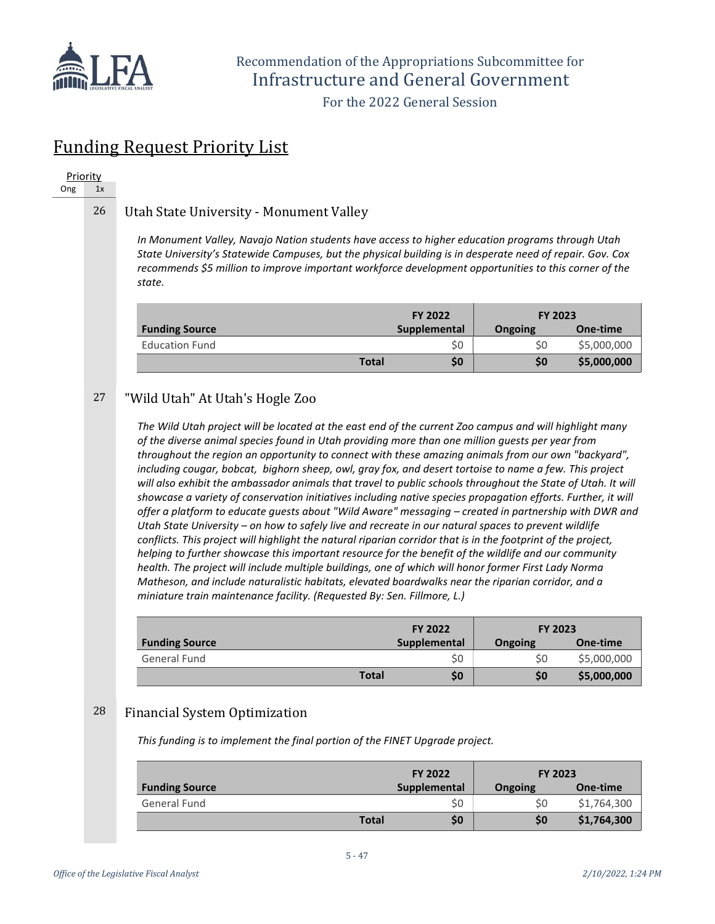

For the 2022 General Session

# Funding Request Priority List

## 26 Utah State University - Monument Valley

*In Monument Valley, Navajo Nation students have access to higher education programs through Utah State University's Statewide Campuses, but the physical building is in desperate need of repair. Gov. Cox recommends \$5 million to improve important workforce development opportunities to this corner of the state.*

|                       |       | FY 2022      | <b>FY 2023</b> |             |
|-----------------------|-------|--------------|----------------|-------------|
| <b>Funding Source</b> |       | Supplemental | Ongoing        | One-time    |
| <b>Education Fund</b> |       | \$0          | S0             | \$5,000,000 |
|                       | Total | \$0          | \$0            | \$5,000,000 |

## 27 "Wild Utah" At Utah's Hogle Zoo

*The Wild Utah project will be located at the east end of the current Zoo campus and will highlight many of the diverse animal species found in Utah providing more than one million guests per year from throughout the region an opportunity to connect with these amazing animals from our own "backyard", including cougar, bobcat, bighorn sheep, owl, gray fox, and desert tortoise to name a few. This project will also exhibit the ambassador animals that travel to public schools throughout the State of Utah. It will showcase a variety of conservation initiatives including native species propagation efforts. Further, it will offer a platform to educate guests about "Wild Aware" messaging – created in partnership with DWR and Utah State University – on how to safely live and recreate in our natural spaces to prevent wildlife conflicts. This project will highlight the natural riparian corridor that is in the footprint of the project, helping to further showcase this important resource for the benefit of the wildlife and our community health. The project will include multiple buildings, one of which will honor former First Lady Norma Matheson, and include naturalistic habitats, elevated boardwalks near the riparian corridor, and a miniature train maintenance facility. (Requested By: Sen. Fillmore, L.)*

|                       | <b>FY 2022</b> | <b>FY 2023</b> |             |
|-----------------------|----------------|----------------|-------------|
| <b>Funding Source</b> | Supplemental   | Ongoing        | One-time    |
| General Fund          | Ś0             | S0             | \$5,000,000 |
| <b>Total</b>          | \$0            | \$0            | \$5,000,000 |

## 28 Financial System Optimization

*This funding is to implement the final portion of the FINET Upgrade project.*

|                       |       | <b>FY 2022</b> | <b>FY 2023</b> |             |
|-----------------------|-------|----------------|----------------|-------------|
| <b>Funding Source</b> |       | Supplemental   | Ongoing        | One-time    |
| General Fund          |       | \$0            | S0             | \$1,764,300 |
|                       | Total | \$0            | \$0            | \$1,764,300 |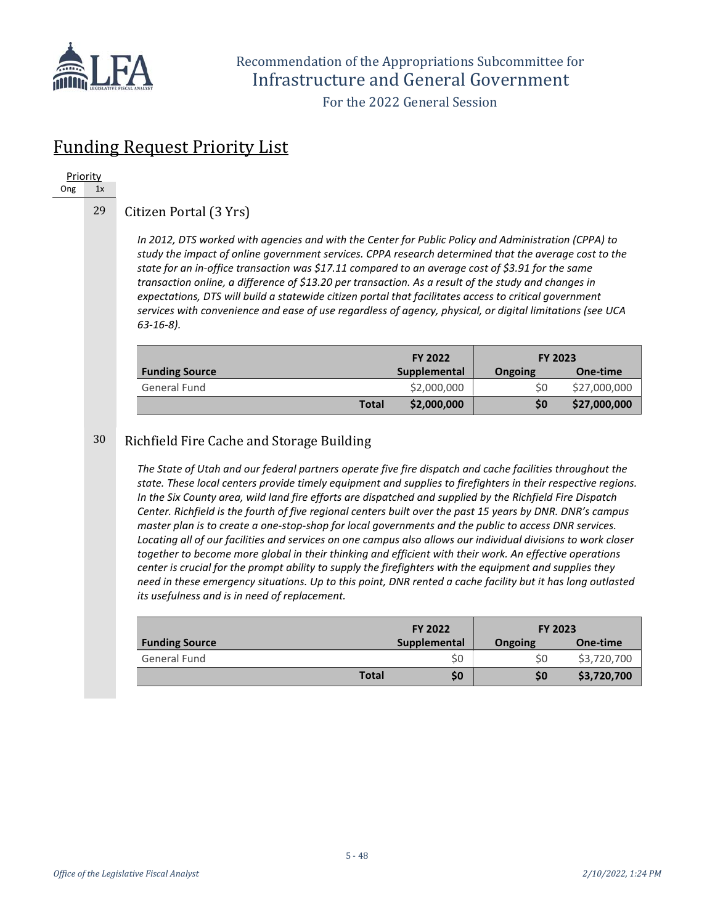

For the 2022 General Session

# Funding Request Priority List

#### Ong 1x **Priority**

## 29 Citizen Portal (3 Yrs)

*In 2012, DTS worked with agencies and with the Center for Public Policy and Administration (CPPA) to study the impact of online government services. CPPA research determined that the average cost to the state for an in‐office transaction was \$17.11 compared to an average cost of \$3.91 for the same transaction online, a difference of \$13.20 per transaction. As a result of the study and changes in expectations, DTS will build a statewide citizen portal that facilitates access to critical government services with convenience and ease of use regardless of agency, physical, or digital limitations (see UCA 63‐16‐8).*

|                       |       | <b>FY 2022</b> | <b>FY 2023</b> |              |
|-----------------------|-------|----------------|----------------|--------------|
| <b>Funding Source</b> |       | Supplemental   | Ongoing        | One-time     |
| General Fund          |       | \$2,000,000    | \$0            | \$27,000,000 |
|                       | Total | \$2,000,000    | \$0            | \$27,000,000 |

### 30 Richfield Fire Cache and Storage Building

*The State of Utah and our federal partners operate five fire dispatch and cache facilities throughout the state. These local centers provide timely equipment and supplies to firefighters in their respective regions. In the Six County area, wild land fire efforts are dispatched and supplied by the Richfield Fire Dispatch Center. Richfield is the fourth of five regional centers built over the past 15 years by DNR. DNR's campus master plan is to create a one‐stop‐shop for local governments and the public to access DNR services. Locating all of our facilities and services on one campus also allows our individual divisions to work closer together to become more global in their thinking and efficient with their work. An effective operations center is crucial for the prompt ability to supply the firefighters with the equipment and supplies they need in these emergency situations. Up to this point, DNR rented a cache facility but it has long outlasted its usefulness and is in need of replacement.*

|                       |              | <b>FY 2022</b> |         | <b>FY 2023</b> |
|-----------------------|--------------|----------------|---------|----------------|
| <b>Funding Source</b> |              | Supplemental   | Ongoing | One-time       |
| General Fund          |              | \$0            | Ś0      | \$3,720,700    |
|                       | <b>Total</b> | \$0            | \$0     | \$3,720,700    |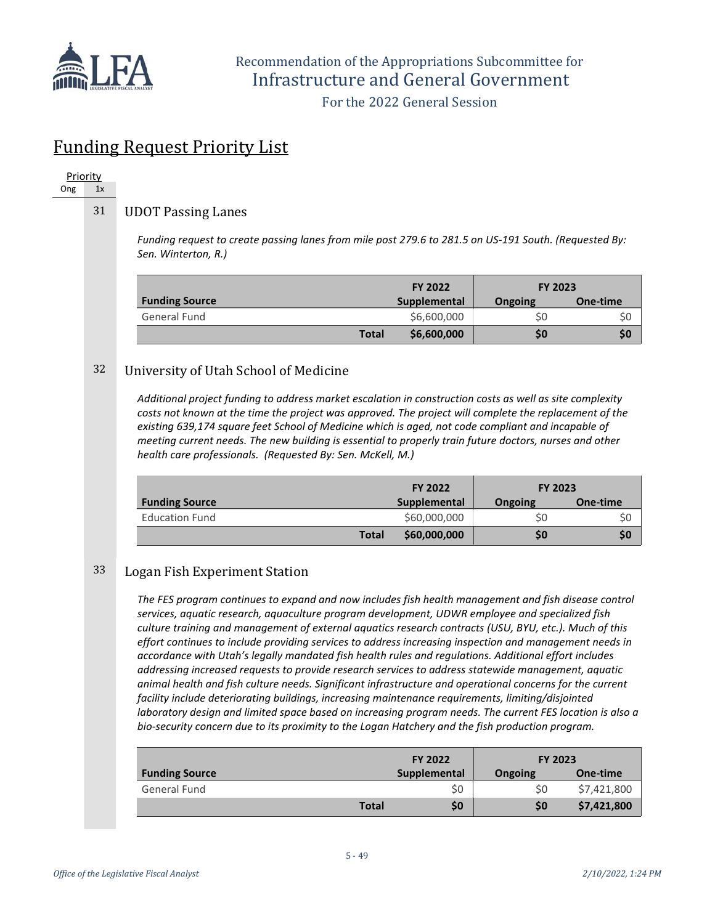

For the 2022 General Session

## Funding Request Priority List

#### Ong 1x **Priority**

### 31 UDOT Passing Lanes

*Funding request to create passing lanes from mile post 279.6 to 281.5 on US‐191 South. (Requested By: Sen. Winterton, R.)*

|                       |              | <b>FY 2022</b> | <b>FY 2023</b> |          |
|-----------------------|--------------|----------------|----------------|----------|
| <b>Funding Source</b> |              | Supplemental   | Ongoing        | One-time |
| General Fund          |              | \$6,600,000    | S0             | \$0      |
|                       | <b>Total</b> | \$6,600,000    | \$0            | \$0      |

### 32 University of Utah School of Medicine

*Additional project funding to address market escalation in construction costs as well as site complexity costs not known at the time the project was approved. The project will complete the replacement of the existing 639,174 square feet School of Medicine which is aged, not code compliant and incapable of meeting current needs. The new building is essential to properly train future doctors, nurses and other health care professionals. (Requested By: Sen. McKell, M.)*

|                       |              | <b>FY 2022</b> | <b>FY 2023</b> |          |
|-----------------------|--------------|----------------|----------------|----------|
| <b>Funding Source</b> |              | Supplemental   | Ongoing        | One-time |
| <b>Education Fund</b> |              | \$60,000,000   | Ś0             | SÜ       |
|                       | <b>Total</b> | \$60,000,000   | \$0            | \$0      |

## 33 Logan Fish Experiment Station

*The FES program continues to expand and now includes fish health management and fish disease control services, aquatic research, aquaculture program development, UDWR employee and specialized fish culture training and management of external aquatics research contracts (USU, BYU, etc.). Much of this effort continues to include providing services to address increasing inspection and management needs in accordance with Utah's legally mandated fish health rules and regulations. Additional effort includes addressing increased requests to provide research services to address statewide management, aquatic animal health and fish culture needs. Significant infrastructure and operational concerns for the current facility include deteriorating buildings, increasing maintenance requirements, limiting/disjointed laboratory design and limited space based on increasing program needs. The current FES location is also a bio‐security concern due to its proximity to the Logan Hatchery and the fish production program.*

|                       | <b>FY 2022</b> | <b>FY 2023</b> |             |
|-----------------------|----------------|----------------|-------------|
| <b>Funding Source</b> | Supplemental   | Ongoing        | One-time    |
| General Fund          | Ś0             | \$0            | \$7,421,800 |
|                       | \$0<br>Total   | \$0            | \$7,421,800 |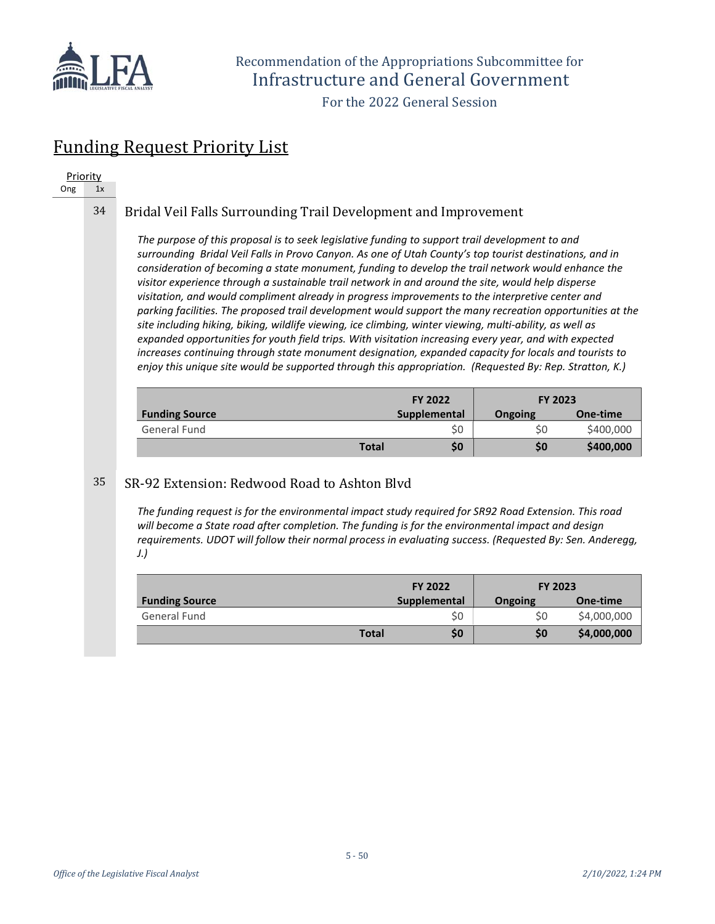

## Recommendation of the Appropriations Subcommittee for Infrastructure and General Government

For the 2022 General Session

# Funding Request Priority List

## 34 Bridal Veil Falls Surrounding Trail Development and Improvement

*The purpose of this proposal is to seek legislative funding to support trail development to and surrounding Bridal Veil Falls in Provo Canyon. As one of Utah County's top tourist destinations, and in consideration of becoming a state monument, funding to develop the trail network would enhance the visitor experience through a sustainable trail network in and around the site, would help disperse visitation, and would compliment already in progress improvements to the interpretive center and parking facilities. The proposed trail development would support the many recreation opportunities at the site including hiking, biking, wildlife viewing, ice climbing, winter viewing, multi‐ability, as well as expanded opportunities for youth field trips. With visitation increasing every year, and with expected increases continuing through state monument designation, expanded capacity for locals and tourists to enjoy this unique site would be supported through this appropriation. (Requested By: Rep. Stratton, K.)*

|                       |       | <b>FY 2022</b> | <b>FY 2023</b> |           |
|-----------------------|-------|----------------|----------------|-----------|
| <b>Funding Source</b> |       | Supplemental   | Ongoing        | One-time  |
| General Fund          |       | \$0            | Ś0             | \$400,000 |
|                       | Total | \$0            | \$0            | \$400,000 |

## 35 SR-92 Extension: Redwood Road to Ashton Blvd

*The funding request is for the environmental impact study required for SR92 Road Extension. This road will become a State road after completion. The funding is for the environmental impact and design requirements. UDOT will follow their normal process in evaluating success. (Requested By: Sen. Anderegg, J.)*

|                       |       | <b>FY 2022</b> | <b>FY 2023</b> |             |
|-----------------------|-------|----------------|----------------|-------------|
| <b>Funding Source</b> |       | Supplemental   | Ongoing        | One-time    |
| General Fund          |       | Ś0             | Ś0             | \$4,000,000 |
|                       | Total | \$0            | <b>SO</b>      | \$4,000,000 |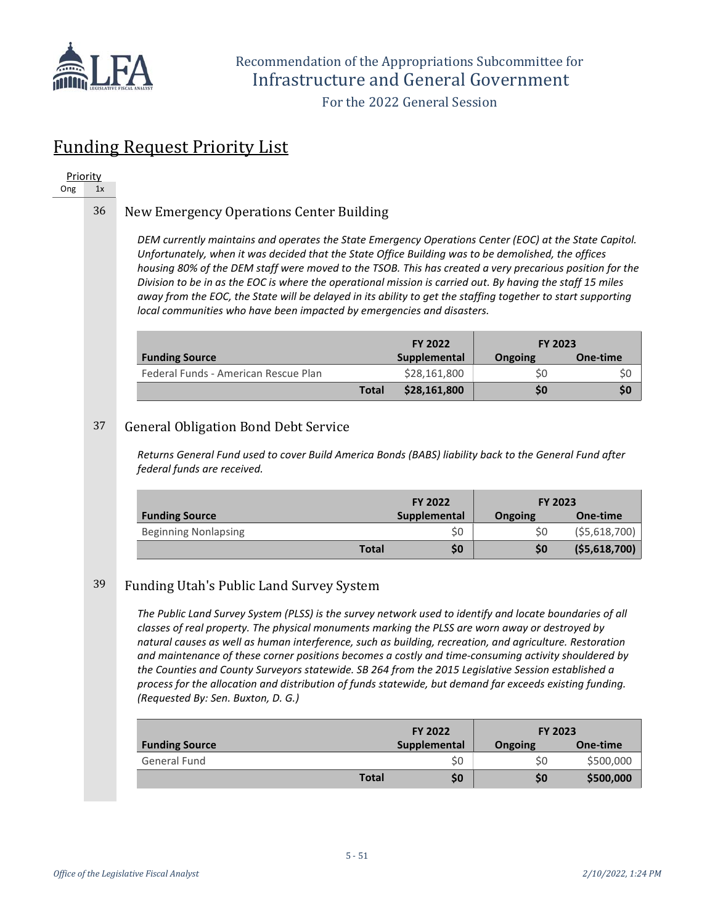

For the 2022 General Session

# Funding Request Priority List

## 36 New Emergency Operations Center Building

*DEM currently maintains and operates the State Emergency Operations Center (EOC) at the State Capitol. Unfortunately, when it was decided that the State Office Building was to be demolished, the offices housing 80% of the DEM staff were moved to the TSOB. This has created a very precarious position for the Division to be in as the EOC is where the operational mission is carried out. By having the staff 15 miles away from the EOC, the State will be delayed in its ability to get the staffing together to start supporting local communities who have been impacted by emergencies and disasters.*

|                                      |              | <b>FY 2022</b> | <b>FY 2023</b> |          |
|--------------------------------------|--------------|----------------|----------------|----------|
| <b>Funding Source</b>                |              | Supplemental   | Ongoing        | One-time |
| Federal Funds - American Rescue Plan |              | \$28,161,800   | S0             |          |
|                                      | <b>Total</b> | \$28,161,800   | \$0            | \$0      |

## 37 General Obligation Bond Debt Service

*Returns General Fund used to cover Build America Bonds (BABS) liability back to the General Fund after federal funds are received.*

|                             | <b>FY 2022</b> | <b>FY 2023</b> |                |
|-----------------------------|----------------|----------------|----------------|
| <b>Funding Source</b>       | Supplemental   | Ongoing        | One-time       |
| <b>Beginning Nonlapsing</b> | S0             | S0             | (55,618,700)   |
|                             | Total<br>\$0   | \$0            | ( \$5,618,700) |

## 39 Funding Utah's Public Land Survey System

*The Public Land Survey System (PLSS) is the survey network used to identify and locate boundaries of all classes of real property. The physical monuments marking the PLSS are worn away or destroyed by natural causes as well as human interference, such as building, recreation, and agriculture. Restoration and maintenance of these corner positions becomes a costly and time‐consuming activity shouldered by the Counties and County Surveyors statewide. SB 264 from the 2015 Legislative Session established a process for the allocation and distribution of funds statewide, but demand far exceeds existing funding. (Requested By: Sen. Buxton, D. G.)*

|                       | <b>FY 2022</b> |     | <b>FY 2023</b> |           |
|-----------------------|----------------|-----|----------------|-----------|
| <b>Funding Source</b> | Supplemental   |     | Ongoing        | One-time  |
| General Fund          |                | Ś0  | Ś0             | \$500,000 |
|                       | <b>Total</b>   | \$0 | \$0            | \$500,000 |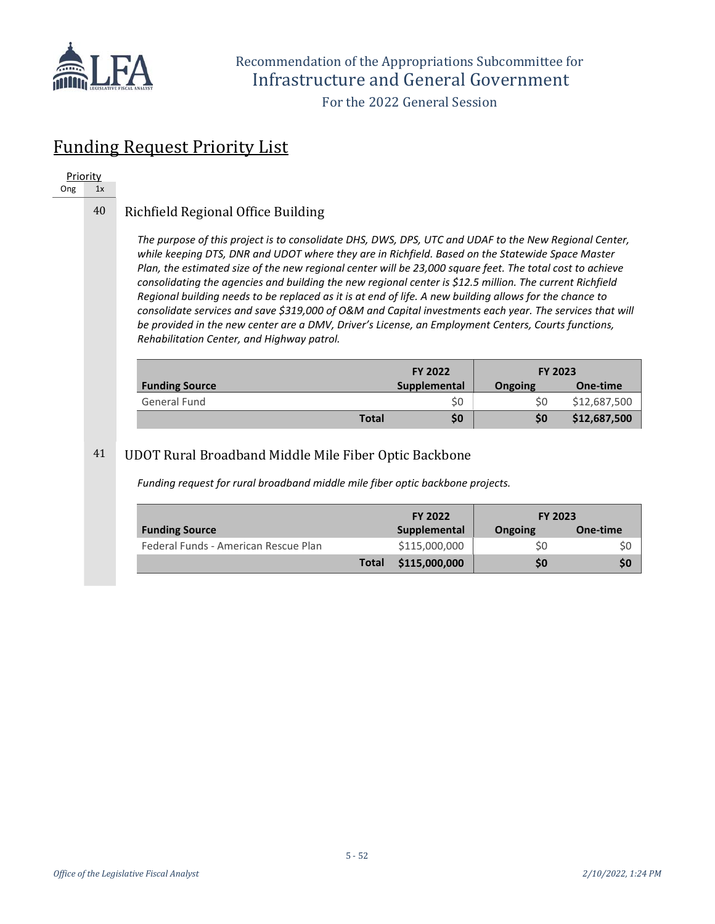

For the 2022 General Session

# Funding Request Priority List

Ong 1x **Priority** 

## 40 Richfield Regional Office Building

*The purpose of this project is to consolidate DHS, DWS, DPS, UTC and UDAF to the New Regional Center, while keeping DTS, DNR and UDOT where they are in Richfield. Based on the Statewide Space Master Plan, the estimated size of the new regional center will be 23,000 square feet. The total cost to achieve consolidating the agencies and building the new regional center is \$12.5 million. The current Richfield Regional building needs to be replaced as it is at end of life. A new building allows for the chance to consolidate services and save \$319,000 of O&M and Capital investments each year. The services that will be provided in the new center are a DMV, Driver's License, an Employment Centers, Courts functions, Rehabilitation Center, and Highway patrol.*

|                       |       | <b>FY 2022</b> | <b>FY 2023</b> |              |
|-----------------------|-------|----------------|----------------|--------------|
| <b>Funding Source</b> |       | Supplemental   | Ongoing        | One-time     |
| General Fund          |       | \$0            |                | \$12,687,500 |
|                       | Total | \$0            | \$0            | \$12,687,500 |

## 41 UDOT Rural Broadband Middle Mile Fiber Optic Backbone

*Funding request for rural broadband middle mile fiber optic backbone projects.*

|                                      |       | <b>FY 2022</b> | <b>FY 2023</b> |          |
|--------------------------------------|-------|----------------|----------------|----------|
| <b>Funding Source</b>                |       | Supplemental   | Ongoing        | One-time |
| Federal Funds - American Rescue Plan |       | \$115,000,000  | S0             | \$0      |
|                                      | Total | \$115,000,000  | S0             | \$0      |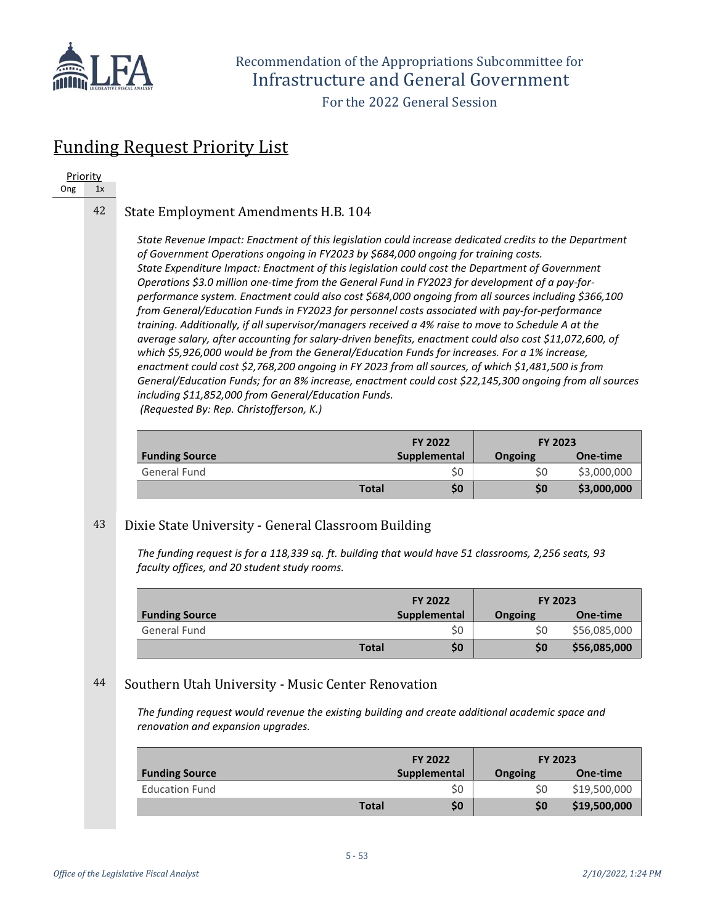

For the 2022 General Session

# Funding Request Priority List

Ong 1x Priority

## 42 State Employment Amendments H.B. 104

*State Revenue Impact: Enactment of this legislation could increase dedicated credits to the Department of Government Operations ongoing in FY2023 by \$684,000 ongoing for training costs. State Expenditure Impact: Enactment of this legislation could cost the Department of Government Operations \$3.0 million one‐time from the General Fund in FY2023 for development of a pay‐for‐ performance system. Enactment could also cost \$684,000 ongoing from all sources including \$366,100 from General/Education Funds in FY2023 for personnel costs associated with pay‐for‐performance training. Additionally, if all supervisor/managers received a 4% raise to move to Schedule A at the average salary, after accounting for salary‐driven benefits, enactment could also cost \$11,072,600, of which \$5,926,000 would be from the General/Education Funds for increases. For a 1% increase, enactment could cost \$2,768,200 ongoing in FY 2023 from all sources, of which \$1,481,500 is from General/Education Funds; for an 8% increase, enactment could cost \$22,145,300 ongoing from all sources including \$11,852,000 from General/Education Funds.*

 *(Requested By: Rep. Christofferson, K.)*

|                       |              | <b>FY 2022</b> | <b>FY 2023</b> |             |
|-----------------------|--------------|----------------|----------------|-------------|
| <b>Funding Source</b> |              | Supplemental   | Ongoing        | One-time    |
| General Fund          |              | \$0            | S0             | \$3,000,000 |
|                       | <b>Total</b> | \$0            | \$0            | \$3,000,000 |

## 43 Dixie State University - General Classroom Building

*The funding request is for a 118,339 sq. ft. building that would have 51 classrooms, 2,256 seats, 93 faculty offices, and 20 student study rooms.*

|                       |              | <b>FY 2022</b> | <b>FY 2023</b> |              |
|-----------------------|--------------|----------------|----------------|--------------|
| <b>Funding Source</b> |              | Supplemental   | Ongoing        | One-time     |
| General Fund          |              | S0             | S0             | \$56,085,000 |
|                       | <b>Total</b> | \$0            | \$0            | \$56,085,000 |

### 44 Southern Utah University - Music Center Renovation

*The funding request would revenue the existing building and create additional academic space and renovation and expansion upgrades.*

|                       | <b>FY 2022</b> | <b>FY 2023</b> |              |
|-----------------------|----------------|----------------|--------------|
| <b>Funding Source</b> | Supplemental   | Ongoing        | One-time     |
| <b>Education Fund</b> | S0             | SO.            | \$19,500,000 |
| <b>Total</b>          | \$0            | \$0            | \$19,500,000 |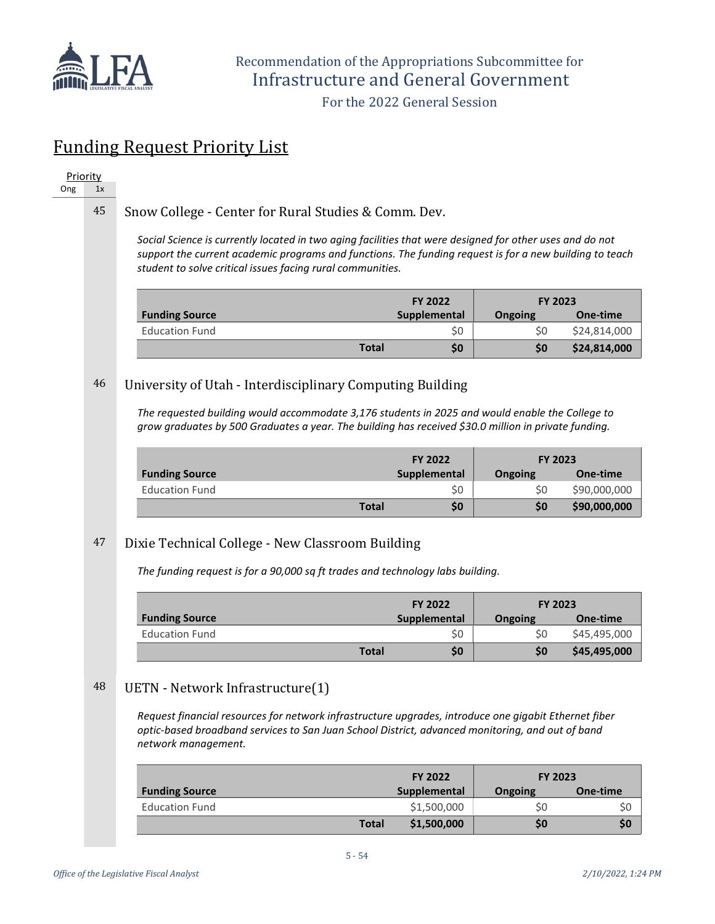

For the 2022 General Session

# Funding Request Priority List

## 45 Snow College - Center for Rural Studies & Comm. Dev.

*Social Science is currently located in two aging facilities that were designed for other uses and do not support the current academic programs and functions. The funding request is for a new building to teach student to solve critical issues facing rural communities.*

|                       |              | <b>FY 2022</b> | <b>FY 2023</b> |              |
|-----------------------|--------------|----------------|----------------|--------------|
| <b>Funding Source</b> |              | Supplemental   | Ongoing        | One-time     |
| <b>Education Fund</b> |              | \$0            | SO.            | \$24,814,000 |
|                       | <b>Total</b> | \$0            | \$0            | \$24,814,000 |

### 46 University of Utah - Interdisciplinary Computing Building

*The requested building would accommodate 3,176 students in 2025 and would enable the College to grow graduates by 500 Graduates a year. The building has received \$30.0 million in private funding.*

|                       |       | <b>FY 2022</b> | <b>FY 2023</b> |              |
|-----------------------|-------|----------------|----------------|--------------|
| <b>Funding Source</b> |       | Supplemental   | Ongoing        | One-time     |
| <b>Education Fund</b> |       | S0             | S0             | \$90,000,000 |
|                       | Total | \$0            | \$0            | \$90,000,000 |

## 47 Dixie Technical College - New Classroom Building

*The funding request is for a 90,000 sq ft trades and technology labs building.*

|                       |              | <b>FY 2022</b> | <b>FY 2023</b> |              |
|-----------------------|--------------|----------------|----------------|--------------|
| <b>Funding Source</b> |              | Supplemental   | Ongoing        | One-time     |
| <b>Education Fund</b> |              | S0             | Ś0             | \$45,495,000 |
|                       | <b>Total</b> | \$0            | \$0            | \$45,495,000 |

## 48 UETN - Network Infrastructure(1)

*Request financial resources for network infrastructure upgrades, introduce one gigabit Ethernet fiber optic‐based broadband services to San Juan School District, advanced monitoring, and out of band network management.*

|                       | <b>FY 2022</b> | <b>FY 2023</b> |          |
|-----------------------|----------------|----------------|----------|
| <b>Funding Source</b> | Supplemental   | Ongoing        | One-time |
| <b>Education Fund</b> | \$1,500,000    | S0             | \$0      |
| <b>Total</b>          | \$1,500,000    | SO             | \$0      |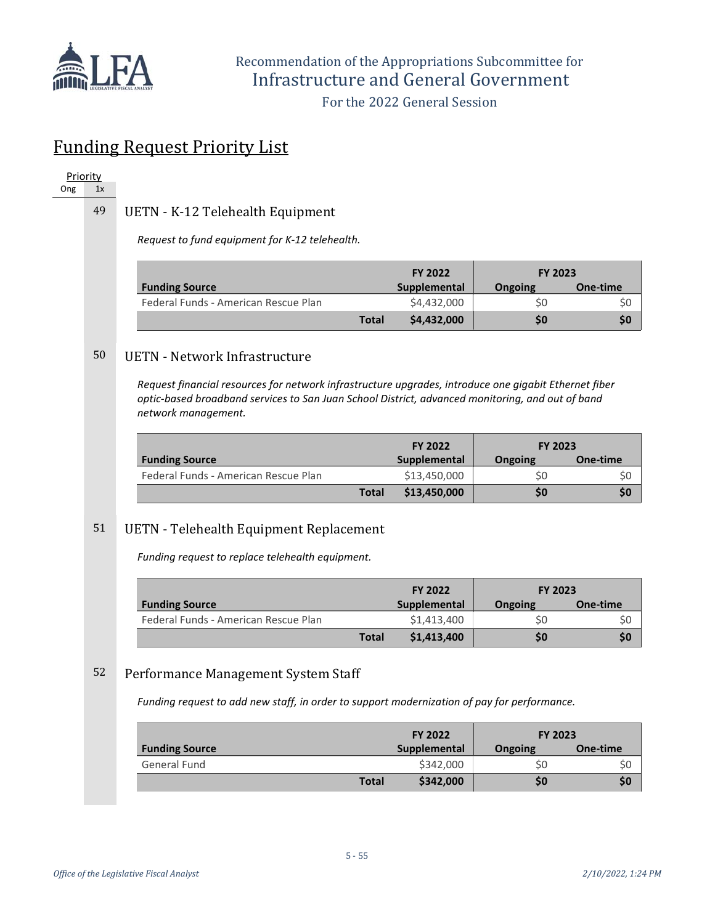

For the 2022 General Session

# Funding Request Priority List

#### Ong 1x **Priority**

## 49 UETN - K-12 Telehealth Equipment

*Request to fund equipment for K‐12 telehealth.*

|                                      |              | <b>FY 2022</b> | <b>FY 2023</b> |          |
|--------------------------------------|--------------|----------------|----------------|----------|
| <b>Funding Source</b>                |              | Supplemental   | Ongoing        | One-time |
| Federal Funds - American Rescue Plan |              | \$4,432,000    | Ś0             | \$0      |
|                                      | <b>Total</b> | \$4,432,000    | \$0            | \$0      |

### 50 UETN - Network Infrastructure

*Request financial resources for network infrastructure upgrades, introduce one gigabit Ethernet fiber optic‐based broadband services to San Juan School District, advanced monitoring, and out of band network management.*

|                                      |              | <b>FY 2022</b> | <b>FY 2023</b> |          |
|--------------------------------------|--------------|----------------|----------------|----------|
| <b>Funding Source</b>                |              | Supplemental   | Ongoing        | One-time |
| Federal Funds - American Rescue Plan |              | \$13,450,000   | S0             |          |
|                                      | <b>Total</b> | \$13,450,000   | \$0            | \$0      |

### 51 UETN - Telehealth Equipment Replacement

*Funding request to replace telehealth equipment.*

|                                      |       | <b>FY 2022</b> | <b>FY 2023</b> |          |
|--------------------------------------|-------|----------------|----------------|----------|
| <b>Funding Source</b>                |       | Supplemental   | Ongoing        | One-time |
| Federal Funds - American Rescue Plan |       | \$1,413,400    | S0             | S0       |
|                                      | Total | \$1,413,400    | S0             | \$0      |

### 52 Performance Management System Staff

*Funding request to add new staff, in order to support modernization of pay for performance.*

|                       | <b>FY 2022</b> | <b>FY 2023</b> |          |
|-----------------------|----------------|----------------|----------|
| <b>Funding Source</b> | Supplemental   | Ongoing        | One-time |
| General Fund          | \$342,000      | Ś0             |          |
| <b>Total</b>          | \$342,000      | \$0            | \$0      |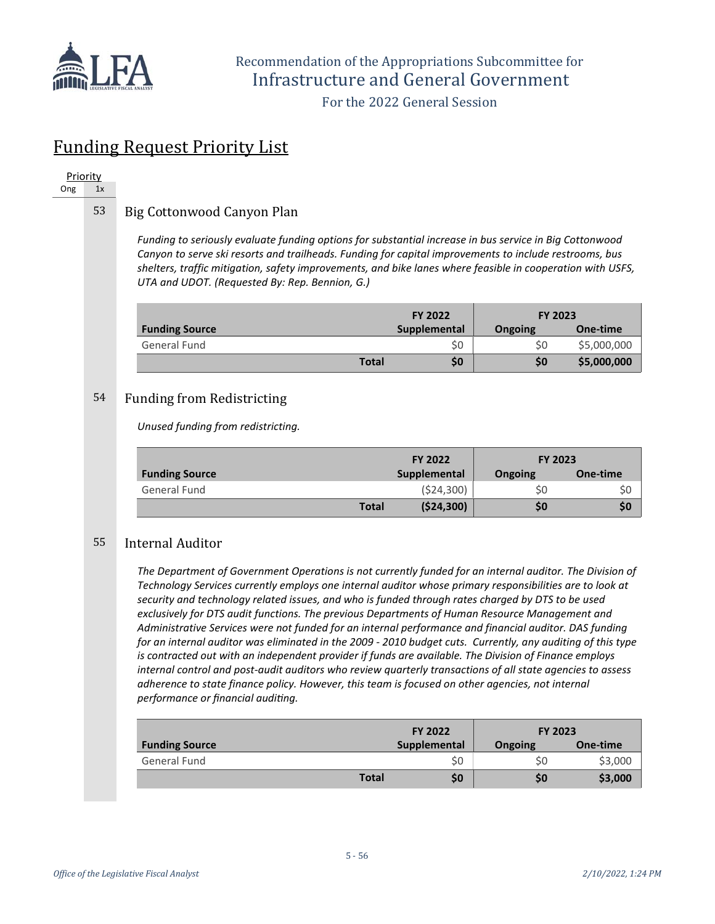

For the 2022 General Session

# Funding Request Priority List

#### Ong 1x **Priority**

## 53 Big Cottonwood Canyon Plan

*Funding to seriously evaluate funding options for substantial increase in bus service in Big Cottonwood Canyon to serve ski resorts and trailheads. Funding for capital improvements to include restrooms, bus shelters, traffic mitigation, safety improvements, and bike lanes where feasible in cooperation with USFS, UTA and UDOT. (Requested By: Rep. Bennion, G.)*

|                       | <b>FY 2022</b>      | <b>FY 2023</b> |             |
|-----------------------|---------------------|----------------|-------------|
| <b>Funding Source</b> | Supplemental        | Ongoing        | One-time    |
| General Fund          | Ś0                  | \$0            | \$5,000,000 |
|                       | \$0<br><b>Total</b> | \$0            | \$5,000,000 |

## 54 Funding from Redistricting

*Unused funding from redistricting.*

|                       | <b>FY 2022</b> | <b>FY 2023</b> |          |
|-----------------------|----------------|----------------|----------|
| <b>Funding Source</b> | Supplemental   | Ongoing        | One-time |
| General Fund          | (524,300)      | S0             |          |
| <b>Total</b>          | ( \$24, 300)   | \$0            | \$0      |

### 55 Internal Auditor

The Department of Government Operations is not currently funded for an internal auditor. The Division of *Technology Services currently employs one internal auditor whose primary responsibilities are to look at security and technology related issues, and who is funded through rates charged by DTS to be used exclusively for DTS audit functions. The previous Departments of Human Resource Management and Administrative Services were not funded for an internal performance and financial auditor. DAS funding for an internal auditor was eliminated in the 2009 ‐ 2010 budget cuts. Currently, any auditing of this type is contracted out with an independent provider if funds are available. The Division of Finance employs internal control and post‐audit auditors who review quarterly transactions of all state agencies to assess adherence to state finance policy. However, this team is focused on other agencies, not internal performance or financial audiƟng.*

|                       |              | <b>FY 2022</b> | <b>FY 2023</b> |          |
|-----------------------|--------------|----------------|----------------|----------|
| <b>Funding Source</b> |              | Supplemental   | Ongoing        | One-time |
| General Fund          |              | Ś0             | Ś0             | \$3,000  |
|                       | <b>Total</b> | \$0            | \$0            | \$3,000  |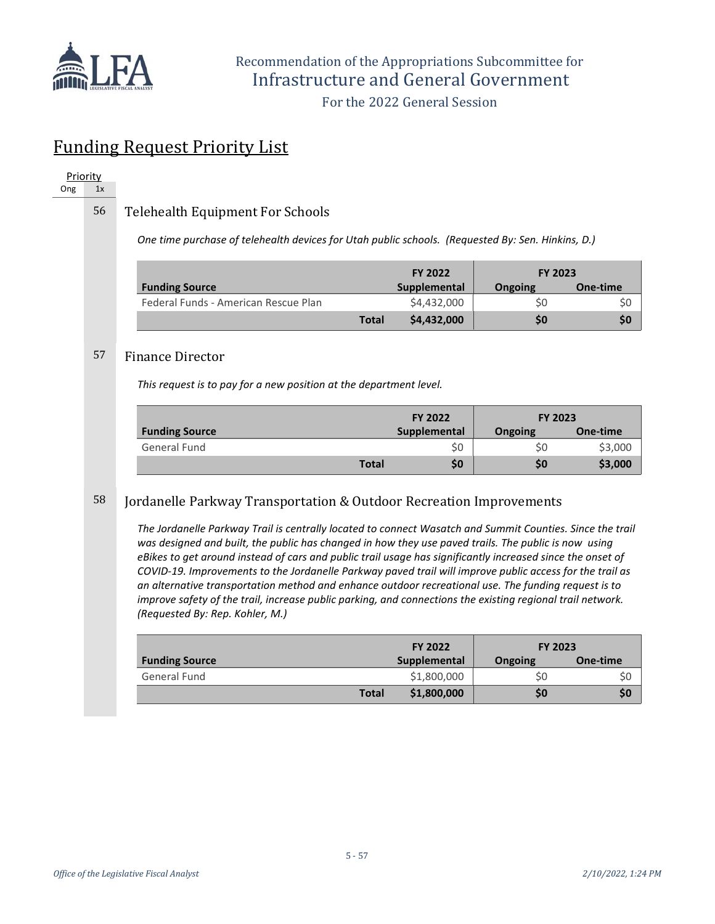

For the 2022 General Session

# Funding Request Priority List

#### Ong 1x **Priority**

## 56 Telehealth Equipment For Schools

*One time purchase of telehealth devices for Utah public schools. (Requested By: Sen. Hinkins, D.)*

|                                      |              | <b>FY 2022</b> | <b>FY 2023</b> |          |
|--------------------------------------|--------------|----------------|----------------|----------|
| <b>Funding Source</b>                |              | Supplemental   | Ongoing        | One-time |
| Federal Funds - American Rescue Plan |              | \$4,432,000    | S0             | S0       |
|                                      | <b>Total</b> | \$4,432,000    | \$0            | \$0      |

### 57 Finance Director

*This request is to pay for a new position at the department level.*

|                       |              | <b>FY 2022</b> | <b>FY 2023</b> |          |
|-----------------------|--------------|----------------|----------------|----------|
| <b>Funding Source</b> |              | Supplemental   | Ongoing        | One-time |
| General Fund          |              | Ś0             | S0             | \$3,000  |
|                       | <b>Total</b> | \$0            | \$0            | \$3,000  |

### 58 Jordanelle Parkway Transportation & Outdoor Recreation Improvements

*The Jordanelle Parkway Trail is centrally located to connect Wasatch and Summit Counties. Since the trail was designed and built, the public has changed in how they use paved trails. The public is now using eBikes to get around instead of cars and public trail usage has significantly increased since the onset of COVID‐19. Improvements to the Jordanelle Parkway paved trail will improve public access for the trail as an alternative transportation method and enhance outdoor recreational use. The funding request is to improve safety of the trail, increase public parking, and connections the existing regional trail network. (Requested By: Rep. Kohler, M.)*

|                       | <b>FY 2022</b>              | <b>FY 2023</b> |          |
|-----------------------|-----------------------------|----------------|----------|
| <b>Funding Source</b> | Supplemental                | Ongoing        | One-time |
| General Fund          | \$1,800,000                 | S0             | \$0      |
|                       | <b>Total</b><br>\$1,800,000 | \$0            | \$0      |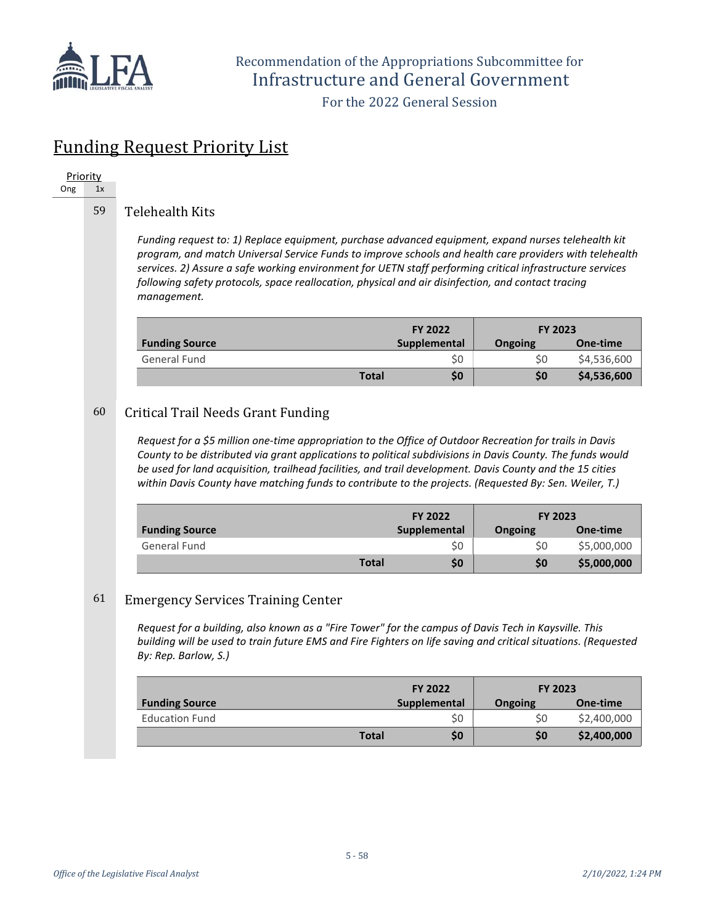

For the 2022 General Session

# Funding Request Priority List

#### $Ong$  1x **Priority**

### 59 Telehealth Kits

*Funding request to: 1) Replace equipment, purchase advanced equipment, expand nurses telehealth kit program, and match Universal Service Funds to improve schools and health care providers with telehealth services. 2) Assure a safe working environment for UETN staff performing critical infrastructure services following safety protocols, space reallocation, physical and air disinfection, and contact tracing management.*

|                       | <b>FY 2022</b>      | <b>FY 2023</b> |             |
|-----------------------|---------------------|----------------|-------------|
| <b>Funding Source</b> | Supplemental        | Ongoing        | One-time    |
| General Fund          | S0                  | Ś0             | \$4,536,600 |
|                       | \$0<br><b>Total</b> | \$0            | \$4,536,600 |

## 60 Critical Trail Needs Grant Funding

*Request for a \$5 million one‐time appropriation to the Office of Outdoor Recreation for trails in Davis County to be distributed via grant applications to political subdivisions in Davis County. The funds would be used for land acquisition, trailhead facilities, and trail development. Davis County and the 15 cities within Davis County have matching funds to contribute to the projects. (Requested By: Sen. Weiler, T.)*

|                       | <b>FY 2022</b>      | <b>FY 2023</b> |             |
|-----------------------|---------------------|----------------|-------------|
| <b>Funding Source</b> | Supplemental        | Ongoing        | One-time    |
| General Fund          | \$0                 | S0             | \$5,000,000 |
|                       | \$0<br><b>Total</b> | \$0            | \$5,000,000 |

## 61 Emergency Services Training Center

*Request for a building, also known as a "Fire Tower" for the campus of Davis Tech in Kaysville. This building will be used to train future EMS and Fire Fighters on life saving and critical situations. (Requested By: Rep. Barlow, S.)*

|                       |       | <b>FY 2022</b> | <b>FY 2023</b> |             |
|-----------------------|-------|----------------|----------------|-------------|
| <b>Funding Source</b> |       | Supplemental   | Ongoing        | One-time    |
| <b>Education Fund</b> |       | Ś0             | Ś0             | \$2,400,000 |
|                       | Total | \$0            | \$0            | \$2,400,000 |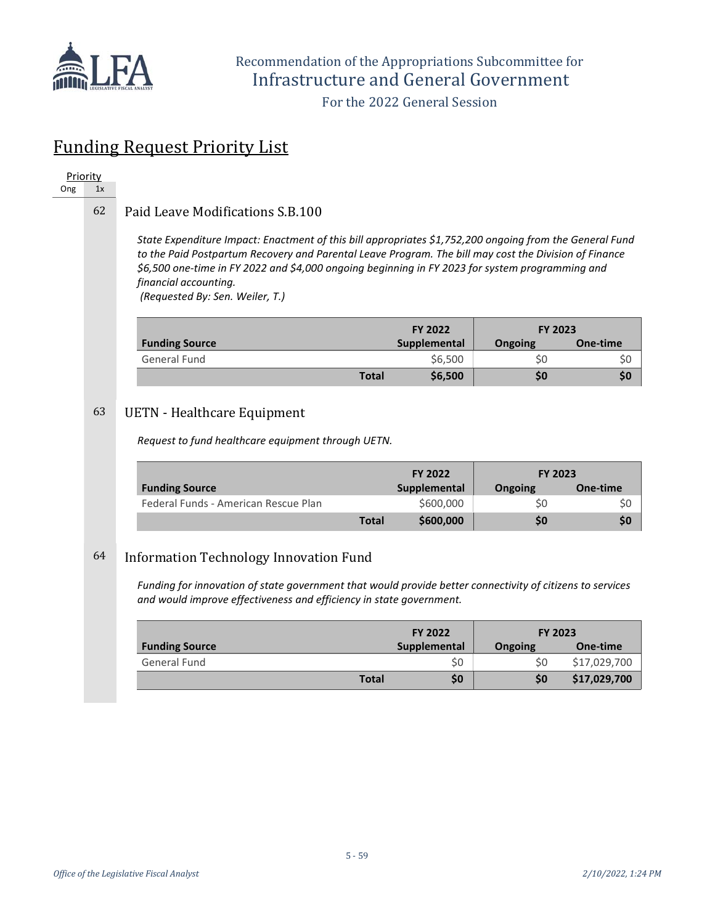

## Recommendation of the Appropriations Subcommittee for Infrastructure and General Government

For the 2022 General Session

# Funding Request Priority List

## 62 Paid Leave Modifications S.B.100

*State Expenditure Impact: Enactment of this bill appropriates \$1,752,200 ongoing from the General Fund to the Paid Postpartum Recovery and Parental Leave Program. The bill may cost the Division of Finance \$6,500 one‐time in FY 2022 and \$4,000 ongoing beginning in FY 2023 for system programming and financial accounting.*

 *(Requested By: Sen. Weiler, T.)*

|                       |       | <b>FY 2022</b> | <b>FY 2023</b> |          |
|-----------------------|-------|----------------|----------------|----------|
| <b>Funding Source</b> |       | Supplemental   | Ongoing        | One-time |
| General Fund          |       | \$6,500        | S0             |          |
|                       | Total | \$6,500        | \$0            | \$0      |

### 63 UETN - Healthcare Equipment

*Request to fund healthcare equipment through UETN.*

|                                      |              | <b>FY 2022</b> | <b>FY 2023</b> |          |
|--------------------------------------|--------------|----------------|----------------|----------|
| <b>Funding Source</b>                |              | Supplemental   | Ongoing        | One-time |
| Federal Funds - American Rescue Plan |              | \$600,000      | S0             | Ś0       |
|                                      | <b>Total</b> | \$600,000      | S0             | \$0      |

## 64 Information Technology Innovation Fund

*Funding for innovation of state government that would provide better connectivity of citizens to services and would improve effectiveness and efficiency in state government.*

|                       |              | <b>FY 2022</b> | <b>FY 2023</b> |              |
|-----------------------|--------------|----------------|----------------|--------------|
| <b>Funding Source</b> |              | Supplemental   | Ongoing        | One-time     |
| General Fund          |              | \$0            | \$0            | \$17,029,700 |
|                       | <b>Total</b> | \$0            | \$0            | \$17,029,700 |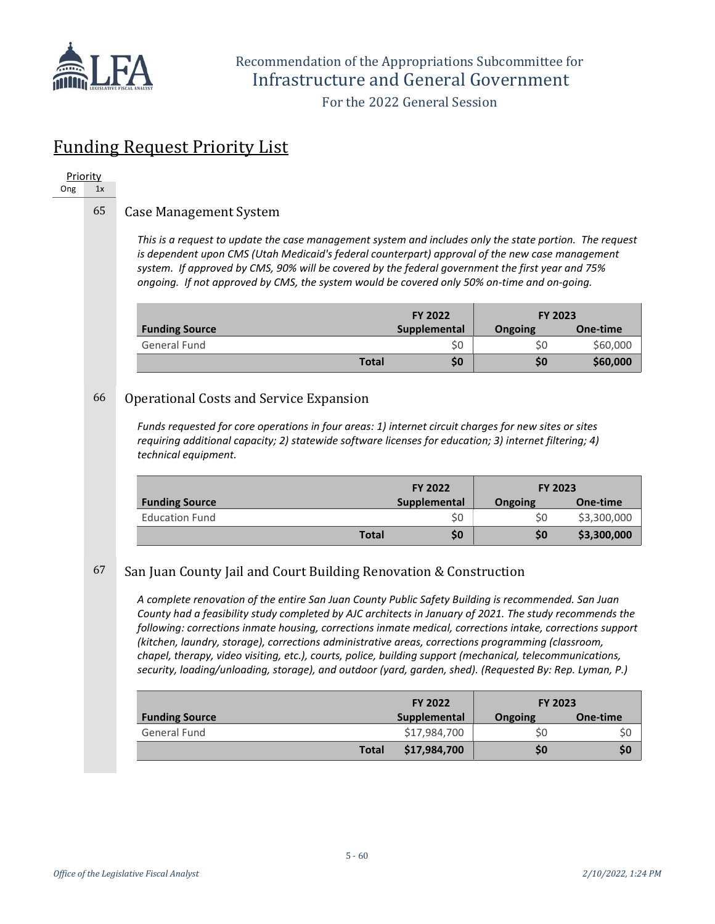

## Recommendation of the Appropriations Subcommittee for Infrastructure and General Government

For the 2022 General Session

# Funding Request Priority List

## 65 Case Management System

*This is a request to update the case management system and includes only the state portion. The request is dependent upon CMS (Utah Medicaid's federal counterpart) approval of the new case management system. If approved by CMS, 90% will be covered by the federal government the first year and 75% ongoing. If not approved by CMS, the system would be covered only 50% on‐time and on‐going.*

|                       |              | <b>FY 2022</b> | <b>FY 2023</b> |          |
|-----------------------|--------------|----------------|----------------|----------|
| <b>Funding Source</b> |              | Supplemental   | Ongoing        | One-time |
| General Fund          |              | Ś0             | Ś0             | \$60,000 |
|                       | <b>Total</b> | \$0            | \$0            | \$60,000 |

### 66 Operational Costs and Service Expansion

*Funds requested for core operations in four areas: 1) internet circuit charges for new sites or sites requiring additional capacity; 2) statewide software licenses for education; 3) internet filtering; 4) technical equipment.*

|                       | FY 2022             | <b>FY 2023</b> |             |
|-----------------------|---------------------|----------------|-------------|
| <b>Funding Source</b> | Supplemental        | Ongoing        | One-time    |
| <b>Education Fund</b> | \$0                 | S0             | \$3,300,000 |
|                       | \$0<br><b>Total</b> | \$0            | \$3,300,000 |

## 67 San Juan County Jail and Court Building Renovation & Construction

*A complete renovation of the entire San Juan County Public Safety Building is recommended. San Juan County had a feasibility study completed by AJC architects in January of 2021. The study recommends the following: corrections inmate housing, corrections inmate medical, corrections intake, corrections support (kitchen, laundry, storage), corrections administrative areas, corrections programming (classroom, chapel, therapy, video visiting, etc.), courts, police, building support (mechanical, telecommunications, security, loading/unloading, storage), and outdoor (yard, garden, shed). (Requested By: Rep. Lyman, P.)*

|                       |              | <b>FY 2022</b> | <b>FY 2023</b> |          |
|-----------------------|--------------|----------------|----------------|----------|
| <b>Funding Source</b> |              | Supplemental   | Ongoing        | One-time |
| General Fund          |              | \$17,984,700   | \$0            | \$0      |
|                       | <b>Total</b> | \$17,984,700   | \$0            | \$0      |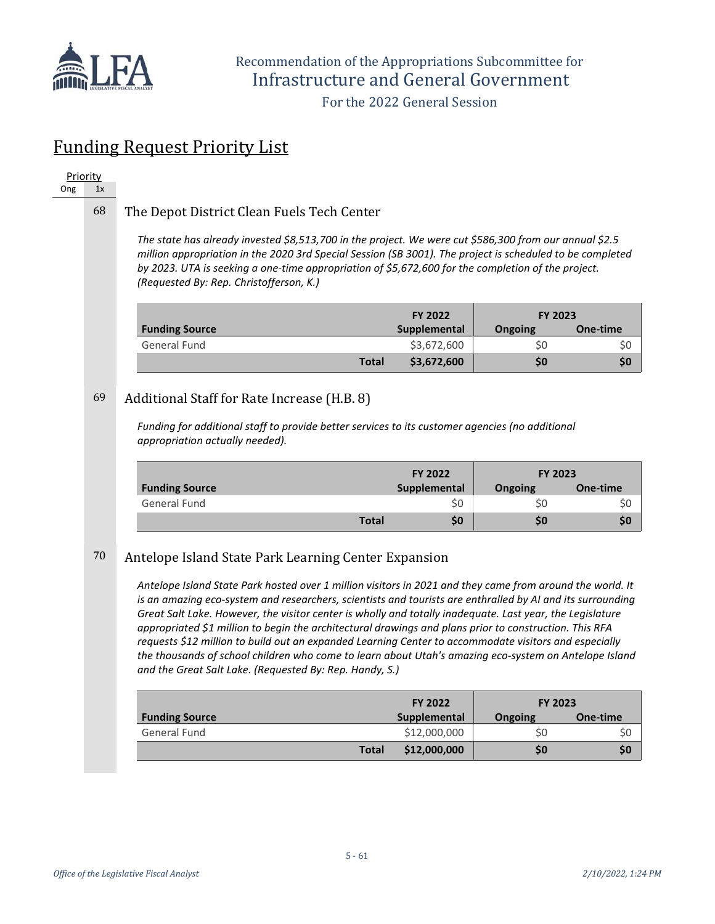

For the 2022 General Session

# Funding Request Priority List

## 68 The Depot District Clean Fuels Tech Center

*The state has already invested \$8,513,700 in the project. We were cut \$586,300 from our annual \$2.5 million appropriation in the 2020 3rd Special Session (SB 3001). The project is scheduled to be completed by 2023. UTA is seeking a one‐time appropriation of \$5,672,600 for the completion of the project. (Requested By: Rep. Christofferson, K.)*

|                       |              | <b>FY 2022</b> | <b>FY 2023</b> |          |
|-----------------------|--------------|----------------|----------------|----------|
| <b>Funding Source</b> |              | Supplemental   | Ongoing        | One-time |
| General Fund          |              | \$3,672,600    | S0             |          |
|                       | <b>Total</b> | \$3,672,600    | \$0            | \$0      |

### 69 Additional Staff for Rate Increase (H.B. 8)

*Funding for additional staff to provide better services to its customer agencies (no additional appropriation actually needed).*

|                       |       | <b>FY 2022</b> | <b>FY 2023</b> |          |
|-----------------------|-------|----------------|----------------|----------|
| <b>Funding Source</b> |       | Supplemental   | Ongoing        | One-time |
| General Fund          |       | SO.            | SC             | SÜ       |
|                       | Total | \$0            | S0             | \$0      |

## 70 Antelope Island State Park Learning Center Expansion

*Antelope Island State Park hosted over 1 million visitors in 2021 and they came from around the world. It is an amazing eco‐system and researchers, scientists and tourists are enthralled by AI and its surrounding Great Salt Lake. However, the visitor center is wholly and totally inadequate. Last year, the Legislature appropriated \$1 million to begin the architectural drawings and plans prior to construction. This RFA requests \$12 million to build out an expanded Learning Center to accommodate visitors and especially the thousands of school children who come to learn about Utah's amazing eco‐system on Antelope Island and the Great Salt Lake. (Requested By: Rep. Handy, S.)*

|                       |              | <b>FY 2022</b> | <b>FY 2023</b> |          |
|-----------------------|--------------|----------------|----------------|----------|
| <b>Funding Source</b> |              | Supplemental   | <b>Ongoing</b> | One-time |
| General Fund          |              | \$12,000,000   | S0             | \$0      |
|                       | <b>Total</b> | \$12,000,000   | \$0            | \$0      |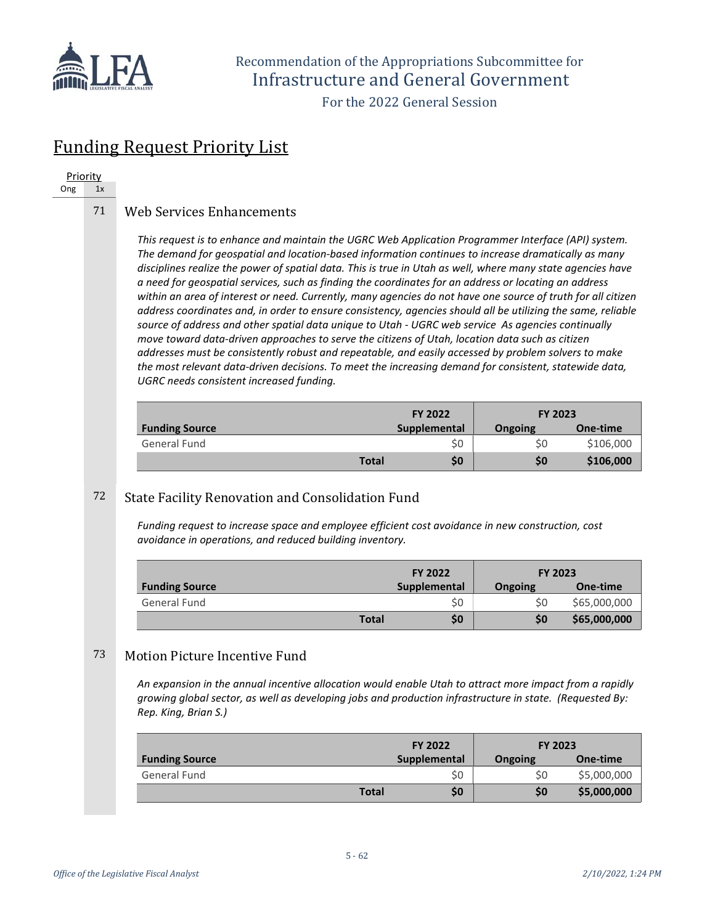

For the 2022 General Session

# Funding Request Priority List

#### Ong 1x **Priority**

### 71 Web Services Enhancements

*This request is to enhance and maintain the UGRC Web Application Programmer Interface (API) system. The demand for geospatial and location‐based information continues to increase dramatically as many disciplines realize the power of spatial data. This is true in Utah as well, where many state agencies have a need for geospatial services, such as finding the coordinates for an address or locating an address within an area of interest or need. Currently, many agencies do not have one source of truth for all citizen address coordinates and, in order to ensure consistency, agencies should all be utilizing the same, reliable source of address and other spatial data unique to Utah ‐ UGRC web service As agencies continually move toward data‐driven approaches to serve the citizens of Utah, location data such as citizen addresses must be consistently robust and repeatable, and easily accessed by problem solvers to make the most relevant data‐driven decisions. To meet the increasing demand for consistent, statewide data, UGRC needs consistent increased funding.*

|                       |       | <b>FY 2022</b> | <b>FY 2023</b> |           |
|-----------------------|-------|----------------|----------------|-----------|
| <b>Funding Source</b> |       | Supplemental   | Ongoing        | One-time  |
| General Fund          |       | \$0            | Ś0             | \$106,000 |
|                       | Total | \$0            | \$0            | \$106,000 |

## 72 State Facility Renovation and Consolidation Fund

*Funding request to increase space and employee efficient cost avoidance in new construction, cost avoidance in operations, and reduced building inventory.*

|                       | <b>FY 2022</b> | <b>FY 2023</b> |              |
|-----------------------|----------------|----------------|--------------|
| <b>Funding Source</b> | Supplemental   | Ongoing        | One-time     |
| General Fund          | Ś0             | S0             | \$65,000,000 |
|                       | \$0<br>Total   | \$0            | \$65,000,000 |

### 73 Motion Picture Incentive Fund

*An expansion in the annual incentive allocation would enable Utah to attract more impact from a rapidly growing global sector, as well as developing jobs and production infrastructure in state. (Requested By: Rep. King, Brian S.)*

|                       | <b>FY 2022</b>      | <b>FY 2023</b> |             |
|-----------------------|---------------------|----------------|-------------|
| <b>Funding Source</b> | Supplemental        | Ongoing        | One-time    |
| General Fund          | S0                  | \$0            | \$5,000,000 |
|                       | \$0<br><b>Total</b> | \$0            | \$5,000,000 |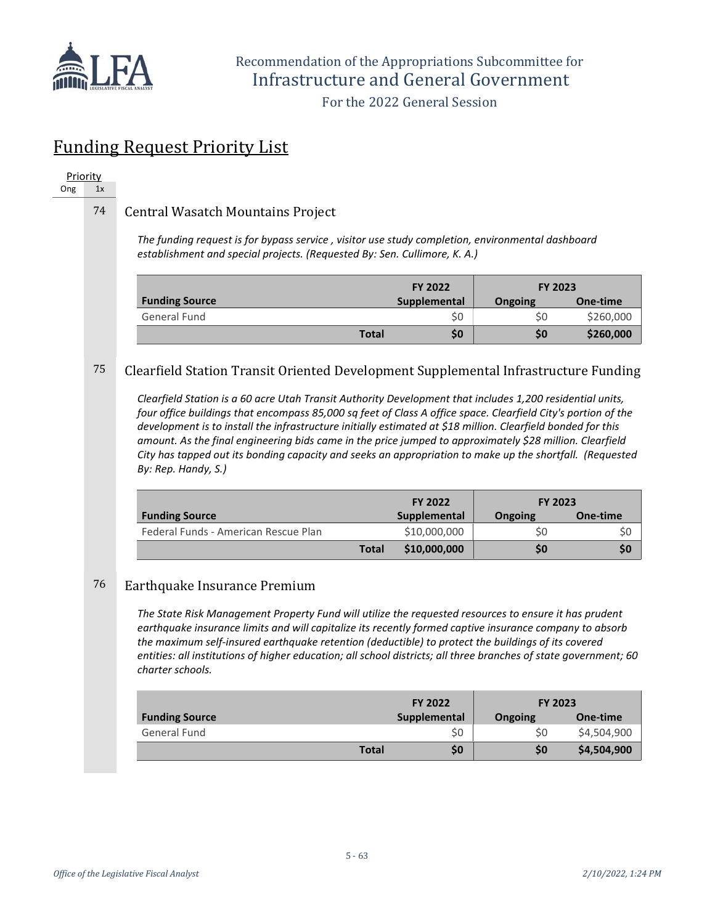

For the 2022 General Session

# Funding Request Priority List

#### $Ong$  1x **Priority**

## 74 Central Wasatch Mountains Project

*The funding request is for bypass service , visitor use study completion, environmental dashboard establishment and special projects. (Requested By: Sen. Cullimore, K. A.)*

|                       |       | <b>FY 2022</b> | <b>FY 2023</b> |           |
|-----------------------|-------|----------------|----------------|-----------|
| <b>Funding Source</b> |       | Supplemental   | Ongoing        | One-time  |
| General Fund          |       | Ś0             | S0             | \$260,000 |
|                       | Total | \$0            | \$0            | \$260,000 |

## 75 Clearfield Station Transit Oriented Development Supplemental Infrastructure Funding

*Clearfield Station is a 60 acre Utah Transit Authority Development that includes 1,200 residential units, four office buildings that encompass 85,000 sq feet of Class A office space. Clearfield City's portion of the development is to install the infrastructure initially estimated at \$18 million. Clearfield bonded for this amount. As the final engineering bids came in the price jumped to approximately \$28 million. Clearfield City has tapped out its bonding capacity and seeks an appropriation to make up the shortfall. (Requested By: Rep. Handy, S.)*

|                                      |              | <b>FY 2022</b> | <b>FY 2023</b> |          |
|--------------------------------------|--------------|----------------|----------------|----------|
| <b>Funding Source</b>                |              | Supplemental   | Ongoing        | One-time |
| Federal Funds - American Rescue Plan |              | \$10,000,000   | S0             |          |
|                                      | <b>Total</b> | \$10,000,000   | \$0            | \$0      |

### 76 Earthquake Insurance Premium

*The State Risk Management Property Fund will utilize the requested resources to ensure it has prudent earthquake insurance limits and will capitalize its recently formed captive insurance company to absorb the maximum self‐insured earthquake retention (deductible) to protect the buildings of its covered entities: all institutions of higher education; all school districts; all three branches of state government; 60 charter schools.*

|                       |       | <b>FY 2022</b> | <b>FY 2023</b> |             |
|-----------------------|-------|----------------|----------------|-------------|
| <b>Funding Source</b> |       | Supplemental   | Ongoing        | One-time    |
| General Fund          |       | \$0            | Ś0             | \$4,504,900 |
|                       | Total | \$0            | \$0            | \$4,504,900 |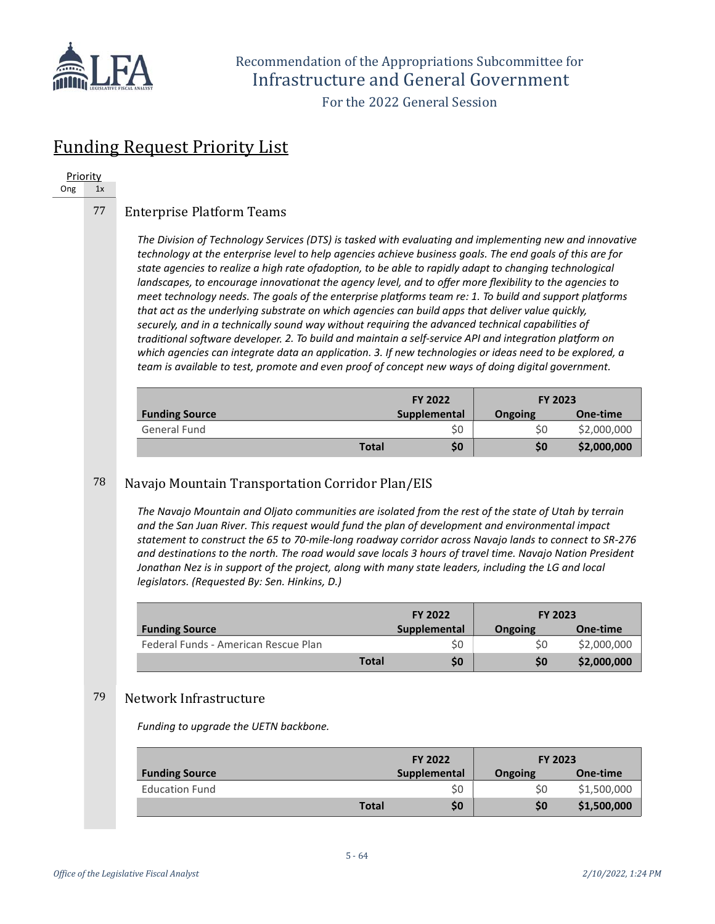

For the 2022 General Session

# Funding Request Priority List

#### Ong 1x **Priority**

## 77 Enterprise Platform Teams

*The Division of Technology Services (DTS) is tasked with evaluating and implementing new and innovative technology at the enterprise level to help agencies achieve business goals. The end goals of this are for*  state agencies to realize a high rate ofadoption, to be able to rapidly adapt to changing technological *landscapes, to encourage innovationat the agency level, and to offer more flexibility to the agencies to meet technology needs. The goals of the enterprise platforms team re: 1. To build and support platforms that act as the underlying substrate on which agencies can build apps that deliver value quickly,*  securely, and in a technically sound way without requiring the advanced technical capabilities of traditional software developer. 2. To build and maintain a self-service API and integration platform on which agencies can integrate data an application. 3. If new technologies or ideas need to be explored, a *team is available to test, promote and even proof of concept new ways of doing digital government.*

|                       | <b>FY 2022</b> | <b>FY 2023</b> |             |
|-----------------------|----------------|----------------|-------------|
| <b>Funding Source</b> | Supplemental   | Ongoing        | One-time    |
| General Fund          | \$0            | \$0            | \$2,000,000 |
| <b>Total</b>          | \$0            | \$0            | \$2,000,000 |

## 78 Navajo Mountain Transportation Corridor Plan/EIS

*The Navajo Mountain and Oljato communities are isolated from the rest of the state of Utah by terrain and the San Juan River. This request would fund the plan of development and environmental impact statement to construct the 65 to 70‐mile‐long roadway corridor across Navajo lands to connect to SR‐276 and destinations to the north. The road would save locals 3 hours of travel time. Navajo Nation President Jonathan Nez is in support of the project, along with many state leaders, including the LG and local legislators. (Requested By: Sen. Hinkins, D.)*

|                                      |       | <b>FY 2022</b> | <b>FY 2023</b> |             |
|--------------------------------------|-------|----------------|----------------|-------------|
| <b>Funding Source</b>                |       | Supplemental   | Ongoing        | One-time    |
| Federal Funds - American Rescue Plan |       | \$0            | Ś0             | \$2,000,000 |
|                                      | Total | \$0            | \$0            | \$2,000,000 |

## 79 Network Infrastructure

*Funding to upgrade the UETN backbone.*

|                       |              | <b>FY 2022</b> | <b>FY 2023</b> |             |
|-----------------------|--------------|----------------|----------------|-------------|
| <b>Funding Source</b> |              | Supplemental   | Ongoing        | One-time    |
| <b>Education Fund</b> |              | \$0            | \$0            | \$1,500,000 |
|                       | <b>Total</b> | \$0            | \$0            | \$1,500,000 |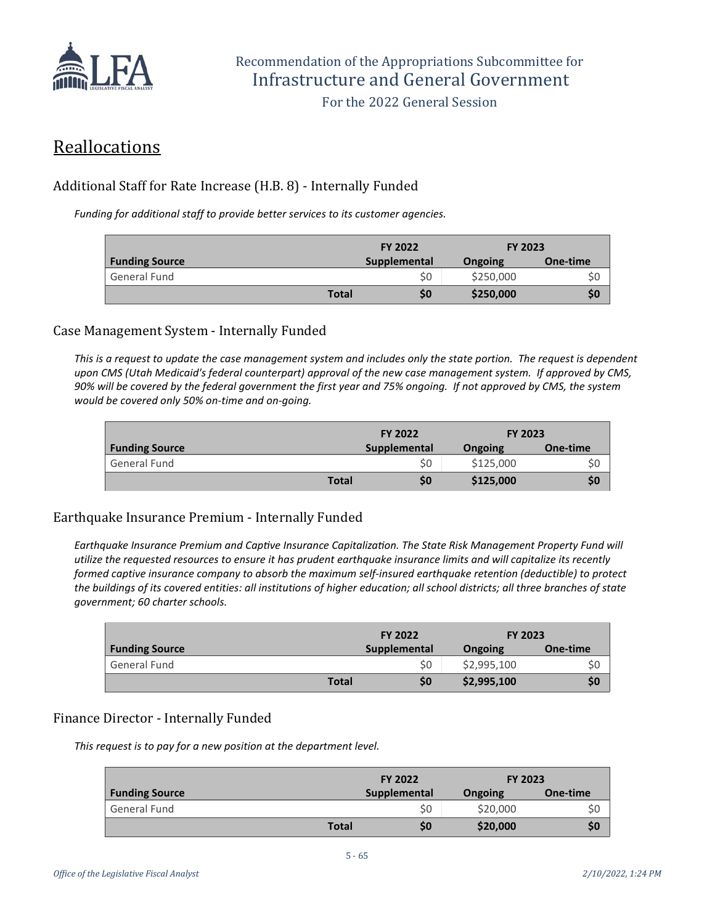

For the 2022 General Session

## Reallocations

## Additional Staff for Rate Increase (H.B. 8) - Internally Funded

*Funding for additional staff to provide better services to its customer agencies.*

|                       |              | <b>FY 2022</b> | <b>FY 2023</b> |          |
|-----------------------|--------------|----------------|----------------|----------|
| <b>Funding Source</b> |              | Supplemental   | Ongoing        | One-time |
| General Fund          |              | \$0            | \$250,000      | S0       |
|                       | <b>Total</b> | \$0            | \$250,000      | S0       |

### Case Management System - Internally Funded

*This is a request to update the case management system and includes only the state portion. The request is dependent upon CMS (Utah Medicaid's federal counterpart) approval of the new case management system. If approved by CMS, 90% will be covered by the federal government the first year and 75% ongoing. If not approved by CMS, the system would be covered only 50% on‐time and on‐going.*

|                       |              | <b>FY 2022</b> | <b>FY 2023</b> |          |
|-----------------------|--------------|----------------|----------------|----------|
| <b>Funding Source</b> |              | Supplemental   | Ongoing        | One-time |
| General Fund          |              | \$0            | \$125,000      | ŚС       |
|                       | <b>Total</b> | S0             | \$125,000      | \$0      |

### Earthquake Insurance Premium - Internally Funded

*Earthquake Insurance Premium and Captive Insurance Capitalization. The State Risk Management Property Fund will utilize the requested resources to ensure it has prudent earthquake insurance limits and will capitalize its recently formed captive insurance company to absorb the maximum self‐insured earthquake retention (deductible) to protect the buildings of its covered entities: all institutions of higher education; all school districts; all three branches of state government; 60 charter schools.*

|                       |       | <b>FY 2022</b> | <b>FY 2023</b> |          |
|-----------------------|-------|----------------|----------------|----------|
| <b>Funding Source</b> |       | Supplemental   | Ongoing        | One-time |
| General Fund          |       | \$0            | \$2,995,100    | \$C      |
|                       | Total | SO             | \$2,995,100    | \$0      |

## Finance Director - Internally Funded

*This request is to pay for a new position at the department level.*

|                       |              | <b>FY 2022</b> | <b>FY 2023</b> |          |
|-----------------------|--------------|----------------|----------------|----------|
| <b>Funding Source</b> |              | Supplemental   | Ongoing        | One-time |
| General Fund          |              | \$0            | \$20,000       | Ś0       |
|                       | <b>Total</b> | \$0            | \$20,000       | \$0      |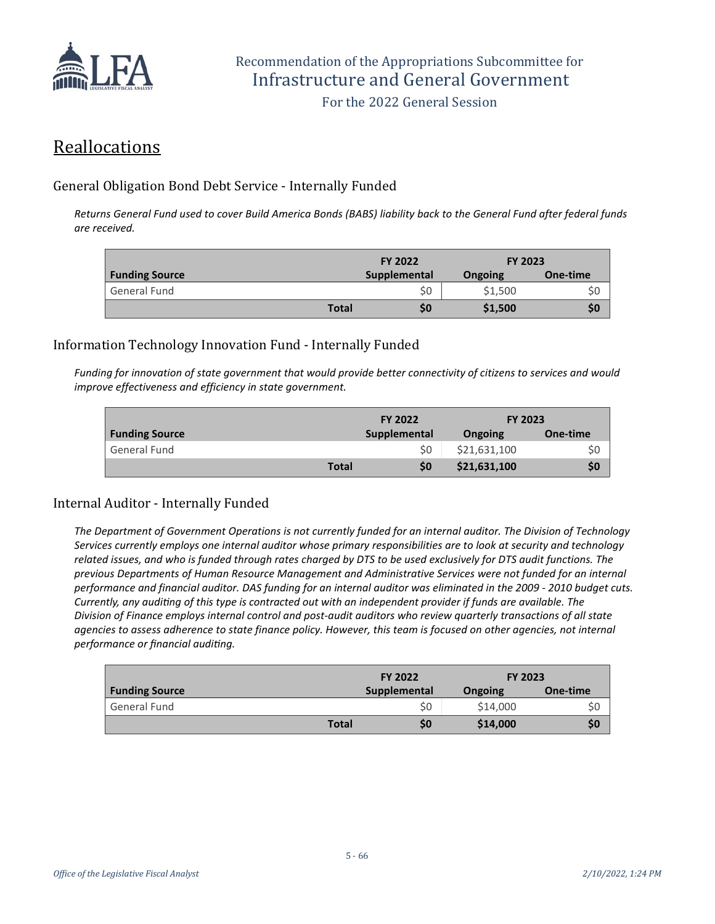

For the 2022 General Session

## Reallocations

## General Obligation Bond Debt Service - Internally Funded

*Returns General Fund used to cover Build America Bonds (BABS) liability back to the General Fund after federal funds are received.*

|                       |              | <b>FY 2022</b> | <b>FY 2023</b> |          |
|-----------------------|--------------|----------------|----------------|----------|
| <b>Funding Source</b> |              | Supplemental   | Ongoing        | One-time |
| General Fund          |              | \$0            | \$1,500        | \$С      |
|                       | <b>Total</b> | S0             | \$1,500        | \$0      |

### Information Technology Innovation Fund - Internally Funded

*Funding for innovation of state government that would provide better connectivity of citizens to services and would improve effectiveness and efficiency in state government.*

|                       |              | <b>FY 2022</b> | <b>FY 2023</b> |          |
|-----------------------|--------------|----------------|----------------|----------|
| <b>Funding Source</b> |              | Supplemental   | Ongoing        | One-time |
| General Fund          |              | \$0            | \$21,631,100   | Ś0       |
|                       | <b>Total</b> | \$0            | \$21,631,100   | \$0      |

## Internal Auditor - Internally Funded

*The Department of Government Operations is not currently funded for an internal auditor. The Division of Technology Services currently employs one internal auditor whose primary responsibilities are to look at security and technology related issues, and who is funded through rates charged by DTS to be used exclusively for DTS audit functions. The previous Departments of Human Resource Management and Administrative Services were not funded for an internal performance and financial auditor. DAS funding for an internal auditor was eliminated in the 2009 ‐ 2010 budget cuts. Currently, any audiƟng of this type is contracted out with an independent provider if funds are available. The Division of Finance employs internal control and post‐audit auditors who review quarterly transactions of all state agencies to assess adherence to state finance policy. However, this team is focused on other agencies, not internal performance or financial audiƟng.*

|                       |              | <b>FY 2022</b> | <b>FY 2023</b> |          |
|-----------------------|--------------|----------------|----------------|----------|
| <b>Funding Source</b> |              | Supplemental   | <b>Ongoing</b> | One-time |
| General Fund          |              | \$0            | \$14,000       | \$С      |
|                       | <b>Total</b> | S0             | \$14,000       | \$0      |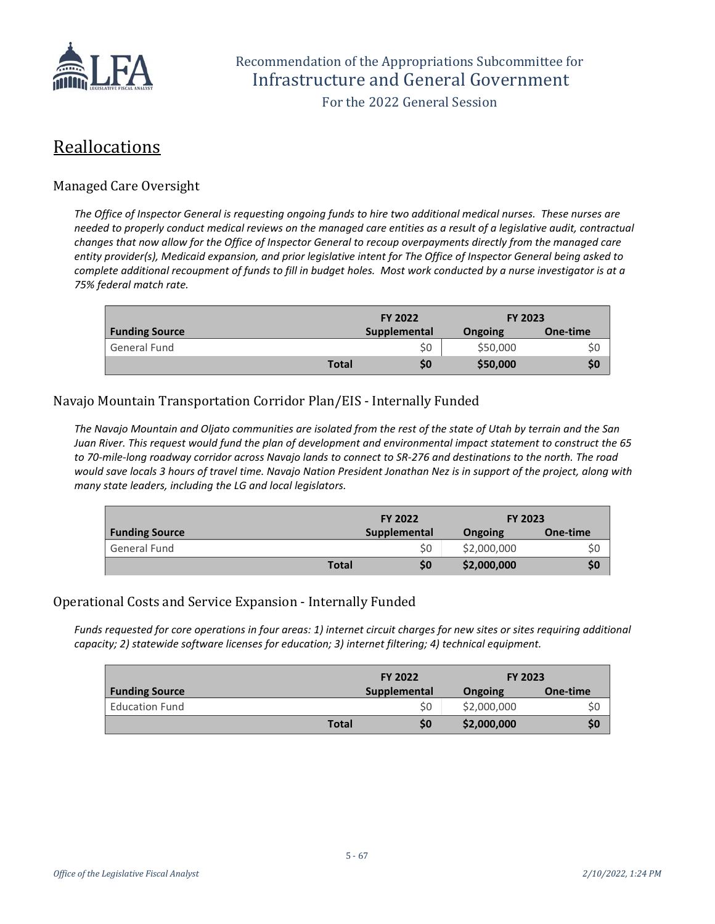

For the 2022 General Session

## Reallocations

## Managed Care Oversight

*The Office of Inspector General is requesting ongoing funds to hire two additional medical nurses. These nurses are needed to properly conduct medical reviews on the managed care entities as a result of a legislative audit, contractual changes that now allow for the Office of Inspector General to recoup overpayments directly from the managed care entity provider(s), Medicaid expansion, and prior legislative intent for The Office of Inspector General being asked to complete additional recoupment of funds to fill in budget holes. Most work conducted by a nurse investigator is at a 75% federal match rate.*

|                       |              | <b>FY 2022</b> | <b>FY 2023</b> |          |
|-----------------------|--------------|----------------|----------------|----------|
| <b>Funding Source</b> |              | Supplemental   | Ongoing        | One-time |
| General Fund          |              | \$0            | \$50,000       |          |
|                       | <b>Total</b> | SO             | \$50,000       | \$0      |

## Navajo Mountain Transportation Corridor Plan/EIS - Internally Funded

*The Navajo Mountain and Oljato communities are isolated from the rest of the state of Utah by terrain and the San Juan River. This request would fund the plan of development and environmental impact statement to construct the 65 to 70‐mile‐long roadway corridor across Navajo lands to connect to SR‐276 and destinations to the north. The road would save locals 3 hours of travel time. Navajo Nation President Jonathan Nez is in support of the project, along with many state leaders, including the LG and local legislators.*

|                       |       | <b>FY 2022</b> | <b>FY 2023</b> |          |
|-----------------------|-------|----------------|----------------|----------|
| <b>Funding Source</b> |       | Supplemental   | Ongoing        | One-time |
| General Fund          |       | S0             | \$2,000,000    | \$С      |
|                       | Total | SO             | \$2,000,000    | \$0      |

### Operational Costs and Service Expansion - Internally Funded

*Funds requested for core operations in four areas: 1) internet circuit charges for new sites or sites requiring additional capacity; 2) statewide software licenses for education; 3) internet filtering; 4) technical equipment.*

|                       |       | <b>FY 2022</b> | <b>FY 2023</b> |          |
|-----------------------|-------|----------------|----------------|----------|
| <b>Funding Source</b> |       | Supplemental   | Ongoing        | One-time |
| <b>Education Fund</b> |       | \$0            | \$2,000,000    | \$С      |
|                       | Total | SO.            | \$2,000,000    | \$0      |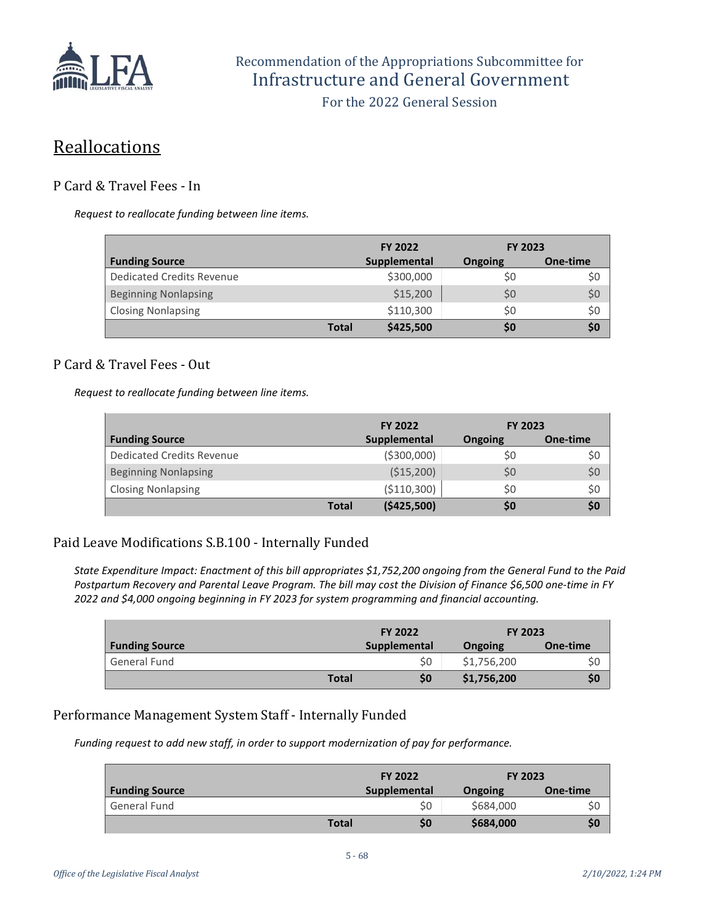

For the 2022 General Session

## Reallocations

## P Card & Travel Fees - In

*Request to reallocate funding between line items.*

|                                  |              | <b>FY 2022</b> | <b>FY 2023</b> |          |
|----------------------------------|--------------|----------------|----------------|----------|
| <b>Funding Source</b>            |              | Supplemental   | Ongoing        | One-time |
| <b>Dedicated Credits Revenue</b> |              | \$300,000      | \$0            | \$0      |
| <b>Beginning Nonlapsing</b>      |              | \$15,200       | \$0            | \$0      |
| <b>Closing Nonlapsing</b>        |              | \$110,300      | \$0            | \$0      |
|                                  | <b>Total</b> | \$425,500      | \$0            | \$0      |

### P Card & Travel Fees - Out

*Request to reallocate funding between line items.*

|                                  |              | <b>FY 2022</b> | <b>FY 2023</b> |          |
|----------------------------------|--------------|----------------|----------------|----------|
| <b>Funding Source</b>            |              | Supplemental   | Ongoing        | One-time |
| <b>Dedicated Credits Revenue</b> |              | ( \$300,000)   | \$0            | \$0      |
| <b>Beginning Nonlapsing</b>      |              | (\$15,200)     | \$0            | \$0      |
| <b>Closing Nonlapsing</b>        |              | ( \$110, 300)  | \$0            | \$0      |
|                                  | <b>Total</b> | (\$425,500)    | \$0            | \$0      |

## Paid Leave Modifications S.B.100 - Internally Funded

*State Expenditure Impact: Enactment of this bill appropriates \$1,752,200 ongoing from the General Fund to the Paid Postpartum Recovery and Parental Leave Program. The bill may cost the Division of Finance \$6,500 one‐time in FY 2022 and \$4,000 ongoing beginning in FY 2023 for system programming and financial accounting.*

|                       |              | <b>FY 2022</b> | <b>FY 2023</b> |          |
|-----------------------|--------------|----------------|----------------|----------|
| <b>Funding Source</b> |              | Supplemental   | Ongoing        | One-time |
| General Fund          |              | \$0            | \$1,756,200    |          |
|                       | <b>Total</b> | S0             | \$1,756,200    | S0       |

## Performance Management System Staff - Internally Funded

*Funding request to add new staff, in order to support modernization of pay for performance.*

|                       |       | <b>FY 2022</b> | <b>FY 2023</b> |          |
|-----------------------|-------|----------------|----------------|----------|
| <b>Funding Source</b> |       | Supplemental   | Ongoing        | One-time |
| General Fund          |       | \$0            | \$684,000      | SO       |
|                       | Total | \$0            | \$684,000      | \$0      |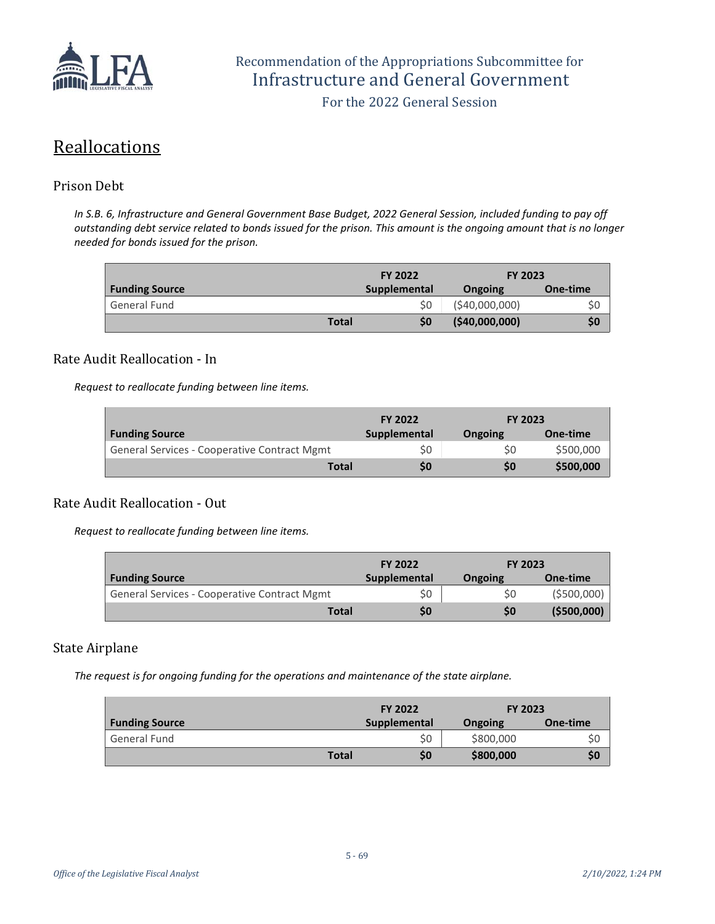

For the 2022 General Session

## Reallocations

## Prison Debt

*In S.B. 6, Infrastructure and General Government Base Budget, 2022 General Session, included funding to pay off outstanding debt service related to bonds issued for the prison. This amount is the ongoing amount that is no longer needed for bonds issued for the prison.*

|                       |       | <b>FY 2022</b> | <b>FY 2023</b> |          |
|-----------------------|-------|----------------|----------------|----------|
| <b>Funding Source</b> |       | Supplemental   | Ongoing        | One-time |
| General Fund          |       | \$0            | (\$40,000,000) | Ś0       |
|                       | Total | <b>SO</b>      | (\$40,000,000) | \$0      |

### Rate Audit Reallocation - In

*Request to reallocate funding between line items.*

|                                                     | <b>FY 2022</b> |           | <b>FY 2023</b> |
|-----------------------------------------------------|----------------|-----------|----------------|
| <b>Funding Source</b>                               | Supplemental   | Ongoing   | One-time       |
| <b>General Services - Cooperative Contract Mgmt</b> | \$0            | S0        | \$500,000      |
| Total                                               | <b>SO</b>      | <b>SO</b> | \$500,000      |

### Rate Audit Reallocation - Out

*Request to reallocate funding between line items.*

|                                                     | <b>FY 2022</b> |         | <b>FY 2023</b> |
|-----------------------------------------------------|----------------|---------|----------------|
| <b>Funding Source</b>                               | Supplemental   | Ongoing | One-time       |
| <b>General Services - Cooperative Contract Mgmt</b> | S0             | S0      | ( \$500,000)   |
| Total                                               | \$0            | \$0     | ( \$500,000]   |

## State Airplane

*The request is for ongoing funding for the operations and maintenance of the state airplane.*

|                       |       | <b>FY 2022</b> | <b>FY 2023</b> |          |
|-----------------------|-------|----------------|----------------|----------|
| <b>Funding Source</b> |       | Supplemental   | Ongoing        | One-time |
| General Fund          |       | \$0            | \$800,000      | ŚС       |
|                       | Total | \$0            | \$800,000      | \$0      |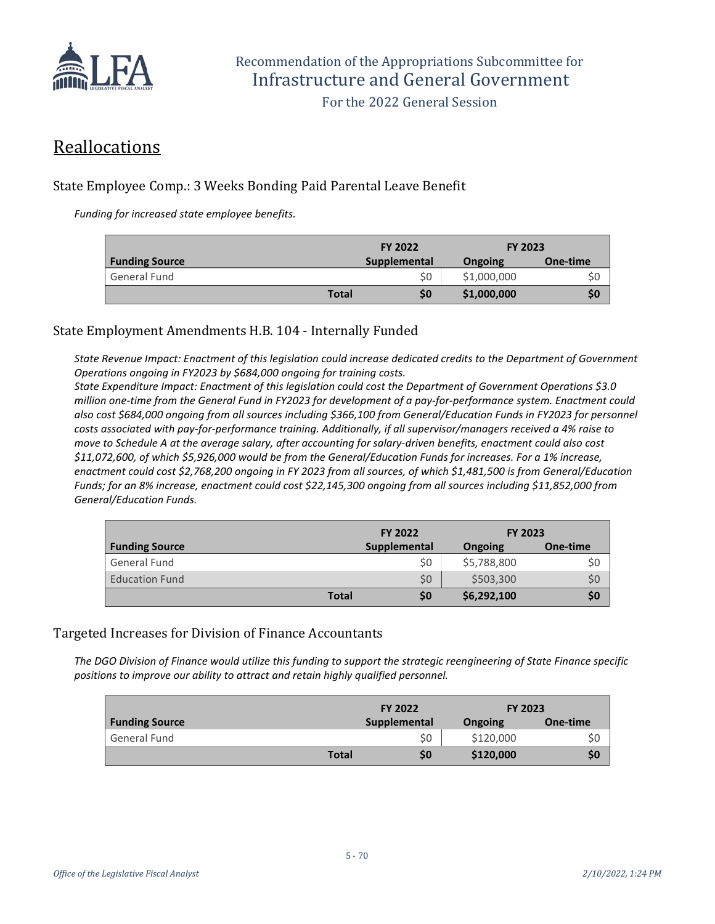

For the 2022 General Session

## Reallocations

## State Employee Comp.: 3 Weeks Bonding Paid Parental Leave Benefit

*Funding for increased state employee benefits.*

|                       |              | <b>FY 2022</b> | <b>FY 2023</b> |          |
|-----------------------|--------------|----------------|----------------|----------|
| <b>Funding Source</b> |              | Supplemental   | Ongoing        | One-time |
| General Fund          |              | \$0            | \$1,000,000    |          |
|                       | <b>Total</b> | S0             | \$1,000,000    | SO       |

### State Employment Amendments H.B. 104 - Internally Funded

*State Revenue Impact: Enactment of this legislation could increase dedicated credits to the Department of Government Operations ongoing in FY2023 by \$684,000 ongoing for training costs.*

*State Expenditure Impact: Enactment of this legislation could cost the Department of Government Operations \$3.0 million one‐time from the General Fund in FY2023 for development of a pay‐for‐performance system. Enactment could also cost \$684,000 ongoing from all sources including \$366,100 from General/Education Funds in FY2023 for personnel costs associated with pay‐for‐performance training. Additionally, if all supervisor/managers received a 4% raise to move to Schedule A at the average salary, after accounting for salary‐driven benefits, enactment could also cost \$11,072,600, of which \$5,926,000 would be from the General/Education Funds for increases. For a 1% increase, enactment could cost \$2,768,200 ongoing in FY 2023 from all sources, of which \$1,481,500 is from General/Education Funds; for an 8% increase, enactment could cost \$22,145,300 ongoing from all sources including \$11,852,000 from General/Education Funds.*

|                       | <b>FY 2022</b>      | <b>FY 2023</b> |          |
|-----------------------|---------------------|----------------|----------|
| <b>Funding Source</b> | Supplemental        | Ongoing        | One-time |
| General Fund          | \$0                 | \$5,788,800    | \$0      |
| <b>Education Fund</b> | \$0                 | \$503,300      | \$0      |
|                       | \$0<br><b>Total</b> | \$6,292,100    | \$0      |

### Targeted Increases for Division of Finance Accountants

*The DGO Division of Finance would utilize this funding to support the strategic reengineering of State Finance specific positions to improve our ability to attract and retain highly qualified personnel.*

|                       |       | <b>FY 2022</b> | <b>FY 2023</b> |          |
|-----------------------|-------|----------------|----------------|----------|
| <b>Funding Source</b> |       | Supplemental   | Ongoing        | One-time |
| General Fund          |       | \$0            | \$120,000      | \$С      |
|                       | Total | S0             | \$120,000      | \$0      |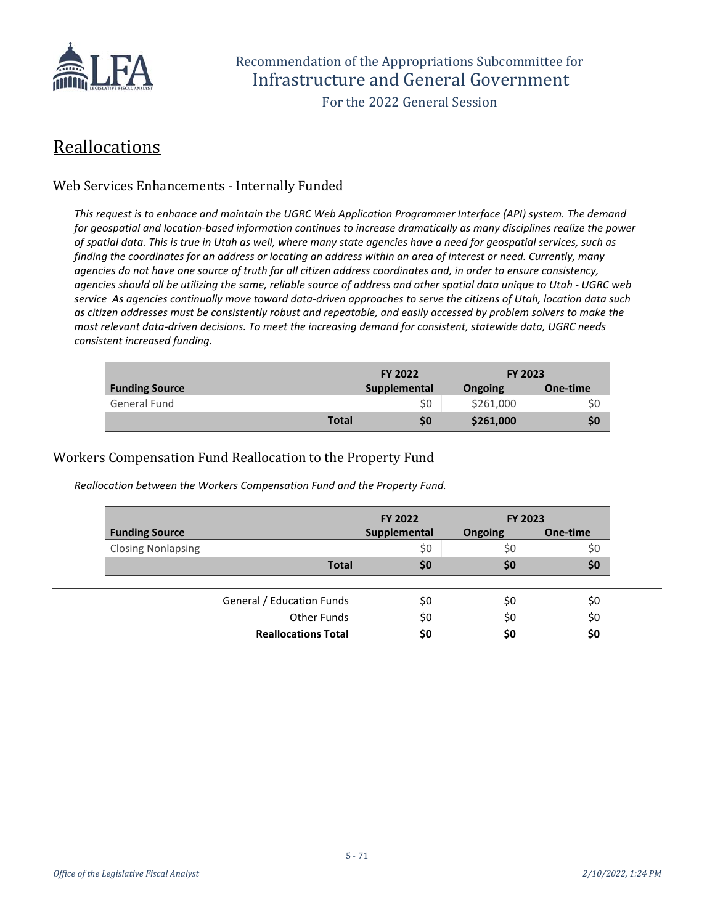

For the 2022 General Session

## Reallocations

## Web Services Enhancements - Internally Funded

*This request is to enhance and maintain the UGRC Web Application Programmer Interface (API) system. The demand for geospatial and location‐based information continues to increase dramatically as many disciplines realize the power of spatial data. This is true in Utah as well, where many state agencies have a need for geospatial services, such as finding the coordinates for an address or locating an address within an area of interest or need. Currently, many agencies do not have one source of truth for all citizen address coordinates and, in order to ensure consistency, agencies should all be utilizing the same, reliable source of address and other spatial data unique to Utah ‐ UGRC web service As agencies continually move toward data‐driven approaches to serve the citizens of Utah, location data such as citizen addresses must be consistently robust and repeatable, and easily accessed by problem solvers to make the most relevant data‐driven decisions. To meet the increasing demand for consistent, statewide data, UGRC needs consistent increased funding.*

|                       |              | <b>FY 2022</b> | <b>FY 2023</b> |          |
|-----------------------|--------------|----------------|----------------|----------|
| <b>Funding Source</b> |              | Supplemental   | Ongoing        | One-time |
| General Fund          |              | \$0            | \$261,000      | \$С      |
|                       | <b>Total</b> | S0             | \$261,000      | \$0      |

### Workers Compensation Fund Reallocation to the Property Fund

*Reallocation between the Workers Compensation Fund and the Property Fund.*

|                           | <b>FY 2022</b>             |              |         | <b>FY 2023</b> |  |
|---------------------------|----------------------------|--------------|---------|----------------|--|
| <b>Funding Source</b>     |                            | Supplemental | Ongoing | One-time       |  |
| <b>Closing Nonlapsing</b> |                            | \$0          | \$0     | \$0            |  |
|                           | <b>Total</b>               | \$0          | \$0     | \$0            |  |
|                           | General / Education Funds  | \$0          | \$0     | \$0            |  |
|                           | Other Funds                | \$0          | \$0     | \$0            |  |
|                           | <b>Reallocations Total</b> | \$0          | \$0     | \$0            |  |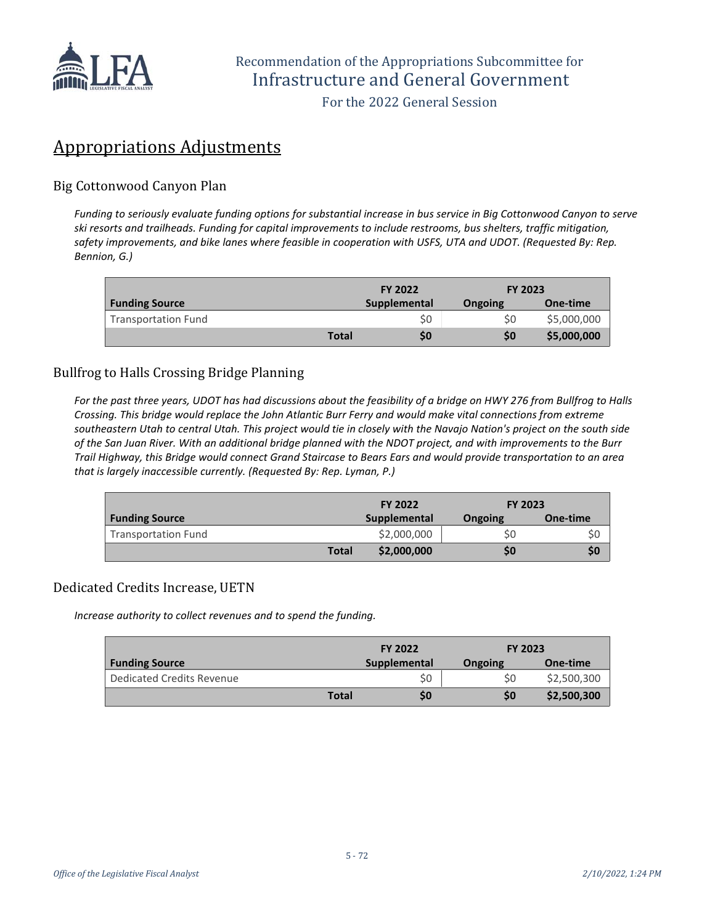

For the 2022 General Session

## Appropriations Adjustments

## Big Cottonwood Canyon Plan

*Funding to seriously evaluate funding options for substantial increase in bus service in Big Cottonwood Canyon to serve ski resorts and trailheads. Funding for capital improvements to include restrooms, bus shelters, traffic mitigation,*  safety improvements, and bike lanes where feasible in cooperation with USFS, UTA and UDOT. (Requested By: Rep. *Bennion, G.)*

|                            |              | <b>FY 2022</b> | <b>FY 2023</b> |             |
|----------------------------|--------------|----------------|----------------|-------------|
| <b>Funding Source</b>      |              | Supplemental   | Ongoing        | One-time    |
| <b>Transportation Fund</b> |              | Ś0             | \$0            | \$5,000,000 |
|                            | <b>Total</b> | \$0            | S0             | \$5,000,000 |

## Bullfrog to Halls Crossing Bridge Planning

*For the past three years, UDOT has had discussions about the feasibility of a bridge on HWY 276 from Bullfrog to Halls Crossing. This bridge would replace the John Atlantic Burr Ferry and would make vital connections from extreme southeastern Utah to central Utah. This project would tie in closely with the Navajo Nation's project on the south side of the San Juan River. With an additional bridge planned with the NDOT project, and with improvements to the Burr Trail Highway, this Bridge would connect Grand Staircase to Bears Ears and would provide transportation to an area that is largely inaccessible currently. (Requested By: Rep. Lyman, P.)*

|                            |              | <b>FY 2022</b> | <b>FY 2023</b> |          |
|----------------------------|--------------|----------------|----------------|----------|
| <b>Funding Source</b>      |              | Supplemental   | Ongoing        | One-time |
| <b>Transportation Fund</b> |              | \$2,000,000    | S0             | S0       |
|                            | <b>Total</b> | \$2,000,000    | \$0            | \$0      |

## Dedicated Credits Increase, UETN

*Increase authority to collect revenues and to spend the funding.*

|                           |              | <b>FY 2022</b> | <b>FY 2023</b> |             |
|---------------------------|--------------|----------------|----------------|-------------|
| <b>Funding Source</b>     |              | Supplemental   | Ongoing        | One-time    |
| Dedicated Credits Revenue |              | Ś0             | \$0            | \$2,500,300 |
|                           | <b>Total</b> | \$0            | S0             | \$2,500,300 |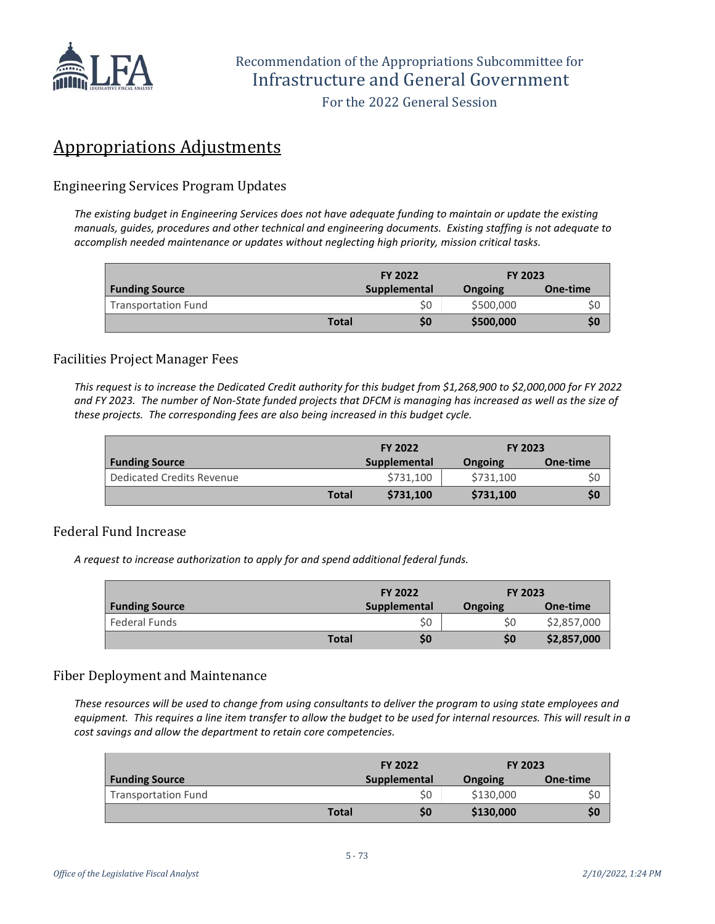

For the 2022 General Session

## Appropriations Adjustments

### Engineering Services Program Updates

*The existing budget in Engineering Services does not have adequate funding to maintain or update the existing manuals, guides, procedures and other technical and engineering documents. Existing staffing is not adequate to accomplish needed maintenance or updates without neglecting high priority, mission critical tasks.*

|                            |              | <b>FY 2022</b> | <b>FY 2023</b> |          |
|----------------------------|--------------|----------------|----------------|----------|
| <b>Funding Source</b>      |              | Supplemental   | Ongoing        | One-time |
| <b>Transportation Fund</b> |              | Ś0             | \$500,000      | S0       |
|                            | <b>Total</b> | \$0            | \$500,000      | \$0      |

#### Facilities Project Manager Fees

*This request is to increase the Dedicated Credit authority for this budget from \$1,268,900 to \$2,000,000 for FY 2022 and FY 2023. The number of Non‐State funded projects that DFCM is managing has increased as well as the size of these projects. The corresponding fees are also being increased in this budget cycle.*

|                           |       | <b>FY 2022</b> | <b>FY 2023</b> |          |
|---------------------------|-------|----------------|----------------|----------|
| <b>Funding Source</b>     |       | Supplemental   | Ongoing        | One-time |
| Dedicated Credits Revenue |       | \$731,100      | \$731,100      | \$0      |
|                           | Total | \$731.100      | \$731,100      | \$0      |

#### Federal Fund Increase

*A request to increase authorization to apply for and spend additional federal funds.*

|                       |              | <b>FY 2022</b><br><b>FY 2023</b> |         |             |
|-----------------------|--------------|----------------------------------|---------|-------------|
| <b>Funding Source</b> |              | Supplemental                     | Ongoing | One-time    |
| Federal Funds         |              | \$0                              | S0      | \$2,857,000 |
|                       | <b>Total</b> | \$0                              | \$0     | \$2,857,000 |

#### Fiber Deployment and Maintenance

*These resources will be used to change from using consultants to deliver the program to using state employees and equipment. This requires a line item transfer to allow the budget to be used for internal resources. This will result in a cost savings and allow the department to retain core competencies.*

|                            |              | <b>FY 2022</b> | <b>FY 2023</b> |          |
|----------------------------|--------------|----------------|----------------|----------|
| <b>Funding Source</b>      |              | Supplemental   | Ongoing        | One-time |
| <b>Transportation Fund</b> |              | \$0            | \$130,000      | ŚС       |
|                            | <b>Total</b> | S0             | \$130,000      | \$0      |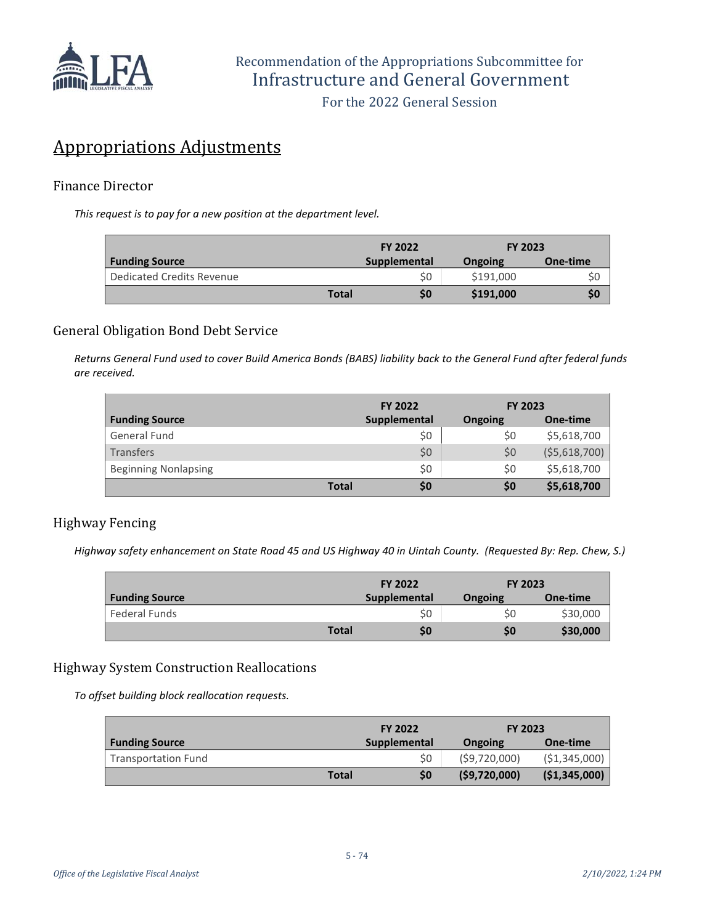

For the 2022 General Session

## Appropriations Adjustments

### Finance Director

*This request is to pay for a new position at the department level.*

|                           |              | <b>FY 2022</b> | <b>FY 2023</b> |          |
|---------------------------|--------------|----------------|----------------|----------|
| <b>Funding Source</b>     |              | Supplemental   | Ongoing        | One-time |
| Dedicated Credits Revenue |              | \$0            | \$191,000      | Ś0       |
|                           | <b>Total</b> | \$0            | \$191,000      | \$0      |

### General Obligation Bond Debt Service

*Returns General Fund used to cover Build America Bonds (BABS) liability back to the General Fund after federal funds are received.*

|                             | <b>FY 2022</b>      |         | <b>FY 2023</b> |
|-----------------------------|---------------------|---------|----------------|
| <b>Funding Source</b>       | Supplemental        | Ongoing | One-time       |
| General Fund                | \$0                 | \$0     | \$5,618,700    |
| <b>Transfers</b>            | \$0                 | \$0     | ( \$5,618,700) |
| <b>Beginning Nonlapsing</b> | \$0                 | \$0     | \$5,618,700    |
|                             | <b>Total</b><br>\$0 | \$0     | \$5,618,700    |

### Highway Fencing

*Highway safety enhancement on State Road 45 and US Highway 40 in Uintah County. (Requested By: Rep. Chew, S.)*

|                       |              | <b>FY 2022</b><br><b>FY 2023</b> |         |          |
|-----------------------|--------------|----------------------------------|---------|----------|
| <b>Funding Source</b> |              | Supplemental                     | Ongoing | One-time |
| Federal Funds         |              | \$0                              | \$0     | \$30,000 |
|                       | <b>Total</b> | \$0                              | \$0     | \$30,000 |

### Highway System Construction Reallocations

*To offset building block reallocation requests.*

|                            |       | <b>FY 2022</b> | <b>FY 2023</b> |               |
|----------------------------|-------|----------------|----------------|---------------|
| <b>Funding Source</b>      |       | Supplemental   | Ongoing        | One-time      |
| <b>Transportation Fund</b> |       | \$0            | (59,720,000)   | (51,345,000)  |
|                            | Total | \$0            | (59,720,000)   | (\$1,345,000) |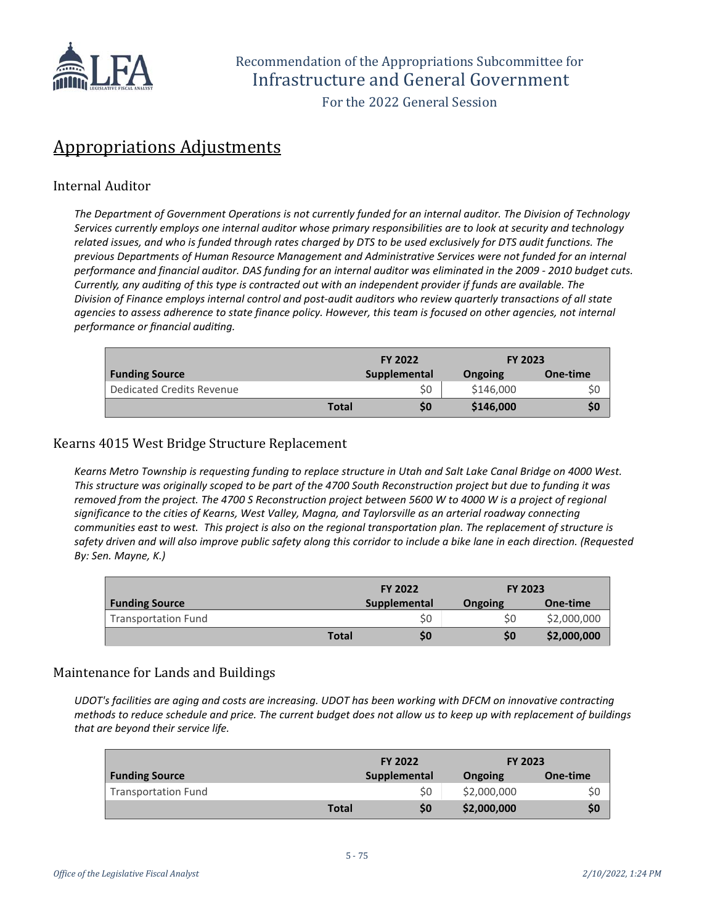

For the 2022 General Session

## Appropriations Adjustments

### Internal Auditor

*The Department of Government Operations is not currently funded for an internal auditor. The Division of Technology Services currently employs one internal auditor whose primary responsibilities are to look at security and technology related issues, and who is funded through rates charged by DTS to be used exclusively for DTS audit functions. The previous Departments of Human Resource Management and Administrative Services were not funded for an internal performance and financial auditor. DAS funding for an internal auditor was eliminated in the 2009 ‐ 2010 budget cuts. Currently, any audiƟng of this type is contracted out with an independent provider if funds are available. The Division of Finance employs internal control and post‐audit auditors who review quarterly transactions of all state agencies to assess adherence to state finance policy. However, this team is focused on other agencies, not internal performance or financial audiƟng.*

|                           |              | <b>FY 2022</b> | <b>FY 2023</b> |          |
|---------------------------|--------------|----------------|----------------|----------|
| <b>Funding Source</b>     |              | Supplemental   | Ongoing        | One-time |
| Dedicated Credits Revenue |              | Ś0             | \$146,000      | \$0      |
|                           | <b>Total</b> | \$0            | \$146,000      | \$0      |

#### Kearns 4015 West Bridge Structure Replacement

*Kearns Metro Township is requesting funding to replace structure in Utah and Salt Lake Canal Bridge on 4000 West. This structure was originally scoped to be part of the 4700 South Reconstruction project but due to funding it was removed from the project. The 4700 S Reconstruction project between 5600 W to 4000 W is a project of regional significance to the cities of Kearns, West Valley, Magna, and Taylorsville as an arterial roadway connecting communities east to west. This project is also on the regional transportation plan. The replacement of structure is safety driven and will also improve public safety along this corridor to include a bike lane in each direction. (Requested By: Sen. Mayne, K.)*

|                            | <b>FY 2022</b>            |           | <b>FY 2023</b> |
|----------------------------|---------------------------|-----------|----------------|
| <b>Funding Source</b>      | Supplemental              | Ongoing   | One-time       |
| <b>Transportation Fund</b> | Ś0                        | Ś0        | \$2,000,000    |
|                            | <b>Total</b><br><b>SO</b> | <b>SO</b> | \$2,000,000    |

### Maintenance for Lands and Buildings

*UDOT's facilities are aging and costs are increasing. UDOT has been working with DFCM on innovative contracting methods to reduce schedule and price. The current budget does not allow us to keep up with replacement of buildings that are beyond their service life.*

|                            |       | <b>FY 2022</b> | <b>FY 2023</b> |          |
|----------------------------|-------|----------------|----------------|----------|
| <b>Funding Source</b>      |       | Supplemental   | Ongoing        | One-time |
| <b>Transportation Fund</b> |       | \$0            | \$2,000,000    | SΟ       |
|                            | Total | <b>SO</b>      | \$2,000,000    | \$0      |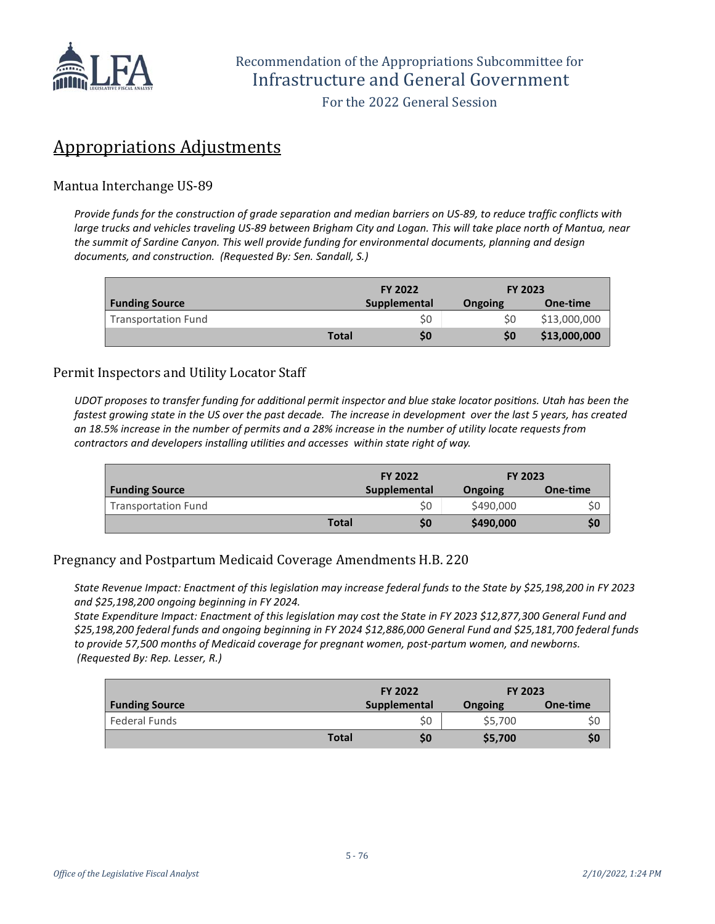

For the 2022 General Session

## Appropriations Adjustments

### Mantua Interchange US-89

*Provide funds for the construction of grade separation and median barriers on US‐89, to reduce traffic conflicts with large trucks and vehicles traveling US‐89 between Brigham City and Logan. This will take place north of Mantua, near the summit of Sardine Canyon. This well provide funding for environmental documents, planning and design documents, and construction. (Requested By: Sen. Sandall, S.)*

|                            |              | <b>FY 2022</b> |         | <b>FY 2023</b> |
|----------------------------|--------------|----------------|---------|----------------|
| <b>Funding Source</b>      |              | Supplemental   | Ongoing | One-time       |
| <b>Transportation Fund</b> |              | \$0            | S0      | \$13,000,000   |
|                            | <b>Total</b> | \$0            | S0      | \$13,000,000   |

### Permit Inspectors and Utility Locator Staff

*UDOT proposes to transfer funding for additional permit inspector and blue stake locator positions. Utah has been the fastest growing state in the US over the past decade. The increase in development over the last 5 years, has created an 18.5% increase in the number of permits and a 28% increase in the number of utility locate requests from*  contractors and developers installing utilities and accesses within state right of way.

|                            | <b>FY 2022</b>      |           | <b>FY 2023</b> |
|----------------------------|---------------------|-----------|----------------|
| <b>Funding Source</b>      | Supplemental        | Ongoing   | One-time       |
| <b>Transportation Fund</b> | \$0                 | \$490,000 | S0             |
|                            | <b>Total</b><br>\$0 | \$490,000 | S0             |

### Pregnancy and Postpartum Medicaid Coverage Amendments H.B. 220

*State Revenue Impact: Enactment of this legislation may increase federal funds to the State by \$25,198,200 in FY 2023 and \$25,198,200 ongoing beginning in FY 2024.*

*State Expenditure Impact: Enactment of this legislation may cost the State in FY 2023 \$12,877,300 General Fund and \$25,198,200 federal funds and ongoing beginning in FY 2024 \$12,886,000 General Fund and \$25,181,700 federal funds to provide 57,500 months of Medicaid coverage for pregnant women, post‐partum women, and newborns. (Requested By: Rep. Lesser, R.)*

|                       |              | <b>FY 2022</b> | <b>FY 2023</b> |          |
|-----------------------|--------------|----------------|----------------|----------|
| <b>Funding Source</b> |              | Supplemental   | Ongoing        | One-time |
| Federal Funds         |              | Ś0             | \$5.700        | \$C      |
|                       | <b>Total</b> | S0             | \$5,700        | \$0      |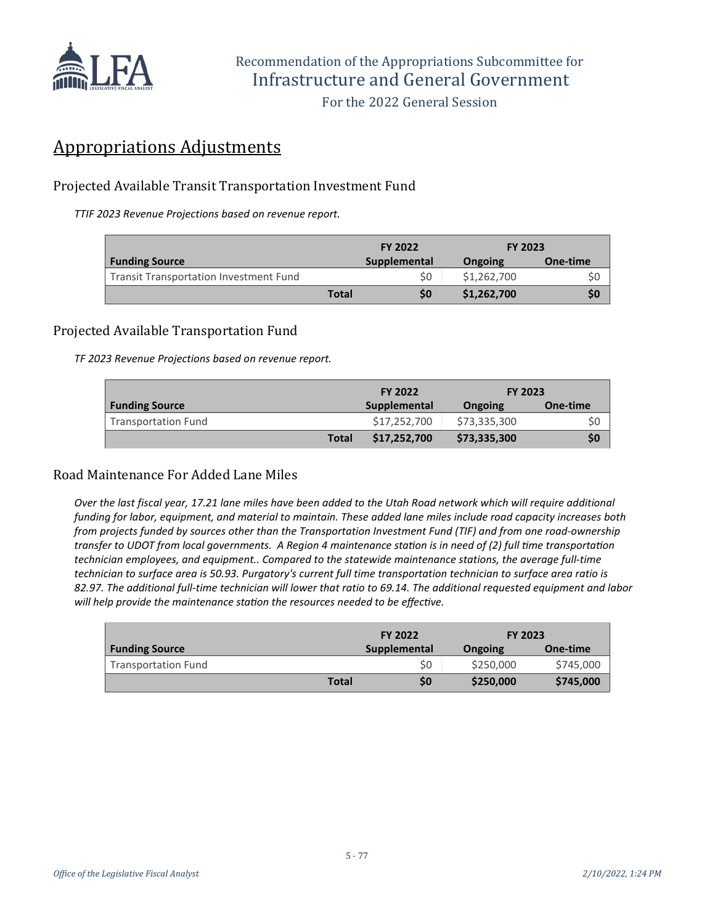

For the 2022 General Session

# Appropriations Adjustments

### Projected Available Transit Transportation Investment Fund

*TTIF 2023 Revenue Projections based on revenue report.*

|                                               |              | <b>FY 2022</b> | <b>FY 2023</b> |           |
|-----------------------------------------------|--------------|----------------|----------------|-----------|
| <b>Funding Source</b>                         |              | Supplemental   | Ongoing        | One-time  |
| <b>Transit Transportation Investment Fund</b> |              | S0             | \$1,262,700    | Ś0        |
|                                               | <b>Total</b> | \$0            | \$1,262,700    | <b>SO</b> |

#### Projected Available Transportation Fund

*TF 2023 Revenue Projections based on revenue report.*

|                            |              | <b>FY 2022</b> | <b>FY 2023</b> |          |
|----------------------------|--------------|----------------|----------------|----------|
| <b>Funding Source</b>      |              | Supplemental   | Ongoing        | One-time |
| <b>Transportation Fund</b> |              | \$17,252,700   | \$73,335,300   | S0       |
|                            | <b>Total</b> | \$17,252,700   | \$73,335,300   | \$0      |

### Road Maintenance For Added Lane Miles

*Over the last fiscal year, 17.21 lane miles have been added to the Utah Road network which will require additional funding for labor, equipment, and material to maintain. These added lane miles include road capacity increases both from projects funded by sources other than the Transportation Investment Fund (TIF) and from one road‐ownership transfer to UDOT from local governments. A Region 4 maintenance station is in need of (2) full time transportation technician employees, and equipment.. Compared to the statewide maintenance stations, the average full‐time technician to surface area is 50.93. Purgatory's current full time transportation technician to surface area ratio is 82.97. The additional full‐time technician will lower that ratio to 69.14. The additional requested equipment and labor*  will help provide the maintenance station the resources needed to be effective.

|                            |              | <b>FY 2022</b> | <b>FY 2023</b> |           |
|----------------------------|--------------|----------------|----------------|-----------|
| <b>Funding Source</b>      |              | Supplemental   | Ongoing        | One-time  |
| <b>Transportation Fund</b> |              | \$0            | \$250,000      | \$745,000 |
|                            | <b>Total</b> | <b>SO</b>      | \$250,000      | \$745,000 |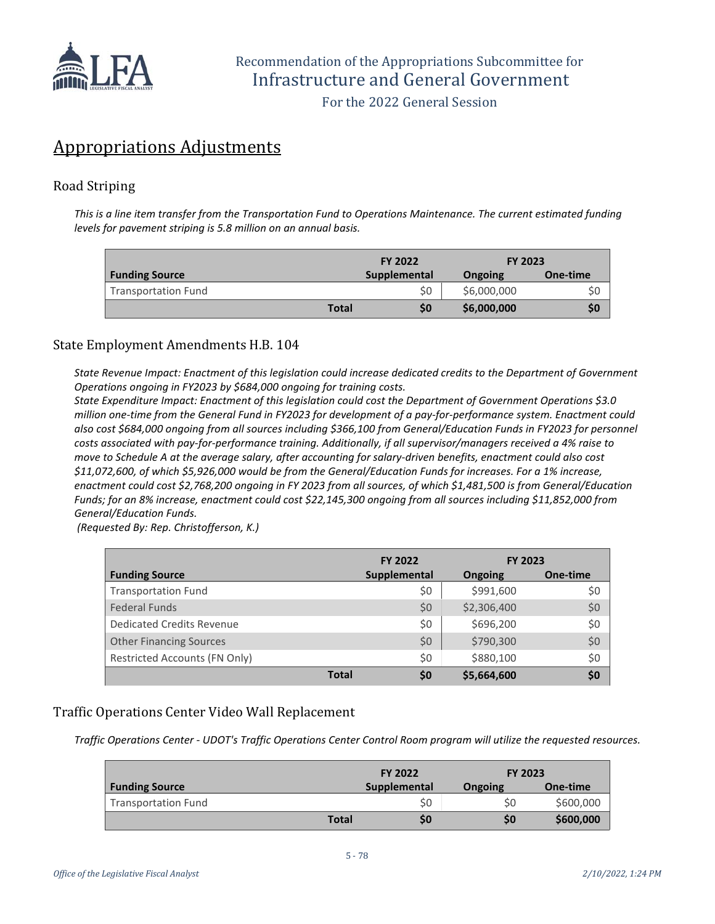

For the 2022 General Session

## Appropriations Adjustments

### Road Striping

*This is a line item transfer from the Transportation Fund to Operations Maintenance. The current estimated funding levels for pavement striping is 5.8 million on an annual basis.*

|                            |              | <b>FY 2022</b> | <b>FY 2023</b> |          |
|----------------------------|--------------|----------------|----------------|----------|
| <b>Funding Source</b>      |              | Supplemental   | Ongoing        | One-time |
| <b>Transportation Fund</b> |              | \$0            | \$6,000,000    | SΟ       |
|                            | <b>Total</b> | \$0            | \$6,000,000    | \$0      |

#### State Employment Amendments H.B. 104

*State Revenue Impact: Enactment of this legislation could increase dedicated credits to the Department of Government Operations ongoing in FY2023 by \$684,000 ongoing for training costs.*

*State Expenditure Impact: Enactment of this legislation could cost the Department of Government Operations \$3.0 million one‐time from the General Fund in FY2023 for development of a pay‐for‐performance system. Enactment could also cost \$684,000 ongoing from all sources including \$366,100 from General/Education Funds in FY2023 for personnel costs associated with pay‐for‐performance training. Additionally, if all supervisor/managers received a 4% raise to move to Schedule A at the average salary, after accounting for salary‐driven benefits, enactment could also cost \$11,072,600, of which \$5,926,000 would be from the General/Education Funds for increases. For a 1% increase, enactment could cost \$2,768,200 ongoing in FY 2023 from all sources, of which \$1,481,500 is from General/Education Funds; for an 8% increase, enactment could cost \$22,145,300 ongoing from all sources including \$11,852,000 from General/Education Funds.*

 *(Requested By: Rep. Christofferson, K.)*

|                                  | <b>FY 2022</b> |             | <b>FY 2023</b> |
|----------------------------------|----------------|-------------|----------------|
| <b>Funding Source</b>            | Supplemental   | Ongoing     | One-time       |
| <b>Transportation Fund</b>       | \$0            | \$991,600   | \$0            |
| <b>Federal Funds</b>             | \$0            | \$2,306,400 | \$0            |
| <b>Dedicated Credits Revenue</b> | \$0            | \$696,200   | \$0            |
| <b>Other Financing Sources</b>   | \$0            | \$790,300   | \$0            |
| Restricted Accounts (FN Only)    | \$0            | \$880,100   | \$0            |
| <b>Total</b>                     | \$0            | \$5,664,600 | \$0            |

### Traffic Operations Center Video Wall Replacement

*Traffic Operations Center ‐ UDOT's Traffic Operations Center Control Room program will utilize the requested resources.*

|                            |       | <b>FY 2022</b> | <b>FY 2023</b> |           |
|----------------------------|-------|----------------|----------------|-----------|
| <b>Funding Source</b>      |       | Supplemental   | Ongoing        | One-time  |
| <b>Transportation Fund</b> |       | Ś0             |                | \$600,000 |
|                            | Total | \$0            | \$0            | \$600,000 |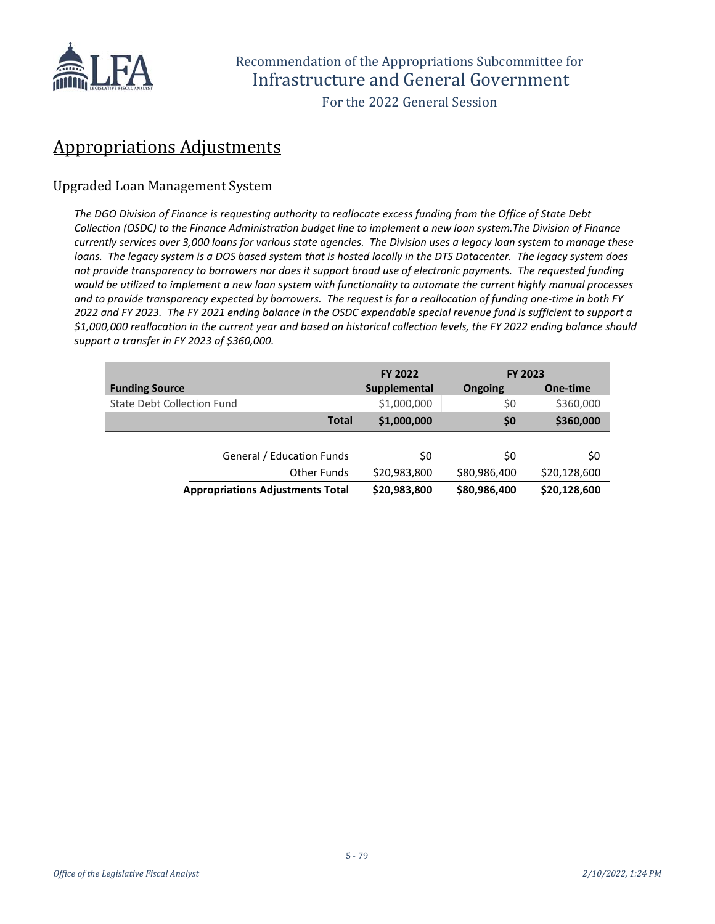

For the 2022 General Session

## Appropriations Adjustments

### Upgraded Loan Management System

*The DGO Division of Finance is requesting authority to reallocate excess funding from the Office of State Debt Collection (OSDC) to the Finance Administration budget line to implement a new loan system.The Division of Finance currently services over 3,000 loans for various state agencies. The Division uses a legacy loan system to manage these loans. The legacy system is a DOS based system that is hosted locally in the DTS Datacenter. The legacy system does not provide transparency to borrowers nor does it support broad use of electronic payments. The requested funding would be utilized to implement a new loan system with functionality to automate the current highly manual processes and to provide transparency expected by borrowers. The request is for a reallocation of funding one‐time in both FY 2022 and FY 2023. The FY 2021 ending balance in the OSDC expendable special revenue fund is sufficient to support a \$1,000,000 reallocation in the current year and based on historical collection levels, the FY 2022 ending balance should support a transfer in FY 2023 of \$360,000.*

|                                          | FY 2022             | <b>FY 2023</b>     |                     |
|------------------------------------------|---------------------|--------------------|---------------------|
| <b>Funding Source</b>                    | Supplemental        | Ongoing            | One-time            |
| <b>State Debt Collection Fund</b>        | \$1,000,000         | \$0                | \$360,000           |
| <b>Total</b>                             | \$1,000,000         | \$0                | \$360,000           |
|                                          |                     |                    |                     |
| General / Education Funds<br>Other Funds | \$0<br>\$20,983,800 | S0<br>\$80,986,400 | \$0<br>\$20,128,600 |
| <b>Appropriations Adjustments Total</b>  | \$20,983,800        | \$80,986,400       | \$20,128,600        |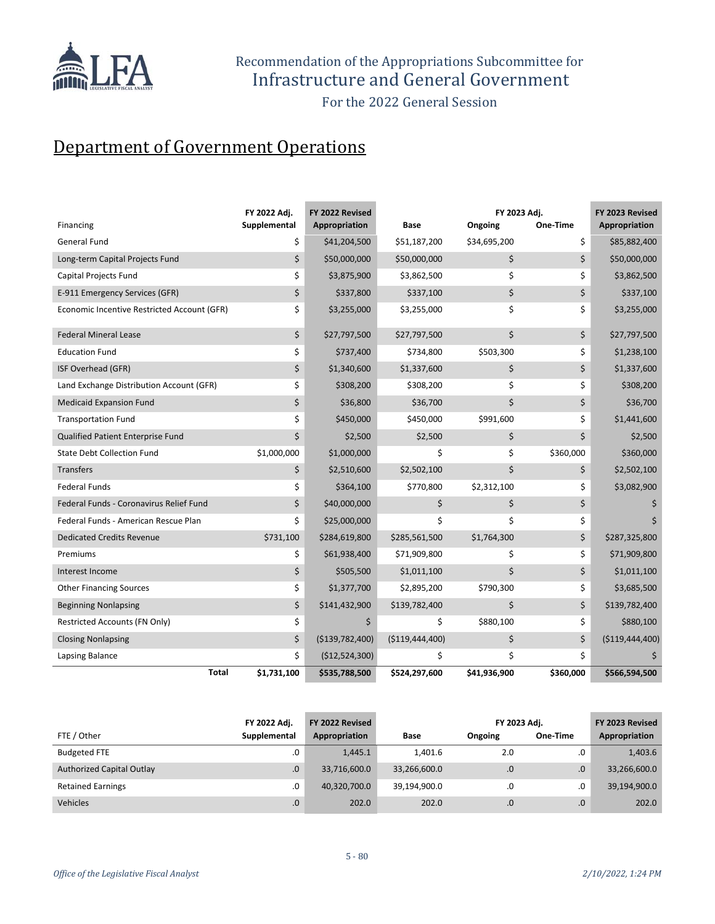

For the 2022 General Session

|                                             | FY 2022 Adj. | FY 2022 Revised    |                  |              | FY 2023 Adj. | FY 2023 Revised    |
|---------------------------------------------|--------------|--------------------|------------------|--------------|--------------|--------------------|
| Financing                                   | Supplemental | Appropriation      | Base             | Ongoing      | One-Time     | Appropriation      |
| <b>General Fund</b>                         | \$           | \$41,204,500       | \$51,187,200     | \$34,695,200 | \$           | \$85,882,400       |
| Long-term Capital Projects Fund             | \$           | \$50,000,000       | \$50,000,000     | \$           | \$           | \$50,000,000       |
| Capital Projects Fund                       | \$           | \$3,875,900        | \$3,862,500      | \$           | \$           | \$3,862,500        |
| E-911 Emergency Services (GFR)              | \$           | \$337,800          | \$337,100        | \$           | \$           | \$337,100          |
| Economic Incentive Restricted Account (GFR) | \$           | \$3,255,000        | \$3,255,000      | \$           | \$           | \$3,255,000        |
| <b>Federal Mineral Lease</b>                | \$           | \$27,797,500       | \$27,797,500     | \$           | \$           | \$27,797,500       |
| <b>Education Fund</b>                       | \$           | \$737,400          | \$734,800        | \$503,300    | \$           | \$1,238,100        |
| ISF Overhead (GFR)                          | \$           | \$1,340,600        | \$1,337,600      | \$           | \$           | \$1,337,600        |
| Land Exchange Distribution Account (GFR)    | \$           | \$308,200          | \$308,200        | \$           | \$           | \$308,200          |
| <b>Medicaid Expansion Fund</b>              | \$           | \$36,800           | \$36,700         | \$           | \$           | \$36,700           |
| <b>Transportation Fund</b>                  | \$           | \$450,000          | \$450,000        | \$991,600    | \$           | \$1,441,600        |
| Qualified Patient Enterprise Fund           | \$           | \$2,500            | \$2,500          | \$           | \$           | \$2,500            |
| <b>State Debt Collection Fund</b>           | \$1,000,000  | \$1,000,000        | \$               | \$           | \$360,000    | \$360,000          |
| <b>Transfers</b>                            | \$           | \$2,510,600        | \$2,502,100      | \$           | \$           | \$2,502,100        |
| <b>Federal Funds</b>                        | \$           | \$364,100          | \$770,800        | \$2,312,100  | \$           | \$3,082,900        |
| Federal Funds - Coronavirus Relief Fund     | \$           | \$40,000,000       | \$               | \$           | \$           |                    |
| Federal Funds - American Rescue Plan        | \$           | \$25,000,000       | \$               | \$           | \$           |                    |
| <b>Dedicated Credits Revenue</b>            | \$731,100    | \$284,619,800      | \$285,561,500    | \$1,764,300  | \$           | \$287,325,800      |
| Premiums                                    | \$           | \$61,938,400       | \$71,909,800     | \$           | \$           | \$71,909,800       |
| Interest Income                             | \$           | \$505,500          | \$1,011,100      | \$           | \$           | \$1,011,100        |
| <b>Other Financing Sources</b>              | \$           | \$1,377,700        | \$2,895,200      | \$790,300    | \$           | \$3,685,500        |
| <b>Beginning Nonlapsing</b>                 | \$           | \$141,432,900      | \$139,782,400    | \$           | \$           | \$139,782,400      |
| Restricted Accounts (FN Only)               | \$           | \$                 | \$               | \$880,100    | \$           | \$880,100          |
| <b>Closing Nonlapsing</b>                   | \$           | ( \$139, 782, 400) | ( \$119,444,400) | \$           | \$           | ( \$119, 444, 400) |
| Lapsing Balance                             | \$           | (\$12,524,300)     | \$               | \$           | \$           |                    |
| <b>Total</b>                                | \$1,731,100  | \$535,788,500      | \$524,297,600    | \$41,936,900 | \$360,000    | \$566,594,500      |

|                                  | FY 2022 Adj. | FY 2022 Revised |              | FY 2023 Adj.   |          | FY 2023 Revised |
|----------------------------------|--------------|-----------------|--------------|----------------|----------|-----------------|
| FTE / Other                      | Supplemental | Appropriation   | <b>Base</b>  | Ongoing        | One-Time | Appropriation   |
| <b>Budgeted FTE</b>              | .0           | 1,445.1         | 1,401.6      | 2.0            | .0       | 1,403.6         |
| <b>Authorized Capital Outlay</b> | .0           | 33,716,600.0    | 33,266,600.0 | $\overline{0}$ | .0       | 33,266,600.0    |
| <b>Retained Earnings</b>         | .0           | 40,320,700.0    | 39,194,900.0 | .0             | .0       | 39,194,900.0    |
| <b>Vehicles</b>                  | .0           | 202.0           | 202.0        | 0.             | 0.       | 202.0           |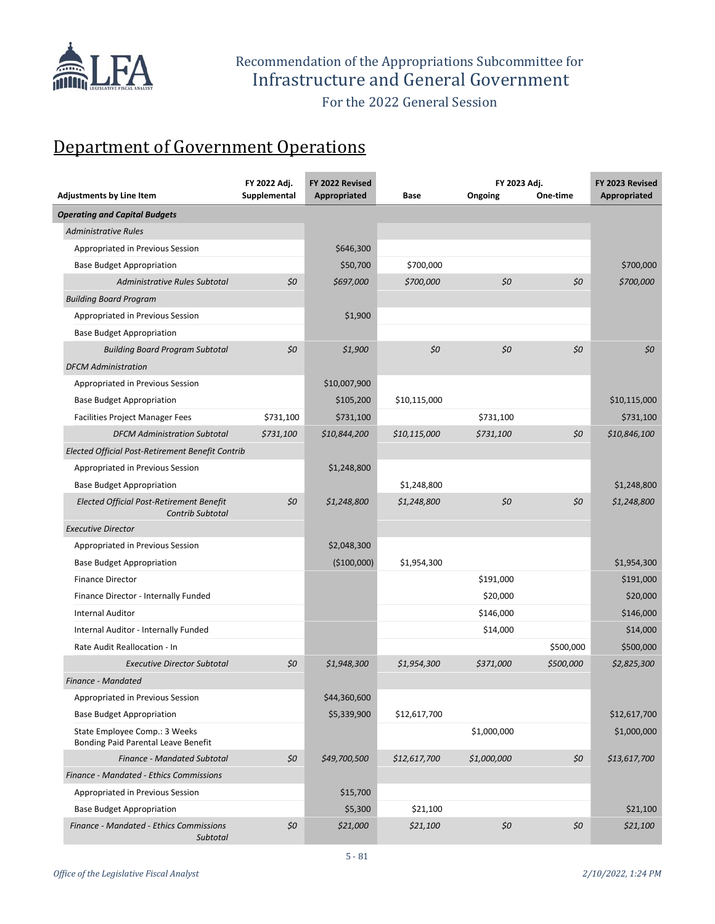

Ī

### Recommendation of the Appropriations Subcommittee for Infrastructure and General Government

For the 2022 General Session

| Adjustments by Line Item                                             | FY 2022 Adj.<br>Supplemental | FY 2022 Revised<br>Appropriated | <b>Base</b>  | FY 2023 Adi.<br>Ongoing | One-time  | FY 2023 Revised<br>Appropriated |
|----------------------------------------------------------------------|------------------------------|---------------------------------|--------------|-------------------------|-----------|---------------------------------|
| <b>Operating and Capital Budgets</b>                                 |                              |                                 |              |                         |           |                                 |
| <b>Administrative Rules</b>                                          |                              |                                 |              |                         |           |                                 |
| Appropriated in Previous Session                                     |                              | \$646,300                       |              |                         |           |                                 |
| <b>Base Budget Appropriation</b>                                     |                              | \$50,700                        | \$700,000    |                         |           | \$700,000                       |
| Administrative Rules Subtotal                                        | \$0                          | \$697,000                       | \$700,000    | \$0                     | \$0       | \$700,000                       |
| <b>Building Board Program</b>                                        |                              |                                 |              |                         |           |                                 |
| Appropriated in Previous Session                                     |                              | \$1,900                         |              |                         |           |                                 |
| <b>Base Budget Appropriation</b>                                     |                              |                                 |              |                         |           |                                 |
| <b>Building Board Program Subtotal</b>                               | \$0                          | \$1,900                         | \$0          | \$0                     | \$0       | \$0                             |
| <b>DFCM Administration</b>                                           |                              |                                 |              |                         |           |                                 |
| Appropriated in Previous Session                                     |                              | \$10,007,900                    |              |                         |           |                                 |
| <b>Base Budget Appropriation</b>                                     |                              | \$105,200                       | \$10,115,000 |                         |           | \$10,115,000                    |
| <b>Facilities Project Manager Fees</b>                               | \$731,100                    | \$731,100                       |              | \$731,100               |           | \$731,100                       |
| <b>DFCM Administration Subtotal</b>                                  | \$731,100                    | \$10,844,200                    | \$10,115,000 | \$731,100               | \$0       | \$10,846,100                    |
| Elected Official Post-Retirement Benefit Contrib                     |                              |                                 |              |                         |           |                                 |
| Appropriated in Previous Session                                     |                              | \$1,248,800                     |              |                         |           |                                 |
| <b>Base Budget Appropriation</b>                                     |                              |                                 | \$1,248,800  |                         |           | \$1,248,800                     |
| Elected Official Post-Retirement Benefit<br><b>Contrib Subtotal</b>  | \$0                          | \$1,248,800                     | \$1,248,800  | \$0                     | \$0       | \$1,248,800                     |
| <b>Executive Director</b>                                            |                              |                                 |              |                         |           |                                 |
| Appropriated in Previous Session                                     |                              | \$2,048,300                     |              |                         |           |                                 |
| <b>Base Budget Appropriation</b>                                     |                              | (\$100,000)                     | \$1,954,300  |                         |           | \$1,954,300                     |
| <b>Finance Director</b>                                              |                              |                                 |              | \$191,000               |           | \$191,000                       |
| Finance Director - Internally Funded                                 |                              |                                 |              | \$20,000                |           | \$20,000                        |
| <b>Internal Auditor</b>                                              |                              |                                 |              | \$146,000               |           | \$146,000                       |
| Internal Auditor - Internally Funded                                 |                              |                                 |              | \$14,000                |           | \$14,000                        |
| Rate Audit Reallocation - In                                         |                              |                                 |              |                         | \$500,000 | \$500,000                       |
| <b>Executive Director Subtotal</b>                                   | \$0                          | \$1,948,300                     | \$1,954,300  | \$371,000               | \$500,000 | \$2,825,300                     |
| Finance - Mandated                                                   |                              |                                 |              |                         |           |                                 |
| Appropriated in Previous Session                                     |                              | \$44,360,600                    |              |                         |           |                                 |
| <b>Base Budget Appropriation</b>                                     |                              | \$5,339,900                     | \$12,617,700 |                         |           | \$12,617,700                    |
| State Employee Comp.: 3 Weeks<br>Bonding Paid Parental Leave Benefit |                              |                                 |              | \$1,000,000             |           | \$1,000,000                     |
| Finance - Mandated Subtotal                                          | $50\,$                       | \$49,700,500                    | \$12,617,700 | \$1,000,000             | \$0       | \$13,617,700                    |
| <b>Finance - Mandated - Ethics Commissions</b>                       |                              |                                 |              |                         |           |                                 |
| Appropriated in Previous Session                                     |                              | \$15,700                        |              |                         |           |                                 |
| <b>Base Budget Appropriation</b>                                     |                              | \$5,300                         | \$21,100     |                         |           | \$21,100                        |
| Finance - Mandated - Ethics Commissions<br>Subtotal                  | $50$                         | \$21,000                        | \$21,100     | $50$                    | \$0       | \$21,100                        |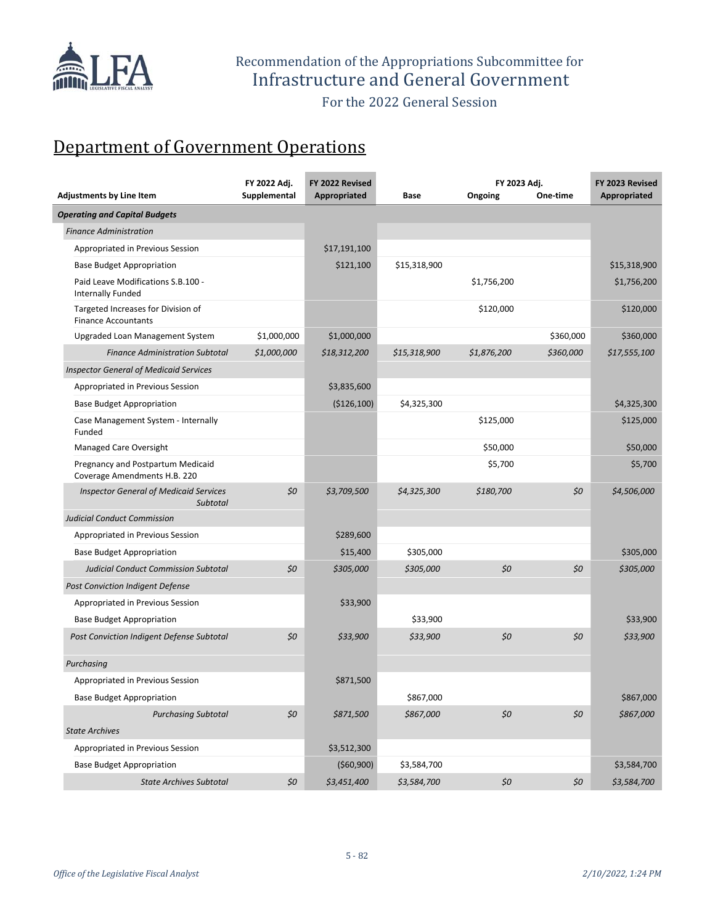

Ī

### Recommendation of the Appropriations Subcommittee for Infrastructure and General Government

For the 2022 General Session

|                                                                   | FY 2022 Adj. | FY 2022 Revised |              | FY 2023 Adj. |           | FY 2023 Revised |
|-------------------------------------------------------------------|--------------|-----------------|--------------|--------------|-----------|-----------------|
| <b>Adjustments by Line Item</b>                                   | Supplemental | Appropriated    | Base         | Ongoing      | One-time  | Appropriated    |
| <b>Operating and Capital Budgets</b>                              |              |                 |              |              |           |                 |
| <b>Finance Administration</b>                                     |              |                 |              |              |           |                 |
| Appropriated in Previous Session                                  |              | \$17,191,100    |              |              |           |                 |
| <b>Base Budget Appropriation</b>                                  |              | \$121,100       | \$15,318,900 |              |           | \$15,318,900    |
| Paid Leave Modifications S.B.100 -<br>Internally Funded           |              |                 |              | \$1,756,200  |           | \$1,756,200     |
| Targeted Increases for Division of<br><b>Finance Accountants</b>  |              |                 |              | \$120,000    |           | \$120,000       |
| Upgraded Loan Management System                                   | \$1,000,000  | \$1,000,000     |              |              | \$360,000 | \$360,000       |
| <b>Finance Administration Subtotal</b>                            | \$1,000,000  | \$18,312,200    | \$15,318,900 | \$1,876,200  | \$360,000 | \$17,555,100    |
| <b>Inspector General of Medicaid Services</b>                     |              |                 |              |              |           |                 |
| Appropriated in Previous Session                                  |              | \$3,835,600     |              |              |           |                 |
| <b>Base Budget Appropriation</b>                                  |              | (\$126,100)     | \$4,325,300  |              |           | \$4,325,300     |
| Case Management System - Internally<br>Funded                     |              |                 |              | \$125,000    |           | \$125,000       |
| Managed Care Oversight                                            |              |                 |              | \$50,000     |           | \$50,000        |
| Pregnancy and Postpartum Medicaid<br>Coverage Amendments H.B. 220 |              |                 |              | \$5,700      |           | \$5,700         |
| <b>Inspector General of Medicaid Services</b><br>Subtotal         | \$0          | \$3,709,500     | \$4,325,300  | \$180,700    | \$0       | \$4,506,000     |
| <b>Judicial Conduct Commission</b>                                |              |                 |              |              |           |                 |
| Appropriated in Previous Session                                  |              | \$289,600       |              |              |           |                 |
| <b>Base Budget Appropriation</b>                                  |              | \$15,400        | \$305,000    |              |           | \$305,000       |
| <b>Judicial Conduct Commission Subtotal</b>                       | \$0          | \$305,000       | \$305,000    | \$0          | \$0       | \$305,000       |
| <b>Post Conviction Indigent Defense</b>                           |              |                 |              |              |           |                 |
| Appropriated in Previous Session                                  |              | \$33,900        |              |              |           |                 |
| <b>Base Budget Appropriation</b>                                  |              |                 | \$33,900     |              |           | \$33,900        |
| Post Conviction Indigent Defense Subtotal                         | \$0          | \$33,900        | \$33,900     | \$0          | \$0       | \$33,900        |
| Purchasing                                                        |              |                 |              |              |           |                 |
| Appropriated in Previous Session                                  |              | \$871,500       |              |              |           |                 |
| Base Budget Appropriation                                         |              |                 | \$867,000    |              |           | \$867,000       |
| <b>Purchasing Subtotal</b>                                        | 50           | \$871,500       | \$867,000    | \$0          | \$0       | \$867,000       |
| <b>State Archives</b>                                             |              |                 |              |              |           |                 |
| Appropriated in Previous Session                                  |              | \$3,512,300     |              |              |           |                 |
| <b>Base Budget Appropriation</b>                                  |              | (560,900)       | \$3,584,700  |              |           | \$3,584,700     |
| <b>State Archives Subtotal</b>                                    | \$0          | \$3,451,400     | \$3,584,700  | \$0          | \$0       | \$3,584,700     |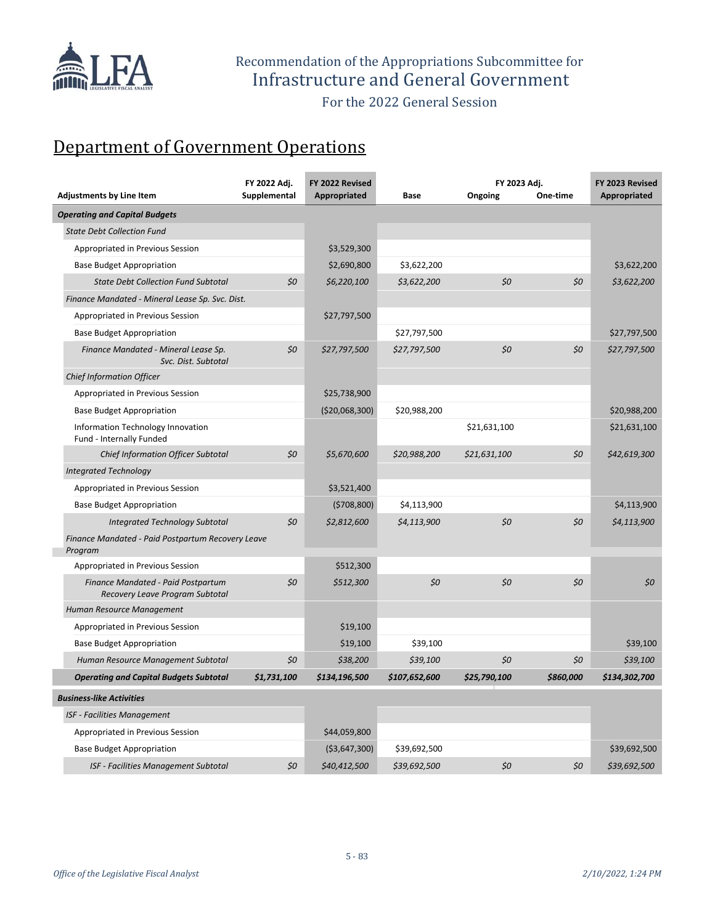

For the 2022 General Session

|                                                                       | FY 2022 Adj. | FY 2022 Revised |               | FY 2023 Adj. |           | FY 2023 Revised |
|-----------------------------------------------------------------------|--------------|-----------------|---------------|--------------|-----------|-----------------|
| <b>Adjustments by Line Item</b>                                       | Supplemental | Appropriated    | <b>Base</b>   | Ongoing      | One-time  | Appropriated    |
| <b>Operating and Capital Budgets</b>                                  |              |                 |               |              |           |                 |
| <b>State Debt Collection Fund</b>                                     |              |                 |               |              |           |                 |
| Appropriated in Previous Session                                      |              | \$3,529,300     |               |              |           |                 |
| <b>Base Budget Appropriation</b>                                      |              | \$2,690,800     | \$3,622,200   |              |           | \$3,622,200     |
| <b>State Debt Collection Fund Subtotal</b>                            | \$0          | \$6,220,100     | \$3,622,200   | \$0          | \$0       | \$3,622,200     |
| Finance Mandated - Mineral Lease Sp. Svc. Dist.                       |              |                 |               |              |           |                 |
| Appropriated in Previous Session                                      |              | \$27,797,500    |               |              |           |                 |
| <b>Base Budget Appropriation</b>                                      |              |                 | \$27,797,500  |              |           | \$27,797,500    |
| Finance Mandated - Mineral Lease Sp.<br>Svc. Dist. Subtotal           | \$0          | \$27,797,500    | \$27,797,500  | \$0          | \$0       | \$27,797,500    |
| Chief Information Officer                                             |              |                 |               |              |           |                 |
| Appropriated in Previous Session                                      |              | \$25,738,900    |               |              |           |                 |
| <b>Base Budget Appropriation</b>                                      |              | ( \$20,068,300) | \$20,988,200  |              |           | \$20,988,200    |
| Information Technology Innovation<br>Fund - Internally Funded         |              |                 |               | \$21,631,100 |           | \$21,631,100    |
| Chief Information Officer Subtotal                                    | \$0          | \$5,670,600     | \$20,988,200  | \$21,631,100 | \$0       | \$42,619,300    |
| <b>Integrated Technology</b>                                          |              |                 |               |              |           |                 |
| Appropriated in Previous Session                                      |              | \$3,521,400     |               |              |           |                 |
| <b>Base Budget Appropriation</b>                                      |              | (5708,800)      | \$4,113,900   |              |           | \$4,113,900     |
| <b>Integrated Technology Subtotal</b>                                 | \$0          | \$2,812,600     | \$4,113,900   | \$0          | \$0       | \$4,113,900     |
| Finance Mandated - Paid Postpartum Recovery Leave<br>Program          |              |                 |               |              |           |                 |
| Appropriated in Previous Session                                      |              | \$512,300       |               |              |           |                 |
| Finance Mandated - Paid Postpartum<br>Recovery Leave Program Subtotal | \$0          | \$512,300       | \$0           | \$0          | \$0       | \$0             |
| Human Resource Management                                             |              |                 |               |              |           |                 |
| Appropriated in Previous Session                                      |              | \$19,100        |               |              |           |                 |
| <b>Base Budget Appropriation</b>                                      |              | \$19,100        | \$39,100      |              |           | \$39,100        |
| Human Resource Management Subtotal                                    | \$0          | \$38,200        | \$39,100      | \$0          | \$0       | \$39,100        |
| <b>Operating and Capital Budgets Subtotal</b>                         | \$1,731,100  | \$134,196,500   | \$107,652,600 | \$25,790,100 | \$860,000 | \$134,302,700   |
| <b>Business-like Activities</b>                                       |              |                 |               |              |           |                 |
| ISF - Facilities Management                                           |              |                 |               |              |           |                 |
| Appropriated in Previous Session                                      |              | \$44,059,800    |               |              |           |                 |
| <b>Base Budget Appropriation</b>                                      |              | ( \$3,647,300)  | \$39,692,500  |              |           | \$39,692,500    |
| ISF - Facilities Management Subtotal                                  | \$0          | \$40,412,500    | \$39,692,500  | \$0          | \$0       | \$39,692,500    |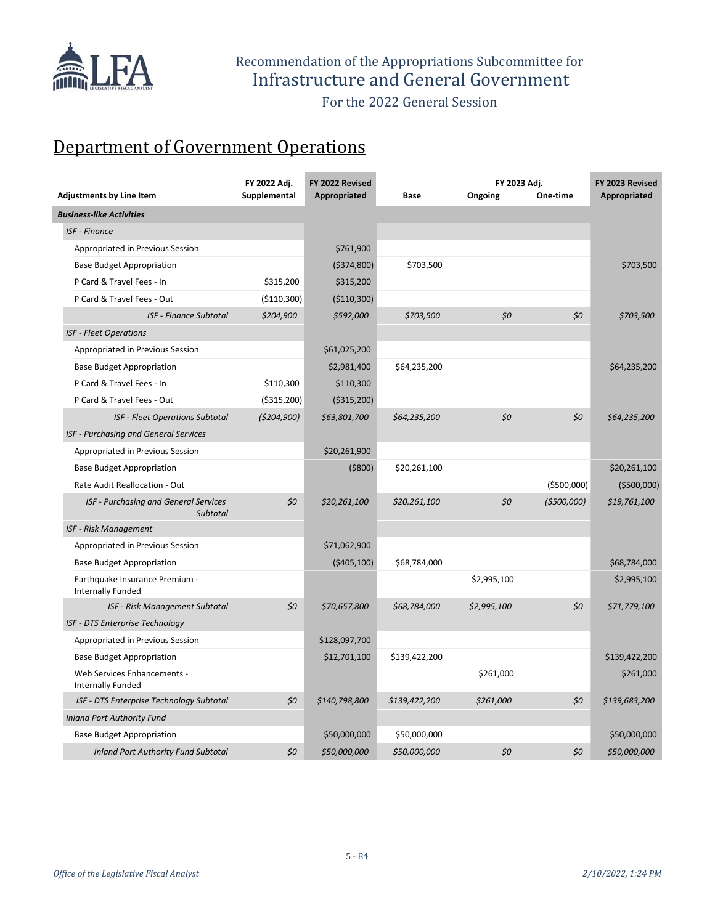

Ī

### Recommendation of the Appropriations Subcommittee for Infrastructure and General Government

For the 2022 General Session

|                                                            | FY 2022 Adj.  | FY 2022 Revised |               | FY 2023 Adj. |              | FY 2023 Revised |
|------------------------------------------------------------|---------------|-----------------|---------------|--------------|--------------|-----------------|
| Adjustments by Line Item                                   | Supplemental  | Appropriated    | <b>Base</b>   | Ongoing      | One-time     | Appropriated    |
| <b>Business-like Activities</b>                            |               |                 |               |              |              |                 |
| <b>ISF</b> - Finance                                       |               |                 |               |              |              |                 |
| Appropriated in Previous Session                           |               | \$761,900       |               |              |              |                 |
| <b>Base Budget Appropriation</b>                           |               | ( \$374, 800)   | \$703,500     |              |              | \$703,500       |
| P Card & Travel Fees - In                                  | \$315,200     | \$315,200       |               |              |              |                 |
| P Card & Travel Fees - Out                                 | ( \$110, 300) | ( \$110, 300)   |               |              |              |                 |
| <b>ISF - Finance Subtotal</b>                              | \$204,900     | \$592,000       | \$703,500     | \$0          | \$0          | \$703,500       |
| <b>ISF</b> - Fleet Operations                              |               |                 |               |              |              |                 |
| Appropriated in Previous Session                           |               | \$61,025,200    |               |              |              |                 |
| <b>Base Budget Appropriation</b>                           |               | \$2,981,400     | \$64,235,200  |              |              | \$64,235,200    |
| P Card & Travel Fees - In                                  | \$110,300     | \$110,300       |               |              |              |                 |
| P Card & Travel Fees - Out                                 | ( \$315,200)  | ( \$315,200)    |               |              |              |                 |
| ISF - Fleet Operations Subtotal                            | ( \$204, 900) | \$63,801,700    | \$64,235,200  | \$0          | \$0          | \$64,235,200    |
| ISF - Purchasing and General Services                      |               |                 |               |              |              |                 |
| Appropriated in Previous Session                           |               | \$20,261,900    |               |              |              |                 |
| <b>Base Budget Appropriation</b>                           |               | ( \$800)        | \$20,261,100  |              |              | \$20,261,100    |
| Rate Audit Reallocation - Out                              |               |                 |               |              | ( \$500,000] | ( \$500,000]    |
| ISF - Purchasing and General Services<br>Subtotal          | 50            | \$20,261,100    | \$20,261,100  | \$0          | (5500,000)   | \$19,761,100    |
| ISF - Risk Management                                      |               |                 |               |              |              |                 |
| Appropriated in Previous Session                           |               | \$71,062,900    |               |              |              |                 |
| <b>Base Budget Appropriation</b>                           |               | ( \$405, 100)   | \$68,784,000  |              |              | \$68,784,000    |
| Earthquake Insurance Premium -<br><b>Internally Funded</b> |               |                 |               | \$2,995,100  |              | \$2,995,100     |
| ISF - Risk Management Subtotal                             | \$0           | \$70,657,800    | \$68,784,000  | \$2,995,100  | \$0          | \$71,779,100    |
| ISF - DTS Enterprise Technology                            |               |                 |               |              |              |                 |
| Appropriated in Previous Session                           |               | \$128,097,700   |               |              |              |                 |
| <b>Base Budget Appropriation</b>                           |               | \$12,701,100    | \$139,422,200 |              |              | \$139,422,200   |
| Web Services Enhancements -<br><b>Internally Funded</b>    |               |                 |               | \$261,000    |              | \$261,000       |
| ISF - DTS Enterprise Technology Subtotal                   | \$0           | \$140,798,800   | \$139,422,200 | \$261,000    | \$0          | \$139,683,200   |
| <b>Inland Port Authority Fund</b>                          |               |                 |               |              |              |                 |
| <b>Base Budget Appropriation</b>                           |               | \$50,000,000    | \$50,000,000  |              |              | \$50,000,000    |
| Inland Port Authority Fund Subtotal                        | \$0           | \$50,000,000    | \$50,000,000  | \$0          | \$0          | \$50,000,000    |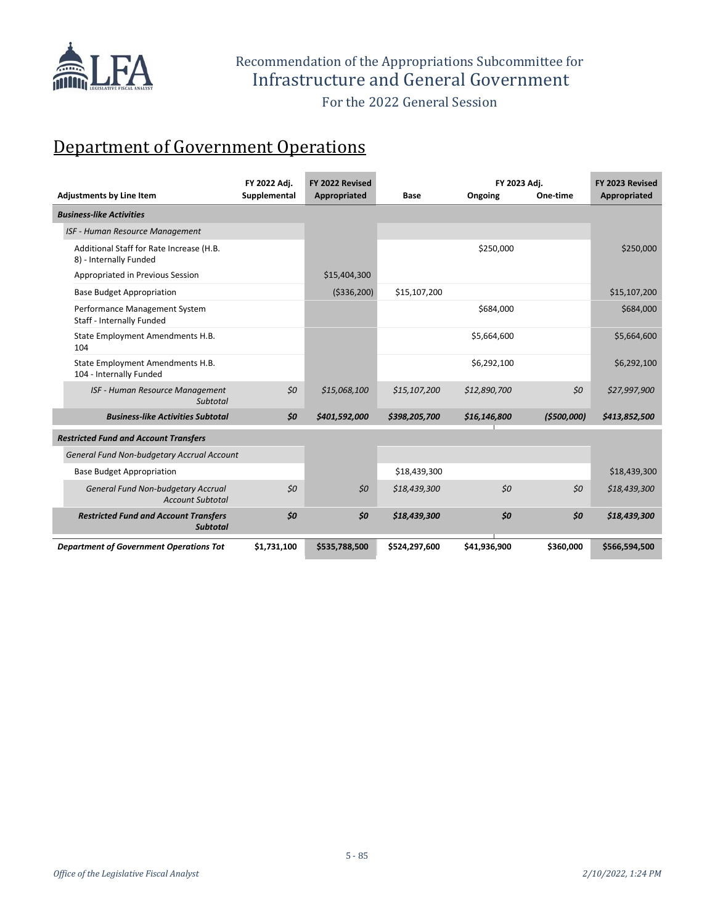

For the 2022 General Session

|                                                                      | FY 2022 Adj. | FY 2022 Revised |               | FY 2023 Adj. |            | FY 2023 Revised |
|----------------------------------------------------------------------|--------------|-----------------|---------------|--------------|------------|-----------------|
| <b>Adjustments by Line Item</b>                                      | Supplemental | Appropriated    | Base          | Ongoing      | One-time   | Appropriated    |
| <b>Business-like Activities</b>                                      |              |                 |               |              |            |                 |
| ISF - Human Resource Management                                      |              |                 |               |              |            |                 |
| Additional Staff for Rate Increase (H.B.<br>8) - Internally Funded   |              |                 |               | \$250,000    |            | \$250,000       |
| Appropriated in Previous Session                                     |              | \$15,404,300    |               |              |            |                 |
| <b>Base Budget Appropriation</b>                                     |              | ( \$336, 200)   | \$15,107,200  |              |            | \$15,107,200    |
| Performance Management System<br>Staff - Internally Funded           |              |                 |               | \$684,000    |            | \$684,000       |
| State Employment Amendments H.B.<br>104                              |              |                 |               | \$5,664,600  |            | \$5,664,600     |
| State Employment Amendments H.B.<br>104 - Internally Funded          |              |                 |               | \$6,292,100  |            | \$6,292,100     |
| ISF - Human Resource Management<br>Subtotal                          | 50           | \$15,068,100    | \$15,107,200  | \$12,890,700 | 50         | \$27,997,900    |
| <b>Business-like Activities Subtotal</b>                             | \$0          | \$401,592,000   | \$398,205,700 | \$16,146,800 | (5500,000) | \$413,852,500   |
| <b>Restricted Fund and Account Transfers</b>                         |              |                 |               |              |            |                 |
| General Fund Non-budgetary Accrual Account                           |              |                 |               |              |            |                 |
| <b>Base Budget Appropriation</b>                                     |              |                 | \$18,439,300  |              |            | \$18,439,300    |
| <b>General Fund Non-budgetary Accrual</b><br><b>Account Subtotal</b> | 50           | 50              | \$18,439,300  | 50           | \$0        | \$18,439,300    |
| <b>Restricted Fund and Account Transfers</b><br><b>Subtotal</b>      | \$0          | \$0             | \$18,439,300  | 50           | 50         | \$18,439,300    |
| <b>Department of Government Operations Tot</b>                       | \$1,731,100  | \$535,788,500   | \$524,297,600 | \$41,936,900 | \$360,000  | \$566,594,500   |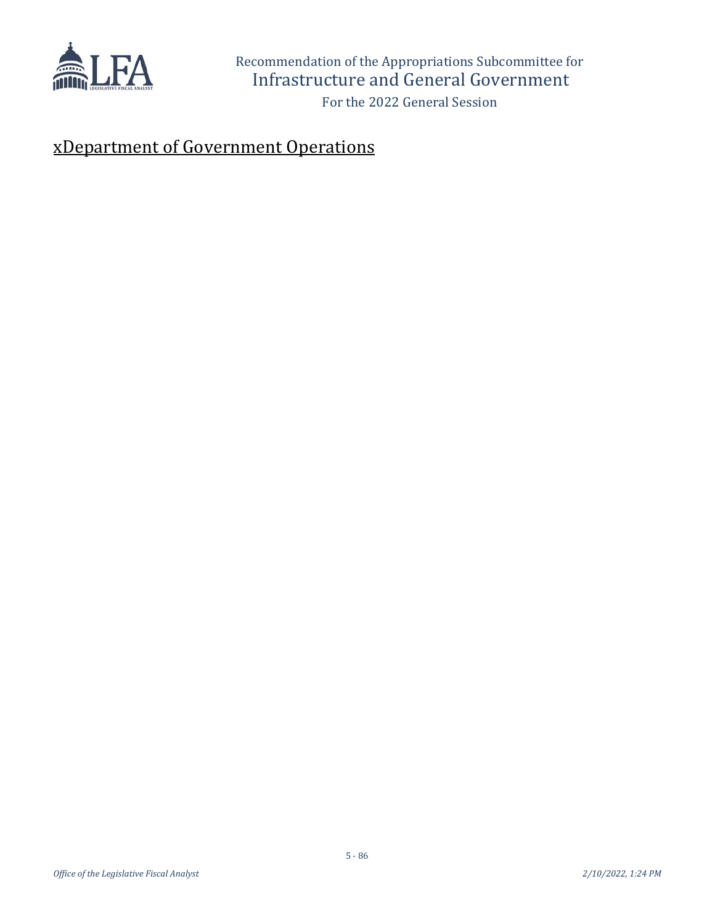

Recommendation of the Appropriations Subcommittee for Infrastructure and General Government For the 2022 General Session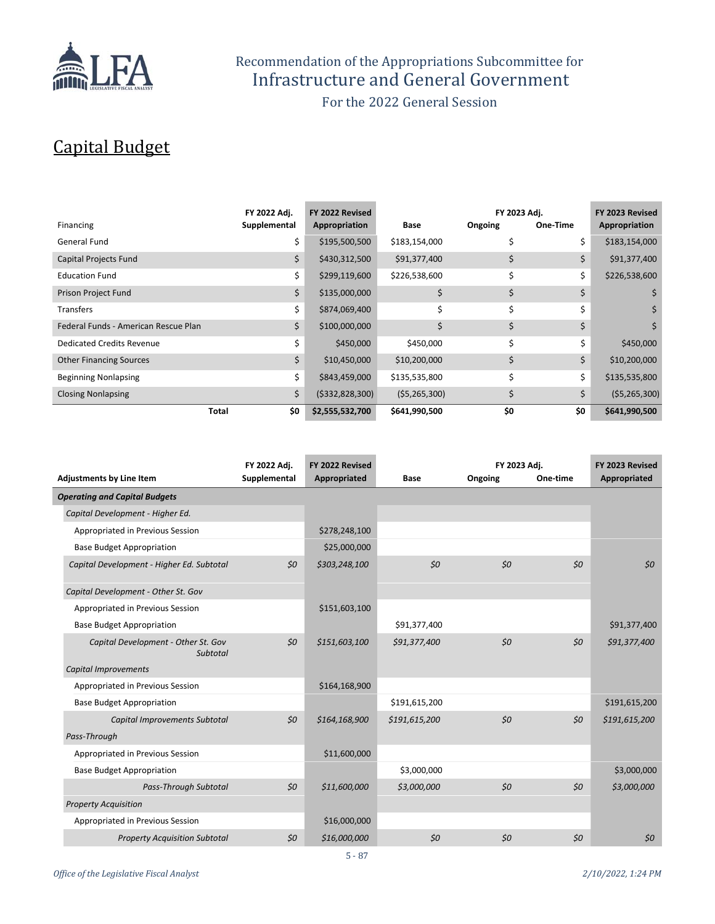

For the 2022 General Session

# Capital Budget

| Financing                            | FY 2022 Adj.<br>Supplemental | FY 2022 Revised<br>Appropriation | Base           | FY 2023 Adj.<br>Ongoing | One-Time | FY 2023 Revised<br>Appropriation |
|--------------------------------------|------------------------------|----------------------------------|----------------|-------------------------|----------|----------------------------------|
| General Fund                         | \$                           | \$195,500,500                    | \$183,154,000  | \$                      | \$       | \$183,154,000                    |
| Capital Projects Fund                | \$                           | \$430,312,500                    | \$91,377,400   | \$                      | \$       | \$91,377,400                     |
| <b>Education Fund</b>                | \$                           | \$299,119,600                    | \$226,538,600  | \$                      | \$       | \$226,538,600                    |
| Prison Project Fund                  | \$                           | \$135,000,000                    | \$             | \$                      | \$       |                                  |
| <b>Transfers</b>                     | \$                           | \$874,069,400                    | \$             | \$                      |          | \$                               |
| Federal Funds - American Rescue Plan | \$                           | \$100,000,000                    | \$             | \$                      | Ś        | S                                |
| <b>Dedicated Credits Revenue</b>     | \$                           | \$450,000                        | \$450,000      | \$                      | \$       | \$450,000                        |
| <b>Other Financing Sources</b>       | \$                           | \$10,450,000                     | \$10,200,000   | \$                      | \$       | \$10,200,000                     |
| <b>Beginning Nonlapsing</b>          | \$                           | \$843,459,000                    | \$135,535,800  | \$                      | \$       | \$135,535,800                    |
| <b>Closing Nonlapsing</b>            | \$                           | ( \$332, 828, 300)               | (55, 265, 300) | \$                      | \$       | (55, 265, 300)                   |
|                                      | \$0<br><b>Total</b>          | \$2,555,532,700                  | \$641,990,500  | \$0                     | \$0      | \$641,990,500                    |

| <b>Adjustments by Line Item</b>                 | FY 2022 Adj.<br>Supplemental | FY 2022 Revised<br>Appropriated | Base          | FY 2023 Adj.<br>Ongoing | One-time | FY 2023 Revised<br>Appropriated |
|-------------------------------------------------|------------------------------|---------------------------------|---------------|-------------------------|----------|---------------------------------|
| <b>Operating and Capital Budgets</b>            |                              |                                 |               |                         |          |                                 |
|                                                 |                              |                                 |               |                         |          |                                 |
| Capital Development - Higher Ed.                |                              |                                 |               |                         |          |                                 |
| Appropriated in Previous Session                |                              | \$278,248,100                   |               |                         |          |                                 |
| <b>Base Budget Appropriation</b>                |                              | \$25,000,000                    |               |                         |          |                                 |
| Capital Development - Higher Ed. Subtotal       | 50                           | \$303,248,100                   | 50            | 50                      | 50       | 50                              |
| Capital Development - Other St. Gov             |                              |                                 |               |                         |          |                                 |
| Appropriated in Previous Session                |                              | \$151,603,100                   |               |                         |          |                                 |
| <b>Base Budget Appropriation</b>                |                              |                                 | \$91,377,400  |                         |          | \$91,377,400                    |
| Capital Development - Other St. Gov<br>Subtotal | 50                           | \$151,603,100                   | \$91,377,400  | 50                      | \$0      | \$91,377,400                    |
| Capital Improvements                            |                              |                                 |               |                         |          |                                 |
| Appropriated in Previous Session                |                              | \$164,168,900                   |               |                         |          |                                 |
| <b>Base Budget Appropriation</b>                |                              |                                 | \$191,615,200 |                         |          | \$191,615,200                   |
| Capital Improvements Subtotal                   | 50                           | \$164,168,900                   | \$191,615,200 | 50                      | 50       | \$191,615,200                   |
| Pass-Through                                    |                              |                                 |               |                         |          |                                 |
| Appropriated in Previous Session                |                              | \$11,600,000                    |               |                         |          |                                 |
| <b>Base Budget Appropriation</b>                |                              |                                 | \$3,000,000   |                         |          | \$3,000,000                     |
| Pass-Through Subtotal                           | 50                           | \$11,600,000                    | \$3,000,000   | 50                      | \$0      | \$3,000,000                     |
| <b>Property Acquisition</b>                     |                              |                                 |               |                         |          |                                 |
| Appropriated in Previous Session                |                              | \$16,000,000                    |               |                         |          |                                 |
| <b>Property Acquisition Subtotal</b>            | 50                           | \$16,000,000                    | \$0           | 50                      | \$0      | 50                              |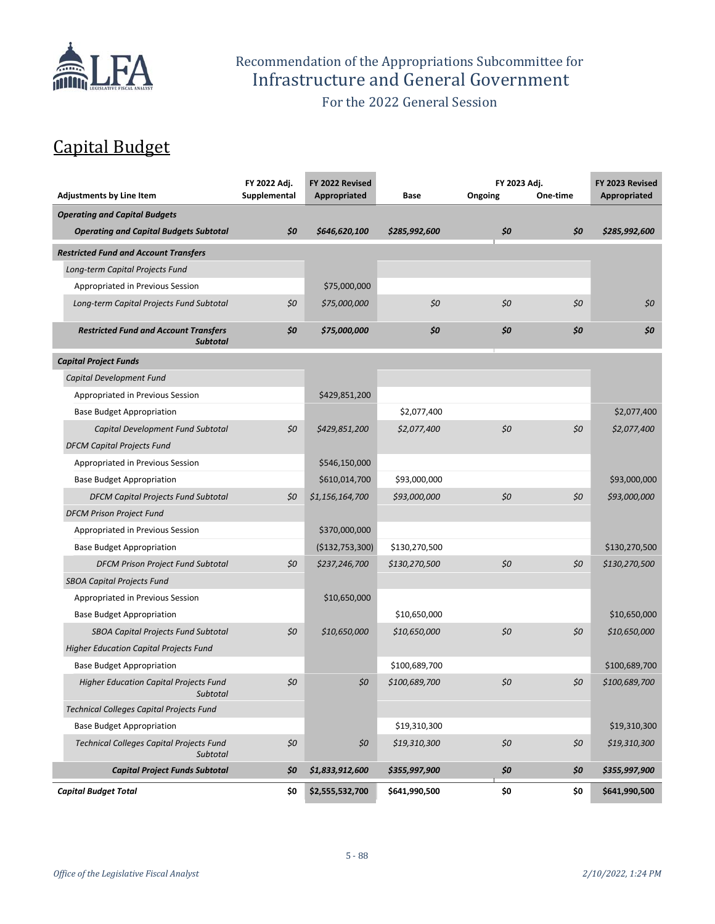

For the 2022 General Session

# Capital Budget

| <b>Adjustments by Line Item</b>                                 | FY 2022 Adj.<br>Supplemental | FY 2022 Revised<br>Appropriated | Base          | FY 2023 Adj.<br>Ongoing | One-time | FY 2023 Revised<br>Appropriated |
|-----------------------------------------------------------------|------------------------------|---------------------------------|---------------|-------------------------|----------|---------------------------------|
| <b>Operating and Capital Budgets</b>                            |                              |                                 |               |                         |          |                                 |
| <b>Operating and Capital Budgets Subtotal</b>                   | \$0                          | \$646,620,100                   | \$285,992,600 | \$0                     | \$0      | \$285,992,600                   |
| <b>Restricted Fund and Account Transfers</b>                    |                              |                                 |               |                         |          |                                 |
| Long-term Capital Projects Fund                                 |                              |                                 |               |                         |          |                                 |
| Appropriated in Previous Session                                |                              | \$75,000,000                    |               |                         |          |                                 |
| Long-term Capital Projects Fund Subtotal                        | \$0                          | \$75,000,000                    | \$0           | \$0                     | \$0      | \$0                             |
| <b>Restricted Fund and Account Transfers</b><br><b>Subtotal</b> | \$0                          | \$75,000,000                    | \$0           | \$0                     | \$0      | \$0                             |
| <b>Capital Project Funds</b>                                    |                              |                                 |               |                         |          |                                 |
| Capital Development Fund                                        |                              |                                 |               |                         |          |                                 |
| Appropriated in Previous Session                                |                              | \$429,851,200                   |               |                         |          |                                 |
| <b>Base Budget Appropriation</b>                                |                              |                                 | \$2,077,400   |                         |          | \$2,077,400                     |
| Capital Development Fund Subtotal                               | \$0                          | \$429,851,200                   | \$2,077,400   | \$0                     | \$0      | \$2,077,400                     |
| <b>DFCM Capital Projects Fund</b>                               |                              |                                 |               |                         |          |                                 |
| Appropriated in Previous Session                                |                              | \$546,150,000                   |               |                         |          |                                 |
| <b>Base Budget Appropriation</b>                                |                              | \$610,014,700                   | \$93,000,000  |                         |          | \$93,000,000                    |
| <b>DFCM Capital Projects Fund Subtotal</b>                      | \$0                          | \$1,156,164,700                 | \$93,000,000  | \$0                     | \$0      | \$93,000,000                    |
| <b>DFCM Prison Project Fund</b>                                 |                              |                                 |               |                         |          |                                 |
| Appropriated in Previous Session                                |                              | \$370,000,000                   |               |                         |          |                                 |
| <b>Base Budget Appropriation</b>                                |                              | ( \$132,753,300)                | \$130,270,500 |                         |          | \$130,270,500                   |
| <b>DFCM Prison Project Fund Subtotal</b>                        | \$0                          | \$237,246,700                   | \$130,270,500 | \$0                     | \$0      | \$130,270,500                   |
| <b>SBOA Capital Projects Fund</b>                               |                              |                                 |               |                         |          |                                 |
| Appropriated in Previous Session                                |                              | \$10,650,000                    |               |                         |          |                                 |
| <b>Base Budget Appropriation</b>                                |                              |                                 | \$10,650,000  |                         |          | \$10,650,000                    |
| <b>SBOA Capital Projects Fund Subtotal</b>                      | \$0                          | \$10,650,000                    | \$10,650,000  | \$0                     | \$0      | \$10,650,000                    |
| <b>Higher Education Capital Projects Fund</b>                   |                              |                                 |               |                         |          |                                 |
| <b>Base Budget Appropriation</b>                                |                              |                                 | \$100,689,700 |                         |          | \$100,689,700                   |
| <b>Higher Education Capital Projects Fund</b><br>Subtotal       | \$0                          | \$0                             | \$100,689,700 | \$0                     | \$0      | \$100,689,700                   |
| <b>Technical Colleges Capital Projects Fund</b>                 |                              |                                 |               |                         |          |                                 |
| <b>Base Budget Appropriation</b>                                |                              |                                 | \$19,310,300  |                         |          | \$19,310,300                    |
| <b>Technical Colleges Capital Projects Fund</b><br>Subtotal     | $50$                         | \$0                             | \$19,310,300  | \$0                     | \$0      | \$19,310,300                    |
| <b>Capital Project Funds Subtotal</b>                           | \$0                          | \$1,833,912,600                 | \$355,997,900 | \$0                     | \$0      | \$355,997,900                   |
| <b>Capital Budget Total</b>                                     | \$0                          | \$2,555,532,700                 | \$641,990,500 | \$0                     | \$0      | \$641,990,500                   |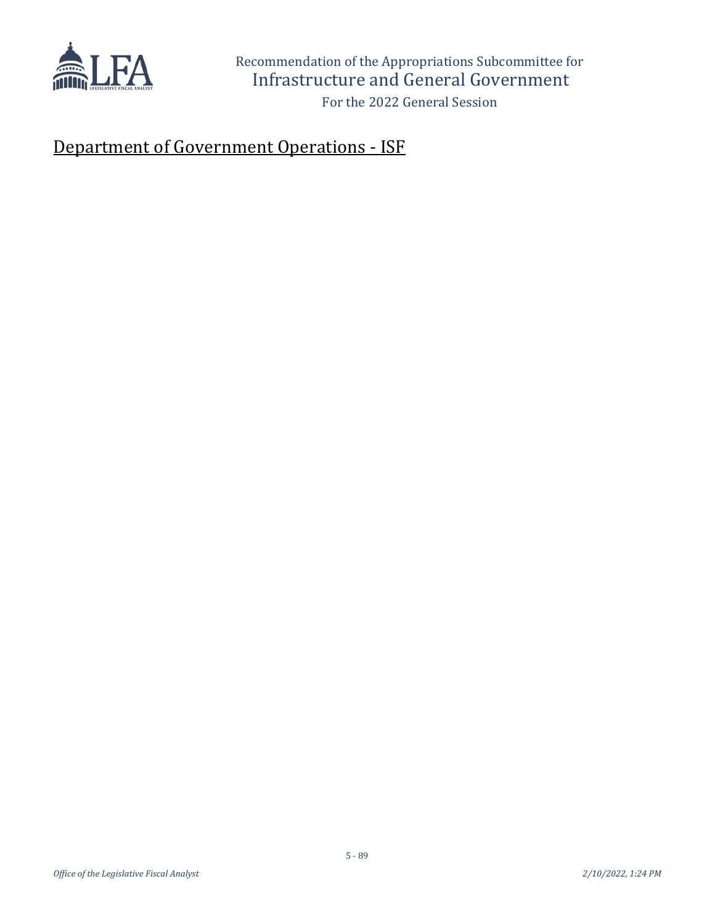

Recommendation of the Appropriations Subcommittee for Infrastructure and General Government For the 2022 General Session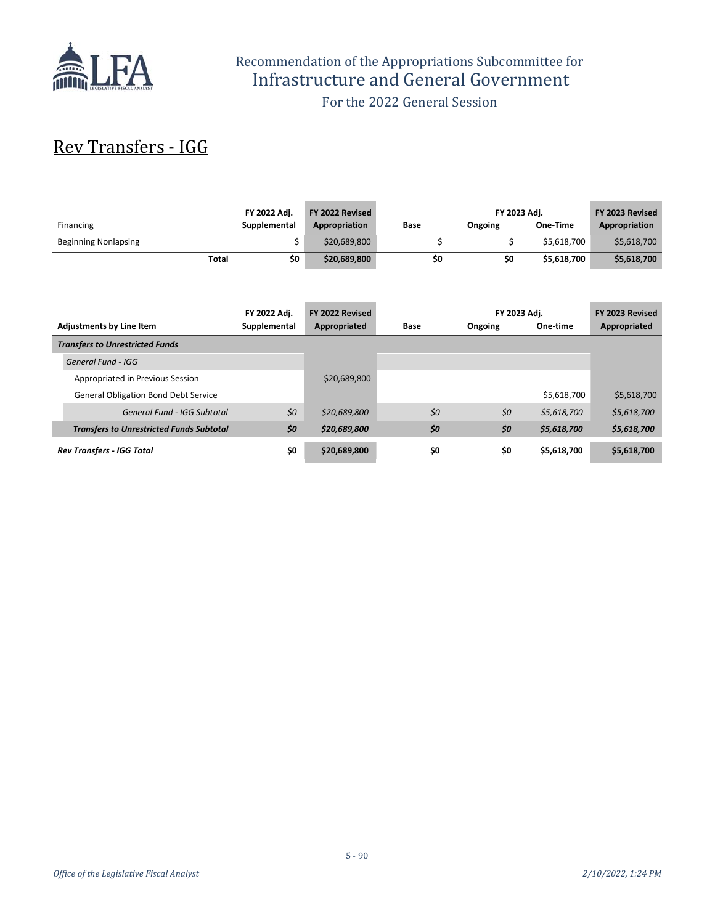

For the 2022 General Session

# Rev Transfers - IGG

|                             |       | FY 2022 Adj. | FY 2022 Revised |      | FY 2023 Adj. | FY 2023 Revised |               |
|-----------------------------|-------|--------------|-----------------|------|--------------|-----------------|---------------|
| Financing                   |       | Supplemental | Appropriation   | Base | Ongoing      | One-Time        | Appropriation |
| <b>Beginning Nonlapsing</b> |       |              | \$20,689,800    |      |              | \$5.618.700     | \$5,618,700   |
|                             | Total | \$0          | \$20,689,800    | \$0  | \$0          | \$5,618,700     | \$5,618,700   |

|                                                 | FY 2022 Adj. | FY 2022 Revised |             |         | FY 2023 Adj. | FY 2023 Revised |
|-------------------------------------------------|--------------|-----------------|-------------|---------|--------------|-----------------|
| <b>Adjustments by Line Item</b>                 | Supplemental | Appropriated    | <b>Base</b> | Ongoing | One-time     | Appropriated    |
| <b>Transfers to Unrestricted Funds</b>          |              |                 |             |         |              |                 |
| General Fund - IGG                              |              |                 |             |         |              |                 |
| Appropriated in Previous Session                |              | \$20,689,800    |             |         |              |                 |
| <b>General Obligation Bond Debt Service</b>     |              |                 |             |         | \$5,618,700  | \$5,618,700     |
| General Fund - IGG Subtotal                     | \$0          | \$20,689,800    | \$0         | \$0     | \$5,618,700  | \$5,618,700     |
| <b>Transfers to Unrestricted Funds Subtotal</b> | \$0          | \$20,689,800    | \$0         | \$0     | \$5,618,700  | \$5,618,700     |
| <b>Rev Transfers - IGG Total</b>                | \$0          | \$20,689,800    | \$0         | \$0     | \$5,618,700  | \$5,618,700     |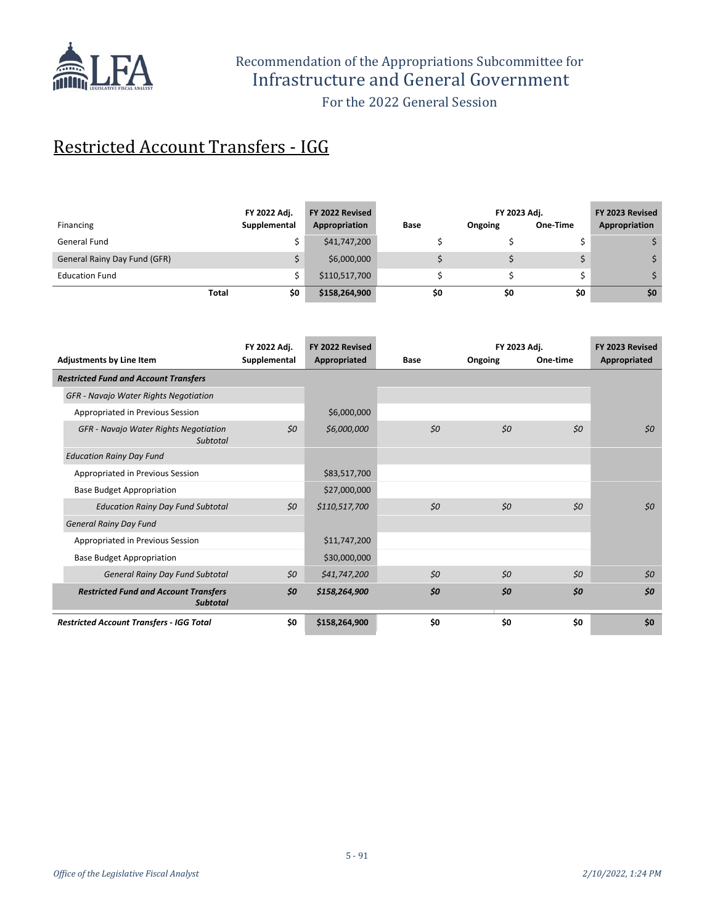

For the 2022 General Session

# Restricted Account Transfers - IGG

|                              | FY 2022 Adj.        | FY 2022 Revised |      |         | FY 2023 Adj. | FY 2023 Revised |
|------------------------------|---------------------|-----------------|------|---------|--------------|-----------------|
| Financing                    | Supplemental        | Appropriation   | Base | Ongoing | One-Time     | Appropriation   |
| General Fund                 |                     | \$41,747,200    |      |         |              |                 |
| General Rainy Day Fund (GFR) |                     | \$6,000,000     |      |         |              |                 |
| <b>Education Fund</b>        | Ś.                  | \$110,517,700   |      |         |              |                 |
|                              | \$0<br><b>Total</b> | \$158,264,900   | \$0  | \$0     | \$0          | \$0             |

|                                                                 | FY 2022 Adj. | FY 2022 Revised |             | FY 2023 Adj. |          | FY 2023 Revised |
|-----------------------------------------------------------------|--------------|-----------------|-------------|--------------|----------|-----------------|
| <b>Adjustments by Line Item</b>                                 | Supplemental | Appropriated    | <b>Base</b> | Ongoing      | One-time | Appropriated    |
| <b>Restricted Fund and Account Transfers</b>                    |              |                 |             |              |          |                 |
| GFR - Navajo Water Rights Negotiation                           |              |                 |             |              |          |                 |
| Appropriated in Previous Session                                |              | \$6,000,000     |             |              |          |                 |
| GFR - Navajo Water Rights Negotiation<br>Subtotal               | 50           | \$6,000,000     | 50          | 50           | \$0      | \$0             |
| <b>Education Rainy Day Fund</b>                                 |              |                 |             |              |          |                 |
| Appropriated in Previous Session                                |              | \$83,517,700    |             |              |          |                 |
| <b>Base Budget Appropriation</b>                                |              | \$27,000,000    |             |              |          |                 |
| <b>Education Rainy Day Fund Subtotal</b>                        | 50           | \$110,517,700   | 50          | 50           | 50       | 50              |
| <b>General Rainy Day Fund</b>                                   |              |                 |             |              |          |                 |
| Appropriated in Previous Session                                |              | \$11,747,200    |             |              |          |                 |
| <b>Base Budget Appropriation</b>                                |              | \$30,000,000    |             |              |          |                 |
| <b>General Rainy Day Fund Subtotal</b>                          | \$0          | \$41,747,200    | \$0         | 50           | 50       | \$0\$           |
| <b>Restricted Fund and Account Transfers</b><br><b>Subtotal</b> | \$0          | \$158,264,900   | \$0         | \$0          | \$0      | \$0             |
| <b>Restricted Account Transfers - IGG Total</b>                 | \$0          | \$158,264,900   | \$0         | \$0          | \$0      | \$0             |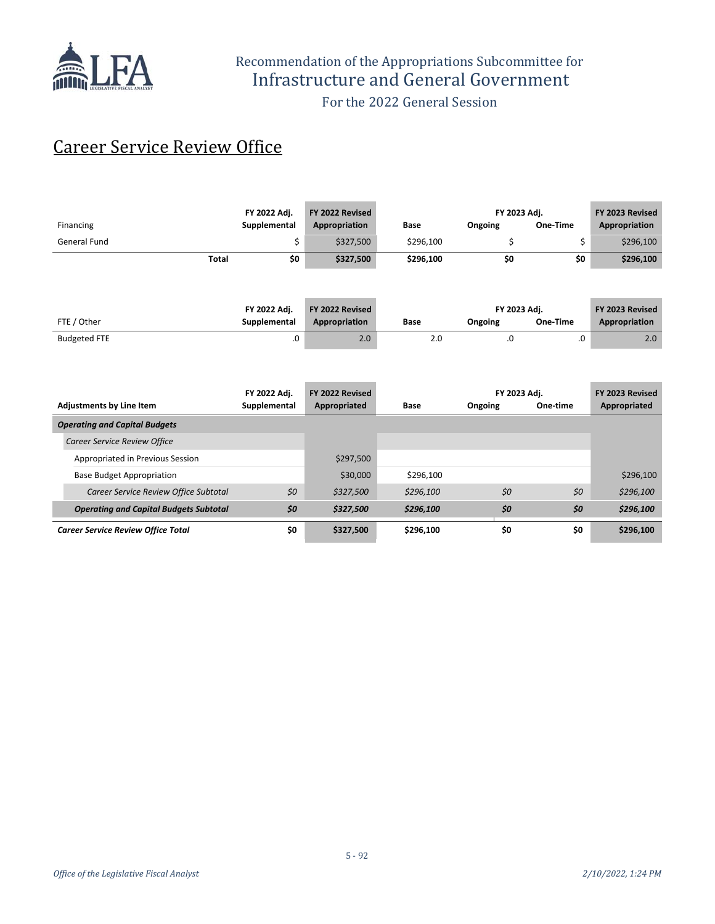

For the 2022 General Session

# Career Service Review Office

|              | FY 2022 Adj. | FY 2022 Revised |           | FY 2023 Adj. |          | FY 2023 Revised |
|--------------|--------------|-----------------|-----------|--------------|----------|-----------------|
| Financing    | Supplemental | Appropriation   | Base      | Ongoing      | One-Time | Appropriation   |
| General Fund |              | \$327,500       | \$296,100 |              |          | \$296,100       |
|              | \$0<br>Total | \$327,500       | \$296,100 | \$0          | \$0      | \$296,100       |

|                     | FY 2022 Adj. | FY 2022 Revised |      | FY 2023 Adj. |          | FY 2023 Revised |
|---------------------|--------------|-----------------|------|--------------|----------|-----------------|
| FTE / Other         | Supplemental | Appropriation   | Base | Ongoing      | One-Time | Appropriation   |
| <b>Budgeted FTE</b> |              | 2.0             | 2.0  |              |          | 2.0             |

|                                               | FY 2022 Adj. | FY 2022 Revised |             | FY 2023 Adj. |          | FY 2023 Revised |
|-----------------------------------------------|--------------|-----------------|-------------|--------------|----------|-----------------|
| <b>Adjustments by Line Item</b>               | Supplemental | Appropriated    | <b>Base</b> | Ongoing      | One-time | Appropriated    |
| <b>Operating and Capital Budgets</b>          |              |                 |             |              |          |                 |
| <b>Career Service Review Office</b>           |              |                 |             |              |          |                 |
| Appropriated in Previous Session              |              | \$297.500       |             |              |          |                 |
| <b>Base Budget Appropriation</b>              |              | \$30,000        | \$296.100   |              |          | \$296,100       |
| Career Service Review Office Subtotal         | \$0          | \$327,500       | \$296.100   | \$0          | \$0      | \$296,100       |
| <b>Operating and Capital Budgets Subtotal</b> | \$0          | \$327,500       | \$296,100   | \$0          | \$0      | \$296,100       |
| <b>Career Service Review Office Total</b>     | \$0          | \$327,500       | \$296.100   | \$0          | \$0      | \$296,100       |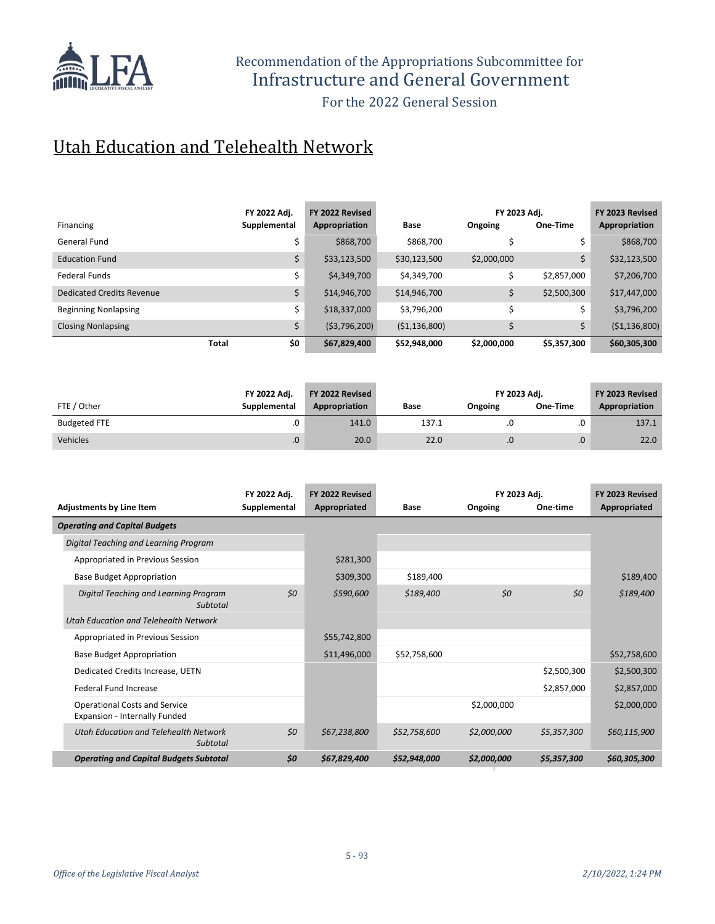

For the 2022 General Session

# Utah Education and Telehealth Network

| Financing                        | FY 2022 Adj.<br>Supplemental | FY 2022 Revised<br>Appropriation | <b>Base</b>    | Ongoing     | FY 2023 Adj.<br>One-Time | FY 2023 Revised<br>Appropriation |
|----------------------------------|------------------------------|----------------------------------|----------------|-------------|--------------------------|----------------------------------|
| General Fund                     |                              | \$868,700                        | \$868,700      |             |                          | \$868,700                        |
| <b>Education Fund</b>            | \$                           | \$33,123,500                     | \$30,123,500   | \$2,000,000 | \$                       | \$32,123,500                     |
| <b>Federal Funds</b>             | \$                           | \$4,349,700                      | \$4,349,700    | \$          | \$2,857,000              | \$7,206,700                      |
| <b>Dedicated Credits Revenue</b> | \$                           | \$14,946,700                     | \$14,946,700   | \$          | \$2,500,300              | \$17,447,000                     |
| <b>Beginning Nonlapsing</b>      | \$.                          | \$18,337,000                     | \$3,796,200    | \$          |                          | \$3,796,200                      |
| <b>Closing Nonlapsing</b>        | Ś.                           | (53,796,200)                     | ( \$1,136,800) | \$          | \$                       | ( \$1,136,800)                   |
|                                  | \$0<br><b>Total</b>          | \$67,829,400                     | \$52,948,000   | \$2,000,000 | \$5,357,300              | \$60,305,300                     |

|                     | FY 2022 Adj.    | FY 2022 Revised | FY 2023 Adj. |         |          | FY 2023 Revised |
|---------------------|-----------------|-----------------|--------------|---------|----------|-----------------|
| FTE / Other         | Supplemental    | Appropriation   | Base         | Ongoing | One Time | Appropriation   |
| <b>Budgeted FTE</b> |                 | 141.0           | 137.1        |         |          | 137.1           |
| Vehicles            | .0 <sub>1</sub> | 20.0            | 22.0         | .0      | .0       | 22.0            |

|                                                                              | FY 2022 Adj. | FY 2022 Revised |              | FY 2023 Adj. |             | FY 2023 Revised |
|------------------------------------------------------------------------------|--------------|-----------------|--------------|--------------|-------------|-----------------|
| <b>Adjustments by Line Item</b>                                              | Supplemental | Appropriated    | <b>Base</b>  | Ongoing      | One-time    | Appropriated    |
| <b>Operating and Capital Budgets</b>                                         |              |                 |              |              |             |                 |
| Digital Teaching and Learning Program                                        |              |                 |              |              |             |                 |
| Appropriated in Previous Session                                             |              | \$281,300       |              |              |             |                 |
| <b>Base Budget Appropriation</b>                                             |              | \$309,300       | \$189,400    |              |             | \$189,400       |
| Digital Teaching and Learning Program<br>Subtotal                            | 50           | \$590,600       | \$189,400    | 50           | 50          | \$189,400       |
| Utah Education and Telehealth Network                                        |              |                 |              |              |             |                 |
| Appropriated in Previous Session                                             |              | \$55,742,800    |              |              |             |                 |
| <b>Base Budget Appropriation</b>                                             |              | \$11,496,000    | \$52,758,600 |              |             | \$52,758,600    |
| Dedicated Credits Increase, UETN                                             |              |                 |              |              | \$2,500,300 | \$2,500,300     |
| <b>Federal Fund Increase</b>                                                 |              |                 |              |              | \$2,857,000 | \$2,857,000     |
| <b>Operational Costs and Service</b><br><b>Expansion - Internally Funded</b> |              |                 |              | \$2,000,000  |             | \$2,000,000     |
| Utah Education and Telehealth Network<br>Subtotal                            | 50           | \$67,238,800    | \$52,758,600 | \$2,000,000  | \$5,357,300 | \$60,115,900    |
| <b>Operating and Capital Budgets Subtotal</b>                                | \$0          | \$67,829,400    | \$52,948,000 | \$2,000,000  | \$5,357,300 | \$60,305,300    |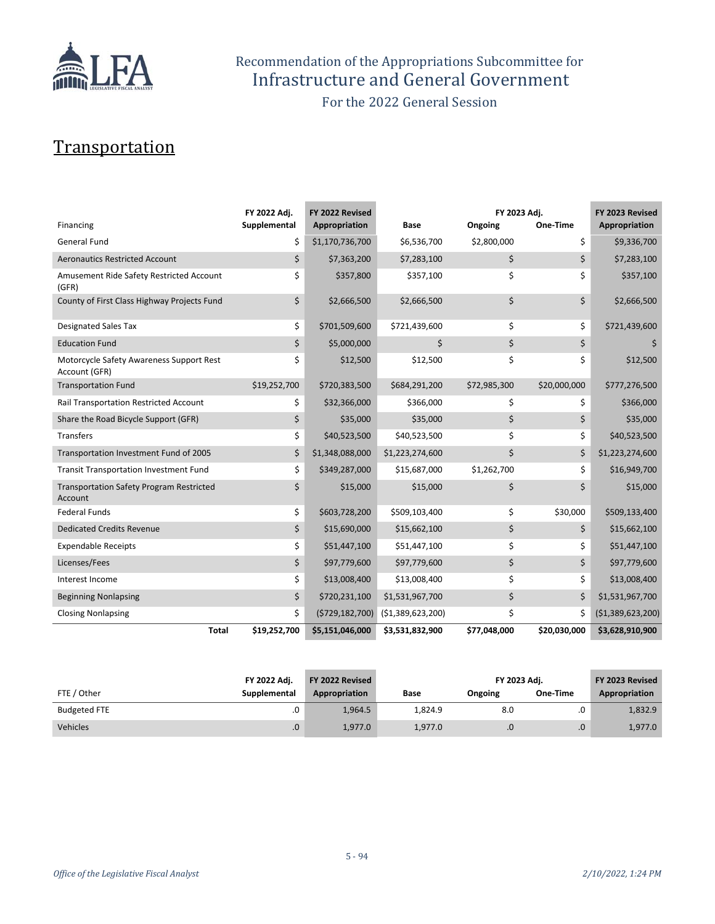

For the 2022 General Session

|                                                            | FY 2022 Adj. | FY 2022 Revised  |                  | FY 2023 Adj. |              | FY 2023 Revised     |
|------------------------------------------------------------|--------------|------------------|------------------|--------------|--------------|---------------------|
| Financing                                                  | Supplemental | Appropriation    | <b>Base</b>      | Ongoing      | One-Time     | Appropriation       |
| <b>General Fund</b>                                        | \$           | \$1,170,736,700  | \$6,536,700      | \$2,800,000  | \$           | \$9,336,700         |
| <b>Aeronautics Restricted Account</b>                      | \$           | \$7,363,200      | \$7,283,100      | \$           | \$           | \$7,283,100         |
| Amusement Ride Safety Restricted Account<br>(GFR)          | \$           | \$357,800        | \$357,100        | \$           | \$           | \$357,100           |
| County of First Class Highway Projects Fund                | \$           | \$2,666,500      | \$2,666,500      | \$           | \$           | \$2,666,500         |
| <b>Designated Sales Tax</b>                                | \$           | \$701,509,600    | \$721,439,600    | \$           | \$           | \$721,439,600       |
| <b>Education Fund</b>                                      | \$           | \$5,000,000      | \$               | \$           | \$           |                     |
| Motorcycle Safety Awareness Support Rest<br>Account (GFR)  | \$           | \$12,500         | \$12,500         | \$           | Ś.           | \$12,500            |
| <b>Transportation Fund</b>                                 | \$19,252,700 | \$720,383,500    | \$684,291,200    | \$72,985,300 | \$20,000,000 | \$777,276,500       |
| Rail Transportation Restricted Account                     | \$           | \$32,366,000     | \$366,000        | \$           | \$.          | \$366,000           |
| Share the Road Bicycle Support (GFR)                       | \$           | \$35,000         | \$35,000         | \$           | \$           | \$35,000            |
| Transfers                                                  | \$           | \$40,523,500     | \$40,523,500     | \$           | \$           | \$40,523,500        |
| Transportation Investment Fund of 2005                     | \$           | \$1,348,088,000  | \$1,223,274,600  | \$           | \$           | \$1,223,274,600     |
| <b>Transit Transportation Investment Fund</b>              | \$           | \$349,287,000    | \$15,687,000     | \$1,262,700  | \$           | \$16,949,700        |
| <b>Transportation Safety Program Restricted</b><br>Account | \$           | \$15,000         | \$15,000         | \$           | \$           | \$15,000            |
| <b>Federal Funds</b>                                       | \$           | \$603,728,200    | \$509,103,400    | \$           | \$30,000     | \$509,133,400       |
| <b>Dedicated Credits Revenue</b>                           | \$           | \$15,690,000     | \$15,662,100     | \$           | \$           | \$15,662,100        |
| <b>Expendable Receipts</b>                                 | \$           | \$51,447,100     | \$51,447,100     | \$           | \$           | \$51,447,100        |
| Licenses/Fees                                              | \$           | \$97,779,600     | \$97,779,600     | \$           | \$           | \$97,779,600        |
| Interest Income                                            | \$           | \$13,008,400     | \$13,008,400     | \$           | \$           | \$13,008,400        |
| <b>Beginning Nonlapsing</b>                                | \$           | \$720,231,100    | \$1,531,967,700  | \$           | \$           | \$1,531,967,700     |
| <b>Closing Nonlapsing</b>                                  | \$           | (5729, 182, 700) | (51,389,623,200) | \$           | Ś.           | (51, 389, 623, 200) |
| <b>Total</b>                                               | \$19,252,700 | \$5,151,046,000  | \$3,531,832,900  | \$77,048,000 | \$20,030,000 | \$3,628,910,900     |

|                     | FY 2022 Adj.    | FY 2022 Revised | FY 2023 Adj. |         | FY 2023 Revised |               |
|---------------------|-----------------|-----------------|--------------|---------|-----------------|---------------|
| FTE / Other         | Supplemental    | Appropriation   | Base         | Ongoing | One Time        | Appropriation |
| <b>Budgeted FTE</b> | .0              | 1,964.5         | 1.824.9      | 8.0     | .υ              | 1,832.9       |
| Vehicles            | .0 <sub>1</sub> | 1,977.0         | 1,977.0      | .U      | .0 <sub>1</sub> | 1,977.0       |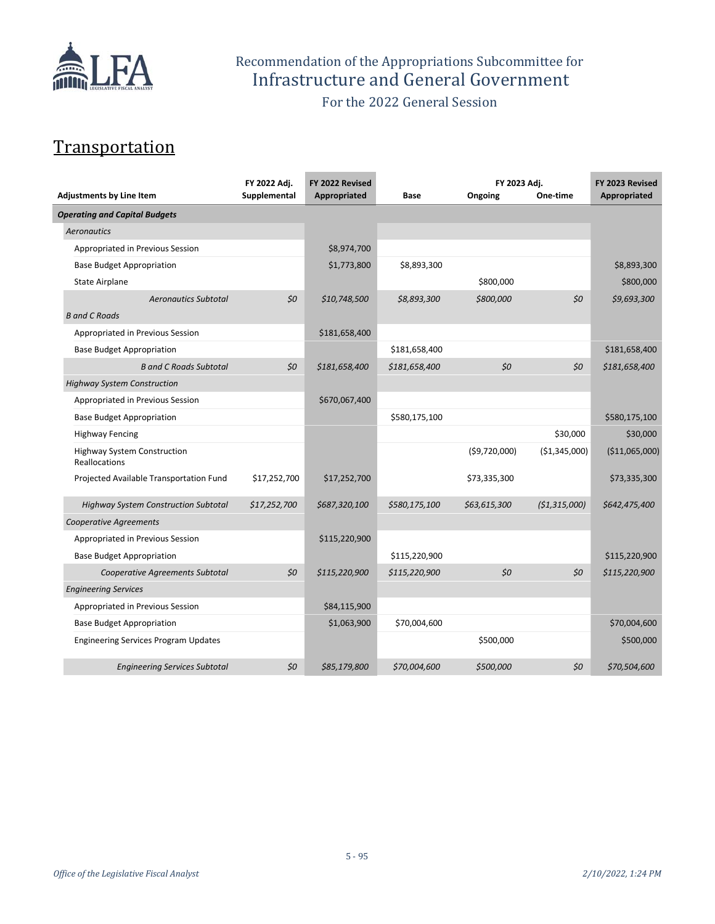

For the 2022 General Session

|                                                     | FY 2022 Adj. | FY 2022 Revised |               | FY 2023 Adj.   |                | FY 2023 Revised |
|-----------------------------------------------------|--------------|-----------------|---------------|----------------|----------------|-----------------|
| <b>Adjustments by Line Item</b>                     | Supplemental | Appropriated    | Base          | Ongoing        | One-time       | Appropriated    |
| <b>Operating and Capital Budgets</b>                |              |                 |               |                |                |                 |
| <b>Aeronautics</b>                                  |              |                 |               |                |                |                 |
| Appropriated in Previous Session                    |              | \$8,974,700     |               |                |                |                 |
| <b>Base Budget Appropriation</b>                    |              | \$1,773,800     | \$8,893,300   |                |                | \$8,893,300     |
| State Airplane                                      |              |                 |               | \$800,000      |                | \$800,000       |
| <b>Aeronautics Subtotal</b>                         | 50           | \$10,748,500    | \$8,893,300   | \$800,000      | 50             | \$9,693,300     |
| <b>B</b> and C Roads                                |              |                 |               |                |                |                 |
| Appropriated in Previous Session                    |              | \$181,658,400   |               |                |                |                 |
| <b>Base Budget Appropriation</b>                    |              |                 | \$181,658,400 |                |                | \$181,658,400   |
| <b>B</b> and C Roads Subtotal                       | 50           | \$181,658,400   | \$181,658,400 | \$0            | 50             | \$181,658,400   |
| <b>Highway System Construction</b>                  |              |                 |               |                |                |                 |
| Appropriated in Previous Session                    |              | \$670,067,400   |               |                |                |                 |
| <b>Base Budget Appropriation</b>                    |              |                 | \$580,175,100 |                |                | \$580,175,100   |
| <b>Highway Fencing</b>                              |              |                 |               |                | \$30,000       | \$30,000        |
| <b>Highway System Construction</b><br>Reallocations |              |                 |               | ( \$9,720,000) | ( \$1,345,000) | (\$11,065,000)  |
| Projected Available Transportation Fund             | \$17,252,700 | \$17,252,700    |               | \$73,335,300   |                | \$73,335,300    |
| <b>Highway System Construction Subtotal</b>         | \$17,252,700 | \$687,320,100   | \$580,175,100 | \$63,615,300   | (51, 315, 000) | \$642,475,400   |
| Cooperative Agreements                              |              |                 |               |                |                |                 |
| Appropriated in Previous Session                    |              | \$115,220,900   |               |                |                |                 |
| <b>Base Budget Appropriation</b>                    |              |                 | \$115,220,900 |                |                | \$115,220,900   |
| Cooperative Agreements Subtotal                     | \$0          | \$115,220,900   | \$115,220,900 | 50             | \$0            | \$115,220,900   |
| <b>Engineering Services</b>                         |              |                 |               |                |                |                 |
| Appropriated in Previous Session                    |              | \$84,115,900    |               |                |                |                 |
| <b>Base Budget Appropriation</b>                    |              | \$1,063,900     | \$70,004,600  |                |                | \$70,004,600    |
| <b>Engineering Services Program Updates</b>         |              |                 |               | \$500,000      |                | \$500,000       |
| <b>Engineering Services Subtotal</b>                | \$0          | \$85,179,800    | \$70,004,600  | \$500,000      | \$0            | \$70,504,600    |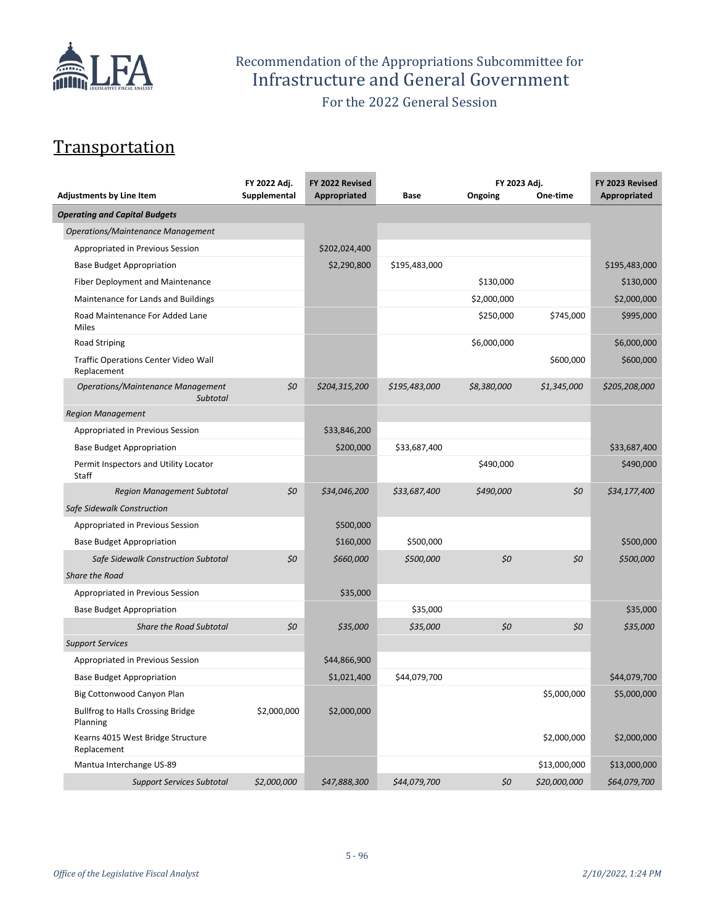

For the 2022 General Session

|                                                            | FY 2022 Adj. | FY 2022 Revised |               | FY 2023 Adj. |              | FY 2023 Revised |
|------------------------------------------------------------|--------------|-----------------|---------------|--------------|--------------|-----------------|
| <b>Adjustments by Line Item</b>                            | Supplemental | Appropriated    | Base          | Ongoing      | One-time     | Appropriated    |
| <b>Operating and Capital Budgets</b>                       |              |                 |               |              |              |                 |
| <b>Operations/Maintenance Management</b>                   |              |                 |               |              |              |                 |
| Appropriated in Previous Session                           |              | \$202,024,400   |               |              |              |                 |
| <b>Base Budget Appropriation</b>                           |              | \$2,290,800     | \$195,483,000 |              |              | \$195,483,000   |
| Fiber Deployment and Maintenance                           |              |                 |               | \$130,000    |              | \$130,000       |
| Maintenance for Lands and Buildings                        |              |                 |               | \$2,000,000  |              | \$2,000,000     |
| Road Maintenance For Added Lane<br>Miles                   |              |                 |               | \$250,000    | \$745,000    | \$995,000       |
| <b>Road Striping</b>                                       |              |                 |               | \$6,000,000  |              | \$6,000,000     |
| <b>Traffic Operations Center Video Wall</b><br>Replacement |              |                 |               |              | \$600,000    | \$600,000       |
| <b>Operations/Maintenance Management</b><br>Subtotal       | \$0          | \$204,315,200   | \$195,483,000 | \$8,380,000  | \$1,345,000  | \$205,208,000   |
| <b>Region Management</b>                                   |              |                 |               |              |              |                 |
| Appropriated in Previous Session                           |              | \$33,846,200    |               |              |              |                 |
| <b>Base Budget Appropriation</b>                           |              | \$200,000       | \$33,687,400  |              |              | \$33,687,400    |
| Permit Inspectors and Utility Locator<br>Staff             |              |                 |               | \$490,000    |              | \$490,000       |
| <b>Region Management Subtotal</b>                          | \$0          | \$34,046,200    | \$33,687,400  | \$490,000    | \$0          | \$34,177,400    |
| Safe Sidewalk Construction                                 |              |                 |               |              |              |                 |
| Appropriated in Previous Session                           |              | \$500,000       |               |              |              |                 |
| <b>Base Budget Appropriation</b>                           |              | \$160,000       | \$500,000     |              |              | \$500,000       |
| Safe Sidewalk Construction Subtotal                        | \$0          | \$660,000       | \$500,000     | \$0          | \$0          | \$500,000       |
| <b>Share the Road</b>                                      |              |                 |               |              |              |                 |
| Appropriated in Previous Session                           |              | \$35,000        |               |              |              |                 |
| <b>Base Budget Appropriation</b>                           |              |                 | \$35,000      |              |              | \$35,000        |
| <b>Share the Road Subtotal</b>                             | \$0          | \$35,000        | \$35,000      | \$0          | \$0          | \$35,000        |
| <b>Support Services</b>                                    |              |                 |               |              |              |                 |
| Appropriated in Previous Session                           |              | \$44,866,900    |               |              |              |                 |
| <b>Base Budget Appropriation</b>                           |              | \$1,021,400     | \$44,079,700  |              |              | \$44,079,700    |
| Big Cottonwood Canyon Plan                                 |              |                 |               |              | \$5,000,000  | \$5,000,000     |
| <b>Bullfrog to Halls Crossing Bridge</b><br>Planning       | \$2,000,000  | \$2,000,000     |               |              |              |                 |
| Kearns 4015 West Bridge Structure<br>Replacement           |              |                 |               |              | \$2,000,000  | \$2,000,000     |
| Mantua Interchange US-89                                   |              |                 |               |              | \$13,000,000 | \$13,000,000    |
| <b>Support Services Subtotal</b>                           | \$2,000,000  | \$47,888,300    | \$44,079,700  | \$0          | \$20,000,000 | \$64,079,700    |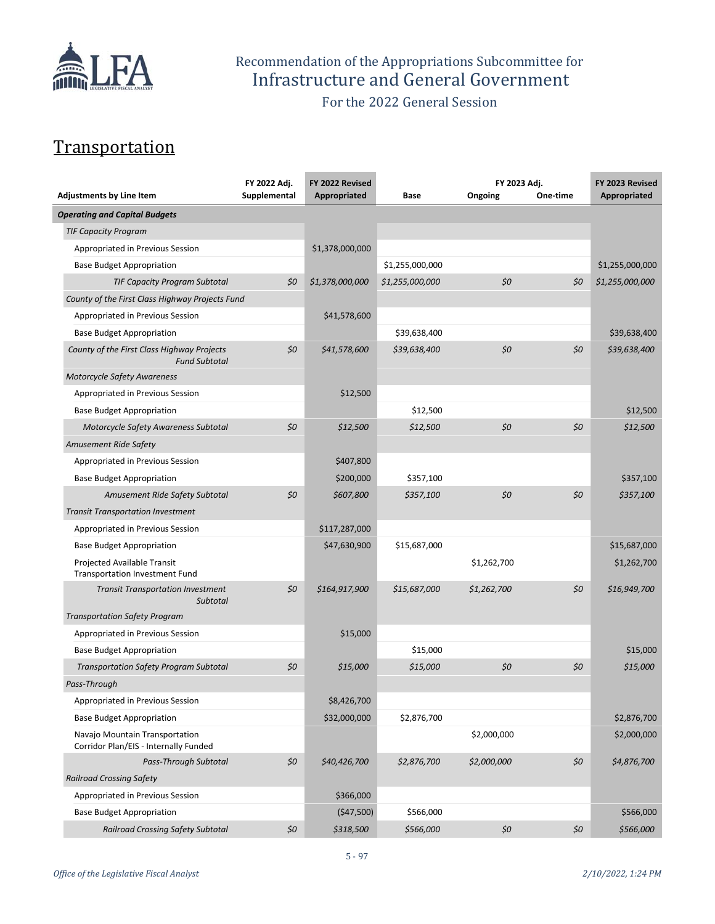

For the 2022 General Session

# **Transportation**

Ī

|                                                                         | FY 2022 Adj. | FY 2022 Revised |                 | FY 2023 Adj. |          | FY 2023 Revised |
|-------------------------------------------------------------------------|--------------|-----------------|-----------------|--------------|----------|-----------------|
| <b>Adjustments by Line Item</b>                                         | Supplemental | Appropriated    | <b>Base</b>     | Ongoing      | One-time | Appropriated    |
| <b>Operating and Capital Budgets</b>                                    |              |                 |                 |              |          |                 |
| <b>TIF Capacity Program</b>                                             |              |                 |                 |              |          |                 |
| Appropriated in Previous Session                                        |              | \$1,378,000,000 |                 |              |          |                 |
| <b>Base Budget Appropriation</b>                                        |              |                 | \$1,255,000,000 |              |          | \$1,255,000,000 |
| <b>TIF Capacity Program Subtotal</b>                                    | \$0          | \$1,378,000,000 | \$1,255,000,000 | \$0          | \$0      | \$1,255,000,000 |
| County of the First Class Highway Projects Fund                         |              |                 |                 |              |          |                 |
| Appropriated in Previous Session                                        |              | \$41,578,600    |                 |              |          |                 |
| <b>Base Budget Appropriation</b>                                        |              |                 | \$39,638,400    |              |          | \$39,638,400    |
| County of the First Class Highway Projects<br><b>Fund Subtotal</b>      | 50           | \$41,578,600    | \$39,638,400    | 50           | \$0      | \$39,638,400    |
| <b>Motorcycle Safety Awareness</b>                                      |              |                 |                 |              |          |                 |
| Appropriated in Previous Session                                        |              | \$12,500        |                 |              |          |                 |
| <b>Base Budget Appropriation</b>                                        |              |                 | \$12,500        |              |          | \$12,500        |
| Motorcycle Safety Awareness Subtotal                                    | 50           | \$12,500        | \$12,500        | \$0          | \$0      | \$12,500        |
| Amusement Ride Safety                                                   |              |                 |                 |              |          |                 |
| Appropriated in Previous Session                                        |              | \$407,800       |                 |              |          |                 |
| <b>Base Budget Appropriation</b>                                        |              | \$200,000       | \$357,100       |              |          | \$357,100       |
| Amusement Ride Safety Subtotal                                          | \$0          | \$607,800       | \$357,100       | \$0          | \$0      | \$357,100       |
| <b>Transit Transportation Investment</b>                                |              |                 |                 |              |          |                 |
| Appropriated in Previous Session                                        |              | \$117,287,000   |                 |              |          |                 |
| <b>Base Budget Appropriation</b>                                        |              | \$47,630,900    | \$15,687,000    |              |          | \$15,687,000    |
| Projected Available Transit<br><b>Transportation Investment Fund</b>    |              |                 |                 | \$1,262,700  |          | \$1,262,700     |
| <b>Transit Transportation Investment</b><br>Subtotal                    | \$0          | \$164,917,900   | \$15,687,000    | \$1,262,700  | \$0      | \$16,949,700    |
| <b>Transportation Safety Program</b>                                    |              |                 |                 |              |          |                 |
| Appropriated in Previous Session                                        |              | \$15,000        |                 |              |          |                 |
| <b>Base Budget Appropriation</b>                                        |              |                 | \$15,000        |              |          | \$15,000        |
| <b>Transportation Safety Program Subtotal</b>                           | 50           | \$15,000        | \$15,000        | \$0          | \$0      | \$15,000        |
| Pass-Through                                                            |              |                 |                 |              |          |                 |
| Appropriated in Previous Session                                        |              | \$8,426,700     |                 |              |          |                 |
| <b>Base Budget Appropriation</b>                                        |              | \$32,000,000    | \$2,876,700     |              |          | \$2,876,700     |
| Navajo Mountain Transportation<br>Corridor Plan/EIS - Internally Funded |              |                 |                 | \$2,000,000  |          | \$2,000,000     |
| Pass-Through Subtotal                                                   | $50$         | \$40,426,700    | \$2,876,700     | \$2,000,000  | \$0      | \$4,876,700     |
| <b>Railroad Crossing Safety</b>                                         |              |                 |                 |              |          |                 |
| Appropriated in Previous Session                                        |              | \$366,000       |                 |              |          |                 |
| <b>Base Budget Appropriation</b>                                        |              | (547,500)       | \$566,000       |              |          | \$566,000       |
| <b>Railroad Crossing Safety Subtotal</b>                                | 50           | \$318,500       | \$566,000       | \$0          | 50       | \$566,000       |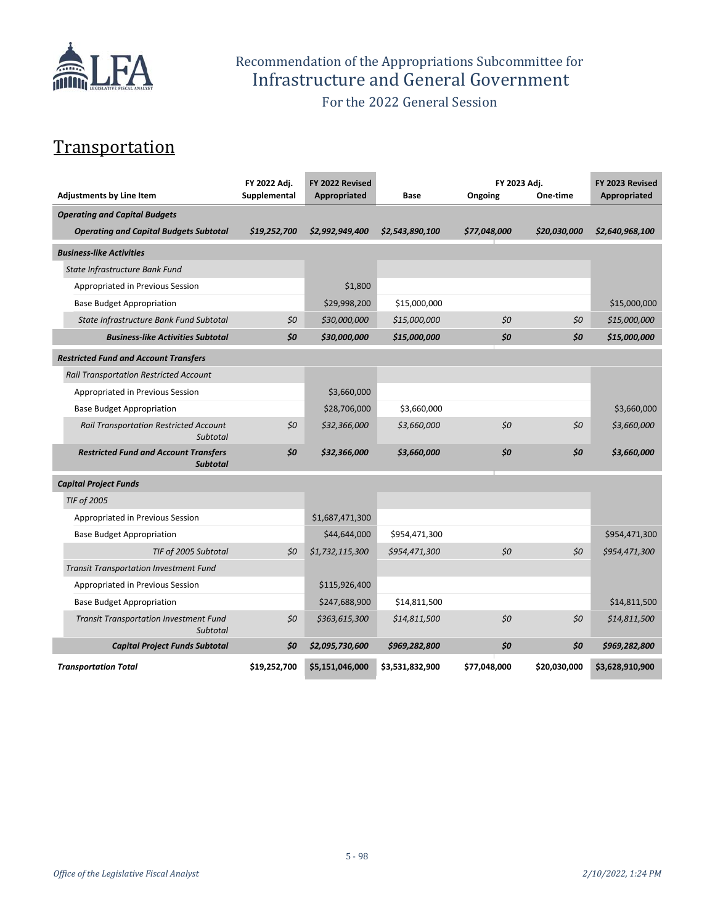

For the 2022 General Session

|                                                                 | FY 2022 Adj.<br>Supplemental | FY 2022 Revised | Base            | FY 2023 Adj. | One-time     | FY 2023 Revised |
|-----------------------------------------------------------------|------------------------------|-----------------|-----------------|--------------|--------------|-----------------|
| <b>Adjustments by Line Item</b>                                 |                              | Appropriated    |                 | Ongoing      |              | Appropriated    |
| <b>Operating and Capital Budgets</b>                            |                              |                 |                 |              |              |                 |
| <b>Operating and Capital Budgets Subtotal</b>                   | \$19,252,700                 | \$2,992,949,400 | \$2,543,890,100 | \$77,048,000 | \$20,030,000 | \$2,640,968,100 |
| <b>Business-like Activities</b>                                 |                              |                 |                 |              |              |                 |
| State Infrastructure Bank Fund                                  |                              |                 |                 |              |              |                 |
| Appropriated in Previous Session                                |                              | \$1,800         |                 |              |              |                 |
| <b>Base Budget Appropriation</b>                                |                              | \$29,998,200    | \$15,000,000    |              |              | \$15,000,000    |
| State Infrastructure Bank Fund Subtotal                         | \$0                          | \$30,000,000    | \$15,000,000    | \$0          | \$0          | \$15,000,000    |
| <b>Business-like Activities Subtotal</b>                        | \$0                          | \$30,000,000    | \$15,000,000    | \$0          | \$0          | \$15,000,000    |
| <b>Restricted Fund and Account Transfers</b>                    |                              |                 |                 |              |              |                 |
| <b>Rail Transportation Restricted Account</b>                   |                              |                 |                 |              |              |                 |
| Appropriated in Previous Session                                |                              | \$3,660,000     |                 |              |              |                 |
| <b>Base Budget Appropriation</b>                                |                              | \$28,706,000    | \$3,660,000     |              |              | \$3,660,000     |
| <b>Rail Transportation Restricted Account</b><br>Subtotal       | \$0                          | \$32,366,000    | \$3,660,000     | \$0          | \$0          | \$3,660,000     |
| <b>Restricted Fund and Account Transfers</b><br><b>Subtotal</b> | \$0                          | \$32,366,000    | \$3,660,000     | \$0          | \$0          | \$3,660,000     |
| <b>Capital Project Funds</b>                                    |                              |                 |                 |              |              |                 |
| TIF of 2005                                                     |                              |                 |                 |              |              |                 |
| Appropriated in Previous Session                                |                              | \$1,687,471,300 |                 |              |              |                 |
| <b>Base Budget Appropriation</b>                                |                              | \$44,644,000    | \$954,471,300   |              |              | \$954,471,300   |
| TIF of 2005 Subtotal                                            | \$0                          | \$1,732,115,300 | \$954,471,300   | \$0          | \$0          | \$954,471,300   |
| <b>Transit Transportation Investment Fund</b>                   |                              |                 |                 |              |              |                 |
| Appropriated in Previous Session                                |                              | \$115,926,400   |                 |              |              |                 |
| <b>Base Budget Appropriation</b>                                |                              | \$247,688,900   | \$14,811,500    |              |              | \$14,811,500    |
| <b>Transit Transportation Investment Fund</b><br>Subtotal       | \$0                          | \$363,615,300   | \$14,811,500    | \$0          | \$0          | \$14,811,500    |
| <b>Capital Project Funds Subtotal</b>                           | \$0                          | \$2,095,730,600 | \$969,282,800   | \$0          | \$0          | \$969,282,800   |
| <b>Transportation Total</b>                                     | \$19,252,700                 | \$5,151,046,000 | \$3,531,832,900 | \$77,048,000 | \$20,030,000 | \$3,628,910,900 |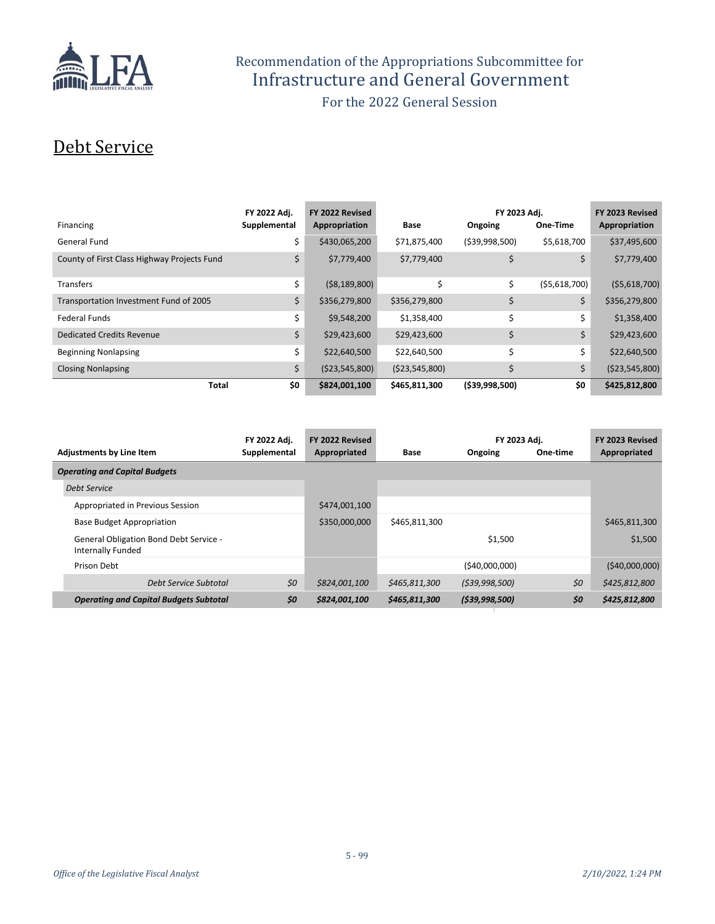

For the 2022 General Session

# Debt Service

|                                             | FY 2022 Adj. | FY 2022 Revised |                 | FY 2023 Adj.    |              | FY 2023 Revised |
|---------------------------------------------|--------------|-----------------|-----------------|-----------------|--------------|-----------------|
| Financing                                   | Supplemental | Appropriation   | <b>Base</b>     | Ongoing         | One-Time     | Appropriation   |
| General Fund                                | \$           | \$430,065,200   | \$71,875,400    | ( \$39,998,500) | \$5,618,700  | \$37,495,600    |
| County of First Class Highway Projects Fund | \$           | \$7,779,400     | \$7,779,400     | \$              |              | \$7,779,400     |
| <b>Transfers</b>                            | \$           | ( \$8,189,800)  | \$              | \$              | (55,618,700) | ( \$5,618,700)  |
| Transportation Investment Fund of 2005      | \$           | \$356,279,800   | \$356,279,800   | \$              | \$           | \$356,279,800   |
| <b>Federal Funds</b>                        | \$           | \$9,548,200     | \$1,358,400     | \$              | \$           | \$1,358,400     |
| <b>Dedicated Credits Revenue</b>            | \$           | \$29,423,600    | \$29,423,600    | \$              | \$           | \$29,423,600    |
| <b>Beginning Nonlapsing</b>                 | \$           | \$22,640,500    | \$22,640,500    | \$              | Ś.           | \$22,640,500    |
| <b>Closing Nonlapsing</b>                   | \$           | ( \$23,545,800) | ( \$23,545,800) | \$              | \$           | ( \$23,545,800) |
| <b>Total</b>                                | \$0          | \$824,001,100   | \$465,811,300   | (539,998,500)   | \$0          | \$425,812,800   |

|                                      |                                                                    | FY 2022 Adj. | FY 2022 Revised |               | FY 2023 Adi.  |          | FY 2023 Revised |
|--------------------------------------|--------------------------------------------------------------------|--------------|-----------------|---------------|---------------|----------|-----------------|
|                                      | <b>Adjustments by Line Item</b>                                    | Supplemental | Appropriated    | <b>Base</b>   | Ongoing       | One-time | Appropriated    |
| <b>Operating and Capital Budgets</b> |                                                                    |              |                 |               |               |          |                 |
|                                      | Debt Service                                                       |              |                 |               |               |          |                 |
|                                      | Appropriated in Previous Session                                   |              | \$474,001,100   |               |               |          |                 |
|                                      | <b>Base Budget Appropriation</b>                                   |              | \$350,000,000   | \$465,811,300 |               |          | \$465,811,300   |
|                                      | <b>General Obligation Bond Debt Service -</b><br>Internally Funded |              |                 |               | \$1.500       |          | \$1,500         |
|                                      | Prison Debt                                                        |              |                 |               | (540,000,000) |          | (540,000,000)   |
|                                      | Debt Service Subtotal                                              | \$0          | \$824,001,100   | \$465,811,300 | (539,998,500) | \$0      | \$425,812,800   |
|                                      | <b>Operating and Capital Budgets Subtotal</b>                      | \$0          | \$824,001,100   | \$465,811,300 | (539,998,500) | \$0      | \$425,812,800   |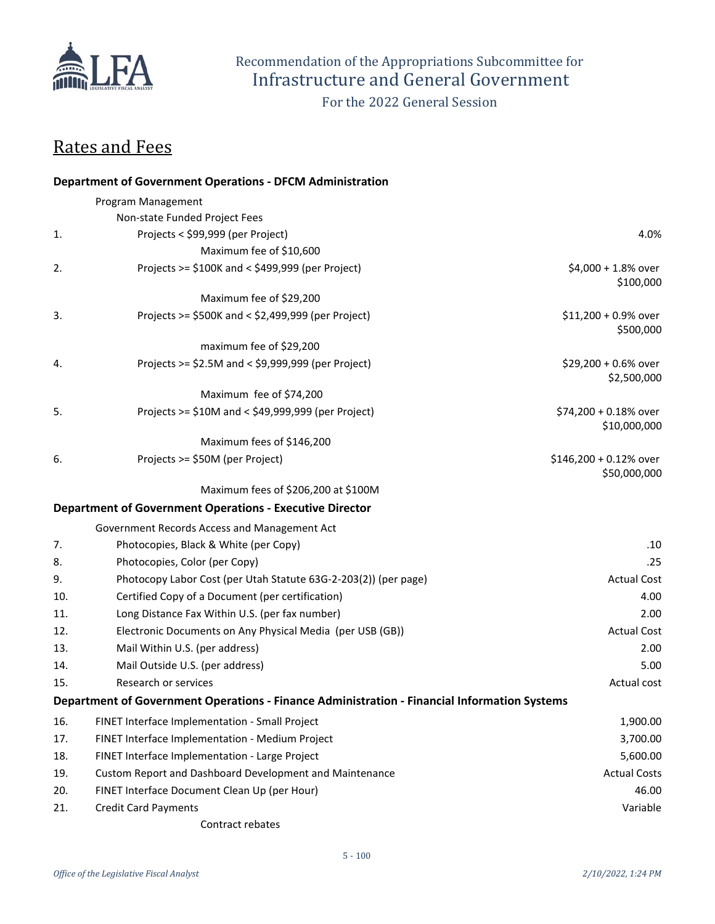

For the 2022 General Session

# Rates and Fees

|     | <b>Department of Government Operations - DFCM Administration</b>                             |                                          |
|-----|----------------------------------------------------------------------------------------------|------------------------------------------|
|     | Program Management                                                                           |                                          |
|     | Non-state Funded Project Fees                                                                |                                          |
| 1.  | Projects < \$99,999 (per Project)                                                            | 4.0%                                     |
|     | Maximum fee of \$10,600                                                                      |                                          |
| 2.  | Projects >= \$100K and < \$499,999 (per Project)                                             | $$4,000 + 1.8\%$ over<br>\$100,000       |
|     | Maximum fee of \$29,200                                                                      |                                          |
| 3.  | Projects >= \$500K and < \$2,499,999 (per Project)                                           | $$11,200 + 0.9\%$ over<br>\$500,000      |
|     | maximum fee of \$29,200                                                                      |                                          |
| 4.  | Projects >= $$2.5M$ and < $$9,999,999$ (per Project)                                         | \$29,200 + 0.6% over<br>\$2,500,000      |
|     | Maximum fee of \$74,200                                                                      |                                          |
| 5.  | Projects >= \$10M and < \$49,999,999 (per Project)                                           | \$74,200 + 0.18% over<br>\$10,000,000    |
|     | Maximum fees of \$146,200                                                                    |                                          |
| 6.  | Projects >= \$50M (per Project)                                                              | $$146,200 + 0.12\%$ over<br>\$50,000,000 |
|     | Maximum fees of \$206,200 at \$100M                                                          |                                          |
|     | <b>Department of Government Operations - Executive Director</b>                              |                                          |
|     | Government Records Access and Management Act                                                 |                                          |
| 7.  | Photocopies, Black & White (per Copy)                                                        | .10                                      |
| 8.  | Photocopies, Color (per Copy)                                                                | .25                                      |
| 9.  | Photocopy Labor Cost (per Utah Statute 63G-2-203(2)) (per page)                              | <b>Actual Cost</b>                       |
| 10. | Certified Copy of a Document (per certification)                                             | 4.00                                     |
| 11. | Long Distance Fax Within U.S. (per fax number)                                               | 2.00                                     |
| 12. | Electronic Documents on Any Physical Media (per USB (GB))                                    | <b>Actual Cost</b>                       |
| 13. | Mail Within U.S. (per address)                                                               | 2.00                                     |
| 14. | Mail Outside U.S. (per address)                                                              | 5.00                                     |
| 15. | Research or services                                                                         | Actual cost                              |
|     | Department of Government Operations - Finance Administration - Financial Information Systems |                                          |
| 16. | FINET Interface Implementation - Small Project                                               | 1,900.00                                 |
| 17. | FINET Interface Implementation - Medium Project                                              | 3,700.00                                 |
| 18. | FINET Interface Implementation - Large Project                                               | 5,600.00                                 |
| 19. | Custom Report and Dashboard Development and Maintenance                                      | <b>Actual Costs</b>                      |
| 20. | FINET Interface Document Clean Up (per Hour)                                                 | 46.00                                    |
| 21. | <b>Credit Card Payments</b>                                                                  | Variable                                 |

Contract rebates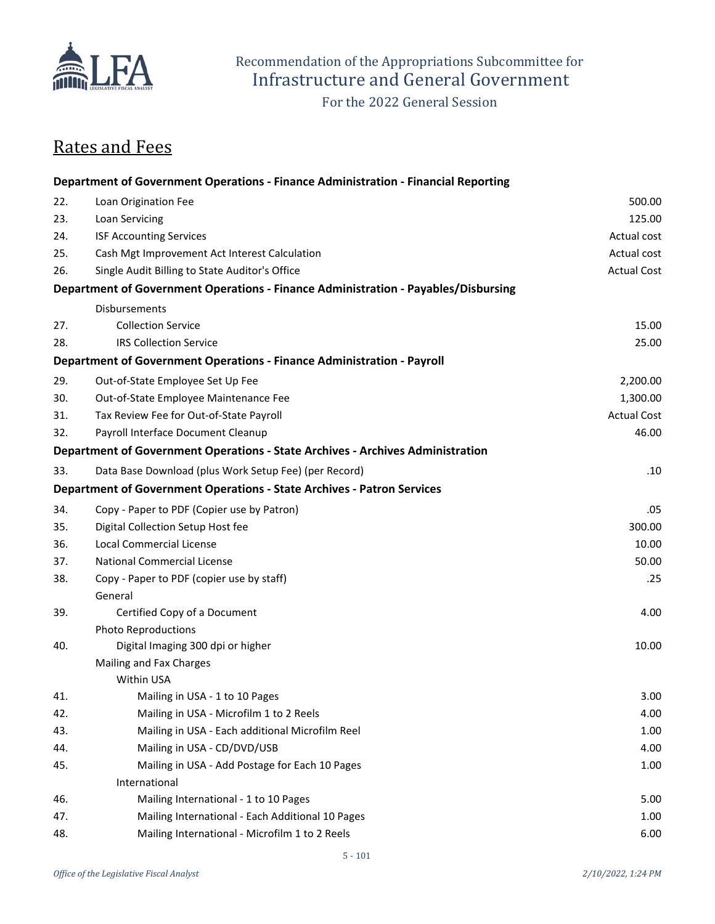

For the 2022 General Session

|     | Department of Government Operations - Finance Administration - Financial Reporting |                    |
|-----|------------------------------------------------------------------------------------|--------------------|
| 22. | Loan Origination Fee                                                               | 500.00             |
| 23. | Loan Servicing                                                                     | 125.00             |
| 24. | <b>ISF Accounting Services</b>                                                     | Actual cost        |
| 25. | Cash Mgt Improvement Act Interest Calculation                                      | Actual cost        |
| 26. | Single Audit Billing to State Auditor's Office                                     | <b>Actual Cost</b> |
|     | Department of Government Operations - Finance Administration - Payables/Disbursing |                    |
|     | Disbursements                                                                      |                    |
| 27. | <b>Collection Service</b>                                                          | 15.00              |
| 28. | <b>IRS Collection Service</b>                                                      | 25.00              |
|     | <b>Department of Government Operations - Finance Administration - Payroll</b>      |                    |
| 29. | Out-of-State Employee Set Up Fee                                                   | 2,200.00           |
| 30. | Out-of-State Employee Maintenance Fee                                              | 1,300.00           |
| 31. | Tax Review Fee for Out-of-State Payroll                                            | <b>Actual Cost</b> |
| 32. | Payroll Interface Document Cleanup                                                 | 46.00              |
|     | Department of Government Operations - State Archives - Archives Administration     |                    |
| 33. | Data Base Download (plus Work Setup Fee) (per Record)                              | .10                |
|     | <b>Department of Government Operations - State Archives - Patron Services</b>      |                    |
| 34. | Copy - Paper to PDF (Copier use by Patron)                                         | .05                |
| 35. | Digital Collection Setup Host fee                                                  | 300.00             |
| 36. | <b>Local Commercial License</b>                                                    | 10.00              |
| 37. | <b>National Commercial License</b>                                                 | 50.00              |
| 38. | Copy - Paper to PDF (copier use by staff)                                          | .25                |
|     | General                                                                            |                    |
| 39. | Certified Copy of a Document                                                       | 4.00               |
|     | <b>Photo Reproductions</b>                                                         |                    |
| 40. | Digital Imaging 300 dpi or higher                                                  | 10.00              |
|     | Mailing and Fax Charges                                                            |                    |
|     | Within USA                                                                         |                    |
| 41. | Mailing in USA - 1 to 10 Pages                                                     | 3.00               |
| 42. | Mailing in USA - Microfilm 1 to 2 Reels                                            | 4.00               |
| 43. | Mailing in USA - Each additional Microfilm Reel                                    | 1.00               |
| 44. | Mailing in USA - CD/DVD/USB                                                        | 4.00               |
| 45. | Mailing in USA - Add Postage for Each 10 Pages                                     | 1.00               |
|     | International                                                                      |                    |
| 46. | Mailing International - 1 to 10 Pages                                              | 5.00               |
| 47. | Mailing International - Each Additional 10 Pages                                   | 1.00               |
| 48. | Mailing International - Microfilm 1 to 2 Reels                                     | 6.00               |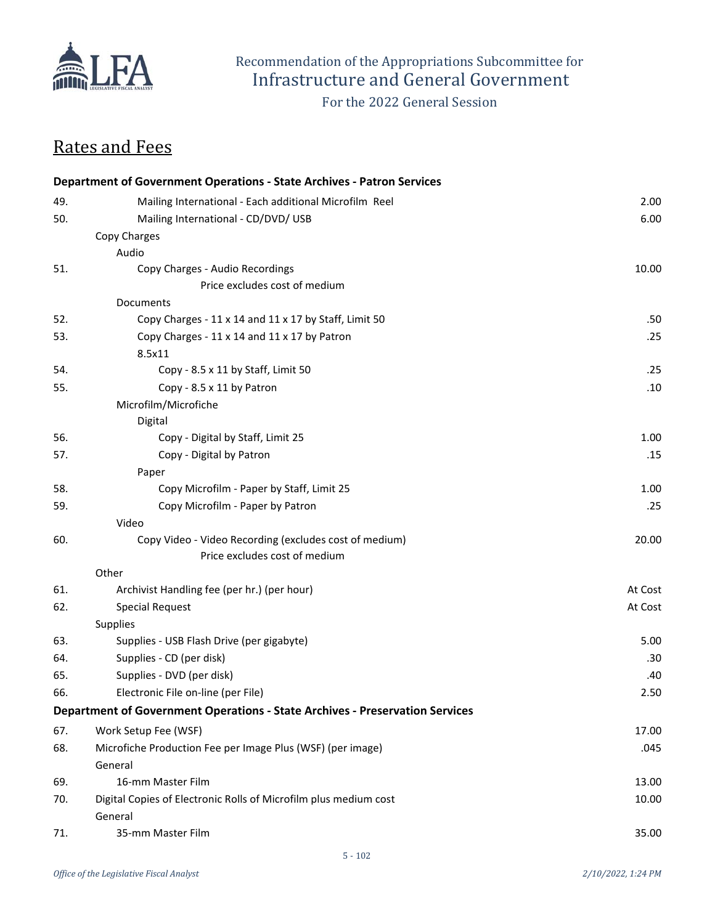

For the 2022 General Session

|     | <b>Department of Government Operations - State Archives - Patron Services</b>       |         |
|-----|-------------------------------------------------------------------------------------|---------|
| 49. | Mailing International - Each additional Microfilm Reel                              | 2.00    |
| 50. | Mailing International - CD/DVD/ USB                                                 | 6.00    |
|     | Copy Charges                                                                        |         |
|     | Audio                                                                               |         |
| 51. | Copy Charges - Audio Recordings                                                     | 10.00   |
|     | Price excludes cost of medium                                                       |         |
|     | Documents                                                                           |         |
| 52. | Copy Charges - 11 x 14 and 11 x 17 by Staff, Limit 50                               | .50     |
| 53. | Copy Charges - 11 x 14 and 11 x 17 by Patron                                        | .25     |
|     | 8.5x11                                                                              |         |
| 54. | Copy - 8.5 x 11 by Staff, Limit 50                                                  | .25     |
| 55. | Copy - 8.5 x 11 by Patron                                                           | .10     |
|     | Microfilm/Microfiche                                                                |         |
|     | Digital                                                                             |         |
| 56. | Copy - Digital by Staff, Limit 25                                                   | 1.00    |
| 57. | Copy - Digital by Patron                                                            | .15     |
|     | Paper                                                                               |         |
| 58. | Copy Microfilm - Paper by Staff, Limit 25                                           | 1.00    |
| 59. | Copy Microfilm - Paper by Patron                                                    | .25     |
|     | Video                                                                               |         |
| 60. | Copy Video - Video Recording (excludes cost of medium)                              | 20.00   |
|     | Price excludes cost of medium                                                       |         |
|     | Other                                                                               |         |
| 61. | Archivist Handling fee (per hr.) (per hour)                                         | At Cost |
| 62. | <b>Special Request</b>                                                              | At Cost |
|     | Supplies                                                                            |         |
| 63. | Supplies - USB Flash Drive (per gigabyte)                                           | 5.00    |
| 64. | Supplies - CD (per disk)                                                            | .30     |
| 65. | Supplies - DVD (per disk)                                                           | .40     |
| 66. | Electronic File on-line (per File)                                                  | 2.50    |
|     | <b>Department of Government Operations - State Archives - Preservation Services</b> |         |
| 67. | Work Setup Fee (WSF)                                                                | 17.00   |
| 68. | Microfiche Production Fee per Image Plus (WSF) (per image)                          | .045    |
|     | General                                                                             |         |
| 69. | 16-mm Master Film                                                                   | 13.00   |
| 70. | Digital Copies of Electronic Rolls of Microfilm plus medium cost                    | 10.00   |
|     | General                                                                             |         |
| 71. | 35-mm Master Film                                                                   | 35.00   |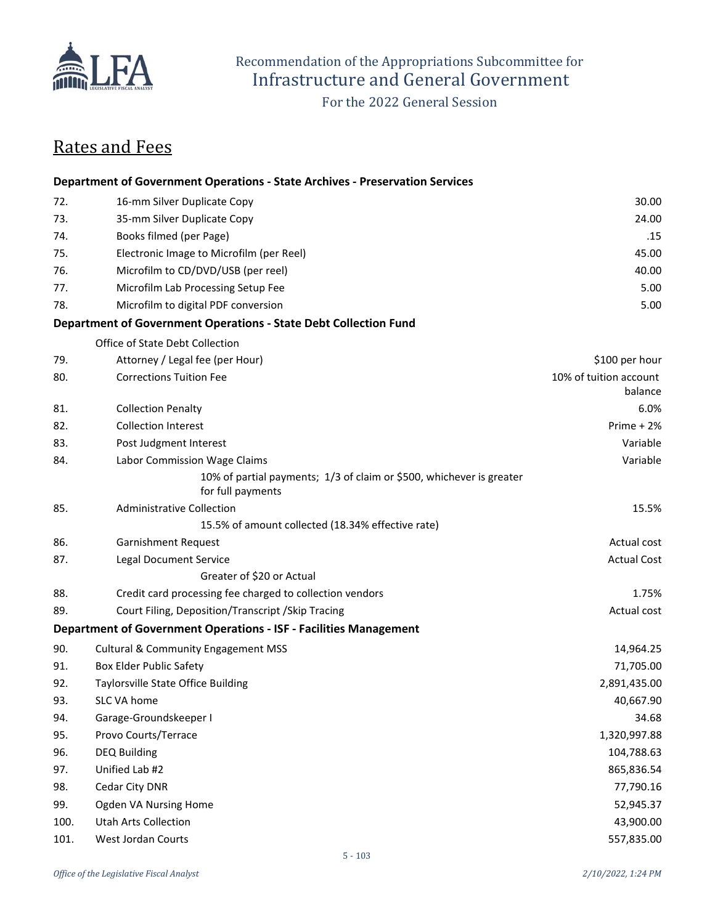

For the 2022 General Session

|      | <b>Department of Government Operations - State Archives - Preservation Services</b>       |                                   |
|------|-------------------------------------------------------------------------------------------|-----------------------------------|
| 72.  | 16-mm Silver Duplicate Copy                                                               | 30.00                             |
| 73.  | 35-mm Silver Duplicate Copy                                                               | 24.00                             |
| 74.  | Books filmed (per Page)                                                                   | .15                               |
| 75.  | Electronic Image to Microfilm (per Reel)                                                  | 45.00                             |
| 76.  | Microfilm to CD/DVD/USB (per reel)                                                        | 40.00                             |
| 77.  | Microfilm Lab Processing Setup Fee                                                        | 5.00                              |
| 78.  | Microfilm to digital PDF conversion                                                       | 5.00                              |
|      | <b>Department of Government Operations - State Debt Collection Fund</b>                   |                                   |
|      | Office of State Debt Collection                                                           |                                   |
| 79.  | Attorney / Legal fee (per Hour)                                                           | \$100 per hour                    |
| 80.  | <b>Corrections Tuition Fee</b>                                                            | 10% of tuition account<br>balance |
| 81.  | <b>Collection Penalty</b>                                                                 | 6.0%                              |
| 82.  | <b>Collection Interest</b>                                                                | Prime $+2%$                       |
| 83.  | Post Judgment Interest                                                                    | Variable                          |
| 84.  | Labor Commission Wage Claims                                                              | Variable                          |
|      | 10% of partial payments; 1/3 of claim or \$500, whichever is greater<br>for full payments |                                   |
| 85.  | <b>Administrative Collection</b>                                                          | 15.5%                             |
|      | 15.5% of amount collected (18.34% effective rate)                                         |                                   |
| 86.  | <b>Garnishment Request</b>                                                                | Actual cost                       |
| 87.  | <b>Legal Document Service</b>                                                             | <b>Actual Cost</b>                |
|      | Greater of \$20 or Actual                                                                 |                                   |
| 88.  | Credit card processing fee charged to collection vendors                                  | 1.75%                             |
| 89.  | Court Filing, Deposition/Transcript / Skip Tracing                                        | Actual cost                       |
|      | <b>Department of Government Operations - ISF - Facilities Management</b>                  |                                   |
| 90.  | <b>Cultural &amp; Community Engagement MSS</b>                                            | 14,964.25                         |
| 91.  | <b>Box Elder Public Safety</b>                                                            | 71,705.00                         |
| 92.  | Taylorsville State Office Building                                                        | 2,891,435.00                      |
| 93.  | SLC VA home                                                                               | 40,667.90                         |
| 94.  | Garage-Groundskeeper I                                                                    | 34.68                             |
| 95.  | Provo Courts/Terrace                                                                      | 1,320,997.88                      |
| 96.  | <b>DEQ Building</b>                                                                       | 104,788.63                        |
| 97.  | Unified Lab #2                                                                            | 865,836.54                        |
| 98.  | Cedar City DNR                                                                            | 77,790.16                         |
| 99.  | Ogden VA Nursing Home                                                                     | 52,945.37                         |
| 100. | <b>Utah Arts Collection</b>                                                               | 43,900.00                         |
| 101. | West Jordan Courts                                                                        | 557,835.00                        |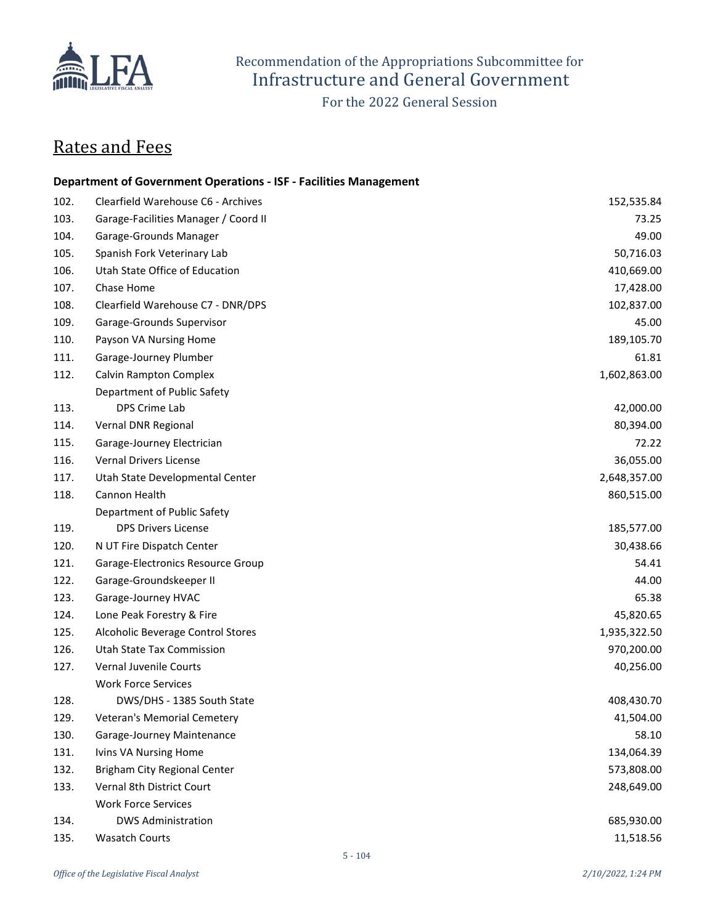

For the 2022 General Session

|      | <b>Department of Government Operations - ISF - Facilities Management</b> |              |
|------|--------------------------------------------------------------------------|--------------|
| 102. | Clearfield Warehouse C6 - Archives                                       | 152,535.84   |
| 103. | Garage-Facilities Manager / Coord II                                     | 73.25        |
| 104. | Garage-Grounds Manager                                                   | 49.00        |
| 105. | Spanish Fork Veterinary Lab                                              | 50,716.03    |
| 106. | Utah State Office of Education                                           | 410,669.00   |
| 107. | Chase Home                                                               | 17,428.00    |
| 108. | Clearfield Warehouse C7 - DNR/DPS                                        | 102,837.00   |
| 109. | Garage-Grounds Supervisor                                                | 45.00        |
| 110. | Payson VA Nursing Home                                                   | 189,105.70   |
| 111. | Garage-Journey Plumber                                                   | 61.81        |
| 112. | Calvin Rampton Complex                                                   | 1,602,863.00 |
|      | Department of Public Safety                                              |              |
| 113. | DPS Crime Lab                                                            | 42,000.00    |
| 114. | Vernal DNR Regional                                                      | 80,394.00    |
| 115. | Garage-Journey Electrician                                               | 72.22        |
| 116. | <b>Vernal Drivers License</b>                                            | 36,055.00    |
| 117. | Utah State Developmental Center                                          | 2,648,357.00 |
| 118. | Cannon Health                                                            | 860,515.00   |
|      | Department of Public Safety                                              |              |
| 119. | <b>DPS Drivers License</b>                                               | 185,577.00   |
| 120. | N UT Fire Dispatch Center                                                | 30,438.66    |
| 121. | Garage-Electronics Resource Group                                        | 54.41        |
| 122. | Garage-Groundskeeper II                                                  | 44.00        |
| 123. | Garage-Journey HVAC                                                      | 65.38        |
| 124. | Lone Peak Forestry & Fire                                                | 45,820.65    |
| 125. | Alcoholic Beverage Control Stores                                        | 1,935,322.50 |
| 126. | Utah State Tax Commission                                                | 970,200.00   |
| 127. | Vernal Juvenile Courts                                                   | 40,256.00    |
|      | <b>Work Force Services</b>                                               |              |
| 128. | DWS/DHS - 1385 South State                                               | 408,430.70   |
| 129. | Veteran's Memorial Cemetery                                              | 41,504.00    |
| 130. | Garage-Journey Maintenance                                               | 58.10        |
| 131. | Ivins VA Nursing Home                                                    | 134,064.39   |
| 132. | Brigham City Regional Center                                             | 573,808.00   |
| 133. | Vernal 8th District Court                                                | 248,649.00   |
|      | <b>Work Force Services</b>                                               |              |
| 134. | <b>DWS Administration</b>                                                | 685,930.00   |
| 135. | <b>Wasatch Courts</b>                                                    | 11,518.56    |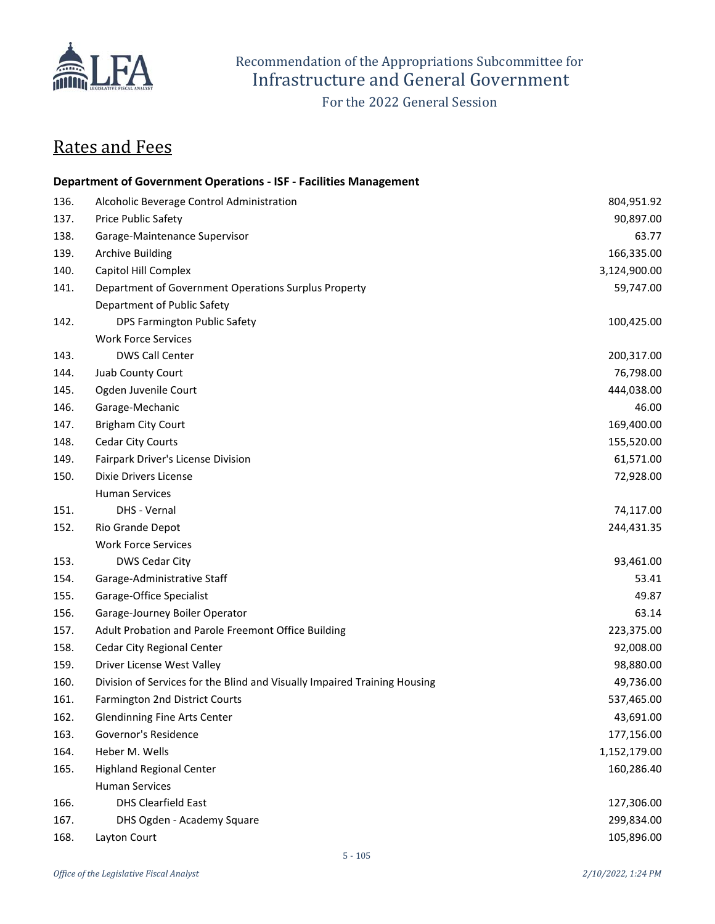

For the 2022 General Session

|      | Department of Government Operations - ISF - Facilities Management         |              |
|------|---------------------------------------------------------------------------|--------------|
| 136. | Alcoholic Beverage Control Administration                                 | 804,951.92   |
| 137. | <b>Price Public Safety</b>                                                | 90,897.00    |
| 138. | Garage-Maintenance Supervisor                                             | 63.77        |
| 139. | <b>Archive Building</b>                                                   | 166,335.00   |
| 140. | Capitol Hill Complex                                                      | 3,124,900.00 |
| 141. | Department of Government Operations Surplus Property                      | 59,747.00    |
|      | Department of Public Safety                                               |              |
| 142. | DPS Farmington Public Safety                                              | 100,425.00   |
|      | <b>Work Force Services</b>                                                |              |
| 143. | <b>DWS Call Center</b>                                                    | 200,317.00   |
| 144. | Juab County Court                                                         | 76,798.00    |
| 145. | Ogden Juvenile Court                                                      | 444,038.00   |
| 146. | Garage-Mechanic                                                           | 46.00        |
| 147. | <b>Brigham City Court</b>                                                 | 169,400.00   |
| 148. | Cedar City Courts                                                         | 155,520.00   |
| 149. | Fairpark Driver's License Division                                        | 61,571.00    |
| 150. | Dixie Drivers License                                                     | 72,928.00    |
|      | <b>Human Services</b>                                                     |              |
| 151. | DHS - Vernal                                                              | 74,117.00    |
| 152. | Rio Grande Depot                                                          | 244,431.35   |
|      | <b>Work Force Services</b>                                                |              |
| 153. | DWS Cedar City                                                            | 93,461.00    |
| 154. | Garage-Administrative Staff                                               | 53.41        |
| 155. | Garage-Office Specialist                                                  | 49.87        |
| 156. | Garage-Journey Boiler Operator                                            | 63.14        |
| 157. | Adult Probation and Parole Freemont Office Building                       | 223,375.00   |
| 158. | Cedar City Regional Center                                                | 92,008.00    |
| 159. | Driver License West Valley                                                | 98,880.00    |
| 160. | Division of Services for the Blind and Visually Impaired Training Housing | 49,736.00    |
| 161. | Farmington 2nd District Courts                                            | 537,465.00   |
| 162. | <b>Glendinning Fine Arts Center</b>                                       | 43,691.00    |
| 163. | Governor's Residence                                                      | 177,156.00   |
| 164. | Heber M. Wells                                                            | 1,152,179.00 |
| 165. | <b>Highland Regional Center</b>                                           | 160,286.40   |
|      | <b>Human Services</b>                                                     |              |
| 166. | <b>DHS Clearfield East</b>                                                | 127,306.00   |
| 167. | DHS Ogden - Academy Square                                                | 299,834.00   |
| 168. | Layton Court                                                              | 105,896.00   |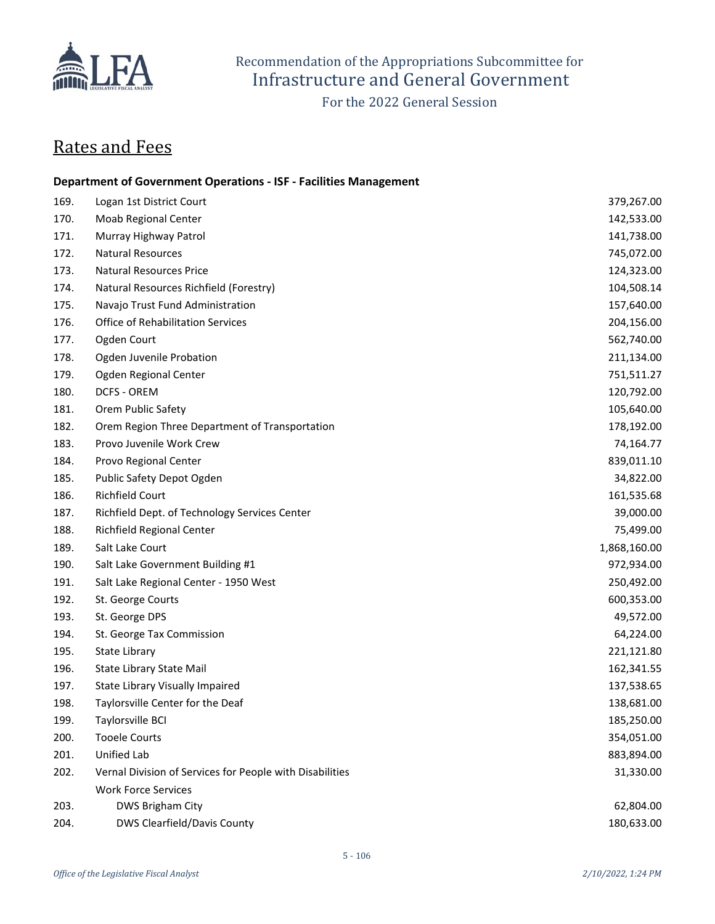

For the 2022 General Session

|      | <b>Department of Government Operations - ISF - Facilities Management</b> |              |
|------|--------------------------------------------------------------------------|--------------|
| 169. | Logan 1st District Court                                                 | 379,267.00   |
| 170. | <b>Moab Regional Center</b>                                              | 142,533.00   |
| 171. | Murray Highway Patrol                                                    | 141,738.00   |
| 172. | <b>Natural Resources</b>                                                 | 745,072.00   |
| 173. | <b>Natural Resources Price</b>                                           | 124,323.00   |
| 174. | Natural Resources Richfield (Forestry)                                   | 104,508.14   |
| 175. | Navajo Trust Fund Administration                                         | 157,640.00   |
| 176. | Office of Rehabilitation Services                                        | 204,156.00   |
| 177. | Ogden Court                                                              | 562,740.00   |
| 178. | Ogden Juvenile Probation                                                 | 211,134.00   |
| 179. | Ogden Regional Center                                                    | 751,511.27   |
| 180. | DCFS - OREM                                                              | 120,792.00   |
| 181. | Orem Public Safety                                                       | 105,640.00   |
| 182. | Orem Region Three Department of Transportation                           | 178,192.00   |
| 183. | Provo Juvenile Work Crew                                                 | 74,164.77    |
| 184. | Provo Regional Center                                                    | 839,011.10   |
| 185. | Public Safety Depot Ogden                                                | 34,822.00    |
| 186. | <b>Richfield Court</b>                                                   | 161,535.68   |
| 187. | Richfield Dept. of Technology Services Center                            | 39,000.00    |
| 188. | Richfield Regional Center                                                | 75,499.00    |
| 189. | Salt Lake Court                                                          | 1,868,160.00 |
| 190. | Salt Lake Government Building #1                                         | 972,934.00   |
| 191. | Salt Lake Regional Center - 1950 West                                    | 250,492.00   |
| 192. | St. George Courts                                                        | 600,353.00   |
| 193. | St. George DPS                                                           | 49,572.00    |
| 194. | St. George Tax Commission                                                | 64,224.00    |
| 195. | <b>State Library</b>                                                     | 221,121.80   |
| 196. | State Library State Mail                                                 | 162,341.55   |
| 197. | <b>State Library Visually Impaired</b>                                   | 137,538.65   |
| 198. | Taylorsville Center for the Deaf                                         | 138,681.00   |
| 199. | Taylorsville BCI                                                         | 185,250.00   |
| 200. | <b>Tooele Courts</b>                                                     | 354,051.00   |
| 201. | Unified Lab                                                              | 883,894.00   |
| 202. | Vernal Division of Services for People with Disabilities                 | 31,330.00    |
|      | <b>Work Force Services</b>                                               |              |
| 203. | <b>DWS Brigham City</b>                                                  | 62,804.00    |
| 204. | <b>DWS Clearfield/Davis County</b>                                       | 180,633.00   |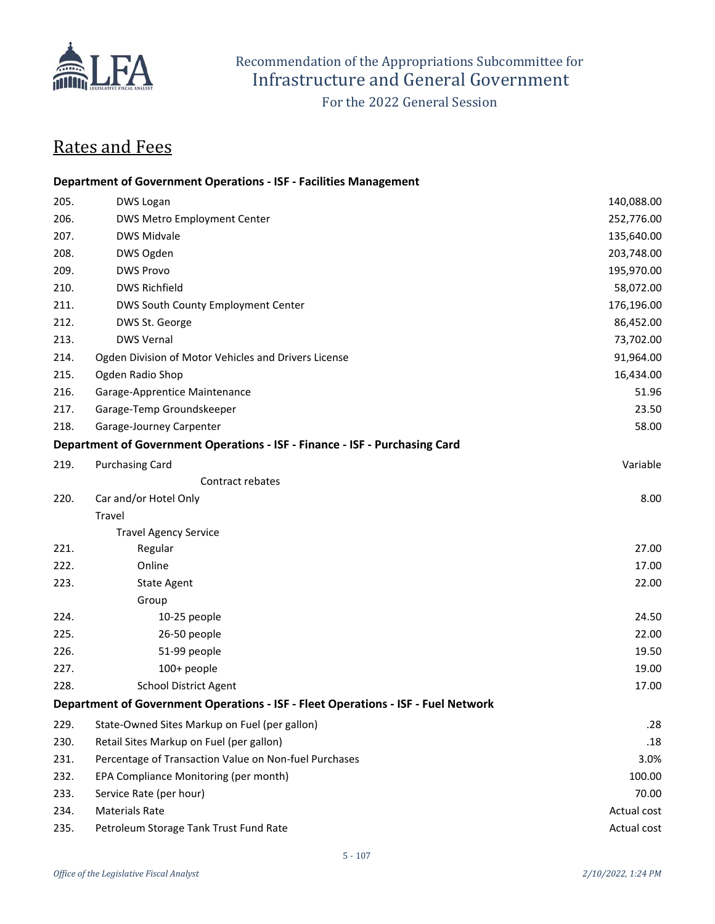

For the 2022 General Session

|      | Department of Government Operations - ISF - Facilities Management                 |             |
|------|-----------------------------------------------------------------------------------|-------------|
| 205. | DWS Logan                                                                         | 140,088.00  |
| 206. | <b>DWS Metro Employment Center</b>                                                | 252,776.00  |
| 207. | <b>DWS Midvale</b>                                                                | 135,640.00  |
| 208. | DWS Ogden                                                                         | 203,748.00  |
| 209. | <b>DWS Provo</b>                                                                  | 195,970.00  |
| 210. | <b>DWS Richfield</b>                                                              | 58,072.00   |
| 211. | DWS South County Employment Center                                                | 176,196.00  |
| 212. | DWS St. George                                                                    | 86,452.00   |
| 213. | <b>DWS Vernal</b>                                                                 | 73,702.00   |
| 214. | Ogden Division of Motor Vehicles and Drivers License                              | 91,964.00   |
| 215. | Ogden Radio Shop                                                                  | 16,434.00   |
| 216. | Garage-Apprentice Maintenance                                                     | 51.96       |
| 217. | Garage-Temp Groundskeeper                                                         | 23.50       |
| 218. | Garage-Journey Carpenter                                                          | 58.00       |
|      | Department of Government Operations - ISF - Finance - ISF - Purchasing Card       |             |
| 219. | <b>Purchasing Card</b>                                                            | Variable    |
|      | Contract rebates                                                                  |             |
| 220. | Car and/or Hotel Only                                                             | 8.00        |
|      | Travel                                                                            |             |
|      | <b>Travel Agency Service</b>                                                      |             |
| 221. | Regular                                                                           | 27.00       |
| 222. | Online                                                                            | 17.00       |
| 223. | <b>State Agent</b>                                                                | 22.00       |
|      | Group                                                                             |             |
| 224. | 10-25 people                                                                      | 24.50       |
| 225. | 26-50 people                                                                      | 22.00       |
| 226. | 51-99 people                                                                      | 19.50       |
| 227. | 100+ people                                                                       | 19.00       |
| 228. | <b>School District Agent</b>                                                      | 17.00       |
|      | Department of Government Operations - ISF - Fleet Operations - ISF - Fuel Network |             |
| 229. | State-Owned Sites Markup on Fuel (per gallon)                                     | .28         |
| 230. | Retail Sites Markup on Fuel (per gallon)                                          | .18         |
| 231. | Percentage of Transaction Value on Non-fuel Purchases                             | 3.0%        |
| 232. | EPA Compliance Monitoring (per month)                                             | 100.00      |
| 233. | Service Rate (per hour)                                                           | 70.00       |
| 234. | <b>Materials Rate</b>                                                             | Actual cost |
| 235. | Petroleum Storage Tank Trust Fund Rate                                            | Actual cost |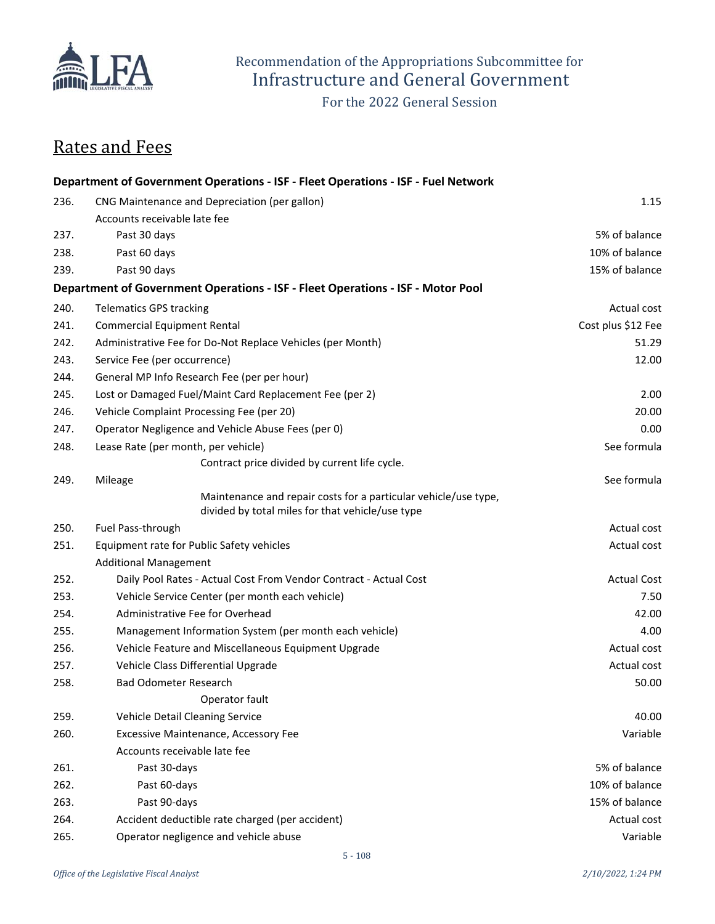

For the 2022 General Session

|      | Department of Government Operations - ISF - Fleet Operations - ISF - Fuel Network                                   |                    |
|------|---------------------------------------------------------------------------------------------------------------------|--------------------|
| 236. | CNG Maintenance and Depreciation (per gallon)                                                                       | 1.15               |
|      | Accounts receivable late fee                                                                                        |                    |
| 237. | Past 30 days                                                                                                        | 5% of balance      |
| 238. | Past 60 days                                                                                                        | 10% of balance     |
| 239. | Past 90 days                                                                                                        | 15% of balance     |
|      | Department of Government Operations - ISF - Fleet Operations - ISF - Motor Pool                                     |                    |
| 240. | <b>Telematics GPS tracking</b>                                                                                      | Actual cost        |
| 241. | <b>Commercial Equipment Rental</b>                                                                                  | Cost plus \$12 Fee |
| 242. | Administrative Fee for Do-Not Replace Vehicles (per Month)                                                          | 51.29              |
| 243. | Service Fee (per occurrence)                                                                                        | 12.00              |
| 244. | General MP Info Research Fee (per per hour)                                                                         |                    |
| 245. | Lost or Damaged Fuel/Maint Card Replacement Fee (per 2)                                                             | 2.00               |
| 246. | Vehicle Complaint Processing Fee (per 20)                                                                           | 20.00              |
| 247. | Operator Negligence and Vehicle Abuse Fees (per 0)                                                                  | 0.00               |
| 248. | Lease Rate (per month, per vehicle)                                                                                 | See formula        |
|      | Contract price divided by current life cycle.                                                                       |                    |
| 249. | Mileage                                                                                                             | See formula        |
|      | Maintenance and repair costs for a particular vehicle/use type,<br>divided by total miles for that vehicle/use type |                    |
| 250. | Fuel Pass-through                                                                                                   | Actual cost        |
| 251. | Equipment rate for Public Safety vehicles                                                                           | Actual cost        |
|      | <b>Additional Management</b>                                                                                        |                    |
| 252. | Daily Pool Rates - Actual Cost From Vendor Contract - Actual Cost                                                   | <b>Actual Cost</b> |
| 253. | Vehicle Service Center (per month each vehicle)                                                                     | 7.50               |
| 254. | Administrative Fee for Overhead                                                                                     | 42.00              |
| 255. | Management Information System (per month each vehicle)                                                              | 4.00               |
| 256. | Vehicle Feature and Miscellaneous Equipment Upgrade                                                                 | Actual cost        |
| 257. | Vehicle Class Differential Upgrade                                                                                  | Actual cost        |
| 258. | <b>Bad Odometer Research</b>                                                                                        | 50.00              |
|      | Operator fault                                                                                                      |                    |
| 259. | Vehicle Detail Cleaning Service                                                                                     | 40.00              |
| 260. | <b>Excessive Maintenance, Accessory Fee</b>                                                                         | Variable           |
|      | Accounts receivable late fee                                                                                        |                    |
| 261. | Past 30-days                                                                                                        | 5% of balance      |
| 262. | Past 60-days                                                                                                        | 10% of balance     |
| 263. | Past 90-days                                                                                                        | 15% of balance     |
| 264. | Accident deductible rate charged (per accident)                                                                     | Actual cost        |
| 265. | Operator negligence and vehicle abuse                                                                               | Variable           |
|      |                                                                                                                     |                    |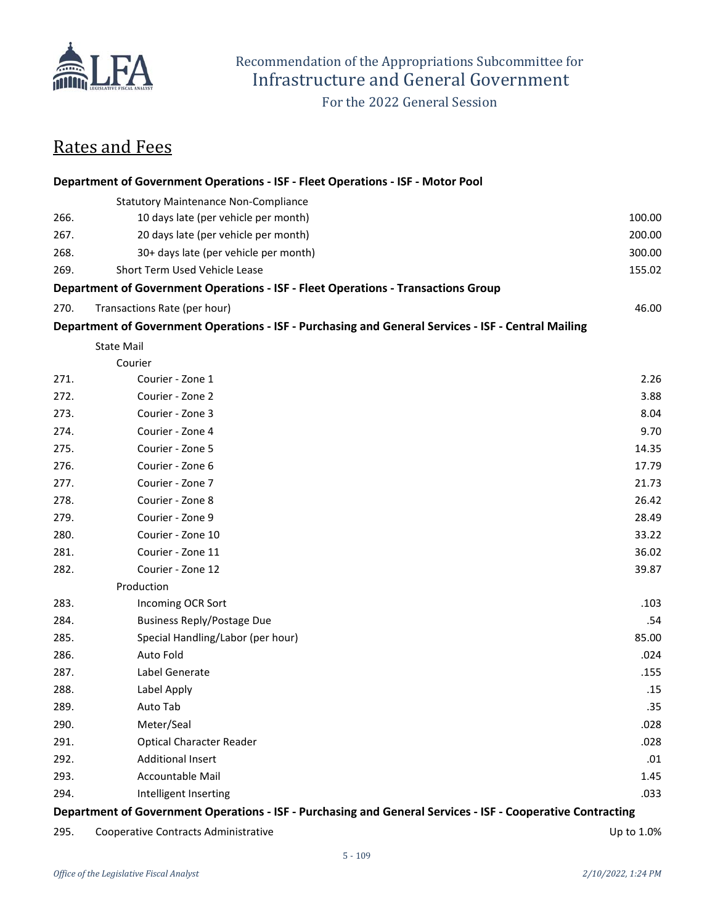

For the 2022 General Session

### Rates and Fees

|      | Department of Government Operations - ISF - Fleet Operations - ISF - Motor Pool                     |        |
|------|-----------------------------------------------------------------------------------------------------|--------|
|      | <b>Statutory Maintenance Non-Compliance</b>                                                         |        |
| 266. | 10 days late (per vehicle per month)                                                                | 100.00 |
| 267. | 20 days late (per vehicle per month)                                                                | 200.00 |
| 268. | 30+ days late (per vehicle per month)                                                               | 300.00 |
| 269. | Short Term Used Vehicle Lease                                                                       | 155.02 |
|      | Department of Government Operations - ISF - Fleet Operations - Transactions Group                   |        |
| 270. | Transactions Rate (per hour)                                                                        | 46.00  |
|      | Department of Government Operations - ISF - Purchasing and General Services - ISF - Central Mailing |        |
|      | <b>State Mail</b>                                                                                   |        |
|      | Courier                                                                                             |        |
| 271. | Courier - Zone 1                                                                                    | 2.26   |
| 272. | Courier - Zone 2                                                                                    | 3.88   |
| 273. | Courier - Zone 3                                                                                    | 8.04   |
| 274. | Courier - Zone 4                                                                                    | 9.70   |
| 275. | Courier - Zone 5                                                                                    | 14.35  |
| 276. | Courier - Zone 6                                                                                    | 17.79  |
| 277. | Courier - Zone 7                                                                                    | 21.73  |
| 278. | Courier - Zone 8                                                                                    | 26.42  |
| 279. | Courier - Zone 9                                                                                    | 28.49  |
| 280. | Courier - Zone 10                                                                                   | 33.22  |
| 281. | Courier - Zone 11                                                                                   | 36.02  |
| 282. | Courier - Zone 12                                                                                   | 39.87  |
|      | Production                                                                                          |        |
| 283. | Incoming OCR Sort                                                                                   | .103   |
| 284. | <b>Business Reply/Postage Due</b>                                                                   | .54    |
| 285. | Special Handling/Labor (per hour)                                                                   | 85.00  |
| 286. | Auto Fold                                                                                           | .024   |
| 287. | Label Generate                                                                                      | .155   |
| 288. | Label Apply                                                                                         | .15    |
| 289. | Auto Tab                                                                                            | .35    |
| 290. | Meter/Seal                                                                                          | .028   |
| 291. | <b>Optical Character Reader</b>                                                                     | .028   |
| 292. | <b>Additional Insert</b>                                                                            | .01    |
| 293. | Accountable Mail                                                                                    | 1.45   |
| 294. | Intelligent Inserting                                                                               | .033   |

#### **Department of Government Operations ‐ ISF ‐ Purchasing and General Services ‐ ISF ‐ Cooperative Contracting**

295. Cooperative Contracts Administrative Contracts Administrative Content Content Content Content Content Content Content Content Content Content Content Content Content Content Content Content Content Content Content Con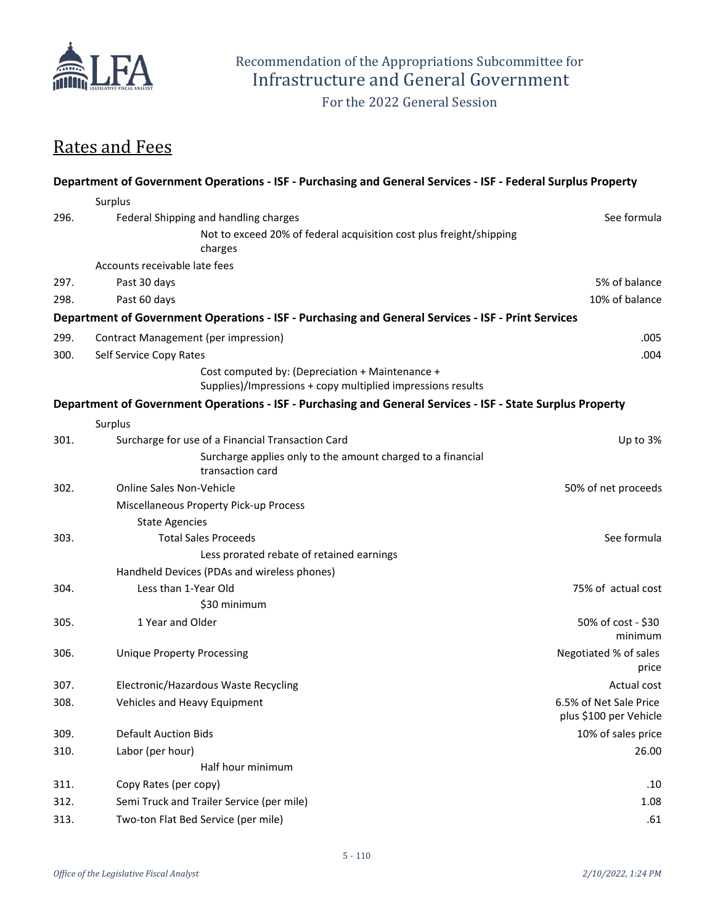

For the 2022 General Session

|      | Department of Government Operations - ISF - Purchasing and General Services - ISF - Federal Surplus Property   |                                                  |
|------|----------------------------------------------------------------------------------------------------------------|--------------------------------------------------|
|      | Surplus                                                                                                        |                                                  |
| 296. | Federal Shipping and handling charges                                                                          | See formula                                      |
|      | Not to exceed 20% of federal acquisition cost plus freight/shipping<br>charges                                 |                                                  |
|      | Accounts receivable late fees                                                                                  |                                                  |
| 297. | Past 30 days                                                                                                   | 5% of balance                                    |
| 298. | Past 60 days                                                                                                   | 10% of balance                                   |
|      | Department of Government Operations - ISF - Purchasing and General Services - ISF - Print Services             |                                                  |
| 299. | Contract Management (per impression)                                                                           | .005                                             |
| 300. | Self Service Copy Rates                                                                                        | .004                                             |
|      | Cost computed by: (Depreciation + Maintenance +<br>Supplies)/Impressions + copy multiplied impressions results |                                                  |
|      | Department of Government Operations - ISF - Purchasing and General Services - ISF - State Surplus Property     |                                                  |
|      | Surplus                                                                                                        |                                                  |
| 301. | Surcharge for use of a Financial Transaction Card                                                              | Up to $3%$                                       |
|      | Surcharge applies only to the amount charged to a financial<br>transaction card                                |                                                  |
| 302. | Online Sales Non-Vehicle                                                                                       | 50% of net proceeds                              |
|      | Miscellaneous Property Pick-up Process                                                                         |                                                  |
|      | <b>State Agencies</b>                                                                                          |                                                  |
| 303. | <b>Total Sales Proceeds</b>                                                                                    | See formula                                      |
|      | Less prorated rebate of retained earnings                                                                      |                                                  |
|      | Handheld Devices (PDAs and wireless phones)                                                                    |                                                  |
| 304. | Less than 1-Year Old                                                                                           | 75% of actual cost                               |
|      | \$30 minimum                                                                                                   |                                                  |
| 305. | 1 Year and Older                                                                                               | 50% of cost - \$30<br>minimum                    |
| 306. | <b>Unique Property Processing</b>                                                                              | Negotiated % of sales<br>price                   |
| 307. | Electronic/Hazardous Waste Recycling                                                                           | Actual cost                                      |
| 308. | Vehicles and Heavy Equipment                                                                                   | 6.5% of Net Sale Price<br>plus \$100 per Vehicle |
| 309. | <b>Default Auction Bids</b>                                                                                    | 10% of sales price                               |
| 310. | Labor (per hour)                                                                                               | 26.00                                            |
|      | Half hour minimum                                                                                              |                                                  |
| 311. | Copy Rates (per copy)                                                                                          | .10                                              |
| 312. | Semi Truck and Trailer Service (per mile)                                                                      | 1.08                                             |
| 313. | Two-ton Flat Bed Service (per mile)                                                                            | .61                                              |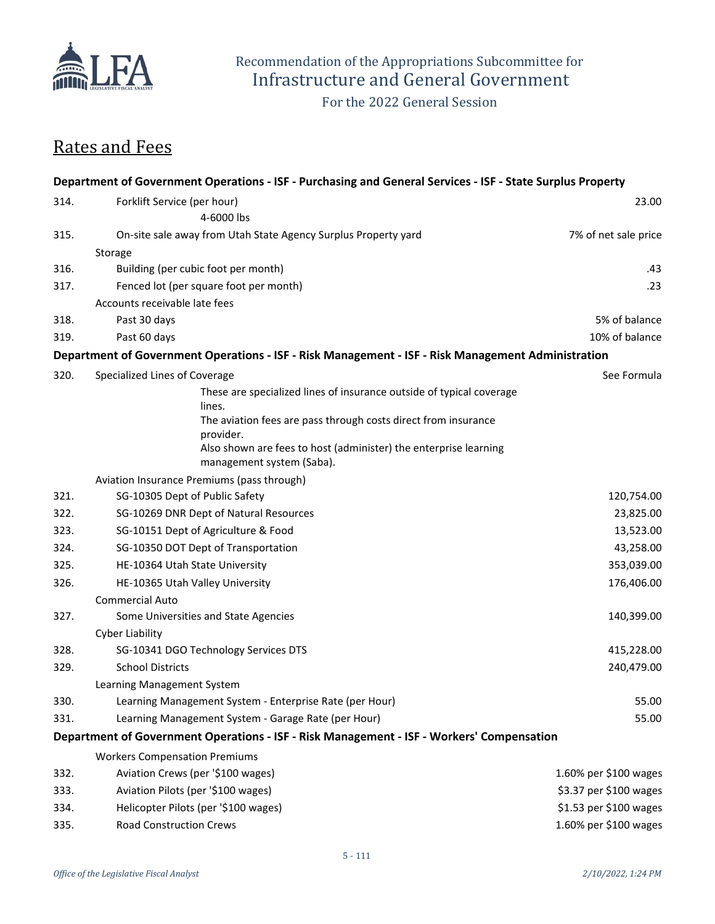

For the 2022 General Session

| Department of Government Operations - ISF - Purchasing and General Services - ISF - State Surplus Property |                                                                                                    |                        |
|------------------------------------------------------------------------------------------------------------|----------------------------------------------------------------------------------------------------|------------------------|
| 314.                                                                                                       | Forklift Service (per hour)                                                                        | 23.00                  |
|                                                                                                            | 4-6000 lbs                                                                                         |                        |
| 315.                                                                                                       | On-site sale away from Utah State Agency Surplus Property yard                                     | 7% of net sale price   |
|                                                                                                            | Storage                                                                                            |                        |
| 316.                                                                                                       | Building (per cubic foot per month)                                                                | .43                    |
| 317.                                                                                                       | Fenced lot (per square foot per month)                                                             | .23                    |
|                                                                                                            | Accounts receivable late fees                                                                      |                        |
| 318.                                                                                                       | Past 30 days                                                                                       | 5% of balance          |
| 319.                                                                                                       | Past 60 days                                                                                       | 10% of balance         |
|                                                                                                            | Department of Government Operations - ISF - Risk Management - ISF - Risk Management Administration |                        |
| 320.                                                                                                       | Specialized Lines of Coverage                                                                      | See Formula            |
|                                                                                                            | These are specialized lines of insurance outside of typical coverage<br>lines.                     |                        |
|                                                                                                            | The aviation fees are pass through costs direct from insurance<br>provider.                        |                        |
|                                                                                                            | Also shown are fees to host (administer) the enterprise learning<br>management system (Saba).      |                        |
|                                                                                                            | Aviation Insurance Premiums (pass through)                                                         |                        |
| 321.                                                                                                       | SG-10305 Dept of Public Safety                                                                     | 120,754.00             |
| 322.                                                                                                       | SG-10269 DNR Dept of Natural Resources                                                             | 23,825.00              |
| 323.                                                                                                       | SG-10151 Dept of Agriculture & Food                                                                | 13,523.00              |
| 324.                                                                                                       | SG-10350 DOT Dept of Transportation                                                                | 43,258.00              |
| 325.                                                                                                       | HE-10364 Utah State University                                                                     | 353,039.00             |
| 326.                                                                                                       | HE-10365 Utah Valley University                                                                    | 176,406.00             |
|                                                                                                            | <b>Commercial Auto</b>                                                                             |                        |
| 327.                                                                                                       | Some Universities and State Agencies                                                               | 140,399.00             |
|                                                                                                            | <b>Cyber Liability</b>                                                                             |                        |
| 328.                                                                                                       | SG-10341 DGO Technology Services DTS                                                               | 415,228.00             |
| 329.                                                                                                       | <b>School Districts</b>                                                                            | 240,479.00             |
|                                                                                                            | Learning Management System                                                                         |                        |
| 330.                                                                                                       | Learning Management System - Enterprise Rate (per Hour)                                            | 55.00                  |
| 331.                                                                                                       | Learning Management System - Garage Rate (per Hour)                                                | 55.00                  |
|                                                                                                            | Department of Government Operations - ISF - Risk Management - ISF - Workers' Compensation          |                        |
|                                                                                                            | <b>Workers Compensation Premiums</b>                                                               |                        |
| 332.                                                                                                       | Aviation Crews (per '\$100 wages)                                                                  | 1.60% per \$100 wages  |
| 333.                                                                                                       | Aviation Pilots (per '\$100 wages)                                                                 | \$3.37 per \$100 wages |
| 334.                                                                                                       | Helicopter Pilots (per '\$100 wages)                                                               | \$1.53 per \$100 wages |
| 335.                                                                                                       | <b>Road Construction Crews</b>                                                                     | 1.60% per \$100 wages  |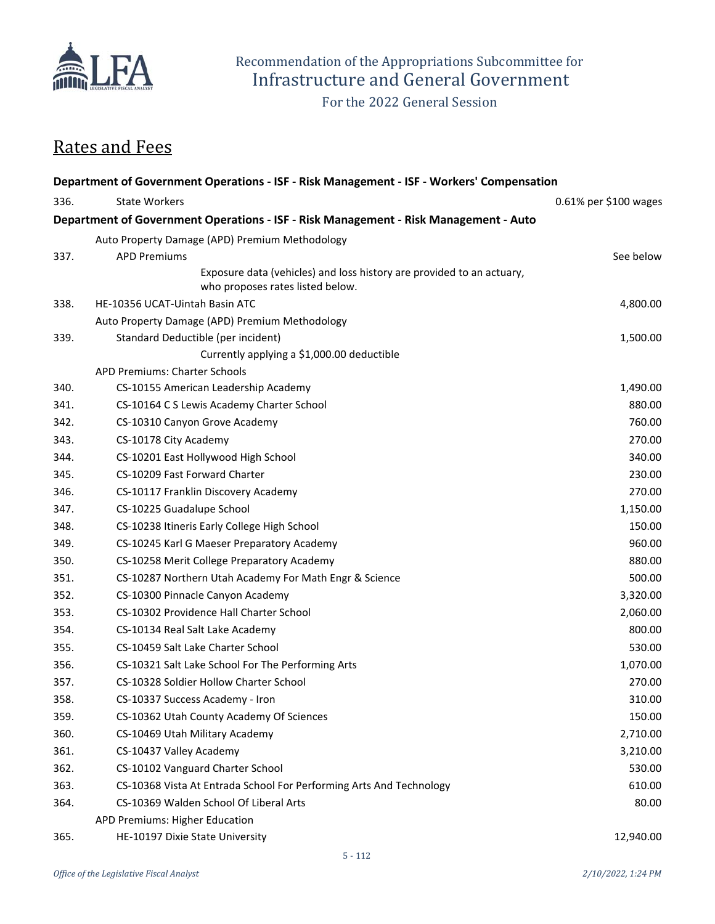

For the 2022 General Session

| Department of Government Operations - ISF - Risk Management - ISF - Workers' Compensation |                                                                                                           |                       |
|-------------------------------------------------------------------------------------------|-----------------------------------------------------------------------------------------------------------|-----------------------|
| 336.                                                                                      | <b>State Workers</b>                                                                                      | 0.61% per \$100 wages |
|                                                                                           | Department of Government Operations - ISF - Risk Management - Risk Management - Auto                      |                       |
|                                                                                           | Auto Property Damage (APD) Premium Methodology                                                            |                       |
| 337.                                                                                      | <b>APD Premiums</b>                                                                                       | See below             |
|                                                                                           | Exposure data (vehicles) and loss history are provided to an actuary,<br>who proposes rates listed below. |                       |
| 338.                                                                                      | HE-10356 UCAT-Uintah Basin ATC                                                                            | 4,800.00              |
|                                                                                           | Auto Property Damage (APD) Premium Methodology                                                            |                       |
| 339.                                                                                      | Standard Deductible (per incident)                                                                        | 1,500.00              |
|                                                                                           | Currently applying a \$1,000.00 deductible                                                                |                       |
|                                                                                           | APD Premiums: Charter Schools                                                                             |                       |
| 340.                                                                                      | CS-10155 American Leadership Academy                                                                      | 1,490.00              |
| 341.                                                                                      | CS-10164 C S Lewis Academy Charter School                                                                 | 880.00                |
| 342.                                                                                      | CS-10310 Canyon Grove Academy                                                                             | 760.00                |
| 343.                                                                                      | CS-10178 City Academy                                                                                     | 270.00                |
| 344.                                                                                      | CS-10201 East Hollywood High School                                                                       | 340.00                |
| 345.                                                                                      | CS-10209 Fast Forward Charter                                                                             | 230.00                |
| 346.                                                                                      | CS-10117 Franklin Discovery Academy                                                                       | 270.00                |
| 347.                                                                                      | CS-10225 Guadalupe School                                                                                 | 1,150.00              |
| 348.                                                                                      | CS-10238 Itineris Early College High School                                                               | 150.00                |
| 349.                                                                                      | CS-10245 Karl G Maeser Preparatory Academy                                                                | 960.00                |
| 350.                                                                                      | CS-10258 Merit College Preparatory Academy                                                                | 880.00                |
| 351.                                                                                      | CS-10287 Northern Utah Academy For Math Engr & Science                                                    | 500.00                |
| 352.                                                                                      | CS-10300 Pinnacle Canyon Academy                                                                          | 3,320.00              |
| 353.                                                                                      | CS-10302 Providence Hall Charter School                                                                   | 2,060.00              |
| 354.                                                                                      | CS-10134 Real Salt Lake Academy                                                                           | 800.00                |
| 355.                                                                                      | CS-10459 Salt Lake Charter School                                                                         | 530.00                |
| 356.                                                                                      | CS-10321 Salt Lake School For The Performing Arts                                                         | 1,070.00              |
| 357.                                                                                      | CS-10328 Soldier Hollow Charter School                                                                    | 270.00                |
| 358.                                                                                      | CS-10337 Success Academy - Iron                                                                           | 310.00                |
| 359.                                                                                      | CS-10362 Utah County Academy Of Sciences                                                                  | 150.00                |
| 360.                                                                                      | CS-10469 Utah Military Academy                                                                            | 2,710.00              |
| 361.                                                                                      | CS-10437 Valley Academy                                                                                   | 3,210.00              |
| 362.                                                                                      | CS-10102 Vanguard Charter School                                                                          | 530.00                |
| 363.                                                                                      | CS-10368 Vista At Entrada School For Performing Arts And Technology                                       | 610.00                |
| 364.                                                                                      | CS-10369 Walden School Of Liberal Arts                                                                    | 80.00                 |
|                                                                                           | APD Premiums: Higher Education                                                                            |                       |
| 365.                                                                                      | HE-10197 Dixie State University                                                                           | 12,940.00             |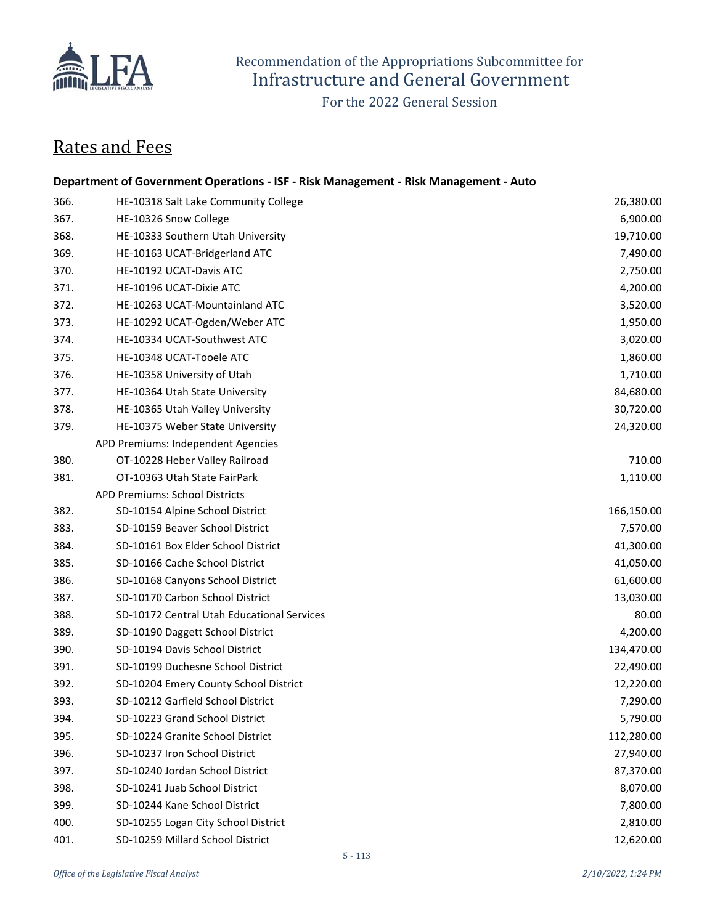

For the 2022 General Session

|      | Department of Government Operations - ISF - Risk Management - Risk Management - Auto |            |
|------|--------------------------------------------------------------------------------------|------------|
| 366. | HE-10318 Salt Lake Community College                                                 | 26,380.00  |
| 367. | HE-10326 Snow College                                                                | 6,900.00   |
| 368. | HE-10333 Southern Utah University                                                    | 19,710.00  |
| 369. | HE-10163 UCAT-Bridgerland ATC                                                        | 7,490.00   |
| 370. | HE-10192 UCAT-Davis ATC                                                              | 2,750.00   |
| 371. | HE-10196 UCAT-Dixie ATC                                                              | 4,200.00   |
| 372. | HE-10263 UCAT-Mountainland ATC                                                       | 3,520.00   |
| 373. | HE-10292 UCAT-Ogden/Weber ATC                                                        | 1,950.00   |
| 374. | HE-10334 UCAT-Southwest ATC                                                          | 3,020.00   |
| 375. | HE-10348 UCAT-Tooele ATC                                                             | 1,860.00   |
| 376. | HE-10358 University of Utah                                                          | 1,710.00   |
| 377. | HE-10364 Utah State University                                                       | 84,680.00  |
| 378. | HE-10365 Utah Valley University                                                      | 30,720.00  |
| 379. | HE-10375 Weber State University                                                      | 24,320.00  |
|      | APD Premiums: Independent Agencies                                                   |            |
| 380. | OT-10228 Heber Valley Railroad                                                       | 710.00     |
| 381. | OT-10363 Utah State FairPark                                                         | 1,110.00   |
|      | <b>APD Premiums: School Districts</b>                                                |            |
| 382. | SD-10154 Alpine School District                                                      | 166,150.00 |
| 383. | SD-10159 Beaver School District                                                      | 7,570.00   |
| 384. | SD-10161 Box Elder School District                                                   | 41,300.00  |
| 385. | SD-10166 Cache School District                                                       | 41,050.00  |
| 386. | SD-10168 Canyons School District                                                     | 61,600.00  |
| 387. | SD-10170 Carbon School District                                                      | 13,030.00  |
| 388. | SD-10172 Central Utah Educational Services                                           | 80.00      |
| 389. | SD-10190 Daggett School District                                                     | 4,200.00   |
| 390. | SD-10194 Davis School District                                                       | 134,470.00 |
| 391. | SD-10199 Duchesne School District                                                    | 22,490.00  |
| 392. | SD-10204 Emery County School District                                                | 12,220.00  |
| 393. | SD-10212 Garfield School District                                                    | 7,290.00   |
| 394. | SD-10223 Grand School District                                                       | 5,790.00   |
| 395. | SD-10224 Granite School District                                                     | 112,280.00 |
| 396. | SD-10237 Iron School District                                                        | 27,940.00  |
| 397. | SD-10240 Jordan School District                                                      | 87,370.00  |
| 398. | SD-10241 Juab School District                                                        | 8,070.00   |
| 399. | SD-10244 Kane School District                                                        | 7,800.00   |
| 400. | SD-10255 Logan City School District                                                  | 2,810.00   |
| 401. | SD-10259 Millard School District                                                     | 12,620.00  |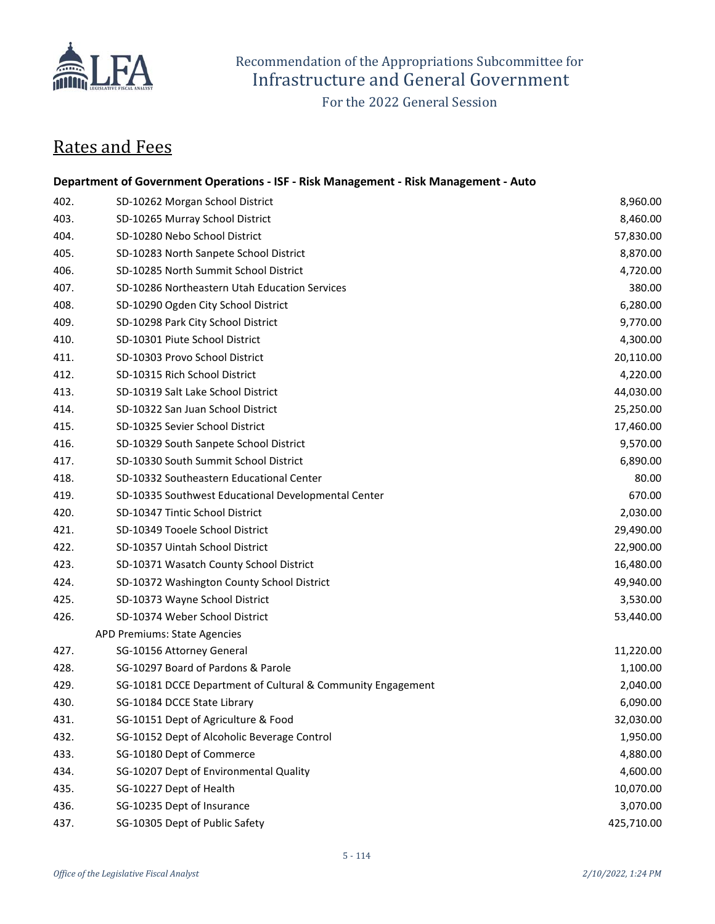

For the 2022 General Session

|      | Department of Government Operations - ISF - Risk Management - Risk Management - Auto |            |
|------|--------------------------------------------------------------------------------------|------------|
| 402. | SD-10262 Morgan School District                                                      | 8,960.00   |
| 403. | SD-10265 Murray School District                                                      | 8,460.00   |
| 404. | SD-10280 Nebo School District                                                        | 57,830.00  |
| 405. | SD-10283 North Sanpete School District                                               | 8,870.00   |
| 406. | SD-10285 North Summit School District                                                | 4,720.00   |
| 407. | SD-10286 Northeastern Utah Education Services                                        | 380.00     |
| 408. | SD-10290 Ogden City School District                                                  | 6,280.00   |
| 409. | SD-10298 Park City School District                                                   | 9,770.00   |
| 410. | SD-10301 Piute School District                                                       | 4,300.00   |
| 411. | SD-10303 Provo School District                                                       | 20,110.00  |
| 412. | SD-10315 Rich School District                                                        | 4,220.00   |
| 413. | SD-10319 Salt Lake School District                                                   | 44,030.00  |
| 414. | SD-10322 San Juan School District                                                    | 25,250.00  |
| 415. | SD-10325 Sevier School District                                                      | 17,460.00  |
| 416. | SD-10329 South Sanpete School District                                               | 9,570.00   |
| 417. | SD-10330 South Summit School District                                                | 6,890.00   |
| 418. | SD-10332 Southeastern Educational Center                                             | 80.00      |
| 419. | SD-10335 Southwest Educational Developmental Center                                  | 670.00     |
| 420. | SD-10347 Tintic School District                                                      | 2,030.00   |
| 421. | SD-10349 Tooele School District                                                      | 29,490.00  |
| 422. | SD-10357 Uintah School District                                                      | 22,900.00  |
| 423. | SD-10371 Wasatch County School District                                              | 16,480.00  |
| 424. | SD-10372 Washington County School District                                           | 49,940.00  |
| 425. | SD-10373 Wayne School District                                                       | 3,530.00   |
| 426. | SD-10374 Weber School District                                                       | 53,440.00  |
|      | APD Premiums: State Agencies                                                         |            |
| 427. | SG-10156 Attorney General                                                            | 11,220.00  |
| 428. | SG-10297 Board of Pardons & Parole                                                   | 1,100.00   |
| 429. | SG-10181 DCCE Department of Cultural & Community Engagement                          | 2,040.00   |
| 430. | SG-10184 DCCE State Library                                                          | 6,090.00   |
| 431. | SG-10151 Dept of Agriculture & Food                                                  | 32,030.00  |
| 432. | SG-10152 Dept of Alcoholic Beverage Control                                          | 1,950.00   |
| 433. | SG-10180 Dept of Commerce                                                            | 4,880.00   |
| 434. | SG-10207 Dept of Environmental Quality                                               | 4,600.00   |
| 435. | SG-10227 Dept of Health                                                              | 10,070.00  |
| 436. | SG-10235 Dept of Insurance                                                           | 3,070.00   |
| 437. | SG-10305 Dept of Public Safety                                                       | 425,710.00 |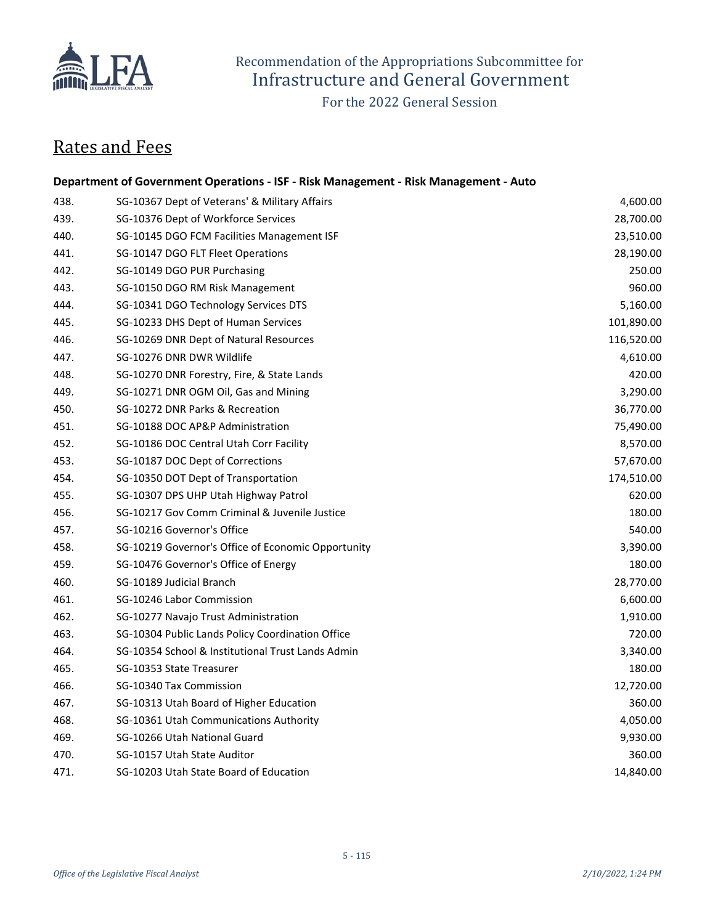

For the 2022 General Session

|      | Department of Government Operations - ISF - Risk Management - Risk Management - Auto |            |  |  |
|------|--------------------------------------------------------------------------------------|------------|--|--|
| 438. | SG-10367 Dept of Veterans' & Military Affairs                                        | 4,600.00   |  |  |
| 439. | SG-10376 Dept of Workforce Services                                                  | 28,700.00  |  |  |
| 440. | SG-10145 DGO FCM Facilities Management ISF                                           | 23,510.00  |  |  |
| 441. | SG-10147 DGO FLT Fleet Operations                                                    | 28,190.00  |  |  |
| 442. | SG-10149 DGO PUR Purchasing                                                          | 250.00     |  |  |
| 443. | SG-10150 DGO RM Risk Management                                                      | 960.00     |  |  |
| 444. | SG-10341 DGO Technology Services DTS                                                 | 5,160.00   |  |  |
| 445. | SG-10233 DHS Dept of Human Services                                                  | 101,890.00 |  |  |
| 446. | SG-10269 DNR Dept of Natural Resources                                               | 116,520.00 |  |  |
| 447. | SG-10276 DNR DWR Wildlife                                                            | 4,610.00   |  |  |
| 448. | SG-10270 DNR Forestry, Fire, & State Lands                                           | 420.00     |  |  |
| 449. | SG-10271 DNR OGM Oil, Gas and Mining                                                 | 3,290.00   |  |  |
| 450. | SG-10272 DNR Parks & Recreation                                                      | 36,770.00  |  |  |
| 451. | SG-10188 DOC AP&P Administration                                                     | 75,490.00  |  |  |
| 452. | SG-10186 DOC Central Utah Corr Facility                                              | 8,570.00   |  |  |
| 453. | SG-10187 DOC Dept of Corrections                                                     | 57,670.00  |  |  |
| 454. | SG-10350 DOT Dept of Transportation                                                  | 174,510.00 |  |  |
| 455. | SG-10307 DPS UHP Utah Highway Patrol                                                 | 620.00     |  |  |
| 456. | SG-10217 Gov Comm Criminal & Juvenile Justice                                        | 180.00     |  |  |
| 457. | SG-10216 Governor's Office                                                           | 540.00     |  |  |
| 458. | SG-10219 Governor's Office of Economic Opportunity                                   | 3,390.00   |  |  |
| 459. | SG-10476 Governor's Office of Energy                                                 | 180.00     |  |  |
| 460. | SG-10189 Judicial Branch                                                             | 28,770.00  |  |  |
| 461. | SG-10246 Labor Commission                                                            | 6,600.00   |  |  |
| 462. | SG-10277 Navajo Trust Administration                                                 | 1,910.00   |  |  |
| 463. | SG-10304 Public Lands Policy Coordination Office                                     | 720.00     |  |  |
| 464. | SG-10354 School & Institutional Trust Lands Admin                                    | 3,340.00   |  |  |
| 465. | SG-10353 State Treasurer                                                             | 180.00     |  |  |
| 466. | SG-10340 Tax Commission                                                              | 12,720.00  |  |  |
| 467. | SG-10313 Utah Board of Higher Education                                              | 360.00     |  |  |
| 468. | SG-10361 Utah Communications Authority                                               | 4,050.00   |  |  |
| 469. | SG-10266 Utah National Guard                                                         | 9,930.00   |  |  |
| 470. | SG-10157 Utah State Auditor                                                          | 360.00     |  |  |
| 471. | SG-10203 Utah State Board of Education                                               | 14,840.00  |  |  |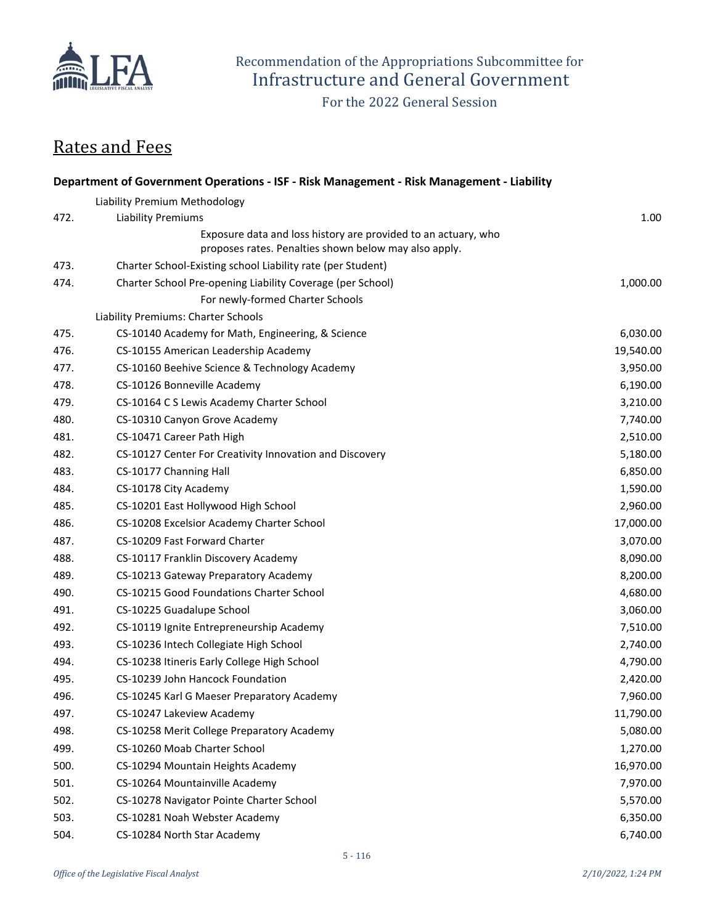

For the 2022 General Session

|      | Department of Government Operations - ISF - Risk Management - Risk Management - Liability                               |           |
|------|-------------------------------------------------------------------------------------------------------------------------|-----------|
|      | Liability Premium Methodology                                                                                           |           |
| 472. | <b>Liability Premiums</b>                                                                                               | 1.00      |
|      | Exposure data and loss history are provided to an actuary, who<br>proposes rates. Penalties shown below may also apply. |           |
| 473. | Charter School-Existing school Liability rate (per Student)                                                             |           |
| 474. | Charter School Pre-opening Liability Coverage (per School)                                                              | 1,000.00  |
|      | For newly-formed Charter Schools                                                                                        |           |
|      | Liability Premiums: Charter Schools                                                                                     |           |
| 475. | CS-10140 Academy for Math, Engineering, & Science                                                                       | 6,030.00  |
| 476. | CS-10155 American Leadership Academy                                                                                    | 19,540.00 |
| 477. | CS-10160 Beehive Science & Technology Academy                                                                           | 3,950.00  |
| 478. | CS-10126 Bonneville Academy                                                                                             | 6,190.00  |
| 479. | CS-10164 C S Lewis Academy Charter School                                                                               | 3,210.00  |
| 480. | CS-10310 Canyon Grove Academy                                                                                           | 7,740.00  |
| 481. | CS-10471 Career Path High                                                                                               | 2,510.00  |
| 482. | CS-10127 Center For Creativity Innovation and Discovery                                                                 | 5,180.00  |
| 483. | CS-10177 Channing Hall                                                                                                  | 6,850.00  |
| 484. | CS-10178 City Academy                                                                                                   | 1,590.00  |
| 485. | CS-10201 East Hollywood High School                                                                                     | 2,960.00  |
| 486. | CS-10208 Excelsior Academy Charter School                                                                               | 17,000.00 |
| 487. | CS-10209 Fast Forward Charter                                                                                           | 3,070.00  |
| 488. | CS-10117 Franklin Discovery Academy                                                                                     | 8,090.00  |
| 489. | CS-10213 Gateway Preparatory Academy                                                                                    | 8,200.00  |
| 490. | CS-10215 Good Foundations Charter School                                                                                | 4,680.00  |
| 491. | CS-10225 Guadalupe School                                                                                               | 3,060.00  |
| 492. | CS-10119 Ignite Entrepreneurship Academy                                                                                | 7,510.00  |
| 493. | CS-10236 Intech Collegiate High School                                                                                  | 2,740.00  |
| 494. | CS-10238 Itineris Early College High School                                                                             | 4,790.00  |
| 495. | CS-10239 John Hancock Foundation                                                                                        | 2,420.00  |
| 496. | CS-10245 Karl G Maeser Preparatory Academy                                                                              | 7,960.00  |
| 497. | CS-10247 Lakeview Academy                                                                                               | 11,790.00 |
| 498. | CS-10258 Merit College Preparatory Academy                                                                              | 5,080.00  |
| 499. | CS-10260 Moab Charter School                                                                                            | 1,270.00  |
| 500. | CS-10294 Mountain Heights Academy                                                                                       | 16,970.00 |
| 501. | CS-10264 Mountainville Academy                                                                                          | 7,970.00  |
| 502. | CS-10278 Navigator Pointe Charter School                                                                                | 5,570.00  |
| 503. | CS-10281 Noah Webster Academy                                                                                           | 6,350.00  |
| 504. | CS-10284 North Star Academy                                                                                             | 6,740.00  |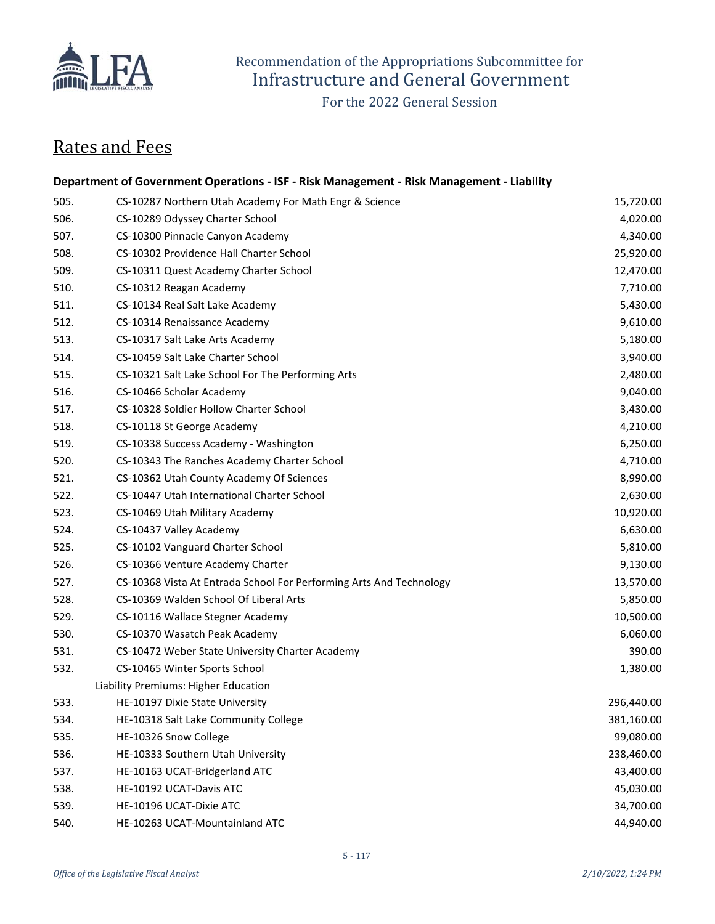

For the 2022 General Session

|      | Department of Government Operations - ISF - Risk Management - Risk Management - Liability |            |
|------|-------------------------------------------------------------------------------------------|------------|
| 505. | CS-10287 Northern Utah Academy For Math Engr & Science                                    | 15,720.00  |
| 506. | CS-10289 Odyssey Charter School                                                           | 4,020.00   |
| 507. | CS-10300 Pinnacle Canyon Academy                                                          | 4,340.00   |
| 508. | CS-10302 Providence Hall Charter School                                                   | 25,920.00  |
| 509. | CS-10311 Quest Academy Charter School                                                     | 12,470.00  |
| 510. | CS-10312 Reagan Academy                                                                   | 7,710.00   |
| 511. | CS-10134 Real Salt Lake Academy                                                           | 5,430.00   |
| 512. | CS-10314 Renaissance Academy                                                              | 9,610.00   |
| 513. | CS-10317 Salt Lake Arts Academy                                                           | 5,180.00   |
| 514. | CS-10459 Salt Lake Charter School                                                         | 3,940.00   |
| 515. | CS-10321 Salt Lake School For The Performing Arts                                         | 2,480.00   |
| 516. | CS-10466 Scholar Academy                                                                  | 9,040.00   |
| 517. | CS-10328 Soldier Hollow Charter School                                                    | 3,430.00   |
| 518. | CS-10118 St George Academy                                                                | 4,210.00   |
| 519. | CS-10338 Success Academy - Washington                                                     | 6,250.00   |
| 520. | CS-10343 The Ranches Academy Charter School                                               | 4,710.00   |
| 521. | CS-10362 Utah County Academy Of Sciences                                                  | 8,990.00   |
| 522. | CS-10447 Utah International Charter School                                                | 2,630.00   |
| 523. | CS-10469 Utah Military Academy                                                            | 10,920.00  |
| 524. | CS-10437 Valley Academy                                                                   | 6,630.00   |
| 525. | CS-10102 Vanguard Charter School                                                          | 5,810.00   |
| 526. | CS-10366 Venture Academy Charter                                                          | 9,130.00   |
| 527. | CS-10368 Vista At Entrada School For Performing Arts And Technology                       | 13,570.00  |
| 528. | CS-10369 Walden School Of Liberal Arts                                                    | 5,850.00   |
| 529. | CS-10116 Wallace Stegner Academy                                                          | 10,500.00  |
| 530. | CS-10370 Wasatch Peak Academy                                                             | 6,060.00   |
| 531. | CS-10472 Weber State University Charter Academy                                           | 390.00     |
| 532. | CS-10465 Winter Sports School                                                             | 1,380.00   |
|      | Liability Premiums: Higher Education                                                      |            |
| 533. | HE-10197 Dixie State University                                                           | 296,440.00 |
| 534. | HE-10318 Salt Lake Community College                                                      | 381,160.00 |
| 535. | HE-10326 Snow College                                                                     | 99,080.00  |
| 536. | HE-10333 Southern Utah University                                                         | 238,460.00 |
| 537. | HE-10163 UCAT-Bridgerland ATC                                                             | 43,400.00  |
| 538. | HE-10192 UCAT-Davis ATC                                                                   | 45,030.00  |
| 539. | HE-10196 UCAT-Dixie ATC                                                                   | 34,700.00  |
| 540. | HE-10263 UCAT-Mountainland ATC                                                            | 44,940.00  |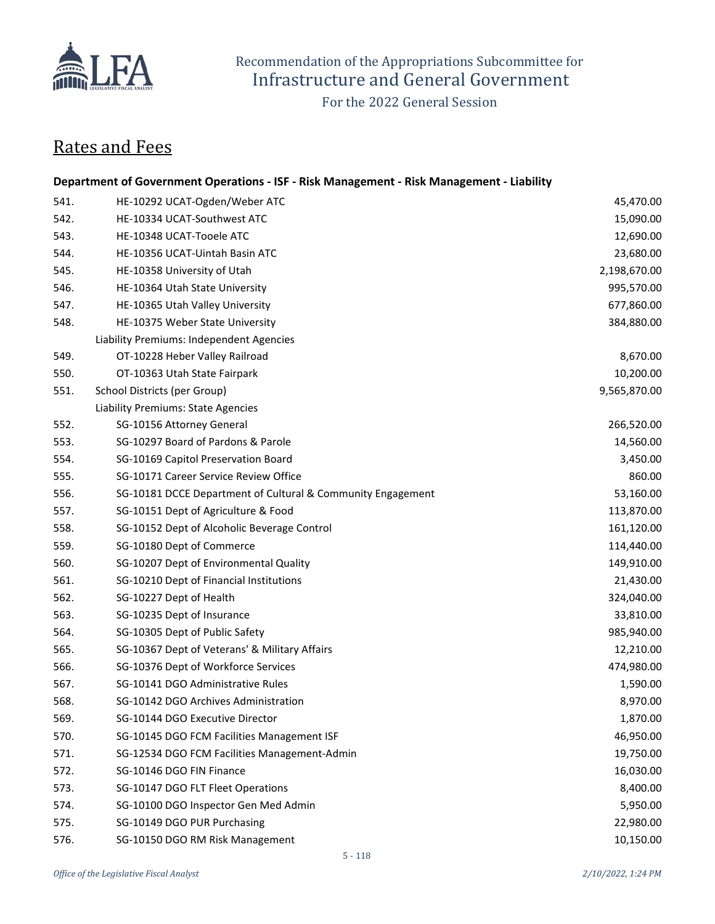

For the 2022 General Session

|      | Department of Government Operations - ISF - Risk Management - Risk Management - Liability |              |
|------|-------------------------------------------------------------------------------------------|--------------|
| 541. | HE-10292 UCAT-Ogden/Weber ATC                                                             | 45,470.00    |
| 542. | HE-10334 UCAT-Southwest ATC                                                               | 15,090.00    |
| 543. | HE-10348 UCAT-Tooele ATC                                                                  | 12,690.00    |
| 544. | HE-10356 UCAT-Uintah Basin ATC                                                            | 23,680.00    |
| 545. | HE-10358 University of Utah                                                               | 2,198,670.00 |
| 546. | HE-10364 Utah State University                                                            | 995,570.00   |
| 547. | HE-10365 Utah Valley University                                                           | 677,860.00   |
| 548. | HE-10375 Weber State University                                                           | 384,880.00   |
|      | Liability Premiums: Independent Agencies                                                  |              |
| 549. | OT-10228 Heber Valley Railroad                                                            | 8,670.00     |
| 550. | OT-10363 Utah State Fairpark                                                              | 10,200.00    |
| 551. | School Districts (per Group)                                                              | 9,565,870.00 |
|      | <b>Liability Premiums: State Agencies</b>                                                 |              |
| 552. | SG-10156 Attorney General                                                                 | 266,520.00   |
| 553. | SG-10297 Board of Pardons & Parole                                                        | 14,560.00    |
| 554. | SG-10169 Capitol Preservation Board                                                       | 3,450.00     |
| 555. | SG-10171 Career Service Review Office                                                     | 860.00       |
| 556. | SG-10181 DCCE Department of Cultural & Community Engagement                               | 53,160.00    |
| 557. | SG-10151 Dept of Agriculture & Food                                                       | 113,870.00   |
| 558. | SG-10152 Dept of Alcoholic Beverage Control                                               | 161,120.00   |
| 559. | SG-10180 Dept of Commerce                                                                 | 114,440.00   |
| 560. | SG-10207 Dept of Environmental Quality                                                    | 149,910.00   |
| 561. | SG-10210 Dept of Financial Institutions                                                   | 21,430.00    |
| 562. | SG-10227 Dept of Health                                                                   | 324,040.00   |
| 563. | SG-10235 Dept of Insurance                                                                | 33,810.00    |
| 564. | SG-10305 Dept of Public Safety                                                            | 985,940.00   |
| 565. | SG-10367 Dept of Veterans' & Military Affairs                                             | 12,210.00    |
| 566. | SG-10376 Dept of Workforce Services                                                       | 474,980.00   |
| 567. | SG-10141 DGO Administrative Rules                                                         | 1,590.00     |
| 568. | SG-10142 DGO Archives Administration                                                      | 8,970.00     |
| 569. | SG-10144 DGO Executive Director                                                           | 1,870.00     |
| 570. | SG-10145 DGO FCM Facilities Management ISF                                                | 46,950.00    |
| 571. | SG-12534 DGO FCM Facilities Management-Admin                                              | 19,750.00    |
| 572. | SG-10146 DGO FIN Finance                                                                  | 16,030.00    |
| 573. | SG-10147 DGO FLT Fleet Operations                                                         | 8,400.00     |
| 574. | SG-10100 DGO Inspector Gen Med Admin                                                      | 5,950.00     |
| 575. | SG-10149 DGO PUR Purchasing                                                               | 22,980.00    |
| 576. | SG-10150 DGO RM Risk Management                                                           | 10,150.00    |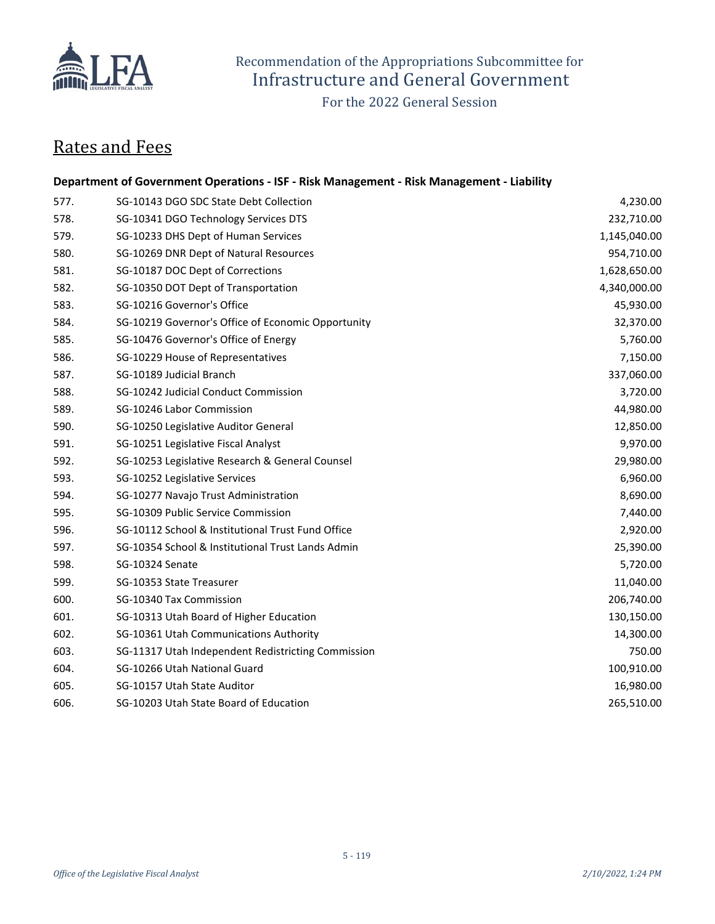

For the 2022 General Session

|      | Department of Government Operations - ISF - Risk Management - Risk Management - Liability |              |  |  |
|------|-------------------------------------------------------------------------------------------|--------------|--|--|
| 577. | SG-10143 DGO SDC State Debt Collection                                                    | 4,230.00     |  |  |
| 578. | SG-10341 DGO Technology Services DTS                                                      | 232,710.00   |  |  |
| 579. | SG-10233 DHS Dept of Human Services                                                       | 1,145,040.00 |  |  |
| 580. | SG-10269 DNR Dept of Natural Resources                                                    | 954,710.00   |  |  |
| 581. | SG-10187 DOC Dept of Corrections                                                          | 1,628,650.00 |  |  |
| 582. | SG-10350 DOT Dept of Transportation                                                       | 4,340,000.00 |  |  |
| 583. | SG-10216 Governor's Office                                                                | 45,930.00    |  |  |
| 584. | SG-10219 Governor's Office of Economic Opportunity                                        | 32,370.00    |  |  |
| 585. | SG-10476 Governor's Office of Energy                                                      | 5,760.00     |  |  |
| 586. | SG-10229 House of Representatives                                                         | 7,150.00     |  |  |
| 587. | SG-10189 Judicial Branch                                                                  | 337,060.00   |  |  |
| 588. | SG-10242 Judicial Conduct Commission                                                      | 3,720.00     |  |  |
| 589. | SG-10246 Labor Commission                                                                 | 44,980.00    |  |  |
| 590. | SG-10250 Legislative Auditor General                                                      | 12,850.00    |  |  |
| 591. | SG-10251 Legislative Fiscal Analyst                                                       | 9,970.00     |  |  |
| 592. | SG-10253 Legislative Research & General Counsel                                           | 29,980.00    |  |  |
| 593. | SG-10252 Legislative Services                                                             | 6,960.00     |  |  |
| 594. | SG-10277 Navajo Trust Administration                                                      | 8,690.00     |  |  |
| 595. | SG-10309 Public Service Commission                                                        | 7,440.00     |  |  |
| 596. | SG-10112 School & Institutional Trust Fund Office                                         | 2,920.00     |  |  |
| 597. | SG-10354 School & Institutional Trust Lands Admin                                         | 25,390.00    |  |  |
| 598. | SG-10324 Senate                                                                           | 5,720.00     |  |  |
| 599. | SG-10353 State Treasurer                                                                  | 11,040.00    |  |  |
| 600. | SG-10340 Tax Commission                                                                   | 206,740.00   |  |  |
| 601. | SG-10313 Utah Board of Higher Education                                                   | 130,150.00   |  |  |
| 602. | SG-10361 Utah Communications Authority                                                    | 14,300.00    |  |  |
| 603. | SG-11317 Utah Independent Redistricting Commission                                        | 750.00       |  |  |
| 604. | SG-10266 Utah National Guard                                                              | 100,910.00   |  |  |
| 605. | SG-10157 Utah State Auditor                                                               | 16,980.00    |  |  |
| 606. | SG-10203 Utah State Board of Education                                                    | 265,510.00   |  |  |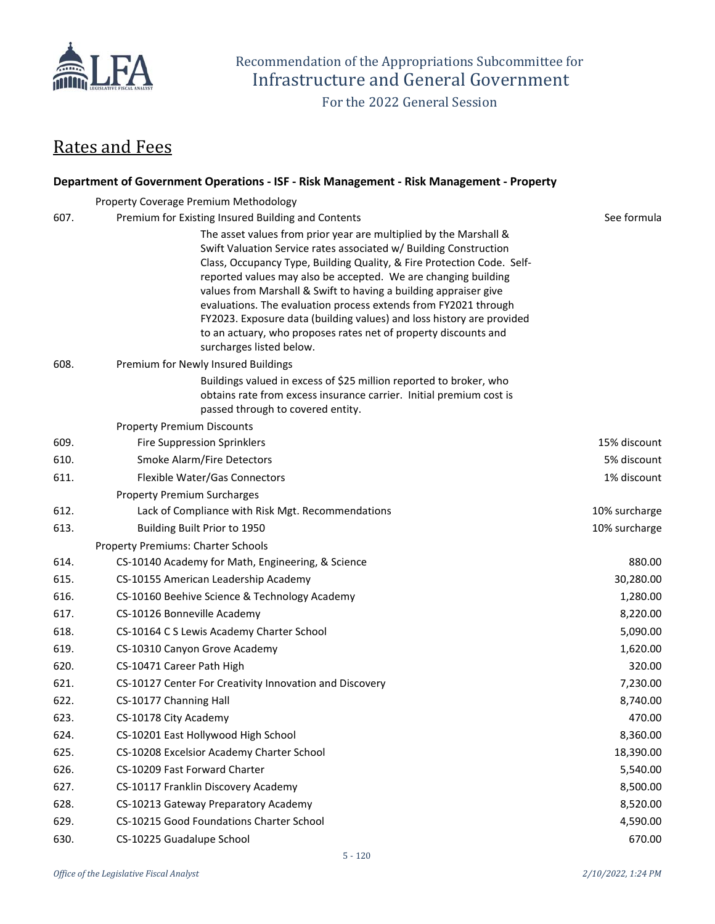

For the 2022 General Session

|      | Department of Government Operations - ISF - Risk Management - Risk Management - Property                                                 |               |
|------|------------------------------------------------------------------------------------------------------------------------------------------|---------------|
|      | Property Coverage Premium Methodology                                                                                                    |               |
| 607. | Premium for Existing Insured Building and Contents                                                                                       | See formula   |
|      | The asset values from prior year are multiplied by the Marshall &                                                                        |               |
|      | Swift Valuation Service rates associated w/ Building Construction                                                                        |               |
|      | Class, Occupancy Type, Building Quality, & Fire Protection Code. Self-<br>reported values may also be accepted. We are changing building |               |
|      | values from Marshall & Swift to having a building appraiser give                                                                         |               |
|      | evaluations. The evaluation process extends from FY2021 through                                                                          |               |
|      | FY2023. Exposure data (building values) and loss history are provided                                                                    |               |
|      | to an actuary, who proposes rates net of property discounts and<br>surcharges listed below.                                              |               |
| 608. | Premium for Newly Insured Buildings                                                                                                      |               |
|      | Buildings valued in excess of \$25 million reported to broker, who                                                                       |               |
|      | obtains rate from excess insurance carrier. Initial premium cost is<br>passed through to covered entity.                                 |               |
|      | <b>Property Premium Discounts</b>                                                                                                        |               |
| 609. | <b>Fire Suppression Sprinklers</b>                                                                                                       | 15% discount  |
| 610. | Smoke Alarm/Fire Detectors                                                                                                               | 5% discount   |
| 611. | Flexible Water/Gas Connectors                                                                                                            | 1% discount   |
|      | <b>Property Premium Surcharges</b>                                                                                                       |               |
| 612. | Lack of Compliance with Risk Mgt. Recommendations                                                                                        | 10% surcharge |
| 613. | Building Built Prior to 1950                                                                                                             | 10% surcharge |
|      | Property Premiums: Charter Schools                                                                                                       |               |
| 614. | CS-10140 Academy for Math, Engineering, & Science                                                                                        | 880.00        |
| 615. | CS-10155 American Leadership Academy                                                                                                     | 30,280.00     |
| 616. | CS-10160 Beehive Science & Technology Academy                                                                                            | 1,280.00      |
| 617. | CS-10126 Bonneville Academy                                                                                                              | 8,220.00      |
| 618. | CS-10164 C S Lewis Academy Charter School                                                                                                | 5,090.00      |
| 619. | CS-10310 Canyon Grove Academy                                                                                                            | 1,620.00      |
| 620. | CS-10471 Career Path High                                                                                                                | 320.00        |
| 621. | CS-10127 Center For Creativity Innovation and Discovery                                                                                  | 7,230.00      |
| 622. | CS-10177 Channing Hall                                                                                                                   | 8,740.00      |
| 623. | CS-10178 City Academy                                                                                                                    | 470.00        |
| 624. | CS-10201 East Hollywood High School                                                                                                      | 8,360.00      |
| 625. | CS-10208 Excelsior Academy Charter School                                                                                                | 18,390.00     |
| 626. | CS-10209 Fast Forward Charter                                                                                                            | 5,540.00      |
| 627. | CS-10117 Franklin Discovery Academy                                                                                                      | 8,500.00      |
| 628. | CS-10213 Gateway Preparatory Academy                                                                                                     | 8,520.00      |
| 629. | CS-10215 Good Foundations Charter School                                                                                                 | 4,590.00      |
| 630. | CS-10225 Guadalupe School                                                                                                                | 670.00        |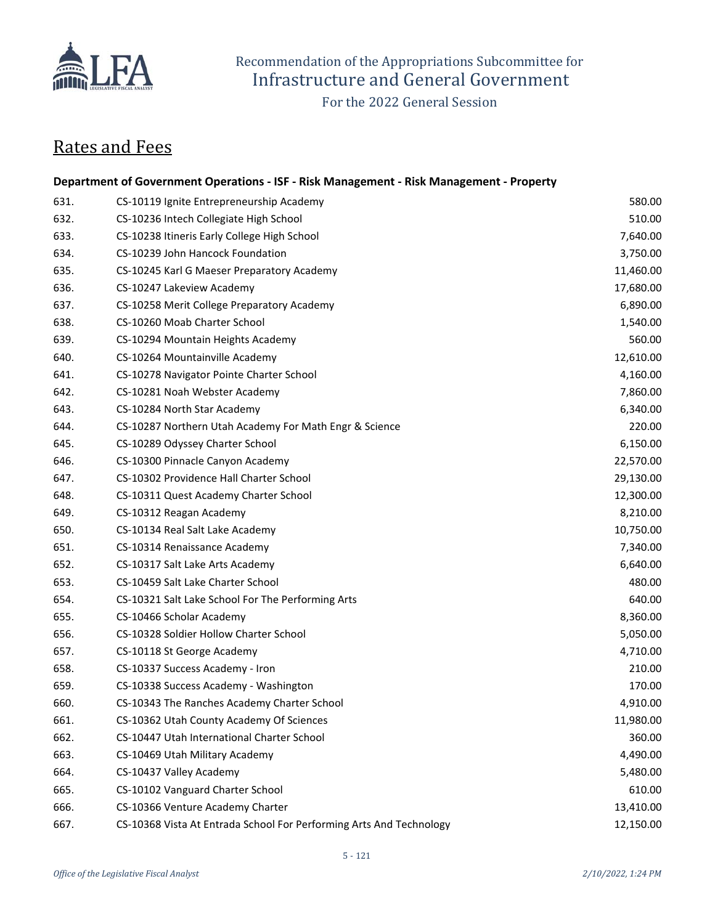

For the 2022 General Session

| Department of Government Operations - ISF - Risk Management - Risk Management - Property |                                                                     |           |  |
|------------------------------------------------------------------------------------------|---------------------------------------------------------------------|-----------|--|
| 631.                                                                                     | CS-10119 Ignite Entrepreneurship Academy                            | 580.00    |  |
| 632.                                                                                     | CS-10236 Intech Collegiate High School                              | 510.00    |  |
| 633.                                                                                     | CS-10238 Itineris Early College High School                         | 7,640.00  |  |
| 634.                                                                                     | CS-10239 John Hancock Foundation                                    | 3,750.00  |  |
| 635.                                                                                     | CS-10245 Karl G Maeser Preparatory Academy                          | 11,460.00 |  |
| 636.                                                                                     | CS-10247 Lakeview Academy                                           | 17,680.00 |  |
| 637.                                                                                     | CS-10258 Merit College Preparatory Academy                          | 6,890.00  |  |
| 638.                                                                                     | CS-10260 Moab Charter School                                        | 1,540.00  |  |
| 639.                                                                                     | CS-10294 Mountain Heights Academy                                   | 560.00    |  |
| 640.                                                                                     | CS-10264 Mountainville Academy                                      | 12,610.00 |  |
| 641.                                                                                     | CS-10278 Navigator Pointe Charter School                            | 4,160.00  |  |
| 642.                                                                                     | CS-10281 Noah Webster Academy                                       | 7,860.00  |  |
| 643.                                                                                     | CS-10284 North Star Academy                                         | 6,340.00  |  |
| 644.                                                                                     | CS-10287 Northern Utah Academy For Math Engr & Science              | 220.00    |  |
| 645.                                                                                     | CS-10289 Odyssey Charter School                                     | 6,150.00  |  |
| 646.                                                                                     | CS-10300 Pinnacle Canyon Academy                                    | 22,570.00 |  |
| 647.                                                                                     | CS-10302 Providence Hall Charter School                             | 29,130.00 |  |
| 648.                                                                                     | CS-10311 Quest Academy Charter School                               | 12,300.00 |  |
| 649.                                                                                     | CS-10312 Reagan Academy                                             | 8,210.00  |  |
| 650.                                                                                     | CS-10134 Real Salt Lake Academy                                     | 10,750.00 |  |
| 651.                                                                                     | CS-10314 Renaissance Academy                                        | 7,340.00  |  |
| 652.                                                                                     | CS-10317 Salt Lake Arts Academy                                     | 6,640.00  |  |
| 653.                                                                                     | CS-10459 Salt Lake Charter School                                   | 480.00    |  |
| 654.                                                                                     | CS-10321 Salt Lake School For The Performing Arts                   | 640.00    |  |
| 655.                                                                                     | CS-10466 Scholar Academy                                            | 8,360.00  |  |
| 656.                                                                                     | CS-10328 Soldier Hollow Charter School                              | 5,050.00  |  |
| 657.                                                                                     | CS-10118 St George Academy                                          | 4,710.00  |  |
| 658.                                                                                     | CS-10337 Success Academy - Iron                                     | 210.00    |  |
| 659.                                                                                     | CS-10338 Success Academy - Washington                               | 170.00    |  |
| 660.                                                                                     | CS-10343 The Ranches Academy Charter School                         | 4,910.00  |  |
| 661.                                                                                     | CS-10362 Utah County Academy Of Sciences                            | 11,980.00 |  |
| 662.                                                                                     | CS-10447 Utah International Charter School                          | 360.00    |  |
| 663.                                                                                     | CS-10469 Utah Military Academy                                      | 4,490.00  |  |
| 664.                                                                                     | CS-10437 Valley Academy                                             | 5,480.00  |  |
| 665.                                                                                     | CS-10102 Vanguard Charter School                                    | 610.00    |  |
| 666.                                                                                     | CS-10366 Venture Academy Charter                                    | 13,410.00 |  |
| 667.                                                                                     | CS-10368 Vista At Entrada School For Performing Arts And Technology | 12,150.00 |  |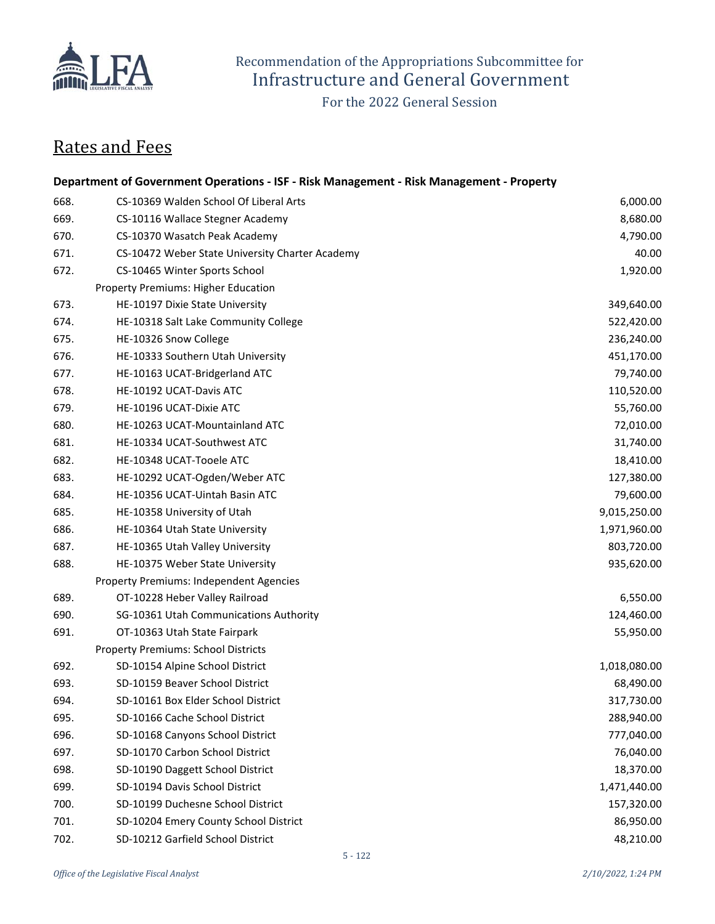

For the 2022 General Session

|      | Department of Government Operations - ISF - Risk Management - Risk Management - Property |              |
|------|------------------------------------------------------------------------------------------|--------------|
| 668. | CS-10369 Walden School Of Liberal Arts                                                   | 6,000.00     |
| 669. | CS-10116 Wallace Stegner Academy                                                         | 8,680.00     |
| 670. | CS-10370 Wasatch Peak Academy                                                            | 4,790.00     |
| 671. | CS-10472 Weber State University Charter Academy                                          | 40.00        |
| 672. | CS-10465 Winter Sports School                                                            | 1,920.00     |
|      | <b>Property Premiums: Higher Education</b>                                               |              |
| 673. | HE-10197 Dixie State University                                                          | 349,640.00   |
| 674. | HE-10318 Salt Lake Community College                                                     | 522,420.00   |
| 675. | HE-10326 Snow College                                                                    | 236,240.00   |
| 676. | HE-10333 Southern Utah University                                                        | 451,170.00   |
| 677. | HE-10163 UCAT-Bridgerland ATC                                                            | 79,740.00    |
| 678. | HE-10192 UCAT-Davis ATC                                                                  | 110,520.00   |
| 679. | HE-10196 UCAT-Dixie ATC                                                                  | 55,760.00    |
| 680. | HE-10263 UCAT-Mountainland ATC                                                           | 72,010.00    |
| 681. | HE-10334 UCAT-Southwest ATC                                                              | 31,740.00    |
| 682. | HE-10348 UCAT-Tooele ATC                                                                 | 18,410.00    |
| 683. | HE-10292 UCAT-Ogden/Weber ATC                                                            | 127,380.00   |
| 684. | HE-10356 UCAT-Uintah Basin ATC                                                           | 79,600.00    |
| 685. | HE-10358 University of Utah                                                              | 9,015,250.00 |
| 686. | HE-10364 Utah State University                                                           | 1,971,960.00 |
| 687. | HE-10365 Utah Valley University                                                          | 803,720.00   |
| 688. | HE-10375 Weber State University                                                          | 935,620.00   |
|      | Property Premiums: Independent Agencies                                                  |              |
| 689. | OT-10228 Heber Valley Railroad                                                           | 6,550.00     |
| 690. | SG-10361 Utah Communications Authority                                                   | 124,460.00   |
| 691. | OT-10363 Utah State Fairpark                                                             | 55,950.00    |
|      | <b>Property Premiums: School Districts</b>                                               |              |
| 692. | SD-10154 Alpine School District                                                          | 1,018,080.00 |
| 693. | SD-10159 Beaver School District                                                          | 68,490.00    |
| 694. | SD-10161 Box Elder School District                                                       | 317,730.00   |
| 695. | SD-10166 Cache School District                                                           | 288,940.00   |
| 696. | SD-10168 Canyons School District                                                         | 777,040.00   |
| 697. | SD-10170 Carbon School District                                                          | 76,040.00    |
| 698. | SD-10190 Daggett School District                                                         | 18,370.00    |
| 699. | SD-10194 Davis School District                                                           | 1,471,440.00 |
| 700. | SD-10199 Duchesne School District                                                        | 157,320.00   |
| 701. | SD-10204 Emery County School District                                                    | 86,950.00    |
| 702. | SD-10212 Garfield School District                                                        | 48,210.00    |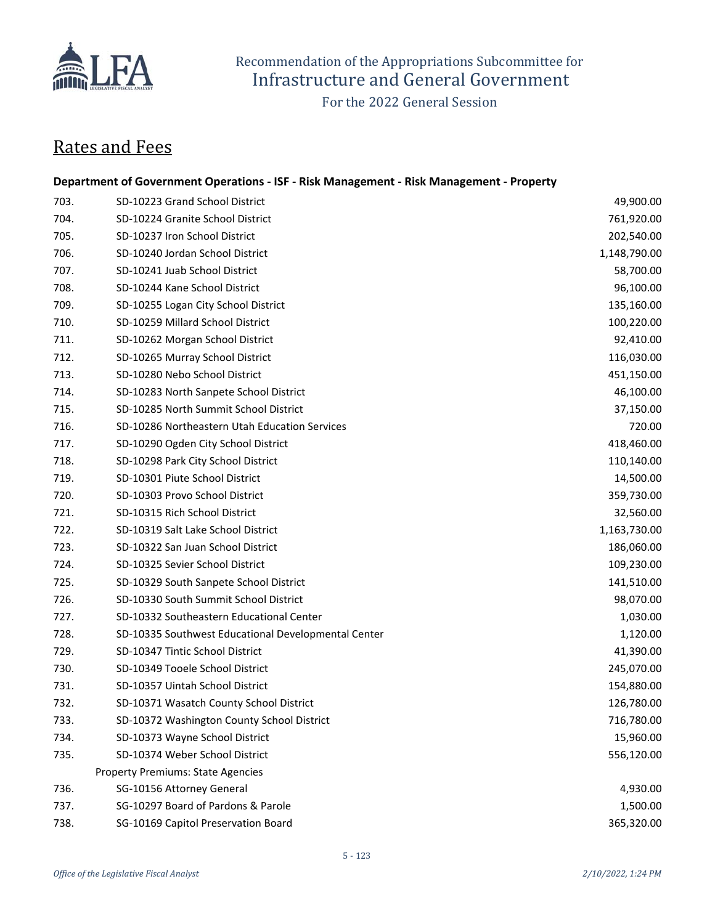

For the 2022 General Session

| Department of Government Operations - ISF - Risk Management - Risk Management - Property |                                                     |              |
|------------------------------------------------------------------------------------------|-----------------------------------------------------|--------------|
| 703.                                                                                     | SD-10223 Grand School District                      | 49,900.00    |
| 704.                                                                                     | SD-10224 Granite School District                    | 761,920.00   |
| 705.                                                                                     | SD-10237 Iron School District                       | 202,540.00   |
| 706.                                                                                     | SD-10240 Jordan School District                     | 1,148,790.00 |
| 707.                                                                                     | SD-10241 Juab School District                       | 58,700.00    |
| 708.                                                                                     | SD-10244 Kane School District                       | 96,100.00    |
| 709.                                                                                     | SD-10255 Logan City School District                 | 135,160.00   |
| 710.                                                                                     | SD-10259 Millard School District                    | 100,220.00   |
| 711.                                                                                     | SD-10262 Morgan School District                     | 92,410.00    |
| 712.                                                                                     | SD-10265 Murray School District                     | 116,030.00   |
| 713.                                                                                     | SD-10280 Nebo School District                       | 451,150.00   |
| 714.                                                                                     | SD-10283 North Sanpete School District              | 46,100.00    |
| 715.                                                                                     | SD-10285 North Summit School District               | 37,150.00    |
| 716.                                                                                     | SD-10286 Northeastern Utah Education Services       | 720.00       |
| 717.                                                                                     | SD-10290 Ogden City School District                 | 418,460.00   |
| 718.                                                                                     | SD-10298 Park City School District                  | 110,140.00   |
| 719.                                                                                     | SD-10301 Piute School District                      | 14,500.00    |
| 720.                                                                                     | SD-10303 Provo School District                      | 359,730.00   |
| 721.                                                                                     | SD-10315 Rich School District                       | 32,560.00    |
| 722.                                                                                     | SD-10319 Salt Lake School District                  | 1,163,730.00 |
| 723.                                                                                     | SD-10322 San Juan School District                   | 186,060.00   |
| 724.                                                                                     | SD-10325 Sevier School District                     | 109,230.00   |
| 725.                                                                                     | SD-10329 South Sanpete School District              | 141,510.00   |
| 726.                                                                                     | SD-10330 South Summit School District               | 98,070.00    |
| 727.                                                                                     | SD-10332 Southeastern Educational Center            | 1,030.00     |
| 728.                                                                                     | SD-10335 Southwest Educational Developmental Center | 1,120.00     |
| 729.                                                                                     | SD-10347 Tintic School District                     | 41,390.00    |
| 730.                                                                                     | SD-10349 Tooele School District                     | 245,070.00   |
| 731.                                                                                     | SD-10357 Uintah School District                     | 154,880.00   |
| 732.                                                                                     | SD-10371 Wasatch County School District             | 126,780.00   |
| 733.                                                                                     | SD-10372 Washington County School District          | 716,780.00   |
| 734.                                                                                     | SD-10373 Wayne School District                      | 15,960.00    |
| 735.                                                                                     | SD-10374 Weber School District                      | 556,120.00   |
|                                                                                          | <b>Property Premiums: State Agencies</b>            |              |
| 736.                                                                                     | SG-10156 Attorney General                           | 4,930.00     |
| 737.                                                                                     | SG-10297 Board of Pardons & Parole                  | 1,500.00     |
| 738.                                                                                     | SG-10169 Capitol Preservation Board                 | 365,320.00   |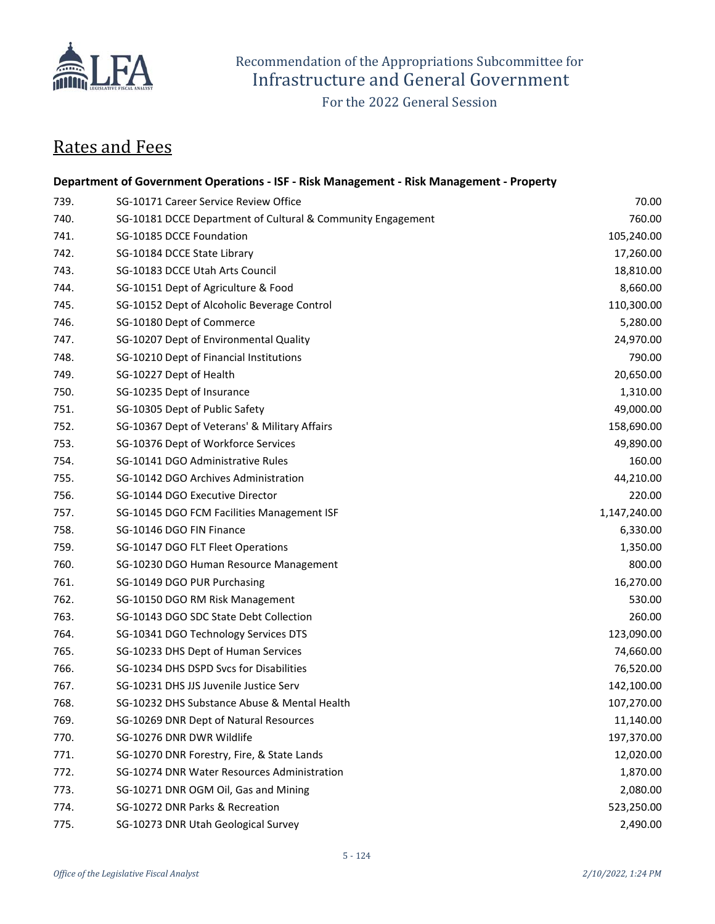

For the 2022 General Session

| Department of Government Operations - ISF - Risk Management - Risk Management - Property |                                                             |              |
|------------------------------------------------------------------------------------------|-------------------------------------------------------------|--------------|
| 739.                                                                                     | SG-10171 Career Service Review Office                       | 70.00        |
| 740.                                                                                     | SG-10181 DCCE Department of Cultural & Community Engagement | 760.00       |
| 741.                                                                                     | SG-10185 DCCE Foundation                                    | 105,240.00   |
| 742.                                                                                     | SG-10184 DCCE State Library                                 | 17,260.00    |
| 743.                                                                                     | SG-10183 DCCE Utah Arts Council                             | 18,810.00    |
| 744.                                                                                     | SG-10151 Dept of Agriculture & Food                         | 8,660.00     |
| 745.                                                                                     | SG-10152 Dept of Alcoholic Beverage Control                 | 110,300.00   |
| 746.                                                                                     | SG-10180 Dept of Commerce                                   | 5,280.00     |
| 747.                                                                                     | SG-10207 Dept of Environmental Quality                      | 24,970.00    |
| 748.                                                                                     | SG-10210 Dept of Financial Institutions                     | 790.00       |
| 749.                                                                                     | SG-10227 Dept of Health                                     | 20,650.00    |
| 750.                                                                                     | SG-10235 Dept of Insurance                                  | 1,310.00     |
| 751.                                                                                     | SG-10305 Dept of Public Safety                              | 49,000.00    |
| 752.                                                                                     | SG-10367 Dept of Veterans' & Military Affairs               | 158,690.00   |
| 753.                                                                                     | SG-10376 Dept of Workforce Services                         | 49,890.00    |
| 754.                                                                                     | SG-10141 DGO Administrative Rules                           | 160.00       |
| 755.                                                                                     | SG-10142 DGO Archives Administration                        | 44,210.00    |
| 756.                                                                                     | SG-10144 DGO Executive Director                             | 220.00       |
| 757.                                                                                     | SG-10145 DGO FCM Facilities Management ISF                  | 1,147,240.00 |
| 758.                                                                                     | SG-10146 DGO FIN Finance                                    | 6,330.00     |
| 759.                                                                                     | SG-10147 DGO FLT Fleet Operations                           | 1,350.00     |
| 760.                                                                                     | SG-10230 DGO Human Resource Management                      | 800.00       |
| 761.                                                                                     | SG-10149 DGO PUR Purchasing                                 | 16,270.00    |
| 762.                                                                                     | SG-10150 DGO RM Risk Management                             | 530.00       |
| 763.                                                                                     | SG-10143 DGO SDC State Debt Collection                      | 260.00       |
| 764.                                                                                     | SG-10341 DGO Technology Services DTS                        | 123,090.00   |
| 765.                                                                                     | SG-10233 DHS Dept of Human Services                         | 74,660.00    |
| 766.                                                                                     | SG-10234 DHS DSPD Svcs for Disabilities                     | 76,520.00    |
| 767.                                                                                     | SG-10231 DHS JJS Juvenile Justice Serv                      | 142,100.00   |
| 768.                                                                                     | SG-10232 DHS Substance Abuse & Mental Health                | 107,270.00   |
| 769.                                                                                     | SG-10269 DNR Dept of Natural Resources                      | 11,140.00    |
| 770.                                                                                     | SG-10276 DNR DWR Wildlife                                   | 197,370.00   |
| 771.                                                                                     | SG-10270 DNR Forestry, Fire, & State Lands                  | 12,020.00    |
| 772.                                                                                     | SG-10274 DNR Water Resources Administration                 | 1,870.00     |
| 773.                                                                                     | SG-10271 DNR OGM Oil, Gas and Mining                        | 2,080.00     |
| 774.                                                                                     | SG-10272 DNR Parks & Recreation                             | 523,250.00   |
| 775.                                                                                     | SG-10273 DNR Utah Geological Survey                         | 2,490.00     |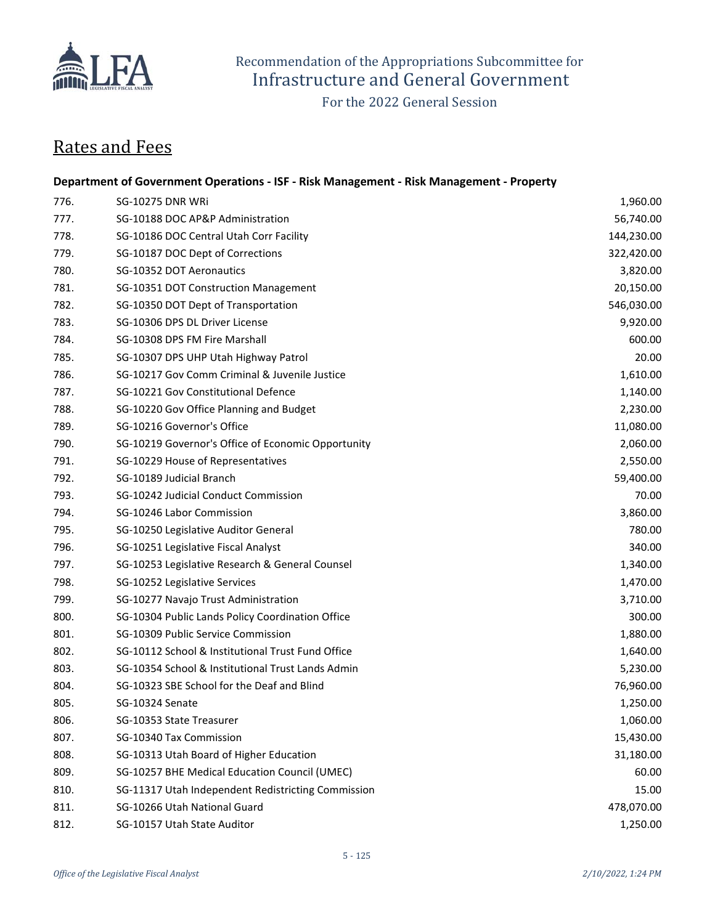

For the 2022 General Session

| Department of Government Operations - ISF - Risk Management - Risk Management - Property |                                                    |            |  |
|------------------------------------------------------------------------------------------|----------------------------------------------------|------------|--|
| 776.                                                                                     | <b>SG-10275 DNR WRi</b>                            | 1,960.00   |  |
| 777.                                                                                     | SG-10188 DOC AP&P Administration                   | 56,740.00  |  |
| 778.                                                                                     | SG-10186 DOC Central Utah Corr Facility            | 144,230.00 |  |
| 779.                                                                                     | SG-10187 DOC Dept of Corrections                   | 322,420.00 |  |
| 780.                                                                                     | SG-10352 DOT Aeronautics                           | 3,820.00   |  |
| 781.                                                                                     | SG-10351 DOT Construction Management               | 20,150.00  |  |
| 782.                                                                                     | SG-10350 DOT Dept of Transportation                | 546,030.00 |  |
| 783.                                                                                     | SG-10306 DPS DL Driver License                     | 9,920.00   |  |
| 784.                                                                                     | SG-10308 DPS FM Fire Marshall                      | 600.00     |  |
| 785.                                                                                     | SG-10307 DPS UHP Utah Highway Patrol               | 20.00      |  |
| 786.                                                                                     | SG-10217 Gov Comm Criminal & Juvenile Justice      | 1,610.00   |  |
| 787.                                                                                     | SG-10221 Gov Constitutional Defence                | 1,140.00   |  |
| 788.                                                                                     | SG-10220 Gov Office Planning and Budget            | 2,230.00   |  |
| 789.                                                                                     | SG-10216 Governor's Office                         | 11,080.00  |  |
| 790.                                                                                     | SG-10219 Governor's Office of Economic Opportunity | 2,060.00   |  |
| 791.                                                                                     | SG-10229 House of Representatives                  | 2,550.00   |  |
| 792.                                                                                     | SG-10189 Judicial Branch                           | 59,400.00  |  |
| 793.                                                                                     | SG-10242 Judicial Conduct Commission               | 70.00      |  |
| 794.                                                                                     | SG-10246 Labor Commission                          | 3,860.00   |  |
| 795.                                                                                     | SG-10250 Legislative Auditor General               | 780.00     |  |
| 796.                                                                                     | SG-10251 Legislative Fiscal Analyst                | 340.00     |  |
| 797.                                                                                     | SG-10253 Legislative Research & General Counsel    | 1,340.00   |  |
| 798.                                                                                     | SG-10252 Legislative Services                      | 1,470.00   |  |
| 799.                                                                                     | SG-10277 Navajo Trust Administration               | 3,710.00   |  |
| 800.                                                                                     | SG-10304 Public Lands Policy Coordination Office   | 300.00     |  |
| 801.                                                                                     | SG-10309 Public Service Commission                 | 1,880.00   |  |
| 802.                                                                                     | SG-10112 School & Institutional Trust Fund Office  | 1,640.00   |  |
| 803.                                                                                     | SG-10354 School & Institutional Trust Lands Admin  | 5,230.00   |  |
| 804.                                                                                     | SG-10323 SBE School for the Deaf and Blind         | 76,960.00  |  |
| 805.                                                                                     | SG-10324 Senate                                    | 1,250.00   |  |
| 806.                                                                                     | SG-10353 State Treasurer                           | 1,060.00   |  |
| 807.                                                                                     | SG-10340 Tax Commission                            | 15,430.00  |  |
| 808.                                                                                     | SG-10313 Utah Board of Higher Education            | 31,180.00  |  |
| 809.                                                                                     | SG-10257 BHE Medical Education Council (UMEC)      | 60.00      |  |
| 810.                                                                                     | SG-11317 Utah Independent Redistricting Commission | 15.00      |  |
| 811.                                                                                     | SG-10266 Utah National Guard                       | 478,070.00 |  |
| 812.                                                                                     | SG-10157 Utah State Auditor                        | 1,250.00   |  |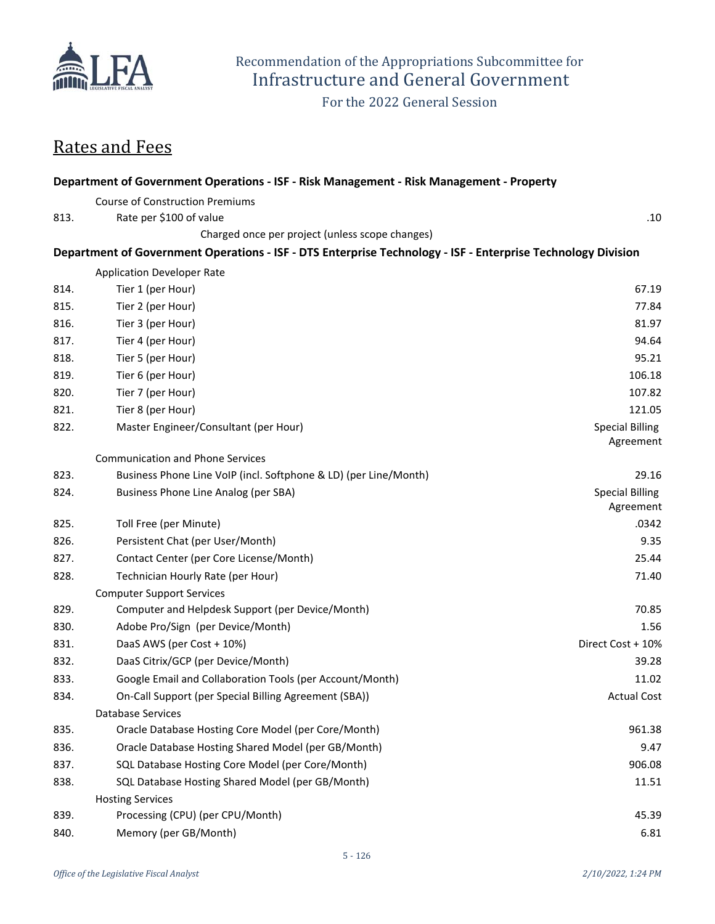

For the 2022 General Session

|      | Department of Government Operations - ISF - Risk Management - Risk Management - Property                     |                                     |
|------|--------------------------------------------------------------------------------------------------------------|-------------------------------------|
|      | <b>Course of Construction Premiums</b>                                                                       |                                     |
| 813. | Rate per \$100 of value                                                                                      | .10                                 |
|      | Charged once per project (unless scope changes)                                                              |                                     |
|      | Department of Government Operations - ISF - DTS Enterprise Technology - ISF - Enterprise Technology Division |                                     |
|      | <b>Application Developer Rate</b>                                                                            |                                     |
| 814. | Tier 1 (per Hour)                                                                                            | 67.19                               |
| 815. | Tier 2 (per Hour)                                                                                            | 77.84                               |
| 816. | Tier 3 (per Hour)                                                                                            | 81.97                               |
| 817. | Tier 4 (per Hour)                                                                                            | 94.64                               |
| 818. | Tier 5 (per Hour)                                                                                            | 95.21                               |
| 819. | Tier 6 (per Hour)                                                                                            | 106.18                              |
| 820. | Tier 7 (per Hour)                                                                                            | 107.82                              |
| 821. | Tier 8 (per Hour)                                                                                            | 121.05                              |
| 822. | Master Engineer/Consultant (per Hour)                                                                        | <b>Special Billing</b><br>Agreement |
|      | <b>Communication and Phone Services</b>                                                                      |                                     |
| 823. | Business Phone Line VoIP (incl. Softphone & LD) (per Line/Month)                                             | 29.16                               |
| 824. | Business Phone Line Analog (per SBA)                                                                         | <b>Special Billing</b><br>Agreement |
| 825. | Toll Free (per Minute)                                                                                       | .0342                               |
| 826. | Persistent Chat (per User/Month)                                                                             | 9.35                                |
| 827. | Contact Center (per Core License/Month)                                                                      | 25.44                               |
| 828. | Technician Hourly Rate (per Hour)                                                                            | 71.40                               |
|      | <b>Computer Support Services</b>                                                                             |                                     |
| 829. | Computer and Helpdesk Support (per Device/Month)                                                             | 70.85                               |
| 830. | Adobe Pro/Sign (per Device/Month)                                                                            | 1.56                                |
| 831. | DaaS AWS (per Cost + 10%)                                                                                    | Direct Cost + 10%                   |
| 832. | DaaS Citrix/GCP (per Device/Month)                                                                           | 39.28                               |
| 833. | Google Email and Collaboration Tools (per Account/Month)                                                     | 11.02                               |
| 834. | On-Call Support (per Special Billing Agreement (SBA))                                                        | <b>Actual Cost</b>                  |
|      | Database Services                                                                                            |                                     |
| 835. | Oracle Database Hosting Core Model (per Core/Month)                                                          | 961.38                              |
| 836. | Oracle Database Hosting Shared Model (per GB/Month)                                                          | 9.47                                |
| 837. | SQL Database Hosting Core Model (per Core/Month)                                                             | 906.08                              |
| 838. | SQL Database Hosting Shared Model (per GB/Month)                                                             | 11.51                               |
|      | <b>Hosting Services</b>                                                                                      |                                     |
| 839. | Processing (CPU) (per CPU/Month)                                                                             | 45.39                               |
| 840. | Memory (per GB/Month)                                                                                        | 6.81                                |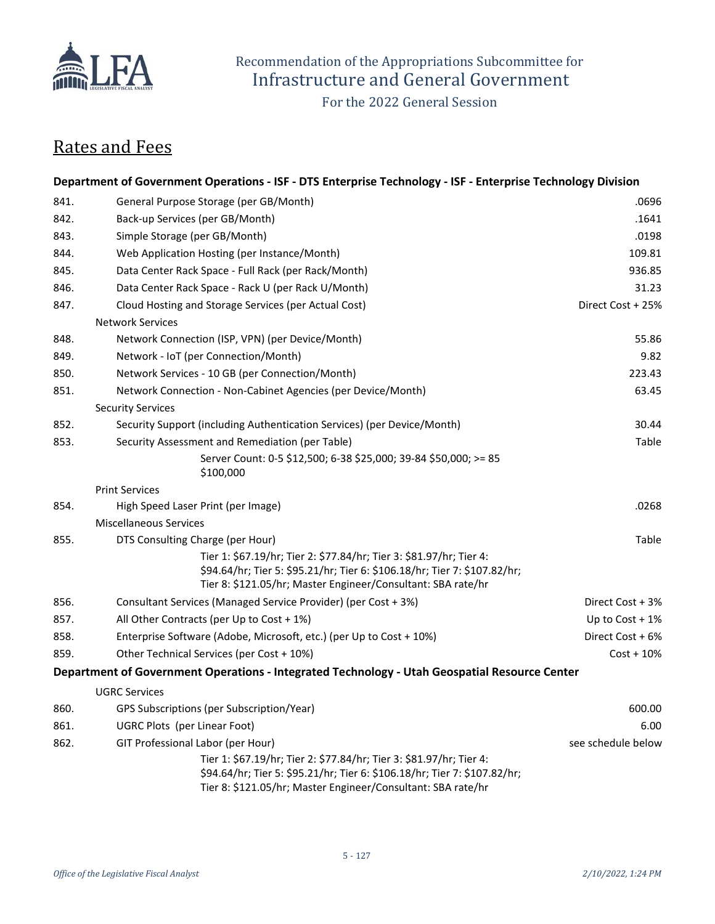

For the 2022 General Session

|      | Department of Government Operations - ISF - DTS Enterprise Technology - ISF - Enterprise Technology Division                                                                                                     |                    |
|------|------------------------------------------------------------------------------------------------------------------------------------------------------------------------------------------------------------------|--------------------|
| 841. | General Purpose Storage (per GB/Month)                                                                                                                                                                           | .0696              |
| 842. | Back-up Services (per GB/Month)                                                                                                                                                                                  | .1641              |
| 843. | Simple Storage (per GB/Month)                                                                                                                                                                                    | .0198              |
| 844. | Web Application Hosting (per Instance/Month)                                                                                                                                                                     | 109.81             |
| 845. | Data Center Rack Space - Full Rack (per Rack/Month)                                                                                                                                                              | 936.85             |
| 846. | Data Center Rack Space - Rack U (per Rack U/Month)                                                                                                                                                               | 31.23              |
| 847. | Cloud Hosting and Storage Services (per Actual Cost)                                                                                                                                                             | Direct Cost + 25%  |
|      | <b>Network Services</b>                                                                                                                                                                                          |                    |
| 848. | Network Connection (ISP, VPN) (per Device/Month)                                                                                                                                                                 | 55.86              |
| 849. | Network - IoT (per Connection/Month)                                                                                                                                                                             | 9.82               |
| 850. | Network Services - 10 GB (per Connection/Month)                                                                                                                                                                  | 223.43             |
| 851. | Network Connection - Non-Cabinet Agencies (per Device/Month)                                                                                                                                                     | 63.45              |
|      | <b>Security Services</b>                                                                                                                                                                                         |                    |
| 852. | Security Support (including Authentication Services) (per Device/Month)                                                                                                                                          | 30.44              |
| 853. | Security Assessment and Remediation (per Table)                                                                                                                                                                  | Table              |
|      | Server Count: 0-5 \$12,500; 6-38 \$25,000; 39-84 \$50,000; >= 85<br>\$100,000                                                                                                                                    |                    |
|      | <b>Print Services</b>                                                                                                                                                                                            |                    |
| 854. | High Speed Laser Print (per Image)                                                                                                                                                                               | .0268              |
|      | <b>Miscellaneous Services</b>                                                                                                                                                                                    |                    |
| 855. | DTS Consulting Charge (per Hour)                                                                                                                                                                                 | Table              |
|      | Tier 1: \$67.19/hr; Tier 2: \$77.84/hr; Tier 3: \$81.97/hr; Tier 4:<br>\$94.64/hr; Tier 5: \$95.21/hr; Tier 6: \$106.18/hr; Tier 7: \$107.82/hr;<br>Tier 8: \$121.05/hr; Master Engineer/Consultant: SBA rate/hr |                    |
| 856. | Consultant Services (Managed Service Provider) (per Cost + 3%)                                                                                                                                                   | Direct Cost + 3%   |
| 857. | All Other Contracts (per Up to Cost + 1%)                                                                                                                                                                        | Up to $Cost + 1\%$ |
| 858. | Enterprise Software (Adobe, Microsoft, etc.) (per Up to Cost + 10%)                                                                                                                                              | Direct Cost + 6%   |
| 859. | Other Technical Services (per Cost + 10%)                                                                                                                                                                        | $Cost + 10%$       |
|      | Department of Government Operations - Integrated Technology - Utah Geospatial Resource Center                                                                                                                    |                    |
|      | <b>UGRC Services</b>                                                                                                                                                                                             |                    |
| 860. | GPS Subscriptions (per Subscription/Year)                                                                                                                                                                        | 600.00             |
| 861. | <b>UGRC Plots (per Linear Foot)</b>                                                                                                                                                                              | 6.00               |
| 862. | GIT Professional Labor (per Hour)                                                                                                                                                                                | see schedule below |
|      | Tier 1: \$67.19/hr; Tier 2: \$77.84/hr; Tier 3: \$81.97/hr; Tier 4:<br>\$94.64/hr; Tier 5: \$95.21/hr; Tier 6: \$106.18/hr; Tier 7: \$107.82/hr;<br>Tier 8: \$121.05/hr; Master Engineer/Consultant: SBA rate/hr |                    |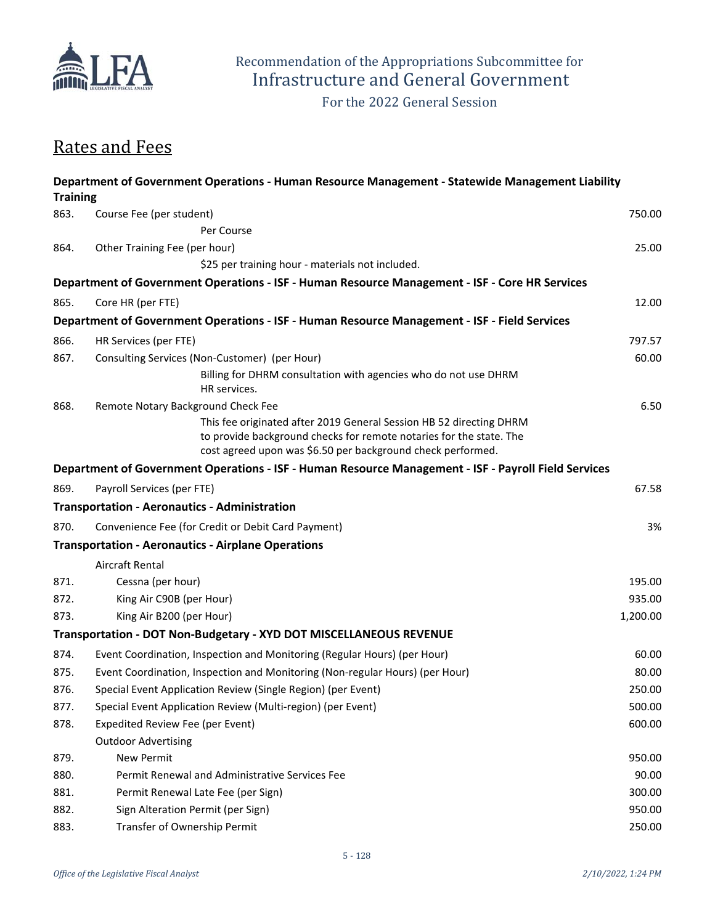

For the 2022 General Session

|                 | Department of Government Operations - Human Resource Management - Statewide Management Liability                                                                                                          |          |
|-----------------|-----------------------------------------------------------------------------------------------------------------------------------------------------------------------------------------------------------|----------|
| <b>Training</b> |                                                                                                                                                                                                           |          |
| 863.            | Course Fee (per student)                                                                                                                                                                                  | 750.00   |
|                 | Per Course                                                                                                                                                                                                |          |
| 864.            | Other Training Fee (per hour)                                                                                                                                                                             | 25.00    |
|                 | \$25 per training hour - materials not included.                                                                                                                                                          |          |
|                 | Department of Government Operations - ISF - Human Resource Management - ISF - Core HR Services                                                                                                            |          |
| 865.            | Core HR (per FTE)                                                                                                                                                                                         | 12.00    |
|                 | Department of Government Operations - ISF - Human Resource Management - ISF - Field Services                                                                                                              |          |
| 866.            | HR Services (per FTE)                                                                                                                                                                                     | 797.57   |
| 867.            | Consulting Services (Non-Customer) (per Hour)                                                                                                                                                             | 60.00    |
|                 | Billing for DHRM consultation with agencies who do not use DHRM<br>HR services.                                                                                                                           |          |
| 868.            | Remote Notary Background Check Fee                                                                                                                                                                        | 6.50     |
|                 | This fee originated after 2019 General Session HB 52 directing DHRM<br>to provide background checks for remote notaries for the state. The<br>cost agreed upon was \$6.50 per background check performed. |          |
|                 | Department of Government Operations - ISF - Human Resource Management - ISF - Payroll Field Services                                                                                                      |          |
| 869.            | Payroll Services (per FTE)                                                                                                                                                                                | 67.58    |
|                 | <b>Transportation - Aeronautics - Administration</b>                                                                                                                                                      |          |
| 870.            | Convenience Fee (for Credit or Debit Card Payment)                                                                                                                                                        | 3%       |
|                 | <b>Transportation - Aeronautics - Airplane Operations</b>                                                                                                                                                 |          |
|                 | Aircraft Rental                                                                                                                                                                                           |          |
| 871.            | Cessna (per hour)                                                                                                                                                                                         | 195.00   |
| 872.            | King Air C90B (per Hour)                                                                                                                                                                                  | 935.00   |
| 873.            | King Air B200 (per Hour)                                                                                                                                                                                  | 1,200.00 |
|                 | Transportation - DOT Non-Budgetary - XYD DOT MISCELLANEOUS REVENUE                                                                                                                                        |          |
| 874.            | Event Coordination, Inspection and Monitoring (Regular Hours) (per Hour)                                                                                                                                  | 60.00    |
| 875.            | Event Coordination, Inspection and Monitoring (Non-regular Hours) (per Hour)                                                                                                                              | 80.00    |
| 876.            | Special Event Application Review (Single Region) (per Event)                                                                                                                                              | 250.00   |
| 877.            | Special Event Application Review (Multi-region) (per Event)                                                                                                                                               | 500.00   |
| 878.            | Expedited Review Fee (per Event)                                                                                                                                                                          | 600.00   |
|                 | <b>Outdoor Advertising</b>                                                                                                                                                                                |          |
| 879.            | New Permit                                                                                                                                                                                                | 950.00   |
| 880.            | Permit Renewal and Administrative Services Fee                                                                                                                                                            | 90.00    |
| 881.            | Permit Renewal Late Fee (per Sign)                                                                                                                                                                        | 300.00   |
| 882.            | Sign Alteration Permit (per Sign)                                                                                                                                                                         | 950.00   |
| 883.            | Transfer of Ownership Permit                                                                                                                                                                              | 250.00   |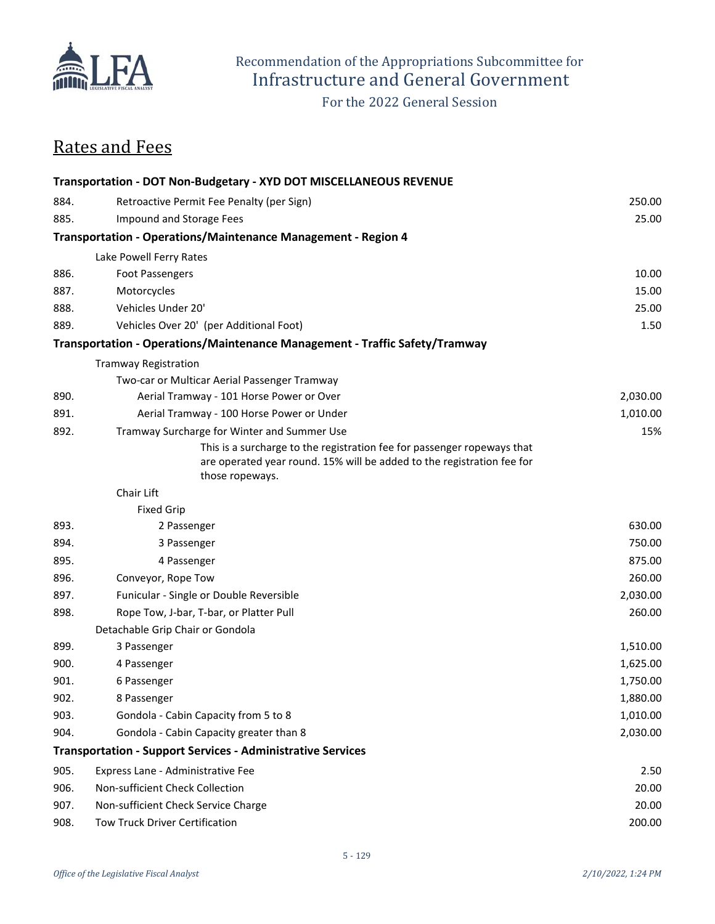

For the 2022 General Session

|      | Transportation - DOT Non-Budgetary - XYD DOT MISCELLANEOUS REVENUE                                                                                                   |          |
|------|----------------------------------------------------------------------------------------------------------------------------------------------------------------------|----------|
| 884. | Retroactive Permit Fee Penalty (per Sign)                                                                                                                            | 250.00   |
| 885. | Impound and Storage Fees                                                                                                                                             | 25.00    |
|      | Transportation - Operations/Maintenance Management - Region 4                                                                                                        |          |
|      | Lake Powell Ferry Rates                                                                                                                                              |          |
| 886. | <b>Foot Passengers</b>                                                                                                                                               | 10.00    |
| 887. | Motorcycles                                                                                                                                                          | 15.00    |
| 888. | Vehicles Under 20'                                                                                                                                                   | 25.00    |
| 889. | Vehicles Over 20' (per Additional Foot)                                                                                                                              | 1.50     |
|      | Transportation - Operations/Maintenance Management - Traffic Safety/Tramway                                                                                          |          |
|      | <b>Tramway Registration</b>                                                                                                                                          |          |
|      | Two-car or Multicar Aerial Passenger Tramway                                                                                                                         |          |
| 890. | Aerial Tramway - 101 Horse Power or Over                                                                                                                             | 2,030.00 |
| 891. | Aerial Tramway - 100 Horse Power or Under                                                                                                                            | 1,010.00 |
| 892. | Tramway Surcharge for Winter and Summer Use                                                                                                                          | 15%      |
|      | This is a surcharge to the registration fee for passenger ropeways that<br>are operated year round. 15% will be added to the registration fee for<br>those ropeways. |          |
|      | Chair Lift                                                                                                                                                           |          |
|      | <b>Fixed Grip</b>                                                                                                                                                    |          |
| 893. | 2 Passenger                                                                                                                                                          | 630.00   |
| 894. | 3 Passenger                                                                                                                                                          | 750.00   |
| 895. | 4 Passenger                                                                                                                                                          | 875.00   |
| 896. | Conveyor, Rope Tow                                                                                                                                                   | 260.00   |
| 897. | Funicular - Single or Double Reversible                                                                                                                              | 2,030.00 |
| 898. | Rope Tow, J-bar, T-bar, or Platter Pull                                                                                                                              | 260.00   |
|      | Detachable Grip Chair or Gondola                                                                                                                                     |          |
| 899. | 3 Passenger                                                                                                                                                          | 1,510.00 |
| 900. | 4 Passenger                                                                                                                                                          | 1,625.00 |
| 901. | 6 Passenger                                                                                                                                                          | 1,750.00 |
| 902. | 8 Passenger                                                                                                                                                          | 1,880.00 |
| 903. | Gondola - Cabin Capacity from 5 to 8                                                                                                                                 | 1,010.00 |
| 904. | Gondola - Cabin Capacity greater than 8                                                                                                                              | 2,030.00 |
|      | <b>Transportation - Support Services - Administrative Services</b>                                                                                                   |          |
| 905. | Express Lane - Administrative Fee                                                                                                                                    | 2.50     |
| 906. | Non-sufficient Check Collection                                                                                                                                      | 20.00    |
| 907. | Non-sufficient Check Service Charge                                                                                                                                  | 20.00    |
| 908. | Tow Truck Driver Certification                                                                                                                                       | 200.00   |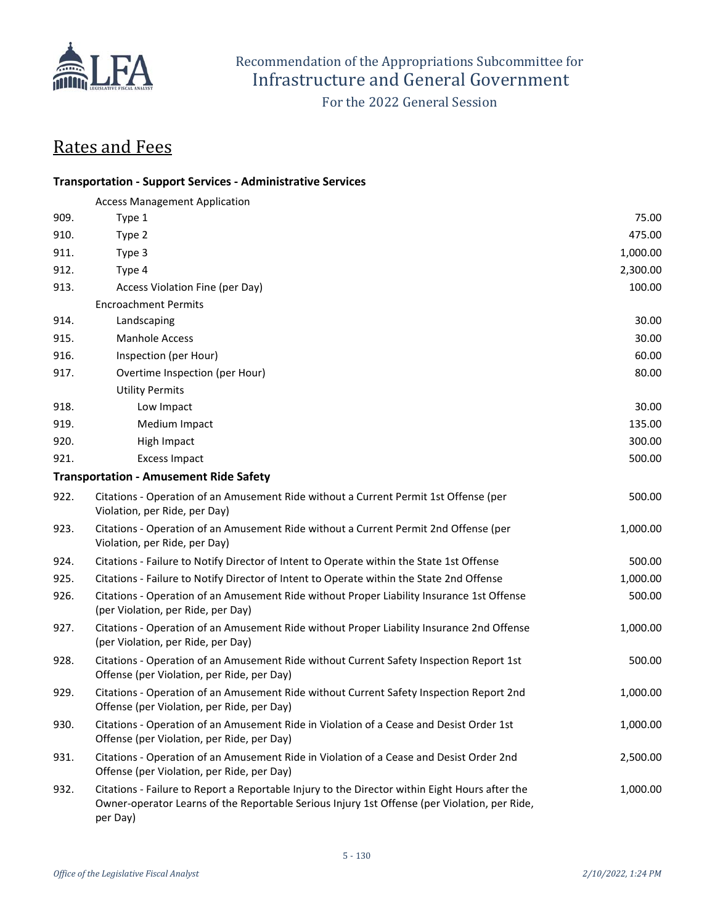

For the 2022 General Session

## Rates and Fees

#### **Transportation ‐ Support Services ‐ Administrative Services**

|      | <b>Access Management Application</b>                                                                                                                                                                       |          |
|------|------------------------------------------------------------------------------------------------------------------------------------------------------------------------------------------------------------|----------|
| 909. | Type 1                                                                                                                                                                                                     | 75.00    |
| 910. | Type 2                                                                                                                                                                                                     | 475.00   |
| 911. | Type 3                                                                                                                                                                                                     | 1,000.00 |
| 912. | Type 4                                                                                                                                                                                                     | 2,300.00 |
| 913. | Access Violation Fine (per Day)                                                                                                                                                                            | 100.00   |
|      | <b>Encroachment Permits</b>                                                                                                                                                                                |          |
| 914. | Landscaping                                                                                                                                                                                                | 30.00    |
| 915. | <b>Manhole Access</b>                                                                                                                                                                                      | 30.00    |
| 916. | Inspection (per Hour)                                                                                                                                                                                      | 60.00    |
| 917. | Overtime Inspection (per Hour)                                                                                                                                                                             | 80.00    |
|      | <b>Utility Permits</b>                                                                                                                                                                                     |          |
| 918. | Low Impact                                                                                                                                                                                                 | 30.00    |
| 919. | Medium Impact                                                                                                                                                                                              | 135.00   |
| 920. | High Impact                                                                                                                                                                                                | 300.00   |
| 921. | <b>Excess Impact</b>                                                                                                                                                                                       | 500.00   |
|      | <b>Transportation - Amusement Ride Safety</b>                                                                                                                                                              |          |
| 922. | Citations - Operation of an Amusement Ride without a Current Permit 1st Offense (per<br>Violation, per Ride, per Day)                                                                                      | 500.00   |
| 923. | Citations - Operation of an Amusement Ride without a Current Permit 2nd Offense (per<br>Violation, per Ride, per Day)                                                                                      | 1,000.00 |
| 924. | Citations - Failure to Notify Director of Intent to Operate within the State 1st Offense                                                                                                                   | 500.00   |
| 925. | Citations - Failure to Notify Director of Intent to Operate within the State 2nd Offense                                                                                                                   | 1,000.00 |
| 926. | Citations - Operation of an Amusement Ride without Proper Liability Insurance 1st Offense<br>(per Violation, per Ride, per Day)                                                                            | 500.00   |
| 927. | Citations - Operation of an Amusement Ride without Proper Liability Insurance 2nd Offense<br>(per Violation, per Ride, per Day)                                                                            | 1,000.00 |
| 928. | Citations - Operation of an Amusement Ride without Current Safety Inspection Report 1st<br>Offense (per Violation, per Ride, per Day)                                                                      | 500.00   |
| 929. | Citations - Operation of an Amusement Ride without Current Safety Inspection Report 2nd<br>Offense (per Violation, per Ride, per Day)                                                                      | 1,000.00 |
| 930. | Citations - Operation of an Amusement Ride in Violation of a Cease and Desist Order 1st<br>Offense (per Violation, per Ride, per Day)                                                                      | 1,000.00 |
| 931. | Citations - Operation of an Amusement Ride in Violation of a Cease and Desist Order 2nd<br>Offense (per Violation, per Ride, per Day)                                                                      | 2,500.00 |
| 932. | Citations - Failure to Report a Reportable Injury to the Director within Eight Hours after the<br>Owner-operator Learns of the Reportable Serious Injury 1st Offense (per Violation, per Ride,<br>per Day) | 1,000.00 |